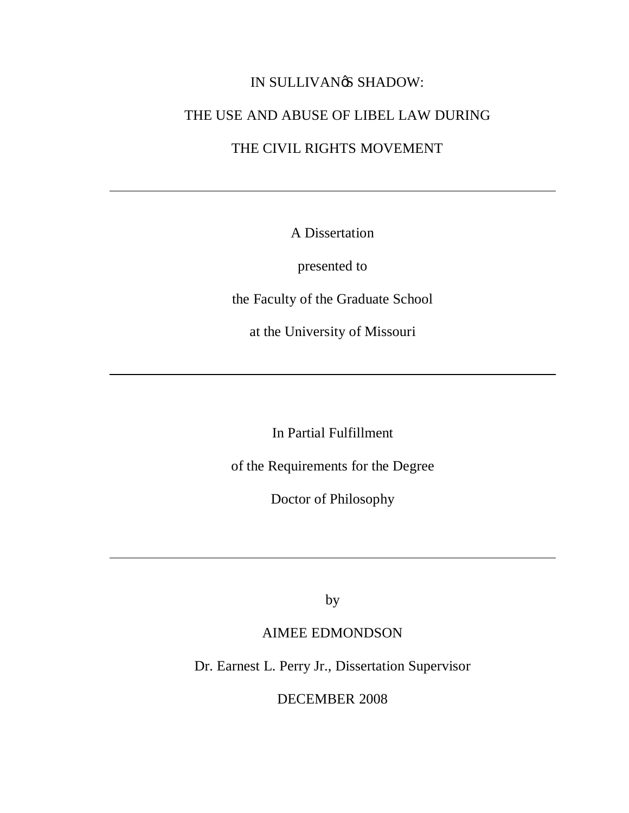## IN SULLIVANØS SHADOW:

## THE USE AND ABUSE OF LIBEL LAW DURING

# THE CIVIL RIGHTS MOVEMENT

A Dissertation

presented to

the Faculty of the Graduate School

at the University of Missouri

In Partial Fulfillment

of the Requirements for the Degree

Doctor of Philosophy

by

## AIMEE EDMONDSON

Dr. Earnest L. Perry Jr., Dissertation Supervisor

DECEMBER 2008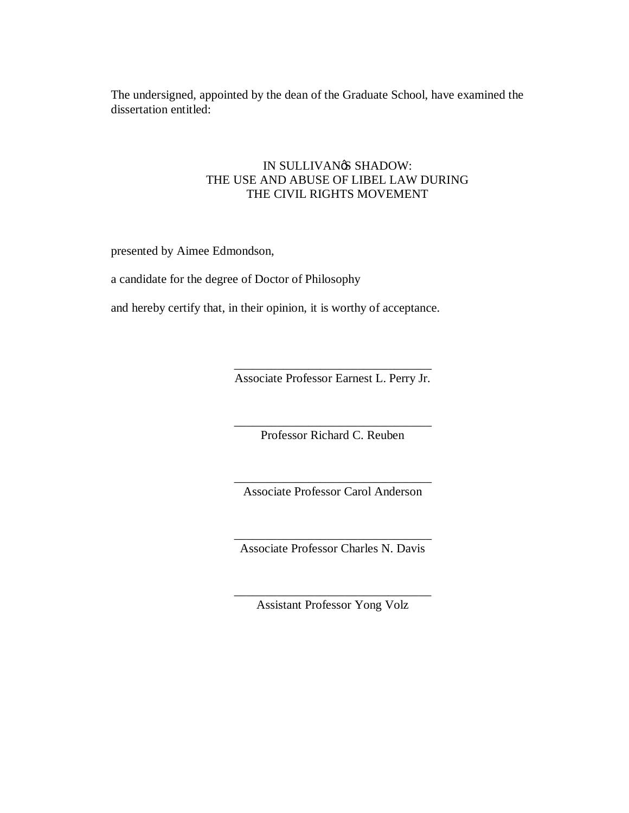The undersigned, appointed by the dean of the Graduate School, have examined the dissertation entitled:

### IN SULLIVAN<sup>®</sup> SHADOW: THE USE AND ABUSE OF LIBEL LAW DURING THE CIVIL RIGHTS MOVEMENT

presented by Aimee Edmondson,

a candidate for the degree of Doctor of Philosophy

and hereby certify that, in their opinion, it is worthy of acceptance.

\_\_\_\_\_\_\_\_\_\_\_\_\_\_\_\_\_\_\_\_\_\_\_\_\_\_\_\_\_\_\_\_ Associate Professor Earnest L. Perry Jr.

\_\_\_\_\_\_\_\_\_\_\_\_\_\_\_\_\_\_\_\_\_\_\_\_\_\_\_\_\_\_\_\_ Professor Richard C. Reuben

\_\_\_\_\_\_\_\_\_\_\_\_\_\_\_\_\_\_\_\_\_\_\_\_\_\_\_\_\_\_\_\_ Associate Professor Carol Anderson

\_\_\_\_\_\_\_\_\_\_\_\_\_\_\_\_\_\_\_\_\_\_\_\_\_\_\_\_\_\_\_\_ Associate Professor Charles N. Davis

\_\_\_\_\_\_\_\_\_\_\_\_\_\_\_\_\_\_\_\_\_\_\_\_\_\_\_\_\_\_\_\_ Assistant Professor Yong Volz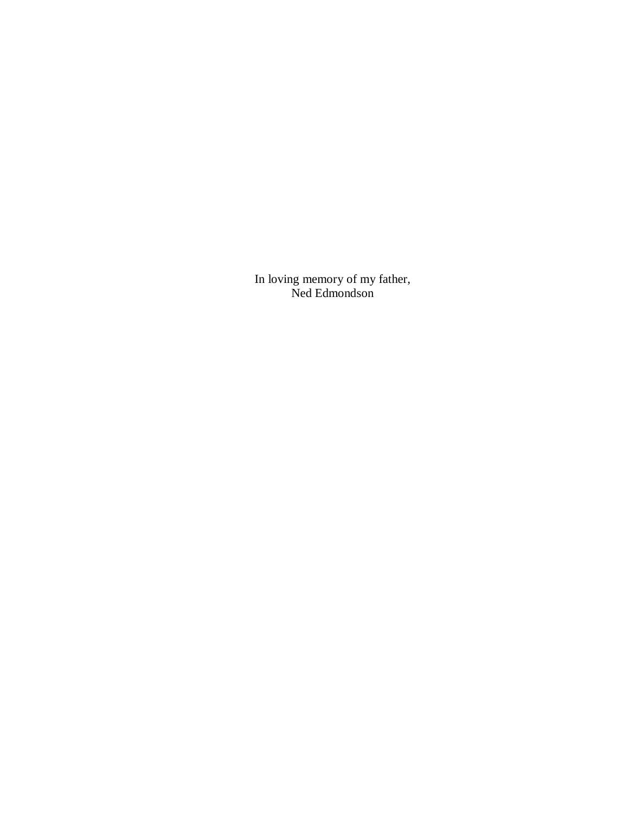In loving memory of my father, Ned Edmondson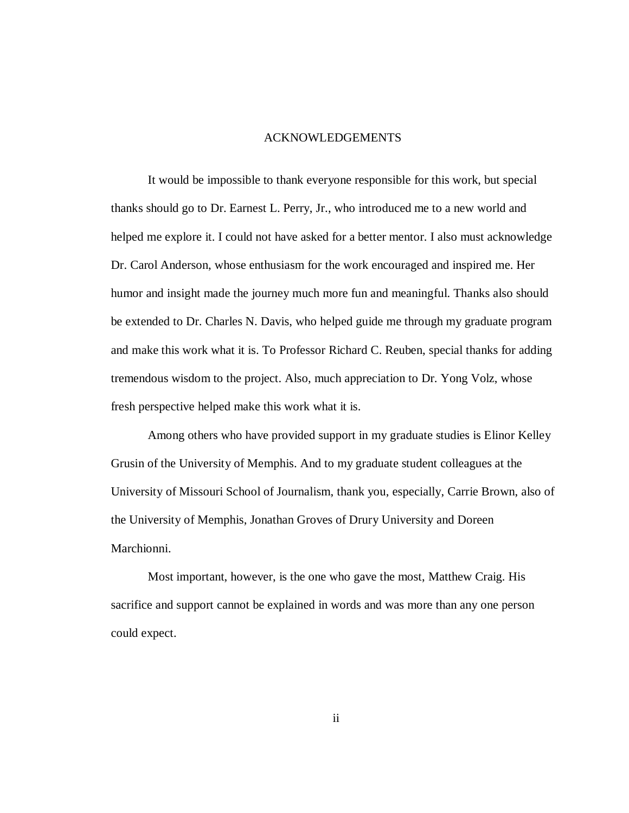#### ACKNOWLEDGEMENTS

It would be impossible to thank everyone responsible for this work, but special thanks should go to Dr. Earnest L. Perry, Jr., who introduced me to a new world and helped me explore it. I could not have asked for a better mentor. I also must acknowledge Dr. Carol Anderson, whose enthusiasm for the work encouraged and inspired me. Her humor and insight made the journey much more fun and meaningful. Thanks also should be extended to Dr. Charles N. Davis, who helped guide me through my graduate program and make this work what it is. To Professor Richard C. Reuben, special thanks for adding tremendous wisdom to the project. Also, much appreciation to Dr. Yong Volz, whose fresh perspective helped make this work what it is.

Among others who have provided support in my graduate studies is Elinor Kelley Grusin of the University of Memphis. And to my graduate student colleagues at the University of Missouri School of Journalism, thank you, especially, Carrie Brown, also of the University of Memphis, Jonathan Groves of Drury University and Doreen Marchionni.

Most important, however, is the one who gave the most, Matthew Craig. His sacrifice and support cannot be explained in words and was more than any one person could expect.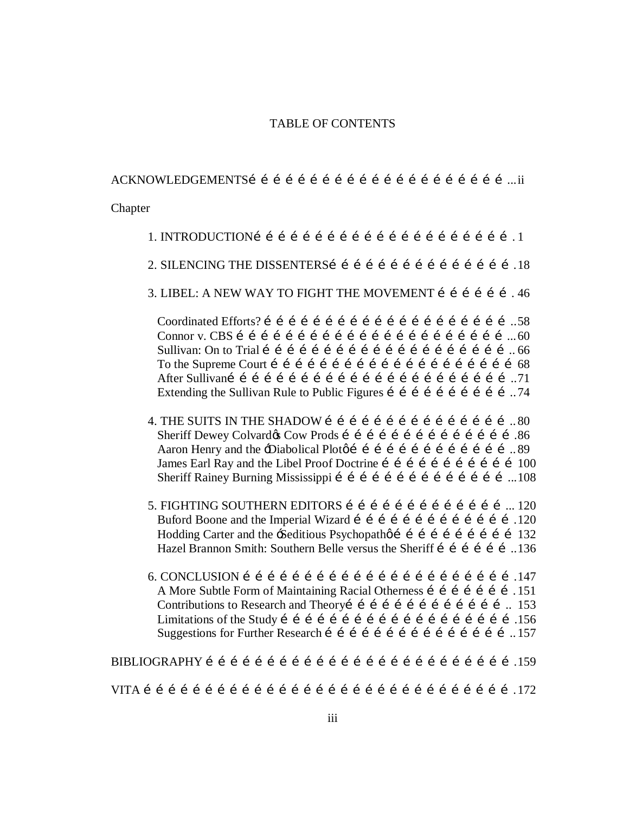#### TABLE OF CONTENTS

#### ACKNOWLEDGEMENTS………………………………………………………...ii

Chapter

- 1. INTRODUCTION………………………………………………………. 1
- 2. SILENCING THE DISSENTERSI i i i i i i i i i i i i i i i .18
- 3. LIBEL: A NEW WAY TO FIGHT THE MOVEMENT  $i$   $i$   $j$   $j$   $j$   $j$   $j$

 Coordinated Efforts? ……………………………………………………..58 Connor v. CBS …………………………………………………………...60 Sullivan: On to Trial …………………………………………………….. 66 To the Supreme Court ……………………………………………………68 After Sullivan……………………………………………………………..71 Extending the Sullivan Rule to Public Figures  $\tilde{i}$  i i i i i i i i i  $\tilde{j}$  i i  $\tilde{k}$  i  $\tilde{k}$ 

- 4. THE SUITS IN THE SHADOW  $\mathbf{i}$  i i i i i i i i i i i i  $\mathbf{80}$ Sheriff Dewey Colvardos Cow Prods í í í í í í í í í í í í í í í í í 86 Aaron Henry and the -Diabolical Ploto i i i i i i i i i i i i i ... 89 James Earl Ray and the Libel Proof Doctrine i i i i i i i i i i i 100 Sheriff Rainey Burning Mississippi í í í í í í í í í í í í í í í …… 108
- 5. FIGHTING SOUTHERN EDITORS …………………………………... 120 Buford Boone and the Imperial Wizard i i i i i i i i i i i i i 120 Hodding Carter and the -Seditious Psychopath of i i i i i i i i i 132 Hazel Brannon Smith: Southern Belle versus the Sheriff í í í í í í...136
- 6. CONCLUSION ………………………………………………………….147 A More Subtle Form of Maintaining Racial Otherness i i i i i i i .151 Contributions to Research and Theoryi i i i i i i i i i i i i i.  $153$  Limitations of the Study ………………………………………………….156 Suggestions for Further Research  $f \in f \in f \in f \in f \in f \in I$  . 157

BIBLIOGRAPHY ………………………………………………………………….159

VITA ……………………………………………………………………………….172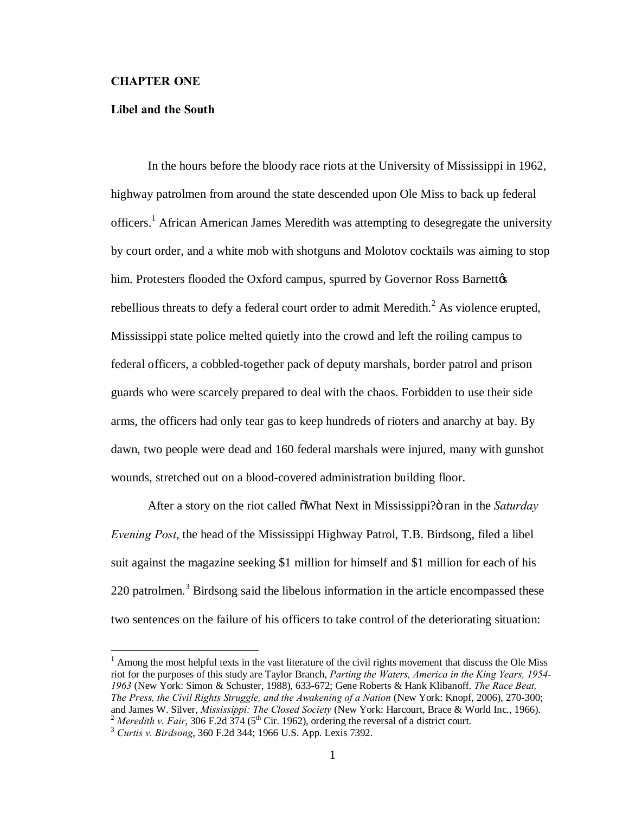#### **CHAPTER ONE**

#### **Libel and the South**

In the hours before the bloody race riots at the University of Mississippi in 1962, highway patrolmen from around the state descended upon Ole Miss to back up federal officers.<sup>1</sup> African American James Meredith was attempting to desegregate the university by court order, and a white mob with shotguns and Molotov cocktails was aiming to stop him. Protesters flooded the Oxford campus, spurred by Governor Ross Barnettøs rebellious threats to defy a federal court order to admit Meredith.<sup>2</sup> As violence erupted, Mississippi state police melted quietly into the crowd and left the roiling campus to federal officers, a cobbled-together pack of deputy marshals, border patrol and prison guards who were scarcely prepared to deal with the chaos. Forbidden to use their side arms, the officers had only tear gas to keep hundreds of rioters and anarchy at bay. By dawn, two people were dead and 160 federal marshals were injured, many with gunshot wounds, stretched out on a blood-covered administration building floor.

After a story on the riot called  $\delta$ What Next in Mississippi?" ran in the *Saturday Evening Post*, the head of the Mississippi Highway Patrol, T.B. Birdsong, filed a libel suit against the magazine seeking \$1 million for himself and \$1 million for each of his 220 patrolmen.<sup>3</sup> Birdsong said the libelous information in the article encompassed these two sentences on the failure of his officers to take control of the deteriorating situation:

 $<sup>1</sup>$  Among the most helpful texts in the vast literature of the civil rights movement that discuss the Ole Miss</sup> riot for the purposes of this study are Taylor Branch, *Parting the Waters, America in the King Years, 1954- 1963* (New York: Simon & Schuster, 1988), 633-672; Gene Roberts & Hank Klibanoff. *The Race Beat, The Press, the Civil Rights Struggle, and the Awakening of a Nation (New York: Knopf, 2006), 270-300;* and James W. Silver, *Mississippi: The Closed Society (New York: Harcourt, Brace & World Inc., 1966).* <sup>2</sup> Meredith v. Fair, 306 F.2d  $374$  (5<sup>th</sup> Cir. 1962), ordering the reversal of a district court.<br><sup>3</sup> Curtis v. Birdsong, 360 F.2d 344; 1966 U.S. App. Lexis 7392.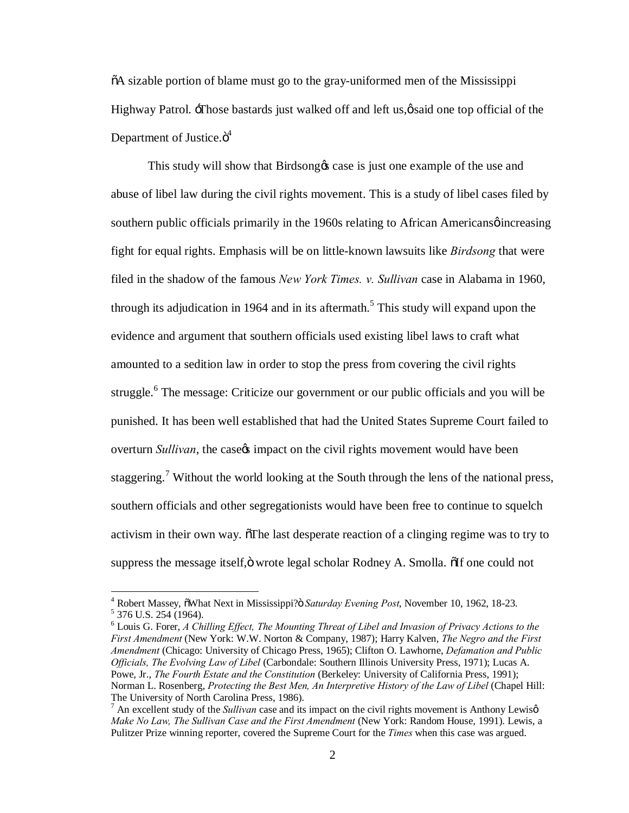$\delta A$  sizable portion of blame must go to the gray-uniformed men of the Mississippi Highway Patrol.  $\exists$ Those bastards just walked off and left us, $\emptyset$ said one top official of the Department of Justice.ö<sup>4</sup>

This study will show that Birdsong  $\alpha$  case is just one example of the use and abuse of libel law during the civil rights movement. This is a study of libel cases filed by southern public officials primarily in the 1960s relating to African Americans *o* increasing fight for equal rights. Emphasis will be on little-known lawsuits like *Birdsong* that were filed in the shadow of the famous *New York Times. v. Sullivan* case in Alabama in 1960, through its adjudication in 1964 and in its aftermath.<sup>5</sup> This study will expand upon the evidence and argument that southern officials used existing libel laws to craft what amounted to a sedition law in order to stop the press from covering the civil rights struggle.<sup>6</sup> The message: Criticize our government or our public officials and you will be punished. It has been well established that had the United States Supreme Court failed to overturn *Sullivan*, the case<sub>%</sub> impact on the civil rights movement would have been staggering.<sup>7</sup> Without the world looking at the South through the lens of the national press, southern officials and other segregationists would have been free to continue to squelch activism in their own way. The last desperate reaction of a clinging regime was to try to suppress the message itself, ö wrote legal scholar Rodney A. Smolla.  $\delta$ If one could not

<sup>&</sup>lt;sup>4</sup> Robert Massey, õWhat Next in Mississippi? *Saturday Evening Post*, November 10, 1962, 18-23. <sup>5</sup> 376 U.S. 254 (1964).

<sup>6</sup> Louis G. Forer, *A Chilling Effect, The Mounting Threat of Libel and Invasion of Privacy Actions to the First Amendment* (New York: W.W. Norton & Company, 1987); Harry Kalven, *The Negro and the First Amendment* (Chicago: University of Chicago Press, 1965); Clifton O. Lawhorne, *Defamation and Public Officials, The Evolving Law of Libel* (Carbondale: Southern Illinois University Press, 1971); Lucas A. Powe, Jr., *The Fourth Estate and the Constitution* (Berkeley: University of California Press, 1991); Norman L. Rosenberg, *Protecting the Best Men, An Interpretive History of the Law of Libel* (Chapel Hill: The University of North Carolina Press, 1986).<br><sup>7</sup> An excellent study of the *Sullivan* case and its impact on the civil rights movement is Anthony Lewisø

*Make No Law, The Sullivan Case and the First Amendment* (New York: Random House, 1991). Lewis, a Pulitzer Prize winning reporter, covered the Supreme Court for the *Times* when this case was argued.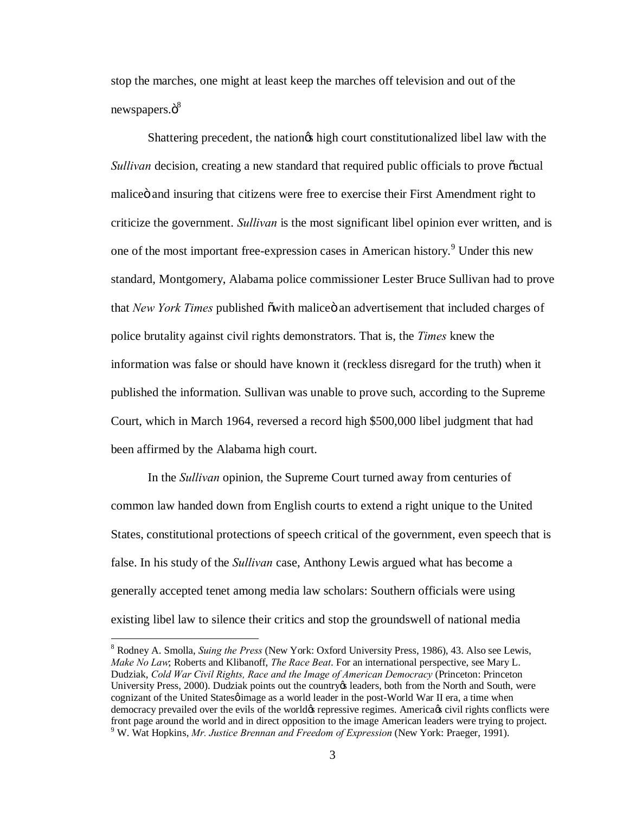stop the marches, one might at least keep the marches off television and out of the newspapers. $\ddot{\mathrm{o}}^8$ 

Shattering precedent, the nation is high court constitutionalized libel law with the *Sullivan* decision, creating a new standard that required public officials to prove  $\tilde{c}$  actual malice and insuring that citizens were free to exercise their First Amendment right to criticize the government. *Sullivan* is the most significant libel opinion ever written, and is one of the most important free-expression cases in American history.<sup>9</sup> Under this new standard, Montgomery, Alabama police commissioner Lester Bruce Sullivan had to prove that *New York Times* published õwith maliceö an advertisement that included charges of police brutality against civil rights demonstrators. That is, the *Times* knew the information was false or should have known it (reckless disregard for the truth) when it published the information. Sullivan was unable to prove such, according to the Supreme Court, which in March 1964, reversed a record high \$500,000 libel judgment that had been affirmed by the Alabama high court.

In the *Sullivan* opinion, the Supreme Court turned away from centuries of common law handed down from English courts to extend a right unique to the United States, constitutional protections of speech critical of the government, even speech that is false. In his study of the *Sullivan* case, Anthony Lewis argued what has become a generally accepted tenet among media law scholars: Southern officials were using existing libel law to silence their critics and stop the groundswell of national media

 <sup>8</sup> Rodney A. Smolla, *Suing the Press* (New York: Oxford University Press, 1986), 43. Also see Lewis, *Make No Law*; Roberts and Klibanoff, *The Race Beat*. For an international perspective, see Mary L. Dudziak, *Cold War Civil Rights, Race and the Image of American Democracy* (Princeton: Princeton University Press, 2000). Dudziak points out the country teaders, both from the North and South, were cognizant of the United Statesø image as a world leader in the post-World War II era, a time when democracy prevailed over the evils of the world $\alpha$  repressive regimes. America $\alpha$  civil rights conflicts were front page around the world and in direct opposition to the image American leaders were trying to project. 9 W. Wat Hopkins, *Mr. Justice Brennan and Freedom of Expression* (New York: Praeger, 1991).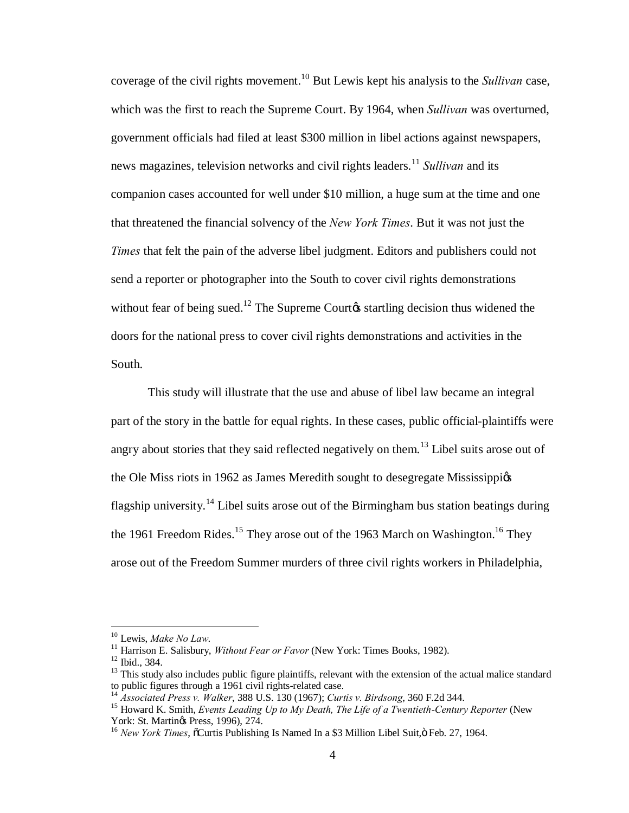coverage of the civil rights movement.<sup>10</sup> But Lewis kept his analysis to the *Sullivan* case, which was the first to reach the Supreme Court. By 1964, when *Sullivan* was overturned, government officials had filed at least \$300 million in libel actions against newspapers, news magazines, television networks and civil rights leaders. <sup>11</sup> *Sullivan* and its companion cases accounted for well under \$10 million, a huge sum at the time and one that threatened the financial solvency of the *New York Times*. But it was not just the *Times* that felt the pain of the adverse libel judgment. Editors and publishers could not send a reporter or photographer into the South to cover civil rights demonstrations without fear of being sued.<sup>12</sup> The Supreme Courto startling decision thus widened the doors for the national press to cover civil rights demonstrations and activities in the South.

This study will illustrate that the use and abuse of libel law became an integral part of the story in the battle for equal rights. In these cases, public official-plaintiffs were angry about stories that they said reflected negatively on them.<sup>13</sup> Libel suits arose out of the Ole Miss riots in 1962 as James Meredith sought to desegregate Mississippiøs flagship university.<sup>14</sup> Libel suits arose out of the Birmingham bus station beatings during the 1961 Freedom Rides.<sup>15</sup> They arose out of the 1963 March on Washington.<sup>16</sup> They arose out of the Freedom Summer murders of three civil rights workers in Philadelphia,

<sup>&</sup>lt;sup>10</sup> Lewis, *Make No Law.*<br><sup>11</sup> Harrison E. Salisbury, *Without Fear or Favor* (New York: Times Books, 1982).<br><sup>12</sup> Ibid., 384.<br><sup>13</sup> This study also includes public figure plaintiffs, relevant with the extension of the act

<sup>&</sup>lt;sup>14</sup> Associated Press v. Walker, 388 U.S. 130 (1967); Curtis v. Birdsong, 360 F.2d 344.<br><sup>15</sup> Howard K. Smith, *Events Leading Up to My Death, The Life of a Twentieth-Century Reporter* (New York: St. Martings Press, 1996),

<sup>&</sup>lt;sup>16</sup> *New York Times*,  $\frac{5755}{10}$ , 274. 174. 174. 174. 16 *New York Times*,  $\frac{5755}{10}$  Curtis Publishing Is Named In a \$3 Million Libel Suit, $\ddot{\text{o}}$  Feb. 27, 1964.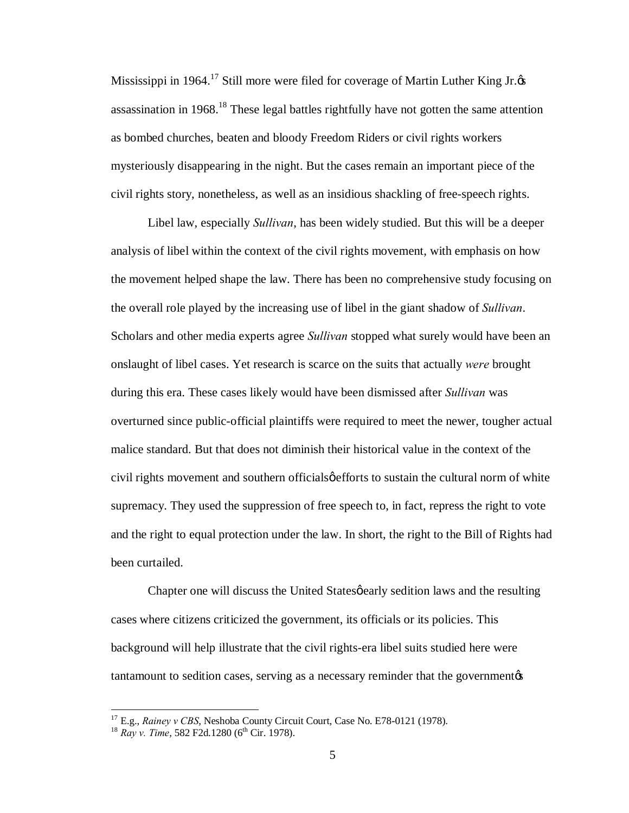Mississippi in 1964.<sup>17</sup> Still more were filed for coverage of Martin Luther King Jr. $\alpha$ assassination in 1968.<sup>18</sup> These legal battles rightfully have not gotten the same attention as bombed churches, beaten and bloody Freedom Riders or civil rights workers mysteriously disappearing in the night. But the cases remain an important piece of the civil rights story, nonetheless, as well as an insidious shackling of free-speech rights.

Libel law, especially *Sullivan*, has been widely studied. But this will be a deeper analysis of libel within the context of the civil rights movement, with emphasis on how the movement helped shape the law. There has been no comprehensive study focusing on the overall role played by the increasing use of libel in the giant shadow of *Sullivan*. Scholars and other media experts agree *Sullivan* stopped what surely would have been an onslaught of libel cases. Yet research is scarce on the suits that actually *were* brought during this era. These cases likely would have been dismissed after *Sullivan* was overturned since public-official plaintiffs were required to meet the newer, tougher actual malice standard. But that does not diminish their historical value in the context of the civil rights movement and southern officials *gefforts* to sustain the cultural norm of white supremacy. They used the suppression of free speech to, in fact, repress the right to vote and the right to equal protection under the law. In short, the right to the Bill of Rights had been curtailed.

Chapter one will discuss the United States *gearly* sedition laws and the resulting cases where citizens criticized the government, its officials or its policies. This background will help illustrate that the civil rights-era libel suits studied here were tantamount to sedition cases, serving as a necessary reminder that the government  $\alpha$ 

<sup>&</sup>lt;sup>17</sup> E.g., *Rainey v CBS*, Neshoba County Circuit Court, Case No. E78-0121 (1978).<br><sup>18</sup> *Ray v. Time*, 582 F2d.1280 (6<sup>th</sup> Cir. 1978).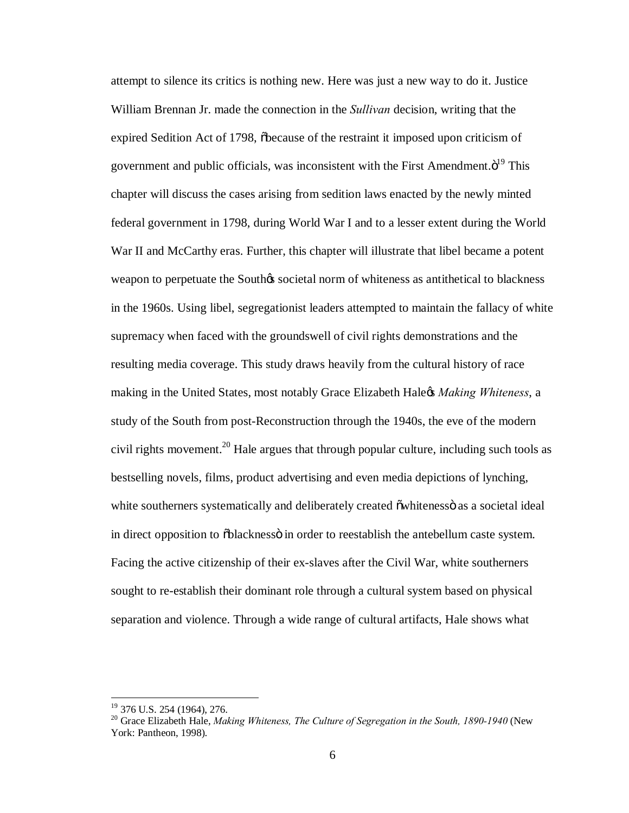attempt to silence its critics is nothing new. Here was just a new way to do it. Justice William Brennan Jr. made the connection in the *Sullivan* decision, writing that the expired Sedition Act of 1798, obecause of the restraint it imposed upon criticism of government and public officials, was inconsistent with the First Amendment. $\ddot{o}^{19}$  This chapter will discuss the cases arising from sedition laws enacted by the newly minted federal government in 1798, during World War I and to a lesser extent during the World War II and McCarthy eras. Further, this chapter will illustrate that libel became a potent weapon to perpetuate the South is societal norm of whiteness as antithetical to blackness in the 1960s. Using libel, segregationist leaders attempted to maintain the fallacy of white supremacy when faced with the groundswell of civil rights demonstrations and the resulting media coverage. This study draws heavily from the cultural history of race making in the United States, most notably Grace Elizabeth Hale's *Making Whiteness*, a study of the South from post-Reconstruction through the 1940s, the eve of the modern civil rights movement.<sup>20</sup> Hale argues that through popular culture, including such tools as bestselling novels, films, product advertising and even media depictions of lynching, white southerners systematically and deliberately created  $\ddot{\text{ow}}$ hitenesso as a societal ideal in direct opposition to  $\delta$ blackness $\ddot{\text{o}}$  in order to reestablish the antebellum caste system. Facing the active citizenship of their ex-slaves after the Civil War, white southerners sought to re-establish their dominant role through a cultural system based on physical separation and violence. Through a wide range of cultural artifacts, Hale shows what

<sup>&</sup>lt;sup>19</sup> 376 U.S. 254 (1964), 276.<br><sup>20</sup> Grace Elizabeth Hale, *Making Whiteness, The Culture of Segregation in the South, 1890-1940* (New York: Pantheon, 1998).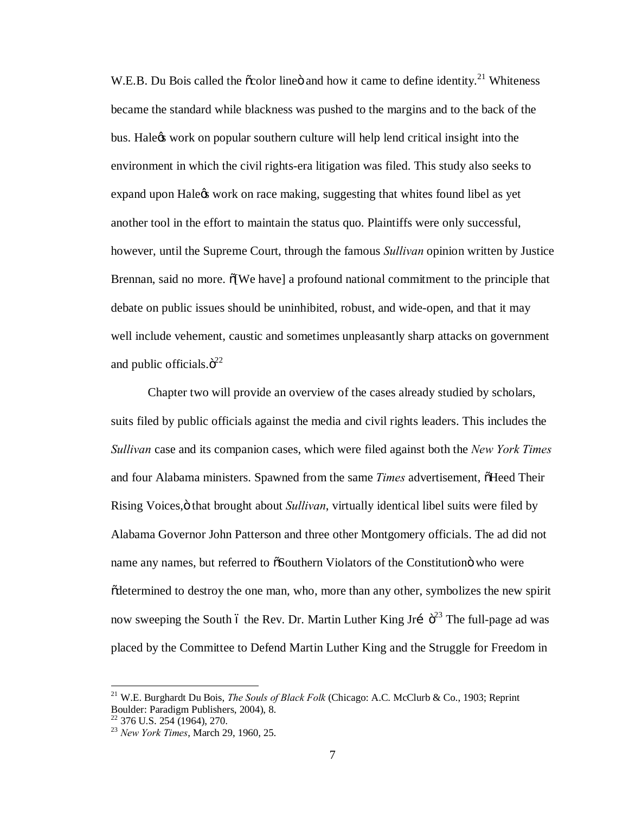W.E.B. Du Bois called the  $\tilde{\infty}$ color line and how it came to define identity.<sup>21</sup> Whiteness became the standard while blackness was pushed to the margins and to the back of the bus. Hale is work on popular southern culture will help lend critical insight into the environment in which the civil rights-era litigation was filed. This study also seeks to expand upon Hale<sub>g</sub> work on race making, suggesting that whites found libel as yet another tool in the effort to maintain the status quo. Plaintiffs were only successful, however, until the Supreme Court, through the famous *Sullivan* opinion written by Justice Brennan, said no more.  $\delta$ [We have] a profound national commitment to the principle that debate on public issues should be uninhibited, robust, and wide-open, and that it may well include vehement, caustic and sometimes unpleasantly sharp attacks on government and public officials. $\ddot{\mathrm{o}}^{22}$ 

Chapter two will provide an overview of the cases already studied by scholars, suits filed by public officials against the media and civil rights leaders. This includes the *Sullivan* case and its companion cases, which were filed against both the *New York Times* and four Alabama ministers. Spawned from the same *Times* advertisement,  $\delta$ Heed Their Rising Voices," that brought about *Sullivan*, virtually identical libel suits were filed by Alabama Governor John Patterson and three other Montgomery officials. The ad did not name any names, but referred to  $\delta$ Southern Violators of the Constitution who were "determined to destroy the one man, who, more than any other, symbolizes the new spirit now sweeping the South 6 the Rev. Dr. Martin Luther King Jri  $\ddot{\sigma}^{23}$  The full-page ad was placed by the Committee to Defend Martin Luther King and the Struggle for Freedom in

 <sup>21</sup> W.E. Burghardt Du Bois, *The Souls of Black Folk* (Chicago: A.C. McClurb & Co., 1903; Reprint Boulder: Paradigm Publishers, 2004), 8.

<sup>22</sup> 376 U.S. 254 (1964), 270. <sup>23</sup> *New York Times*, March 29, 1960, 25.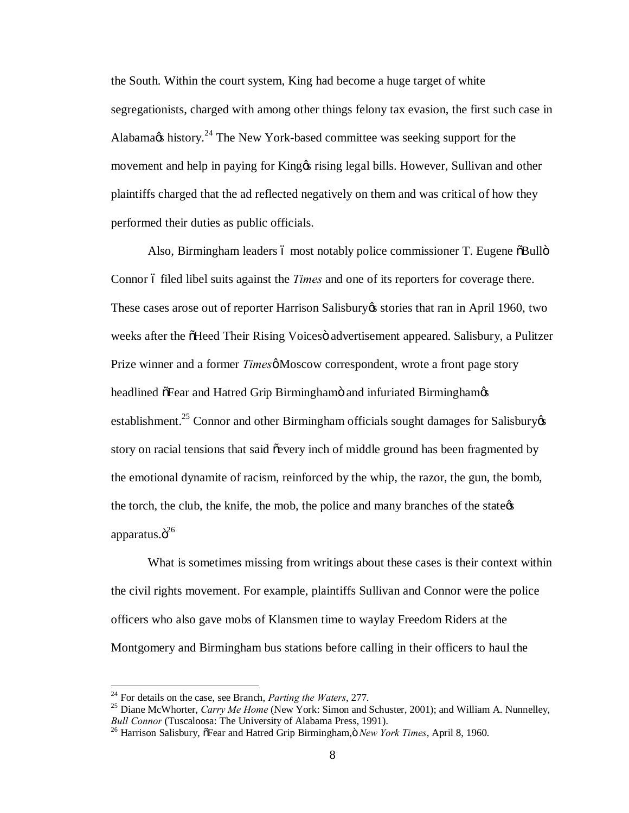the South. Within the court system, King had become a huge target of white segregationists, charged with among other things felony tax evasion, the first such case in Alabamags history.<sup>24</sup> The New York-based committee was seeking support for the movement and help in paying for King os rising legal bills. However, Sullivan and other plaintiffs charged that the ad reflected negatively on them and was critical of how they performed their duties as public officials.

Also, Birmingham leaders ó most notably police commissioner T. Eugene öBullö Connor 6 filed libel suits against the *Times* and one of its reporters for coverage there. These cases arose out of reporter Harrison Salisbury es stories that ran in April 1960, two weeks after the  $\tilde{\text{O}}$ Heed Their Rising Voices advertisement appeared. Salisbury, a Pulitzer Prize winner and a former *Times* & Moscow correspondent, wrote a front page story headlined  $\tilde{\sigma}$ Fear and Hatred Grip Birminghamö and infuriated Birminghamos establishment.<sup>25</sup> Connor and other Birmingham officials sought damages for Salisbury  $\&$ story on racial tensions that said  $\tilde{\text{e}}$  every inch of middle ground has been fragmented by the emotional dynamite of racism, reinforced by the whip, the razor, the gun, the bomb, the torch, the club, the knife, the mob, the police and many branches of the state  $\alpha$ apparatus. $\ddot{\mathrm{o}}^{26}$ 

What is sometimes missing from writings about these cases is their context within the civil rights movement. For example, plaintiffs Sullivan and Connor were the police officers who also gave mobs of Klansmen time to waylay Freedom Riders at the Montgomery and Birmingham bus stations before calling in their officers to haul the

<sup>&</sup>lt;sup>24</sup> For details on the case, see Branch, *Parting the Waters*, 277.<br><sup>25</sup> Diane McWhorter, *Carry Me Home* (New York: Simon and Schuster, 2001); and William A. Nunnelley, *Bull Connor* (Tuscaloosa: The University of Alabama Press, 1991).<br><sup>26</sup> Harrison Salisbury, õFear and Hatred Grip Birmingham, *New York Times*, April 8, 1960.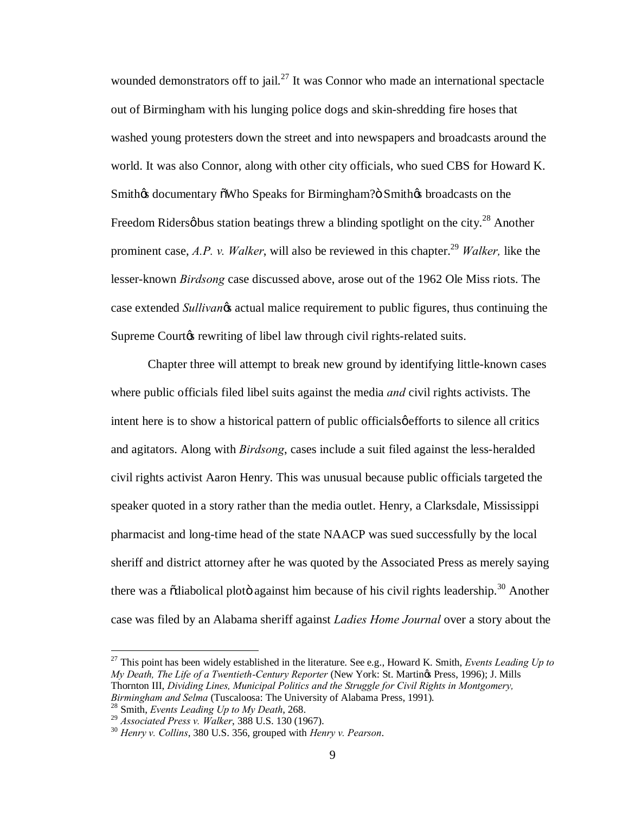wounded demonstrators off to jail. $^{27}$  It was Connor who made an international spectacle out of Birmingham with his lunging police dogs and skin-shredding fire hoses that washed young protesters down the street and into newspapers and broadcasts around the world. It was also Connor, along with other city officials, who sued CBS for Howard K. Smith $\alpha$  documentary  $\delta$ Who Speaks for Birmingham? $\delta$  Smith $\alpha$  broadcasts on the Freedom Ridersø bus station beatings threw a blinding spotlight on the city.<sup>28</sup> Another prominent case, *A.P. v. Walker*, will also be reviewed in this chapter.<sup>29</sup> *Walker*, like the lesser-known *Birdsong* case discussed above, arose out of the 1962 Ole Miss riots. The case extended *Sullivano*s actual malice requirement to public figures, thus continuing the Supreme Courtos rewriting of libel law through civil rights-related suits.

Chapter three will attempt to break new ground by identifying little-known cases where public officials filed libel suits against the media *and* civil rights activists. The intent here is to show a historical pattern of public officials  $\phi$  efforts to silence all critics and agitators. Along with *Birdsong*, cases include a suit filed against the less-heralded civil rights activist Aaron Henry. This was unusual because public officials targeted the speaker quoted in a story rather than the media outlet. Henry, a Clarksdale, Mississippi pharmacist and long-time head of the state NAACP was sued successfully by the local sheriff and district attorney after he was quoted by the Associated Press as merely saying there was a  $\ddot{\text{o}}$ diabolical ploto against him because of his civil rights leadership.<sup>30</sup> Another case was filed by an Alabama sheriff against *Ladies Home Journal* over a story about the

 27 This point has been widely established in the literature. See e.g., Howard K. Smith, *Events Leading Up to My Death, The Life of a Twentieth-Century Reporter* (New York: St. Martings Press, 1996); J. Mills Thornton III, *Dividing Lines, Municipal Politics and the Struggle for Civil Rights in Montgomery,* 

*Birmingham and Selma* (Tuscaloosa: The University of Alabama Press, 1991).<br><sup>28</sup> Smith, *Events Leading Up to My Death*, 268.<br><sup>29</sup> Associated Press v. Walker, 388 U.S. 130 (1967).

<sup>&</sup>lt;sup>30</sup> *Henry v. Collins*, 380 U.S. 356, grouped with *Henry v. Pearson*.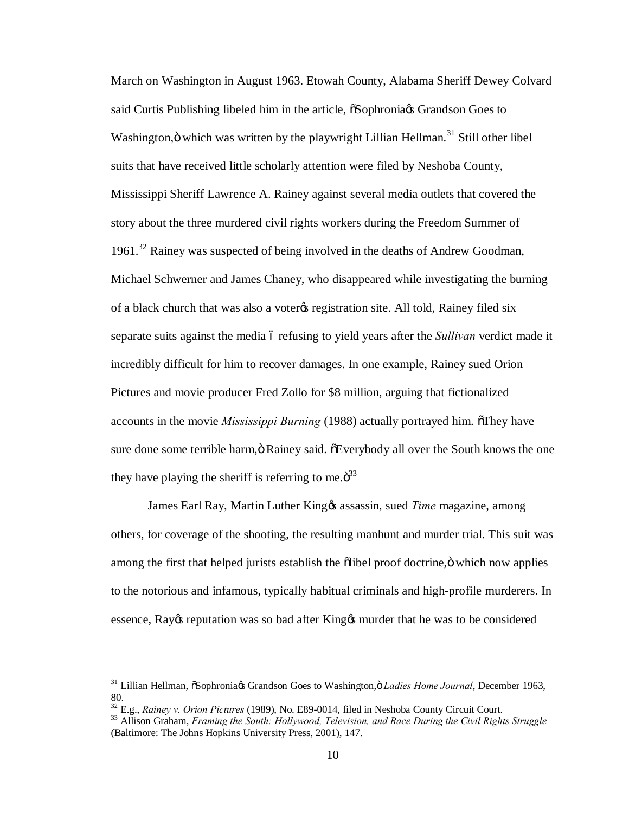March on Washington in August 1963. Etowah County, Alabama Sheriff Dewey Colvard said Curtis Publishing libeled him in the article,  $\delta$ Sophronia $\alpha$  Grandson Goes to Washington, ö which was written by the playwright Lillian Hellman.<sup>31</sup> Still other libel suits that have received little scholarly attention were filed by Neshoba County, Mississippi Sheriff Lawrence A. Rainey against several media outlets that covered the story about the three murdered civil rights workers during the Freedom Summer of 1961.32 Rainey was suspected of being involved in the deaths of Andrew Goodman, Michael Schwerner and James Chaney, who disappeared while investigating the burning of a black church that was also a voter the registration site. All told, Rainey filed six separate suits against the media 6 refusing to yield years after the *Sullivan* verdict made it incredibly difficult for him to recover damages. In one example, Rainey sued Orion Pictures and movie producer Fred Zollo for \$8 million, arguing that fictionalized accounts in the movie *Mississippi Burning* (1988) actually portrayed him. They have sure done some terrible harm,  $\ddot{o}$  Rainey said.  $\ddot{o}$  Everybody all over the South knows the one they have playing the sheriff is referring to me. $\ddot{\sigma}^{33}$ 

James Earl Ray, Martin Luther King<sub>&</sub> assassin, sued *Time* magazine, among others, for coverage of the shooting, the resulting manhunt and murder trial. This suit was among the first that helped jurists establish the õlibel proof doctrine, ö which now applies to the notorious and infamous, typically habitual criminals and high-profile murderers. In essence, Ray os reputation was so bad after King  $\alpha$  murder that he was to be considered

<sup>&</sup>lt;sup>31</sup> Lillian Hellman,  $\tilde{c}$ Sophronia $\alpha$ s Grandson Goes to Washington, $\ddot{o}$  *Ladies Home Journal*, December 1963, 80.<br><sup>32</sup> E.g., *Rainey v. Orion Pictures* (1989), No. E89-0014, filed in Neshoba County Circuit Court.

<sup>&</sup>lt;sup>33</sup> Allison Graham, *Framing the South: Hollywood, Television, and Race During the Civil Rights Struggle* (Baltimore: The Johns Hopkins University Press, 2001), 147.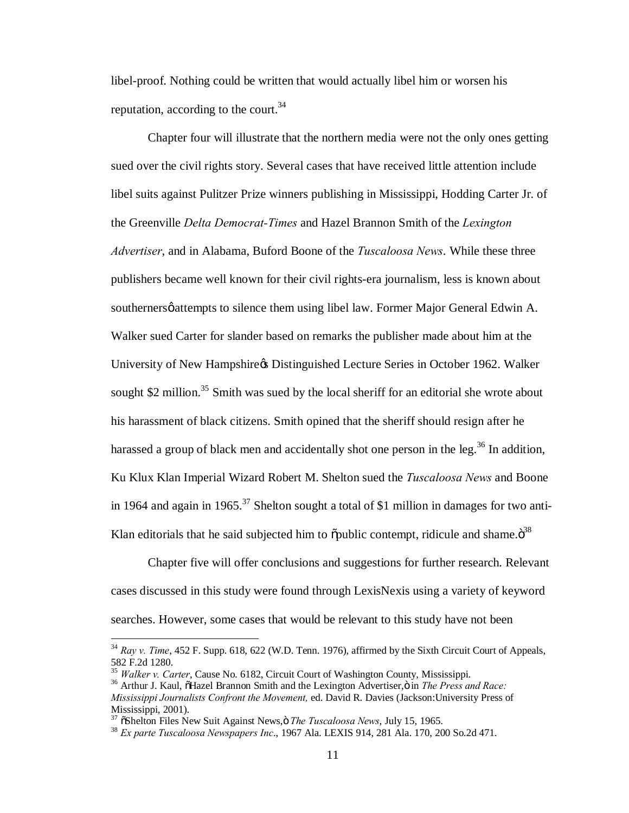libel-proof. Nothing could be written that would actually libel him or worsen his reputation, according to the court.<sup>34</sup>

Chapter four will illustrate that the northern media were not the only ones getting sued over the civil rights story. Several cases that have received little attention include libel suits against Pulitzer Prize winners publishing in Mississippi, Hodding Carter Jr. of the Greenville *Delta Democrat-Times* and Hazel Brannon Smith of the *Lexington Advertiser*, and in Alabama, Buford Boone of the *Tuscaloosa News*. While these three publishers became well known for their civil rights-era journalism, less is known about southerners  $\emptyset$  attempts to silence them using libel law. Former Major General Edwin A. Walker sued Carter for slander based on remarks the publisher made about him at the University of New Hampshire & Distinguished Lecture Series in October 1962. Walker sought \$2 million.<sup>35</sup> Smith was sued by the local sheriff for an editorial she wrote about his harassment of black citizens. Smith opined that the sheriff should resign after he harassed a group of black men and accidentally shot one person in the leg.<sup>36</sup> In addition, Ku Klux Klan Imperial Wizard Robert M. Shelton sued the *Tuscaloosa News* and Boone in 1964 and again in 1965.<sup>37</sup> Shelton sought a total of \$1 million in damages for two anti-Klan editorials that he said subjected him to  $\delta$  public contempt, ridicule and shame. $\ddot{\sigma}^{38}$ 

Chapter five will offer conclusions and suggestions for further research. Relevant cases discussed in this study were found through LexisNexis using a variety of keyword searches. However, some cases that would be relevant to this study have not been

 <sup>34</sup> *Ray v. Time*, 452 F. Supp. 618, 622 (W.D. Tenn. 1976), affirmed by the Sixth Circuit Court of Appeals, 582 F.2d 1280.<br><sup>35</sup> Walker v. Carter, Cause No. 6182, Circuit Court of Washington County, Mississippi.

<sup>&</sup>lt;sup>36</sup> Arthur J. Kaul, õHazel Brannon Smith and the Lexington Advertiser, ö in *The Press and Race: Mississippi Journalists Confront the Movement,* ed. David R. Davies (Jackson:University Press of Mississippi, 2001).<br><sup>37</sup> õShelton Files New Suit Against News, ö The Tuscaloosa News, July 15, 1965.

<sup>&</sup>lt;sup>38</sup> Ex parte Tuscaloosa Newspapers Inc., 1967 Ala. LEXIS 914, 281 Ala. 170, 200 So.2d 471.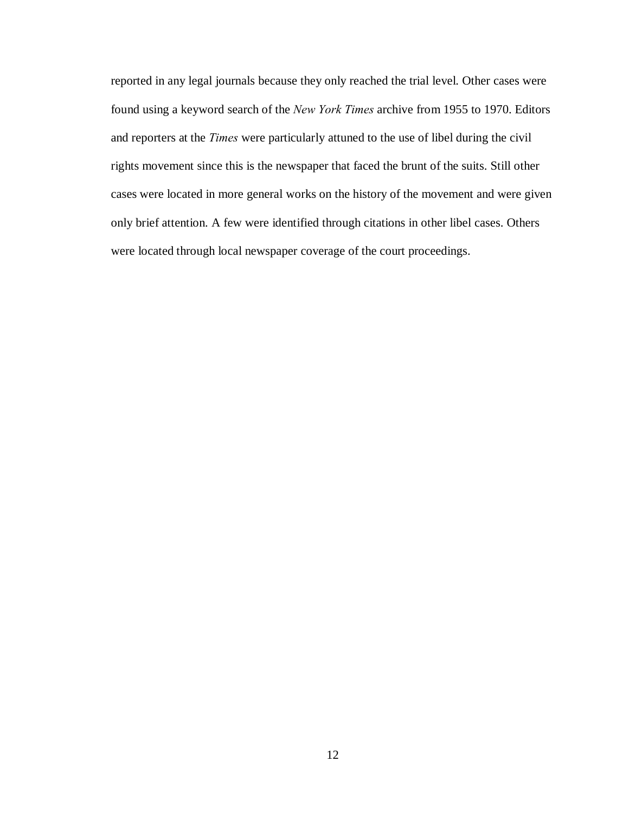reported in any legal journals because they only reached the trial level. Other cases were found using a keyword search of the *New York Times* archive from 1955 to 1970. Editors and reporters at the *Times* were particularly attuned to the use of libel during the civil rights movement since this is the newspaper that faced the brunt of the suits. Still other cases were located in more general works on the history of the movement and were given only brief attention. A few were identified through citations in other libel cases. Others were located through local newspaper coverage of the court proceedings.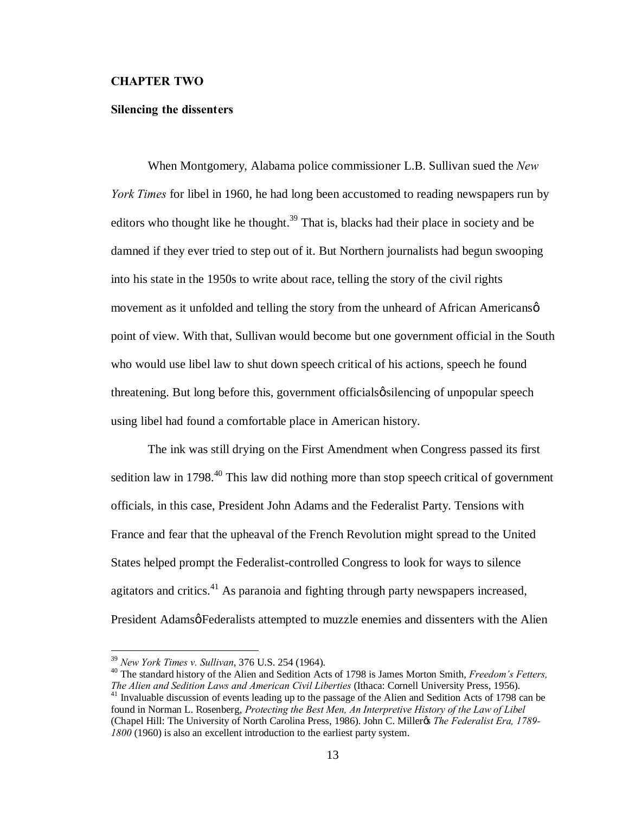#### **CHAPTER TWO**

#### **Silencing the dissenters**

When Montgomery, Alabama police commissioner L.B. Sullivan sued the *New York Times* for libel in 1960, he had long been accustomed to reading newspapers run by editors who thought like he thought.<sup>39</sup> That is, blacks had their place in society and be damned if they ever tried to step out of it. But Northern journalists had begun swooping into his state in the 1950s to write about race, telling the story of the civil rights movement as it unfolded and telling the story from the unheard of African Americans $\varphi$ point of view. With that, Sullivan would become but one government official in the South who would use libel law to shut down speech critical of his actions, speech he found threatening. But long before this, government officials  $\phi$  silencing of unpopular speech using libel had found a comfortable place in American history.

The ink was still drying on the First Amendment when Congress passed its first sedition law in 1798.<sup>40</sup> This law did nothing more than stop speech critical of government officials, in this case, President John Adams and the Federalist Party. Tensions with France and fear that the upheaval of the French Revolution might spread to the United States helped prompt the Federalist-controlled Congress to look for ways to silence agitators and critics. $^{41}$  As paranoia and fighting through party newspapers increased, President Adamsø Federalists attempted to muzzle enemies and dissenters with the Alien

<sup>&</sup>lt;sup>39</sup> *New York Times v. Sullivan*, 376 U.S. 254 (1964).<br><sup>40</sup> The standard history of the Alien and Sedition Acts of 1798 is James Morton Smith, *Freedom's Fetters, The Alien and Sedition Laws and American Civil Liberties* 

<sup>&</sup>lt;sup>41</sup> Invaluable discussion of events leading up to the passage of the Alien and Sedition Acts of 1798 can be found in Norman L. Rosenberg, *Protecting the Best Men, An Interpretive History of the Law of Libel* (Chapel Hill: The University of North Carolina Press, 1986). John C. Miller's *The Federalist Era, 1789- 1800* (1960) is also an excellent introduction to the earliest party system.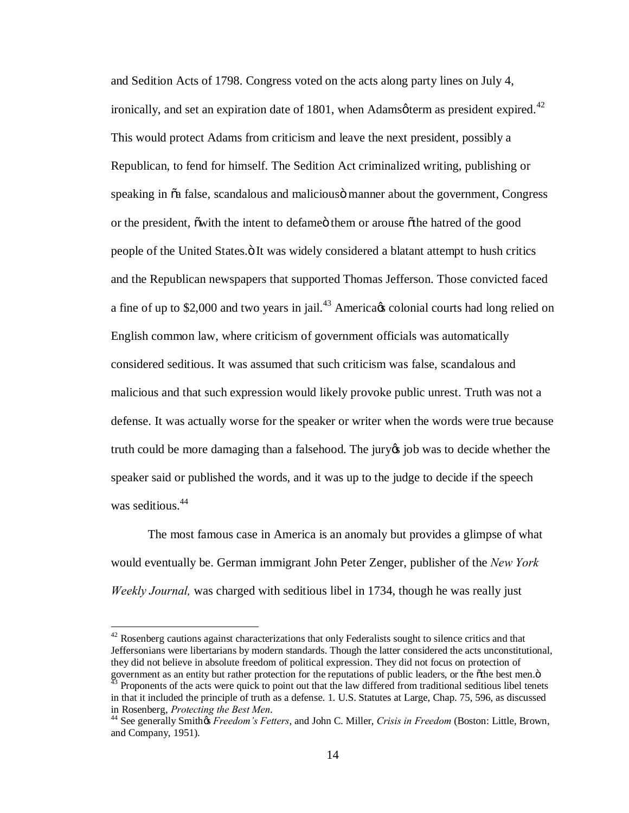and Sedition Acts of 1798. Congress voted on the acts along party lines on July 4, ironically, and set an expiration date of 1801, when Adamsøterm as president expired.<sup>42</sup> This would protect Adams from criticism and leave the next president, possibly a Republican, to fend for himself. The Sedition Act criminalized writing, publishing or speaking in  $\tilde{\alpha}$  false, scandalous and malicious manner about the government, Congress or the president, owith the intent to defame them or arouse of the hatred of the good people of the United States.  $\ddot{o}$  It was widely considered a blatant attempt to hush critics and the Republican newspapers that supported Thomas Jefferson. Those convicted faced a fine of up to \$2,000 and two years in jail.<sup>43</sup> America  $\alpha$  colonial courts had long relied on English common law, where criticism of government officials was automatically considered seditious. It was assumed that such criticism was false, scandalous and malicious and that such expression would likely provoke public unrest. Truth was not a defense. It was actually worse for the speaker or writer when the words were true because truth could be more damaging than a falsehood. The jury is job was to decide whether the speaker said or published the words, and it was up to the judge to decide if the speech was seditious.<sup>44</sup>

The most famous case in America is an anomaly but provides a glimpse of what would eventually be. German immigrant John Peter Zenger, publisher of the *New York Weekly Journal,* was charged with seditious libel in 1734, though he was really just

 $42$  Rosenberg cautions against characterizations that only Federalists sought to silence critics and that Jeffersonians were libertarians by modern standards. Though the latter considered the acts unconstitutional, they did not believe in absolute freedom of political expression. They did not focus on protection of government as an entity but rather protection for the reputations of public leaders, or the othe best men."  $43$  Proponents of the acts were quick to point out that the law differed from traditional seditious libel tenets

in that it included the principle of truth as a defense. 1. U.S. Statutes at Large, Chap. 75, 596, as discussed in Rosenberg, *Protecting the Best Men*. <sup>44</sup> See generally Smith's *Freedom's Fetters*, and John C. Miller, *Crisis in Freedom* (Boston: Little, Brown,

and Company, 1951).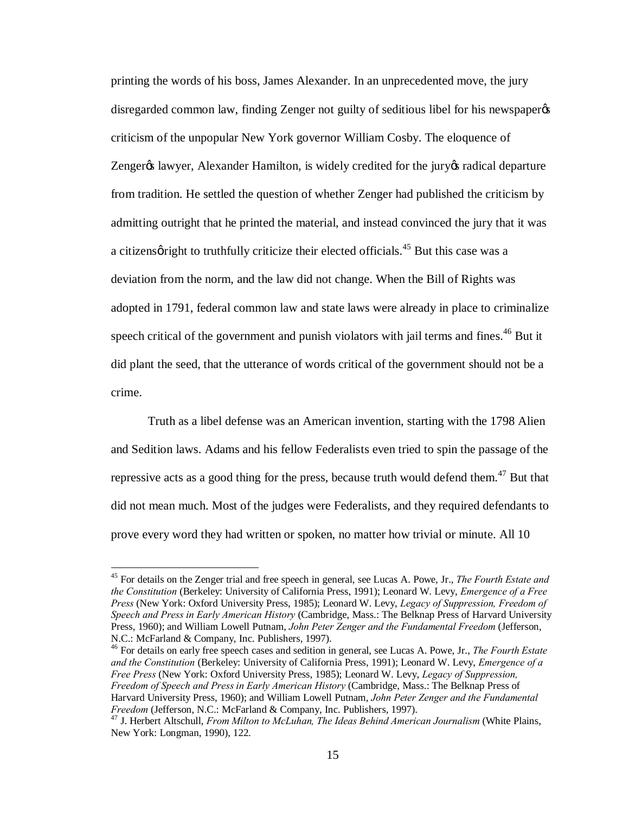printing the words of his boss, James Alexander. In an unprecedented move, the jury disregarded common law, finding Zenger not guilty of seditious libel for his newspaper criticism of the unpopular New York governor William Cosby. The eloquence of Zenger% lawyer, Alexander Hamilton, is widely credited for the jury & radical departure from tradition. He settled the question of whether Zenger had published the criticism by admitting outright that he printed the material, and instead convinced the jury that it was a citizens gright to truthfully criticize their elected officials.<sup>45</sup> But this case was a deviation from the norm, and the law did not change. When the Bill of Rights was adopted in 1791, federal common law and state laws were already in place to criminalize speech critical of the government and punish violators with jail terms and fines.<sup>46</sup> But it did plant the seed, that the utterance of words critical of the government should not be a crime.

Truth as a libel defense was an American invention, starting with the 1798 Alien and Sedition laws. Adams and his fellow Federalists even tried to spin the passage of the repressive acts as a good thing for the press, because truth would defend them.<sup>47</sup> But that did not mean much. Most of the judges were Federalists, and they required defendants to prove every word they had written or spoken, no matter how trivial or minute. All 10

<sup>46</sup> For details on early free speech cases and sedition in general, see Lucas A. Powe, Jr., *The Fourth Estate and the Constitution* (Berkeley: University of California Press, 1991); Leonard W. Levy, *Emergence of a Free Press* (New York: Oxford University Press, 1985); Leonard W. Levy, *Legacy of Suppression, Freedom of Speech and Press in Early American History* (Cambridge, Mass.: The Belknap Press of Harvard University Press, 1960); and William Lowell Putnam, *John Peter Zenger and the Fundamental* 

 <sup>45</sup> For details on the Zenger trial and free speech in general, see Lucas A. Powe, Jr., *The Fourth Estate and the Constitution* (Berkeley: University of California Press, 1991); Leonard W. Levy, *Emergence of a Free Press* (New York: Oxford University Press, 1985); Leonard W. Levy, *Legacy of Suppression, Freedom of Speech and Press in Early American History* (Cambridge, Mass.: The Belknap Press of Harvard University Press, 1960); and William Lowell Putnam, *John Peter Zenger and the Fundamental Freedom* (Jefferson, N.C.: McFarland & Company, Inc. Publishers, 1997).

<sup>&</sup>lt;sup>47</sup> J. Herbert Altschull, *From Milton to McLuhan, The Ideas Behind American Journalism* (White Plains, New York: Longman, 1990), 122.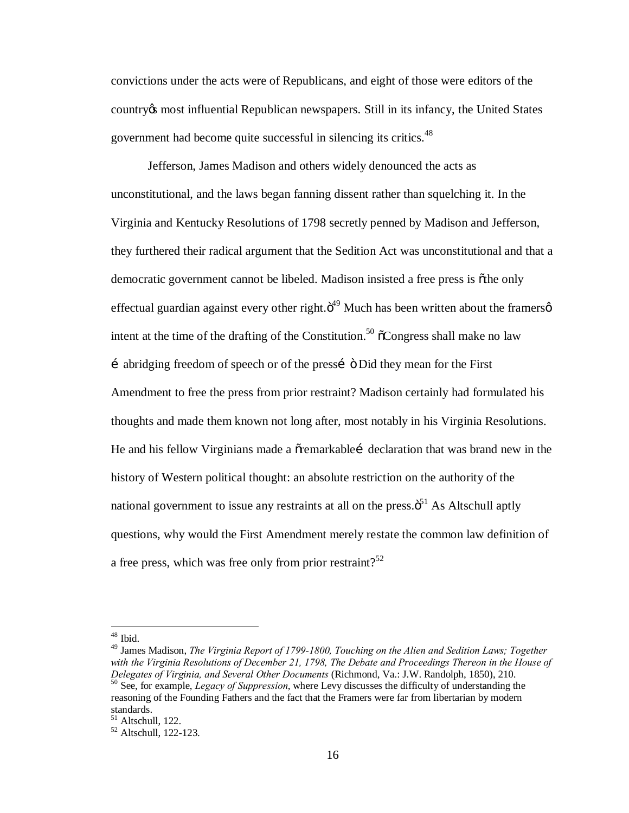convictions under the acts were of Republicans, and eight of those were editors of the country's most influential Republican newspapers. Still in its infancy, the United States government had become quite successful in silencing its critics.<sup>48</sup>

Jefferson, James Madison and others widely denounced the acts as unconstitutional, and the laws began fanning dissent rather than squelching it. In the Virginia and Kentucky Resolutions of 1798 secretly penned by Madison and Jefferson, they furthered their radical argument that the Sedition Act was unconstitutional and that a democratic government cannot be libeled. Madison insisted a free press is othe only effectual guardian against every other right. $\ddot{\sigma}^{49}$  Much has been written about the framers intent at the time of the drafting of the Constitution.<sup>50</sup>  $\tilde{\text{o}}$ Congress shall make no law …abridging freedom of speech or of the press…" Did they mean for the First Amendment to free the press from prior restraint? Madison certainly had formulated his thoughts and made them known not long after, most notably in his Virginia Resolutions. He and his fellow Virginians made a  $\tilde{\sigma}$  remarkable i declaration that was brand new in the history of Western political thought: an absolute restriction on the authority of the national government to issue any restraints at all on the press. $\ddot{o}^{51}$  As Altschull aptly questions, why would the First Amendment merely restate the common law definition of a free press, which was free only from prior restraint?<sup>52</sup>

 <sup>48</sup> Ibid.

<sup>49</sup> James Madison, *The Virginia Report of 1799-1800, Touching on the Alien and Sedition Laws; Together with the Virginia Resolutions of December 21, 1798, The Debate and Proceedings Thereon in the House of Delegates of Virginia, and Several Other Documents* (Richmond, Va.: J.W. Randolph, 1850), 210.<br><sup>50</sup> See, for example, *Legacy of Suppression*, where Levy discusses the difficulty of understanding the reasoning of the Founding Fathers and the fact that the Framers were far from libertarian by modern standards.<br><sup>51</sup> Altschull, 122.

<sup>51</sup> Altschull, 122. <sup>52</sup> Altschull, 122-123.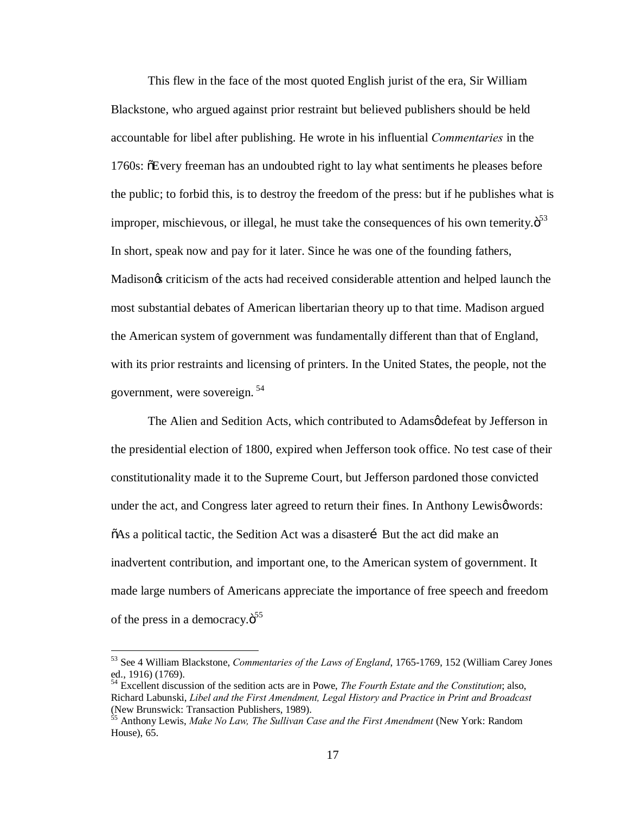This flew in the face of the most quoted English jurist of the era, Sir William Blackstone, who argued against prior restraint but believed publishers should be held accountable for libel after publishing. He wrote in his influential *Commentaries* in the 1760s:  $\delta$ Every freeman has an undoubted right to lay what sentiments he pleases before the public; to forbid this, is to destroy the freedom of the press: but if he publishes what is improper, mischievous, or illegal, he must take the consequences of his own temerity. $\ddot{\mathrm{o}}^{53}$ In short, speak now and pay for it later. Since he was one of the founding fathers, Madison's criticism of the acts had received considerable attention and helped launch the most substantial debates of American libertarian theory up to that time. Madison argued the American system of government was fundamentally different than that of England, with its prior restraints and licensing of printers. In the United States, the people, not the government, were sovereign. <sup>54</sup>

The Alien and Sedition Acts, which contributed to Adamsødefeat by Jefferson in the presidential election of 1800, expired when Jefferson took office. No test case of their constitutionality made it to the Supreme Court, but Jefferson pardoned those convicted under the act, and Congress later agreed to return their fines. In Anthony Lewisgwords:  $\delta$ As a political tactic, the Sedition Act was a disaster E But the act did make an inadvertent contribution, and important one, to the American system of government. It made large numbers of Americans appreciate the importance of free speech and freedom of the press in a democracy. $\ddot{\mathrm{o}}^{55}$ 

 <sup>53</sup> See 4 William Blackstone, *Commentaries of the Laws of England*, 1765-1769, 152 (William Carey Jones ed., 1916) (1769).

<sup>54</sup> Excellent discussion of the sedition acts are in Powe, *The Fourth Estate and the Constitution*; also, Richard Labunski, *Libel and the First Amendment, Legal History and Practice in Print and Broadcast* (New Brunswick: Transaction Publishers, 1989).

<sup>&</sup>lt;sup>55</sup> Anthony Lewis, *Make No Law, The Sullivan Case and the First Amendment* (New York: Random House), 65.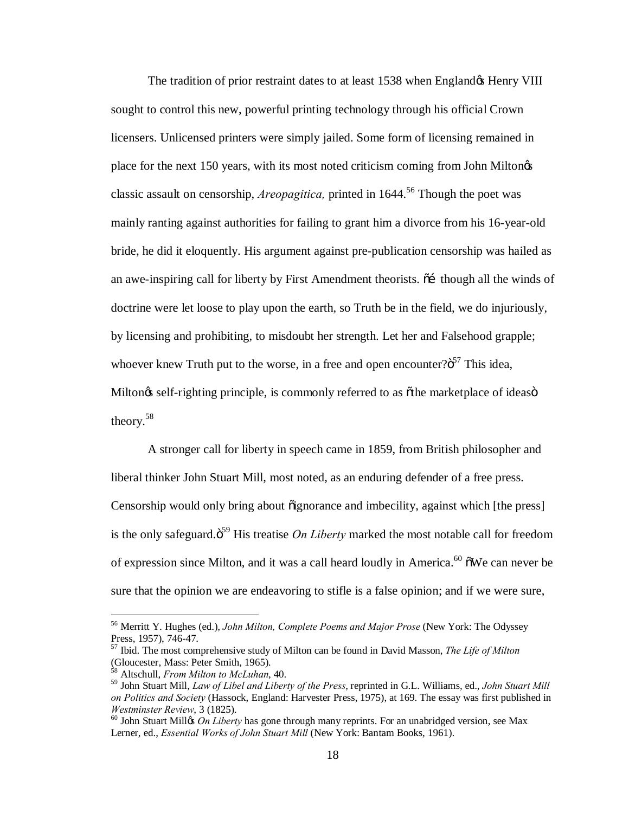The tradition of prior restraint dates to at least 1538 when England & Henry VIII sought to control this new, powerful printing technology through his official Crown licensers. Unlicensed printers were simply jailed. Some form of licensing remained in place for the next 150 years, with its most noted criticism coming from John Milton's classic assault on censorship, *Areopagitica,* printed in 1644. <sup>56</sup> Though the poet was mainly ranting against authorities for failing to grant him a divorce from his 16-year-old bride, he did it eloquently. His argument against pre-publication censorship was hailed as an awe-inspiring call for liberty by First Amendment theorists.  $\tilde{d}$  though all the winds of doctrine were let loose to play upon the earth, so Truth be in the field, we do injuriously, by licensing and prohibiting, to misdoubt her strength. Let her and Falsehood grapple; whoever knew Truth put to the worse, in a free and open encounter? $\ddot{o}^{57}$  This idea, Miltongs self-righting principle, is commonly referred to as  $\delta$ the marketplace of ideasomtheory.<sup>58</sup>

A stronger call for liberty in speech came in 1859, from British philosopher and liberal thinker John Stuart Mill, most noted, as an enduring defender of a free press. Censorship would only bring about  $\tilde{o}$  ignorance and imbecility, against which [the press] is the only safeguard. $\ddot{\mathrm{o}}^{59}$  His treatise *On Liberty* marked the most notable call for freedom of expression since Milton, and it was a call heard loudly in America.<sup>60</sup>  $\tilde{\text{o}}$ We can never be sure that the opinion we are endeavoring to stifle is a false opinion; and if we were sure,

 <sup>56</sup> Merritt Y. Hughes (ed.), *John Milton, Complete Poems and Major Prose* (New York: The Odyssey

<sup>&</sup>lt;sup>57</sup> Ibid. The most comprehensive study of Milton can be found in David Masson, *The Life of Milton* (Gloucester, Mass: Peter Smith, 1965).

<sup>58</sup> Altschull, *From Milton to McLuhan*, 40.

<sup>59</sup> John Stuart Mill, *Law of Libel and Liberty of the Press*, reprinted in G.L. Williams, ed., *John Stuart Mill on Politics and Society* (Hassock, England: Harvester Press, 1975), at 169. The essay was first published in

<sup>&</sup>lt;sup>60</sup> John Stuart Millos *On Liberty* has gone through many reprints. For an unabridged version, see Max Lerner, ed., *Essential Works of John Stuart Mill* (New York: Bantam Books, 1961).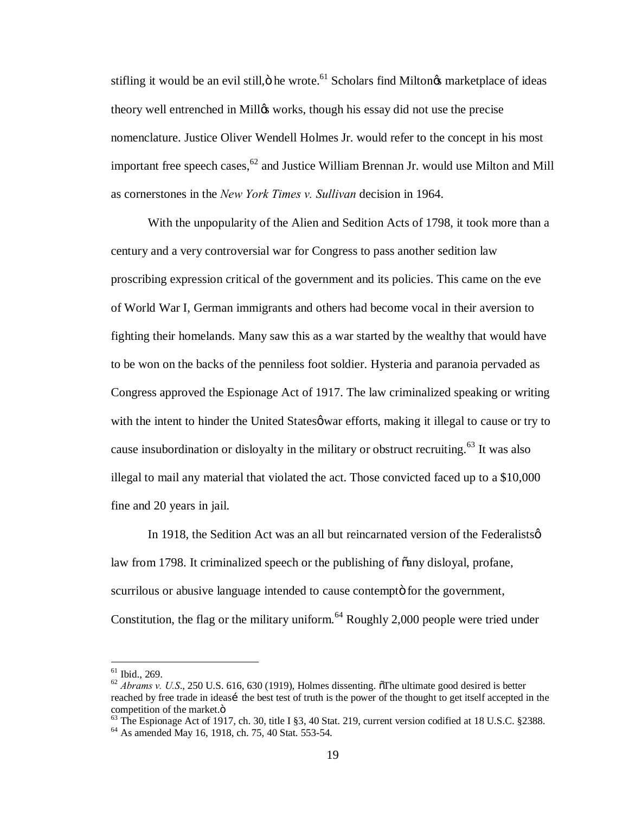stifling it would be an evil still,  $\ddot{\text{o}}$  he wrote.<sup>61</sup> Scholars find Milton $\alpha$  marketplace of ideas theory well entrenched in Millos works, though his essay did not use the precise nomenclature. Justice Oliver Wendell Holmes Jr. would refer to the concept in his most important free speech cases,  $62$  and Justice William Brennan Jr. would use Milton and Mill as cornerstones in the *New York Times v. Sullivan* decision in 1964.

With the unpopularity of the Alien and Sedition Acts of 1798, it took more than a century and a very controversial war for Congress to pass another sedition law proscribing expression critical of the government and its policies. This came on the eve of World War I, German immigrants and others had become vocal in their aversion to fighting their homelands. Many saw this as a war started by the wealthy that would have to be won on the backs of the penniless foot soldier. Hysteria and paranoia pervaded as Congress approved the Espionage Act of 1917. The law criminalized speaking or writing with the intent to hinder the United States of ware efforts, making it illegal to cause or try to cause insubordination or disloyalty in the military or obstruct recruiting.<sup>63</sup> It was also illegal to mail any material that violated the act. Those convicted faced up to a \$10,000 fine and 20 years in jail.

In 1918, the Sedition Act was an all but reincarnated version of the Federalists $\varphi$ law from 1798. It criminalized speech or the publishing of  $\tilde{a}$ any disloyal, profane, scurrilous or abusive language intended to cause contempt for the government, Constitution, the flag or the military uniform.<sup>64</sup> Roughly 2,000 people were tried under

<sup>&</sup>lt;sup>61</sup> Ibid., 269.<br><sup>62</sup> *Abrams v. U.S.*, 250 U.S. 616, 630 (1919), Holmes dissenting. The ultimate good desired is better reached by free trade in ideasi the best test of truth is the power of the thought to get itself accepted in the

competition of the market. $\ddot{\text{o}}$ <br><sup>63</sup> The Espionage Act of 1917, ch. 30, title I §3, 40 Stat. 219, current version codified at 18 U.S.C. §2388.<br><sup>64</sup> As amended May 16, 1918, ch. 75, 40 Stat. 553-54.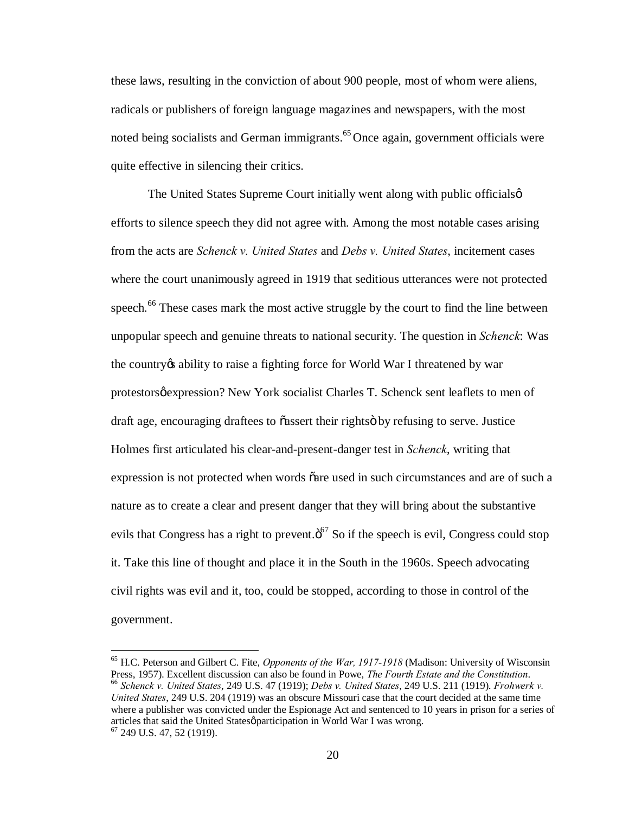these laws, resulting in the conviction of about 900 people, most of whom were aliens, radicals or publishers of foreign language magazines and newspapers, with the most noted being socialists and German immigrants.<sup>65</sup> Once again, government officials were quite effective in silencing their critics.

The United States Supreme Court initially went along with public officials  $\phi$ efforts to silence speech they did not agree with. Among the most notable cases arising from the acts are *Schenck v. United States* and *Debs v. United States*, incitement cases where the court unanimously agreed in 1919 that seditious utterances were not protected speech.<sup>66</sup> These cases mark the most active struggle by the court to find the line between unpopular speech and genuine threats to national security. The question in *Schenck*: Was the country to raise a fighting force for World War I threatened by war protestors $\phi$  expression? New York socialist Charles T. Schenck sent leaflets to men of draft age, encouraging draftees to õassert their rightsö by refusing to serve. Justice Holmes first articulated his clear-and-present-danger test in *Schenck*, writing that expression is not protected when words  $\tilde{o}$  are used in such circumstances and are of such a nature as to create a clear and present danger that they will bring about the substantive evils that Congress has a right to prevent. $\ddot{o}^7$  So if the speech is evil, Congress could stop it. Take this line of thought and place it in the South in the 1960s. Speech advocating civil rights was evil and it, too, could be stopped, according to those in control of the government.

<sup>&</sup>lt;sup>65</sup> H.C. Peterson and Gilbert C. Fite, *Opponents of the War, 1917-1918* (Madison: University of Wisconsin Press, 1957). Excellent discussion can also be found in Powe, *The Fourth Estate and the Constitution*.  $66$  Schenck v. United States, 249 U.S. 47 (1919); Debs v. United States, 249 U.S. 211 (1919). Frohwerk v. *United States*, 249 U.S. 204 (1919) was an obscure Missouri case that the court decided at the same time where a publisher was convicted under the Espionage Act and sentenced to 10 years in prison for a series of articles that said the United States $\varphi$  participation in World War I was wrong. <sup>67</sup> 249 U.S. 47, 52 (1919).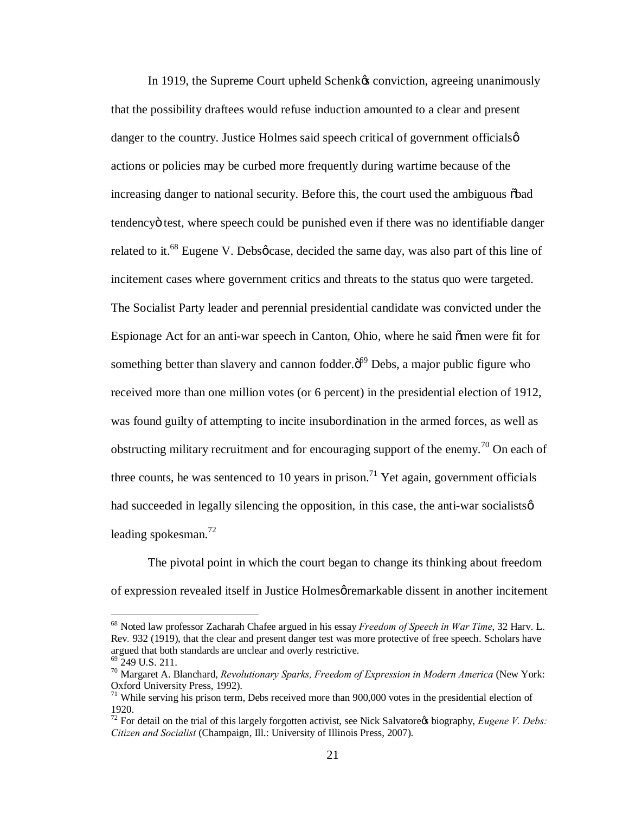In 1919, the Supreme Court upheld Schenk & conviction, agreeing unanimously that the possibility draftees would refuse induction amounted to a clear and present danger to the country. Justice Holmes said speech critical of government officials  $\varphi$ actions or policies may be curbed more frequently during wartime because of the increasing danger to national security. Before this, the court used the ambiguous  $\delta$ bad tendencyö test, where speech could be punished even if there was no identifiable danger related to it.<sup>68</sup> Eugene V. Debsocase, decided the same day, was also part of this line of incitement cases where government critics and threats to the status quo were targeted. The Socialist Party leader and perennial presidential candidate was convicted under the Espionage Act for an anti-war speech in Canton, Ohio, where he said omen were fit for something better than slavery and cannon fodder. $\ddot{o}^{69}$  Debs, a major public figure who received more than one million votes (or 6 percent) in the presidential election of 1912, was found guilty of attempting to incite insubordination in the armed forces, as well as obstructing military recruitment and for encouraging support of the enemy.<sup>70</sup> On each of three counts, he was sentenced to 10 years in prison.<sup>71</sup> Yet again, government officials had succeeded in legally silencing the opposition, in this case, the anti-war socialists  $\varphi$ leading spokesman. $^{72}$ 

The pivotal point in which the court began to change its thinking about freedom of expression revealed itself in Justice Holmes *permarkable* dissent in another incitement

 <sup>68</sup> Noted law professor Zacharah Chafee argued in his essay *Freedom of Speech in War Time*, 32 Harv. L. Rev*.* 932 (1919), that the clear and present danger test was more protective of free speech. Scholars have argued that both standards are unclear and overly restrictive.<br><sup>69</sup> 249 U.S. 211.<br><sup>70</sup> Margaret A. Blanchard, *Revolutionary Sparks, Freedom of Expression in Modern America* (New York:

Oxford University Press, 1992).

 $71$  While serving his prison term, Debs received more than 900,000 votes in the presidential election of 1920.

 $72$  For detail on the trial of this largely forgotten activist, see Nick Salvatore $\alpha$  biography, *Eugene V. Debs: Citizen and Socialist* (Champaign, Ill.: University of Illinois Press, 2007).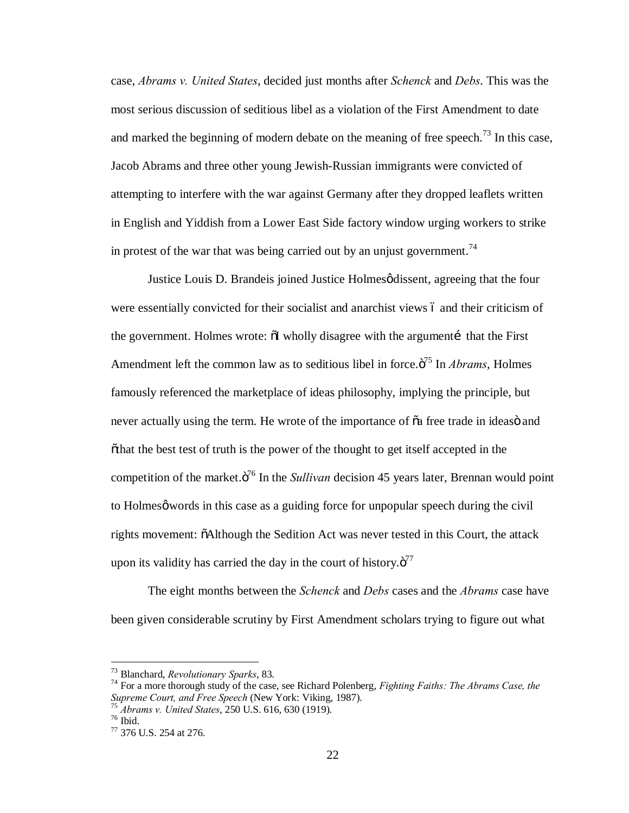case, *Abrams v. United States*, decided just months after *Schenck* and *Debs*. This was the most serious discussion of seditious libel as a violation of the First Amendment to date and marked the beginning of modern debate on the meaning of free speech.<sup>73</sup> In this case, Jacob Abrams and three other young Jewish-Russian immigrants were convicted of attempting to interfere with the war against Germany after they dropped leaflets written in English and Yiddish from a Lower East Side factory window urging workers to strike in protest of the war that was being carried out by an unjust government.<sup>74</sup>

Justice Louis D. Brandeis joined Justice Holmes  $\phi$  dissent, agreeing that the four were essentially convicted for their socialist and anarchist views 6 and their criticism of the government. Holmes wrote:  $\delta I$  wholly disagree with the argument that the First Amendment left the common law as to seditious libel in force.<sup> $7^5$ </sup> In *Abrams*, Holmes famously referenced the marketplace of ideas philosophy, implying the principle, but never actually using the term. He wrote of the importance of  $\tilde{o}a$  free trade in ideaso and  $\ddot{\text{a}}$  othat the best test of truth is the power of the thought to get itself accepted in the competition of the market. $\ddot{o}^{76}$  In the *Sullivan* decision 45 years later, Brennan would point to Holmes $\varphi$  words in this case as a guiding force for unpopular speech during the civil rights movement:  $\delta$ Although the Sedition Act was never tested in this Court, the attack upon its validity has carried the day in the court of history. $\ddot{\mathrm{o}}^{77}$ 

The eight months between the *Schenck* and *Debs* cases and the *Abrams* case have been given considerable scrutiny by First Amendment scholars trying to figure out what

<sup>&</sup>lt;sup>73</sup> Blanchard, *Revolutionary Sparks*, 83.<br><sup>74</sup> For a more thorough study of the case, see Richard Polenberg, *Fighting Faiths: The Abrams Case, the Supreme Court, and Free Speech* (New York: Viking, 1987).

<sup>&</sup>lt;sup>75</sup> *Abrams v. United States*, 250 U.S. 616, 630 (1919).<br><sup>76</sup> Ibid. 77 376 U.S. 254 at 276.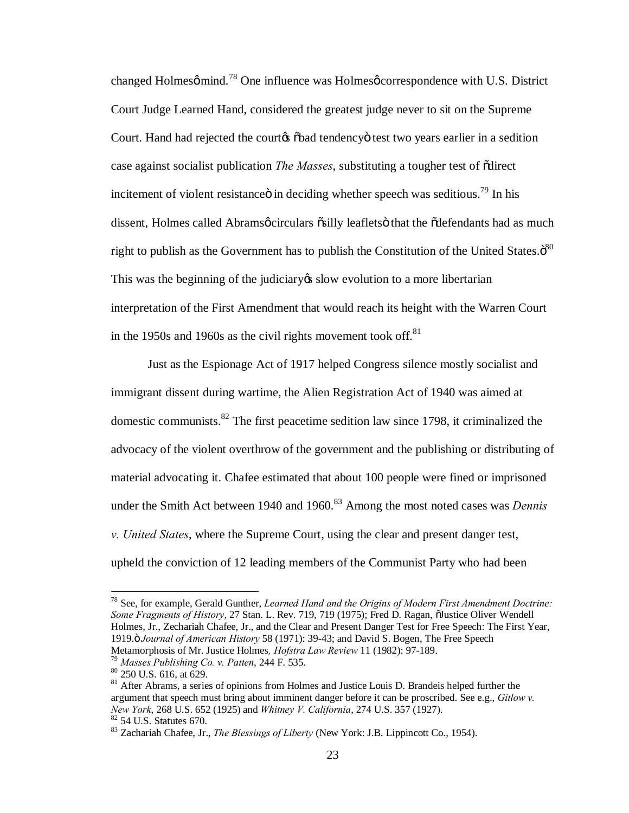changed Holmesø mind.<sup>78</sup> One influence was Holmesø correspondence with U.S. District Court Judge Learned Hand, considered the greatest judge never to sit on the Supreme Court. Hand had rejected the courtes  $\delta$ bad tendency o test two years earlier in a sedition case against socialist publication *The Masses*, substituting a tougher test of "direct incitement of violent resistance in deciding whether speech was seditious.<sup>79</sup> In his dissent, Holmes called Abramsøcirculars õsilly leafletsö that the õdefendants had as much right to publish as the Government has to publish the Constitution of the United States. $\ddot{\mathrm{o}}^{80}$ This was the beginning of the judiciary ts slow evolution to a more libertarian interpretation of the First Amendment that would reach its height with the Warren Court in the 1950s and 1960s as the civil rights movement took off. $81$ 

Just as the Espionage Act of 1917 helped Congress silence mostly socialist and immigrant dissent during wartime, the Alien Registration Act of 1940 was aimed at domestic communists. ${}^{82}$  The first peacetime sedition law since 1798, it criminalized the advocacy of the violent overthrow of the government and the publishing or distributing of material advocating it. Chafee estimated that about 100 people were fined or imprisoned under the Smith Act between 1940 and 1960.<sup>83</sup> Among the most noted cases was *Dennis v. United States*, where the Supreme Court, using the clear and present danger test, upheld the conviction of 12 leading members of the Communist Party who had been

 <sup>78</sup> See, for example, Gerald Gunther, *Learned Hand and the Origins of Modern First Amendment Doctrine: Some Fragments of History*, 27 Stan. L. Rev. 719, 719 (1975); Fred D. Ragan,  $\tilde{o}$ Justice Oliver Wendell Holmes, Jr., Zechariah Chafee, Jr., and the Clear and Present Danger Test for Free Speech: The First Year, 1919." *Journal of American History* 58 (1971): 39-43; and David S. Bogen, The Free Speech Metamorphosis of Mr. Justice Holmes, *Hofstra Law Review* 11 (1982): 97-189.<br><sup>79</sup> Masses Publishing Co. v. Patten, 244 F. 535.<br><sup>80</sup> 250 U.S. 616, at 629.<br><sup>81</sup> After Abrams, a series of opinions from Holmes and Justice Loui

argument that speech must bring about imminent danger before it can be proscribed. See e.g., *Gitlow v. New York*, 268 U.S. 652 (1925) and *Whitney V. California*, 274 U.S. 357 (1927). <sup>82</sup> 54 U.S. Statutes 670.<br><sup>83</sup> Zachariah Chafee, Jr., *The Blessings of Liberty* (New York: J.B. Lippincott Co., 1954).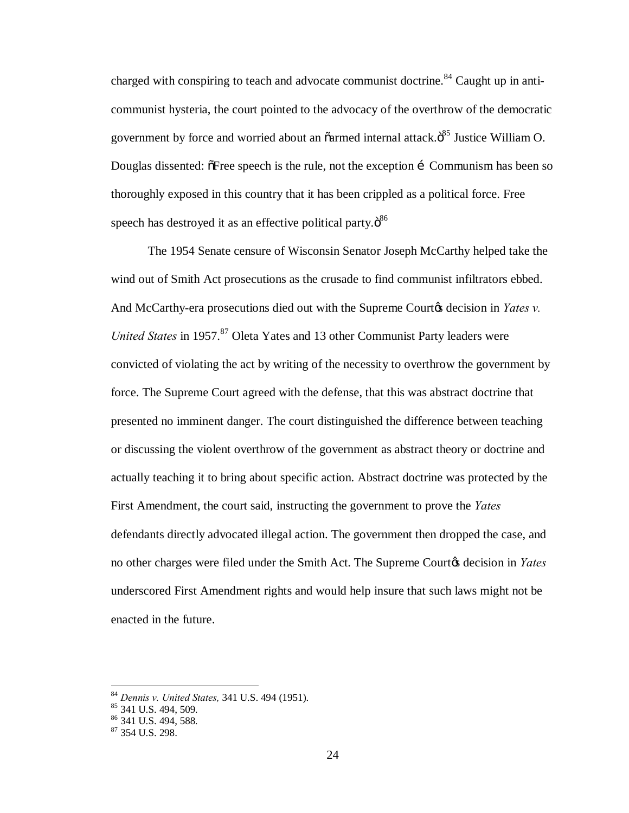charged with conspiring to teach and advocate communist doctrine.<sup>84</sup> Caught up in anticommunist hysteria, the court pointed to the advocacy of the overthrow of the democratic government by force and worried about an  $\tilde{a}$ armed internal attack. $\tilde{o}^{85}$  Justice William O. Douglas dissented:  $\delta$ Free speech is the rule, not the exception in Communism has been so thoroughly exposed in this country that it has been crippled as a political force. Free speech has destroyed it as an effective political party. $\ddot{\delta}^{86}$ 

The 1954 Senate censure of Wisconsin Senator Joseph McCarthy helped take the wind out of Smith Act prosecutions as the crusade to find communist infiltrators ebbed. And McCarthy-era prosecutions died out with the Supreme Court<sub>of</sub> decision in *Yates v. United States* in 1957.<sup>87</sup> Oleta Yates and 13 other Communist Party leaders were convicted of violating the act by writing of the necessity to overthrow the government by force. The Supreme Court agreed with the defense, that this was abstract doctrine that presented no imminent danger. The court distinguished the difference between teaching or discussing the violent overthrow of the government as abstract theory or doctrine and actually teaching it to bring about specific action. Abstract doctrine was protected by the First Amendment, the court said, instructing the government to prove the *Yates*  defendants directly advocated illegal action. The government then dropped the case, and no other charges were filed under the Smith Act. The Supreme Court<sup>&</sup> decision in *Yates* underscored First Amendment rights and would help insure that such laws might not be enacted in the future.

<sup>&</sup>lt;sup>84</sup> *Dennis v. United States,* 341 U.S. 494 (1951).<br><sup>85</sup> 341 U.S. 494, 509.<br><sup>86</sup> 341 U.S. 494, 588.<br><sup>87</sup> 354 U.S. 298.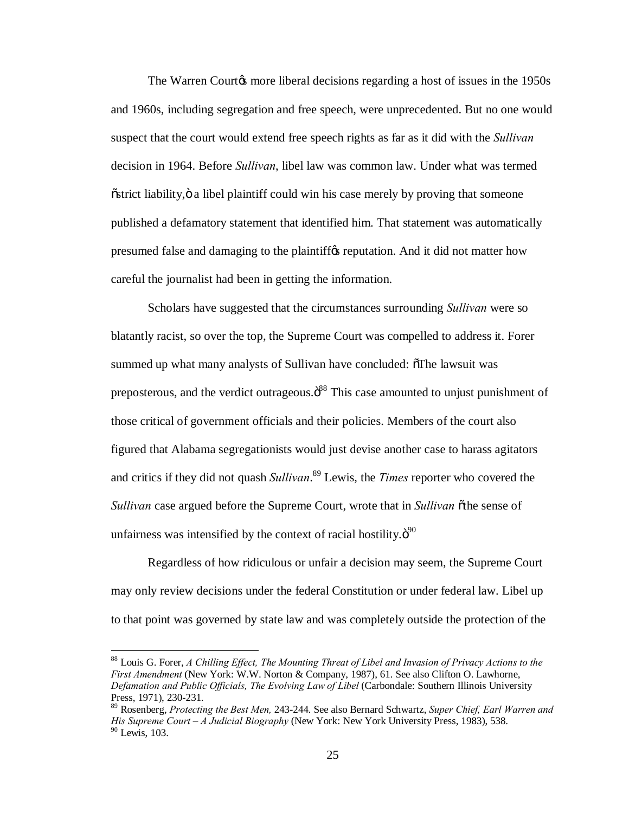The Warren Courtos more liberal decisions regarding a host of issues in the 1950s and 1960s, including segregation and free speech, were unprecedented. But no one would suspect that the court would extend free speech rights as far as it did with the *Sullivan*  decision in 1964. Before *Sullivan*, libel law was common law. Under what was termed  $\delta$ strict liability,  $\delta$  a libel plaintiff could win his case merely by proving that someone published a defamatory statement that identified him. That statement was automatically presumed false and damaging to the plaintiffy reputation. And it did not matter how careful the journalist had been in getting the information.

Scholars have suggested that the circumstances surrounding *Sullivan* were so blatantly racist, so over the top, the Supreme Court was compelled to address it. Forer summed up what many analysts of Sullivan have concluded:  $\delta$ The lawsuit was preposterous, and the verdict outrageous.<sup>388</sup> This case amounted to unjust punishment of those critical of government officials and their policies. Members of the court also figured that Alabama segregationists would just devise another case to harass agitators and critics if they did not quash *Sullivan*. <sup>89</sup> Lewis, the *Times* reporter who covered the *Sullivan* case argued before the Supreme Court, wrote that in *Sullivan* othe sense of unfairness was intensified by the context of racial hostility. $\ddot{\sigma}^{90}$ 

Regardless of how ridiculous or unfair a decision may seem, the Supreme Court may only review decisions under the federal Constitution or under federal law. Libel up to that point was governed by state law and was completely outside the protection of the

 <sup>88</sup> Louis G. Forer, *A Chilling Effect, The Mounting Threat of Libel and Invasion of Privacy Actions to the First Amendment* (New York: W.W. Norton & Company, 1987), 61. See also Clifton O. Lawhorne, *Defamation and Public Officials, The Evolving Law of Libel* (Carbondale: Southern Illinois University Press, 1971), 230-231.

<sup>89</sup> Rosenberg, *Protecting the Best Men,* 243-244. See also Bernard Schwartz, *Super Chief, Earl Warren and His Supreme Court – A Judicial Biography* (New York: New York University Press, 1983), 538. <sup>90</sup> Lewis, 103.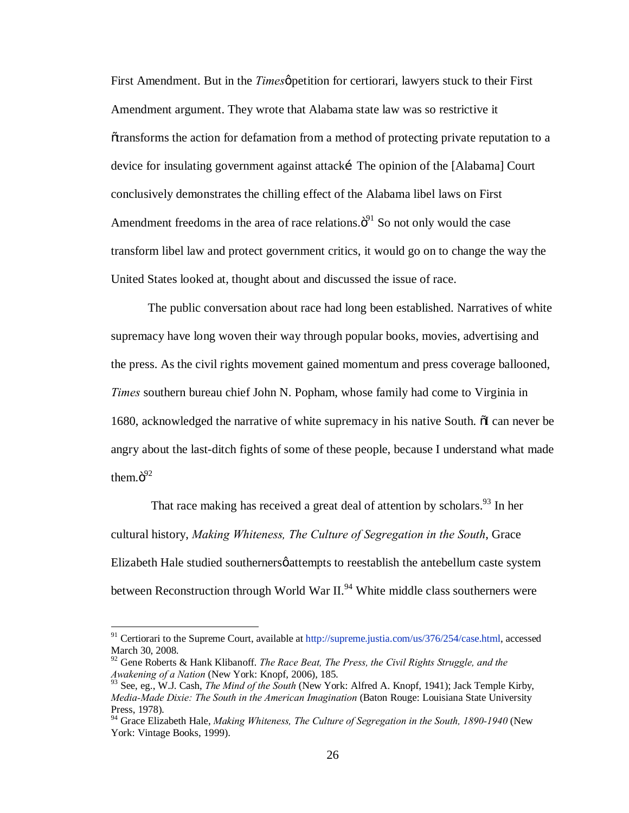First Amendment. But in the *Times o* petition for certiorari, lawyers stuck to their First Amendment argument. They wrote that Alabama state law was so restrictive it  $\alpha$  otransforms the action for defamation from a method of protecting private reputation to a device for insulating government against attacki The opinion of the [Alabama] Court conclusively demonstrates the chilling effect of the Alabama libel laws on First Amendment freedoms in the area of race relations. $\ddot{o}^{91}$  So not only would the case transform libel law and protect government critics, it would go on to change the way the United States looked at, thought about and discussed the issue of race.

The public conversation about race had long been established. Narratives of white supremacy have long woven their way through popular books, movies, advertising and the press. As the civil rights movement gained momentum and press coverage ballooned, *Times* southern bureau chief John N. Popham, whose family had come to Virginia in 1680, acknowledged the narrative of white supremacy in his native South. No can never be angry about the last-ditch fights of some of these people, because I understand what made them. $\ddot{\mathrm{o}}^{92}$ 

That race making has received a great deal of attention by scholars. <sup>93</sup> In her cultural history, *Making Whiteness, The Culture of Segregation in the South*, Grace Elizabeth Hale studied southerners *p* attempts to reestablish the antebellum caste system between Reconstruction through World War  $II.^{94}$  White middle class southerners were

<sup>&</sup>lt;sup>91</sup> Certiorari to the Supreme Court, available at http://supreme.justia.com/us/376/254/case.html, accessed March 30, 2008.

<sup>92</sup> Gene Roberts & Hank Klibanoff. *The Race Beat, The Press, the Civil Rights Struggle, and the Awakening of a Nation* (New York: Knopf, 2006), 185.

<sup>93</sup> See, eg., W.J. Cash, *The Mind of the South* (New York: Alfred A. Knopf, 1941); Jack Temple Kirby, *Media-Made Dixie: The South in the American Imagination* (Baton Rouge: Louisiana State University Press, 1978).

<sup>94</sup> Grace Elizabeth Hale, *Making Whiteness, The Culture of Segregation in the South, 1890-1940* (New York: Vintage Books, 1999).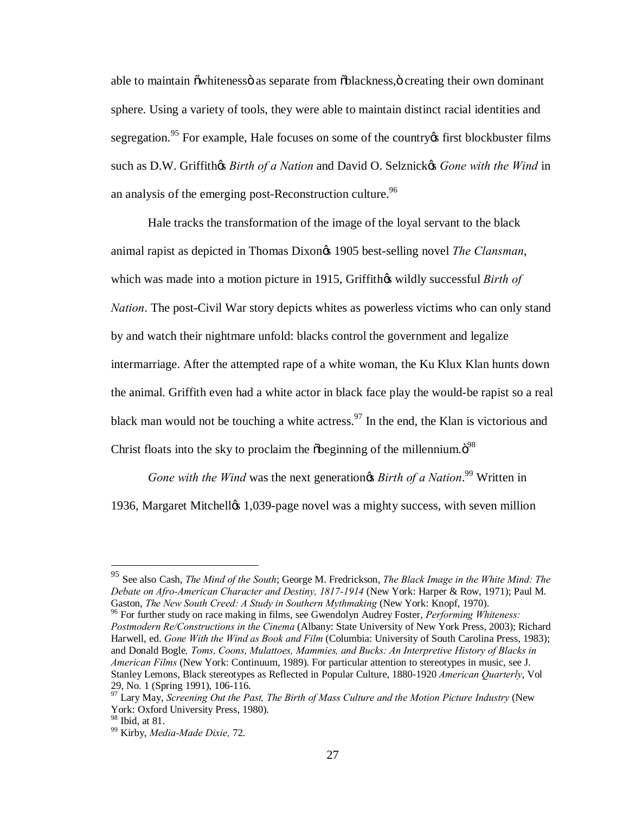able to maintain õ whiteness as separate from  $\delta$ blackness,  $\delta$  creating their own dominant sphere. Using a variety of tools, they were able to maintain distinct racial identities and segregation.<sup>95</sup> For example, Hale focuses on some of the country first blockbuster films such as D.W. Griffithes *Birth of a Nation* and David O. Selznickes *Gone with the Wind* in an analysis of the emerging post-Reconstruction culture.<sup>96</sup>

Hale tracks the transformation of the image of the loyal servant to the black animal rapist as depicted in Thomas Dixon<sub>®</sub> 1905 best-selling novel *The Clansman*, which was made into a motion picture in 1915, Griffithos wildly successful *Birth of Nation*. The post-Civil War story depicts whites as powerless victims who can only stand by and watch their nightmare unfold: blacks control the government and legalize intermarriage. After the attempted rape of a white woman, the Ku Klux Klan hunts down the animal. Griffith even had a white actor in black face play the would-be rapist so a real black man would not be touching a white actress.<sup>97</sup> In the end, the Klan is victorious and Christ floats into the sky to proclaim the  $\delta$ beginning of the millennium. $\ddot{\sigma}^{98}$ 

*Gone with the Wind* was the next generation *ng Birth of a Nation*.<sup>99</sup> Written in 1936, Margaret Mitchelløs 1,039-page novel was a mighty success, with seven million

*Postmodern Re/Constructions in the Cinema* (Albany: State University of New York Press, 2003); Richard Harwell, ed. *Gone With the Wind as Book and Film* (Columbia: University of South Carolina Press, 1983); and Donald Bogle*, Toms, Coons, Mulattoes, Mammies, and Bucks: An Interpretive History of Blacks in American Films* (New York: Continuum, 1989). For particular attention to stereotypes in music, see J. Stanley Lemons, Black stereotypes as Reflected in Popular Culture, 1880-1920 *American Quarterly*, Vol

 <sup>95</sup> See also Cash, *The Mind of the South*; George M. Fredrickson, *The Black Image in the White Mind: The Debate on Afro-American Character and Destiny, 1817-1914* (New York: Harper & Row, 1971); Paul M. Gaston, *The New South Creed: A Study in Southern Mythmaking* (New York: Knopf, 1970).<br><sup>96</sup> For further study on race making in films, see Gwendolyn Audrey Foster, *Performing Whiteness:* 

<sup>29,</sup> No. 1 (Spring 1991), 106-116. <sup>97</sup> Lary May, *Screening Out the Past, The Birth of Mass Culture and the Motion Picture Industry* (New York: Oxford University Press, 1980).<br><sup>98</sup> Ibid. at 81.

<sup>&</sup>lt;sup>99</sup> Kirby, *Media-Made Dixie*, 72.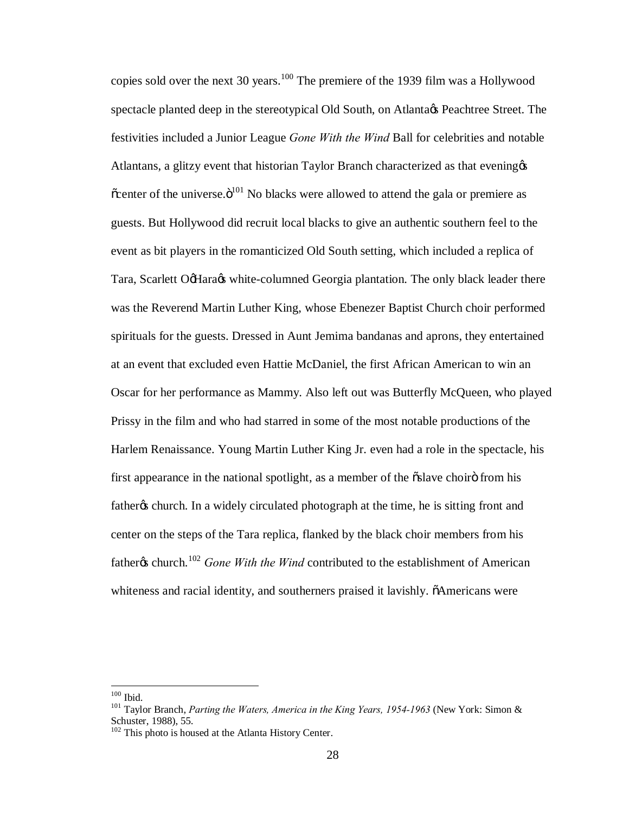copies sold over the next 30 years.<sup>100</sup> The premiere of the 1939 film was a Hollywood spectacle planted deep in the stereotypical Old South, on Atlanta $\alpha$ s Peachtree Street. The festivities included a Junior League *Gone With the Wind* Ball for celebrities and notable Atlantans, a glitzy event that historian Taylor Branch characterized as that evening  $\alpha$  $\alpha$  center of the universe. $\ddot{\text{o}}^{101}$  No blacks were allowed to attend the gala or premiere as guests. But Hollywood did recruit local blacks to give an authentic southern feel to the event as bit players in the romanticized Old South setting, which included a replica of Tara, Scarlett OcHaracs white-columned Georgia plantation. The only black leader there was the Reverend Martin Luther King, whose Ebenezer Baptist Church choir performed spirituals for the guests. Dressed in Aunt Jemima bandanas and aprons, they entertained at an event that excluded even Hattie McDaniel, the first African American to win an Oscar for her performance as Mammy. Also left out was Butterfly McQueen, who played Prissy in the film and who had starred in some of the most notable productions of the Harlem Renaissance. Young Martin Luther King Jr. even had a role in the spectacle, his first appearance in the national spotlight, as a member of the  $\tilde{\text{oslave}}$  choirg from his father the schurch. In a widely circulated photograph at the time, he is sitting front and center on the steps of the Tara replica, flanked by the black choir members from his fathergs church.<sup>102</sup> *Gone With the Wind* contributed to the establishment of American whiteness and racial identity, and southerners praised it lavishly.  $\tilde{o}$ Americans were

<sup>&</sup>lt;sup>100</sup> Ibid.<br><sup>101</sup> Taylor Branch, *Parting the Waters, America in the King Years, 1954-1963* (New York: Simon & Schuster, 1988), 55.

<sup>&</sup>lt;sup>102</sup> This photo is housed at the Atlanta History Center.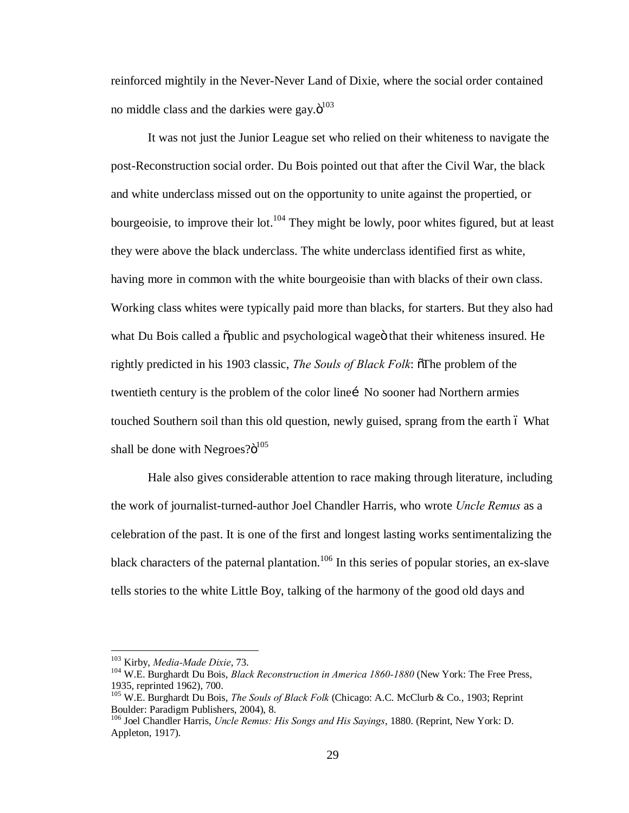reinforced mightily in the Never-Never Land of Dixie, where the social order contained no middle class and the darkies were gay. $\ddot{o}^{103}$ 

It was not just the Junior League set who relied on their whiteness to navigate the post-Reconstruction social order. Du Bois pointed out that after the Civil War, the black and white underclass missed out on the opportunity to unite against the propertied, or bourgeoisie, to improve their lot.<sup>104</sup> They might be lowly, poor whites figured, but at least they were above the black underclass. The white underclass identified first as white, having more in common with the white bourgeoisie than with blacks of their own class. Working class whites were typically paid more than blacks, for starters. But they also had what Du Bois called a  $\ddot{\text{o}}$  public and psychological wage that their whiteness insured. He rightly predicted in his 1903 classic, *The Souls of Black Folk*:  $\delta$ The problem of the twentieth century is the problem of the color line into sooner had Northern armies touched Southern soil than this old question, newly guised, sprang from the earth 6 What shall be done with Negroes? $6^{105}$ 

Hale also gives considerable attention to race making through literature, including the work of journalist-turned-author Joel Chandler Harris, who wrote *Uncle Remus* as a celebration of the past. It is one of the first and longest lasting works sentimentalizing the black characters of the paternal plantation.<sup>106</sup> In this series of popular stories, an ex-slave tells stories to the white Little Boy, talking of the harmony of the good old days and

<sup>&</sup>lt;sup>103</sup> Kirby, *Media-Made Dixie*, 73.<br><sup>104</sup> W.E. Burghardt Du Bois, *Black Reconstruction in America 1860-1880* (New York: The Free Press, 1935, reprinted 1962), 700.

<sup>105</sup> W.E. Burghardt Du Bois, *The Souls of Black Folk* (Chicago: A.C. McClurb & Co., 1903; Reprint Boulder: Paradigm Publishers, 2004), 8.

<sup>106</sup> Joel Chandler Harris, *Uncle Remus: His Songs and His Sayings*, 1880. (Reprint, New York: D. Appleton, 1917).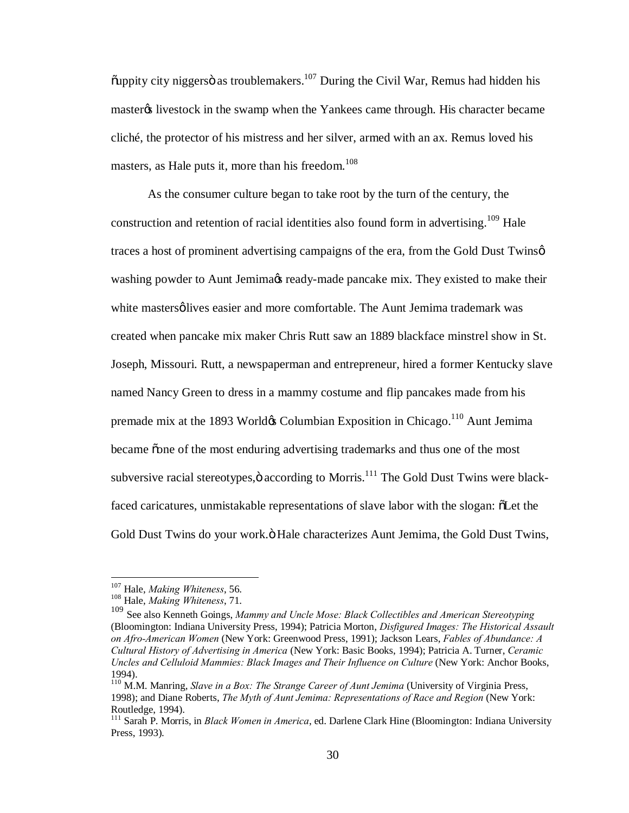$\tilde{\text{p}}$  ouppity city niggers as troublemakers.<sup>107</sup> During the Civil War, Remus had hidden his master the livestock in the swamp when the Yankees came through. His character became cliché, the protector of his mistress and her silver, armed with an ax. Remus loved his masters, as Hale puts it, more than his freedom. $108$ 

As the consumer culture began to take root by the turn of the century, the construction and retention of racial identities also found form in advertising.<sup>109</sup> Hale traces a host of prominent advertising campaigns of the era, from the Gold Dust Twins $\varphi$ washing powder to Aunt Jemima $\alpha$  ready-made pancake mix. They existed to make their white mastersø lives easier and more comfortable. The Aunt Jemima trademark was created when pancake mix maker Chris Rutt saw an 1889 blackface minstrel show in St. Joseph, Missouri. Rutt, a newspaperman and entrepreneur, hired a former Kentucky slave named Nancy Green to dress in a mammy costume and flip pancakes made from his premade mix at the 1893 World $\alpha$  Columbian Exposition in Chicago.<sup>110</sup> Aunt Jemima became "one of the most enduring advertising trademarks and thus one of the most subversive racial stereotypes, $\ddot{\text{o}}$  according to Morris.<sup>111</sup> The Gold Dust Twins were blackfaced caricatures, unmistakable representations of slave labor with the slogan:  $\delta$ Let the Gold Dust Twins do your work. Ö Hale characterizes Aunt Jemima, the Gold Dust Twins,

<sup>107</sup> Hale, *Making Whiteness*, 56. <sup>108</sup> Hale, *Making Whiteness*, 71.

<sup>109</sup> See also Kenneth Goings, *Mammy and Uncle Mose: Black Collectibles and American Stereotyping*  (Bloomington: Indiana University Press, 1994); Patricia Morton, *Disfigured Images: The Historical Assault on Afro-American Women* (New York: Greenwood Press, 1991); Jackson Lears, *Fables of Abundance: A Cultural History of Advertising in America* (New York: Basic Books, 1994); Patricia A. Turner, *Ceramic*  Uncles and Celluloid Mammies: Black Images and Their Influence on Culture (New York: Anchor Books, 1994).

<sup>110</sup> M.M. Manring, *Slave in a Box: The Strange Career of Aunt Jemima* (University of Virginia Press, 1998); and Diane Roberts, *The Myth of Aunt Jemima: Representations of Race and Region* (New York: Routledge, 1994).

<sup>111</sup> Sarah P. Morris, in *Black Women in America*, ed. Darlene Clark Hine (Bloomington: Indiana University Press, 1993).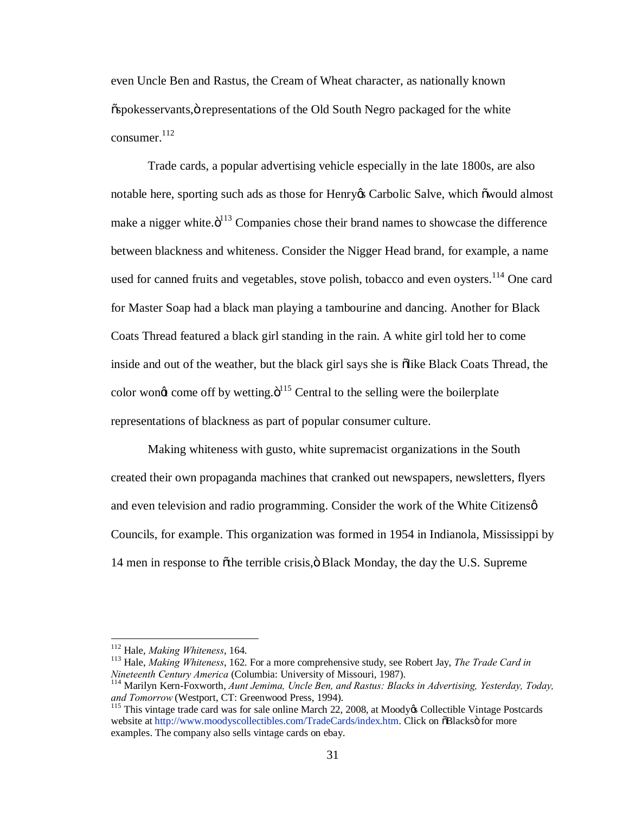even Uncle Ben and Rastus, the Cream of Wheat character, as nationally known  $\ddot{\text{o}}$ spokesservants, $\ddot{\text{o}}$  representations of the Old South Negro packaged for the white consumer. 112

Trade cards, a popular advertising vehicle especially in the late 1800s, are also notable here, sporting such ads as those for Henry & Carbolic Salve, which  $\tilde{\text{o}}$  would almost make a nigger white. $\ddot{o}^{113}$  Companies chose their brand names to showcase the difference between blackness and whiteness. Consider the Nigger Head brand, for example, a name used for canned fruits and vegetables, stove polish, tobacco and even oysters.<sup>114</sup> One card for Master Soap had a black man playing a tambourine and dancing. Another for Black Coats Thread featured a black girl standing in the rain. A white girl told her to come inside and out of the weather, but the black girl says she is  $\delta$ like Black Coats Thread, the color wong come off by wetting. $\ddot{\mathrm{o}}^{115}$  Central to the selling were the boilerplate representations of blackness as part of popular consumer culture.

Making whiteness with gusto, white supremacist organizations in the South created their own propaganda machines that cranked out newspapers, newsletters, flyers and even television and radio programming. Consider the work of the White Citizens  $\varphi$ Councils, for example. This organization was formed in 1954 in Indianola, Mississippi by 14 men in response to othe terrible crisis,  $\ddot{\text{o}}$  Black Monday, the day the U.S. Supreme

<sup>&</sup>lt;sup>112</sup> Hale, *Making Whiteness*, 164.<br><sup>113</sup> Hale, *Making Whiteness*, 162. For a more comprehensive study, see Robert Jay, *The Trade Card in Nineteenth Century America* (Columbia: University of Missouri, 1987).

<sup>&</sup>lt;sup>114</sup> Marilyn Kern-Foxworth, *Aunt Jemima, Uncle Ben, and Rastus: Blacks in Advertising, Yesterday, Today, and Tomorrow* (Westport, CT: Greenwood Press, 1994).<br><sup>115</sup> This vintage trade card was for sale online March 22, 2008, at Moody& Collectible Vintage Postcards

website at http://www.moodyscollectibles.com/TradeCards/index.htm. Click on  $\delta$ Blacks $\ddot{\text{o}}$  for more examples. The company also sells vintage cards on ebay.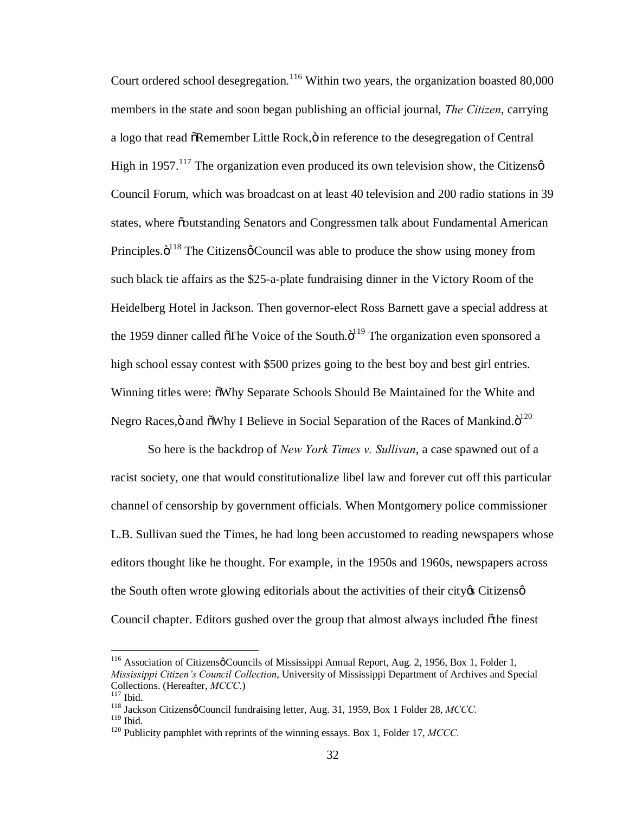Court ordered school desegregation.<sup>116</sup> Within two years, the organization boasted 80,000 members in the state and soon began publishing an official journal, *The Citizen*, carrying a logo that read  $\delta$ Remember Little Rock, $\ddot{o}$  in reference to the desegregation of Central High in 1957.<sup>117</sup> The organization even produced its own television show, the Citizens  $\phi$ Council Forum, which was broadcast on at least 40 television and 200 radio stations in 39 states, where  $\ddot{\text{o}}$ outstanding Senators and Congressmen talk about Fundamental American Principles. $\ddot{\mathrm{o}}^{118}$  The Citizens  $\phi$  Council was able to produce the show using money from such black tie affairs as the \$25-a-plate fundraising dinner in the Victory Room of the Heidelberg Hotel in Jackson. Then governor-elect Ross Barnett gave a special address at the 1959 dinner called  $\sigma$ The Voice of the South. $\sigma$ <sup>119</sup> The organization even sponsored a high school essay contest with \$500 prizes going to the best boy and best girl entries. Winning titles were:  $\delta$ Why Separate Schools Should Be Maintained for the White and Negro Races,ö and  $\rm \tilde{o}W$ hy I Believe in Social Separation of the Races of Mankind. $\rm \ddot{o}^{120}$ 

So here is the backdrop of *New York Times v. Sullivan*, a case spawned out of a racist society, one that would constitutionalize libel law and forever cut off this particular channel of censorship by government officials. When Montgomery police commissioner L.B. Sullivan sued the Times, he had long been accustomed to reading newspapers whose editors thought like he thought. For example, in the 1950s and 1960s, newspapers across the South often wrote glowing editorials about the activities of their city  $\alpha$  Citizens  $\varphi$ Council chapter. Editors gushed over the group that almost always included othe finest

<sup>&</sup>lt;sup>116</sup> Association of Citizensø Councils of Mississippi Annual Report, Aug. 2, 1956, Box 1, Folder 1, *Mississippi Citizen's Council Collection*, University of Mississippi Department of Archives and Special Collections. (Hereafter, *MCCC.*)<br><sup>117</sup> Ibid.<br><sup>118</sup> Jackson Citizensø Council fundraising letter, Aug. 31, 1959, Box 1 Folder 28, *MCCC*.<br><sup>119</sup> Ibid

<sup>&</sup>lt;sup>120</sup> Publicity pamphlet with reprints of the winning essays. Box 1, Folder 17, *MCCC*.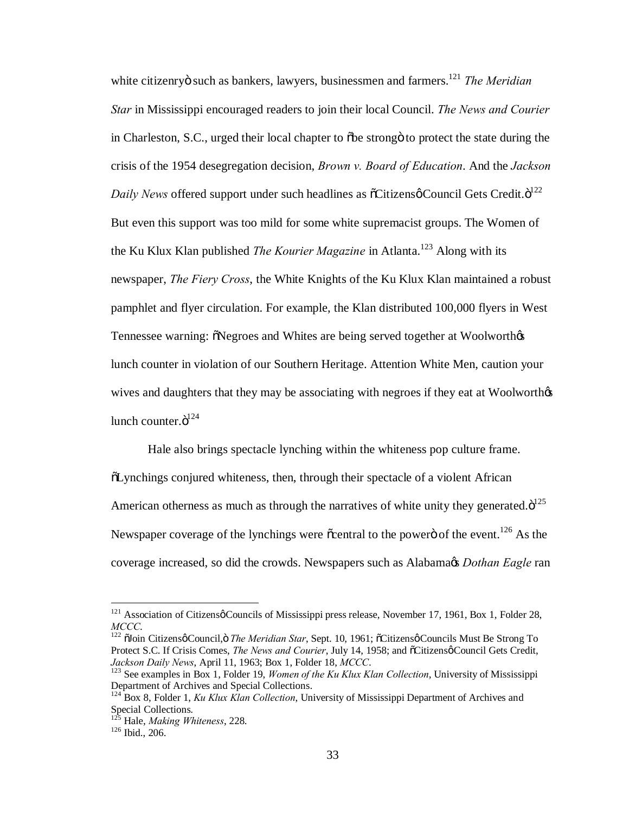white citizenryö such as bankers, lawyers, businessmen and farmers.<sup>121</sup> *The Meridian Star* in Mississippi encouraged readers to join their local Council. *The News and Courier* in Charleston, S.C., urged their local chapter to  $\delta$ be strong oto protect the state during the crisis of the 1954 desegregation decision, *Brown v. Board of Education*. And the *Jackson*  Daily News offered support under such headlines as  $\tilde{c}$ Citizensø Council Gets Credit. $\ddot{o}^{122}$ But even this support was too mild for some white supremacist groups. The Women of the Ku Klux Klan published *The Kourier Magazine* in Atlanta.<sup>123</sup> Along with its newspaper, *The Fiery Cross*, the White Knights of the Ku Klux Klan maintained a robust pamphlet and flyer circulation. For example, the Klan distributed 100,000 flyers in West Tennessee warning:  $\delta$ Negroes and Whites are being served together at Woolworth $\delta$ s lunch counter in violation of our Southern Heritage. Attention White Men, caution your wives and daughters that they may be associating with negroes if they eat at Woolworth  $\alpha$ lunch counter. $\ddot{\mathrm{o}}^{124}$ 

Hale also brings spectacle lynching within the whiteness pop culture frame. "Lynchings conjured whiteness, then, through their spectacle of a violent African American otherness as much as through the narratives of white unity they generated. $\ddot{\text{o}}^{125}$ Newspaper coverage of the lynchings were  $\tilde{c}$  central to the power of the event.<sup>126</sup> As the coverage increased, so did the crowds. Newspapers such as Alabama's *Dothan Eagle* ran

<sup>&</sup>lt;sup>121</sup> Association of Citizensø Councils of Mississippi press release, November 17, 1961, Box 1, Folder 28, *MCCC*.

<sup>&</sup>lt;sup>122</sup> õJoin Citizensø Council, ö The Meridian Star, Sept. 10, 1961; õCitizensø Councils Must Be Strong To Protect S.C. If Crisis Comes, *The News and Courier*, July 14, 1958; and  $\tilde{o}$ Citizensø Council Gets Credit, *Jackson Daily News*, April 11, 1963; Box 1, Folder 18, *MCCC*.<br><sup>123</sup> See examples in Box 1, Folder 19, *Women of the Ku Klux Klan Collection*, University of Mississippi

Department of Archives and Special Collections.

<sup>&</sup>lt;sup>124</sup> Box 8, Folder 1, *Ku Klux Klan Collection*, University of Mississippi Department of Archives and Special Collections.

<sup>125</sup> Hale, *Making Whiteness*, 228. <sup>126</sup> Ibid., 206.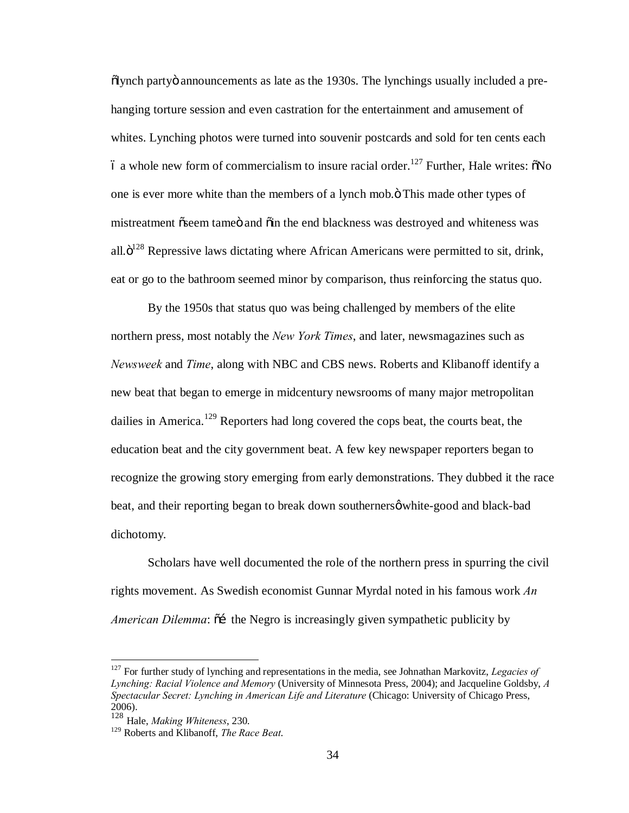$\ddot{\text{o}}$  announcements as late as the 1930s. The lynchings usually included a prehanging torture session and even castration for the entertainment and amusement of whites. Lynching photos were turned into souvenir postcards and sold for ten cents each  $\dot{\rm o}$  a whole new form of commercialism to insure racial order.<sup>127</sup> Further, Hale writes:  $\delta$ No one is ever more white than the members of a lynch mob. $\ddot{o}$  This made other types of mistreatment  $\tilde{\text{oseem}}$  tame and  $\tilde{\text{oin}}$  the end blackness was destroyed and whiteness was all. $\ddot{\mathrm{o}}^{128}$  Repressive laws dictating where African Americans were permitted to sit, drink, eat or go to the bathroom seemed minor by comparison, thus reinforcing the status quo.

By the 1950s that status quo was being challenged by members of the elite northern press, most notably the *New York Times*, and later, newsmagazines such as *Newsweek* and *Time*, along with NBC and CBS news. Roberts and Klibanoff identify a new beat that began to emerge in midcentury newsrooms of many major metropolitan dailies in America.<sup>129</sup> Reporters had long covered the cops beat, the courts beat, the education beat and the city government beat. A few key newspaper reporters began to recognize the growing story emerging from early demonstrations. They dubbed it the race beat, and their reporting began to break down southerners of white-good and black-bad dichotomy.

Scholars have well documented the role of the northern press in spurring the civil rights movement. As Swedish economist Gunnar Myrdal noted in his famous work *An American Dilemma*:  $\tilde{o}$  the Negro is increasingly given sympathetic publicity by

 <sup>127</sup> For further study of lynching and representations in the media, see Johnathan Markovitz, *Legacies of Lynching: Racial Violence and Memory* (University of Minnesota Press, 2004); and Jacqueline Goldsby, *A Spectacular Secret: Lynching in American Life and Literature* (Chicago: University of Chicago Press, 2006).

<sup>128</sup> Hale, *Making Whiteness*, 230.

<sup>129</sup> Roberts and Klibanoff, *The Race Beat*.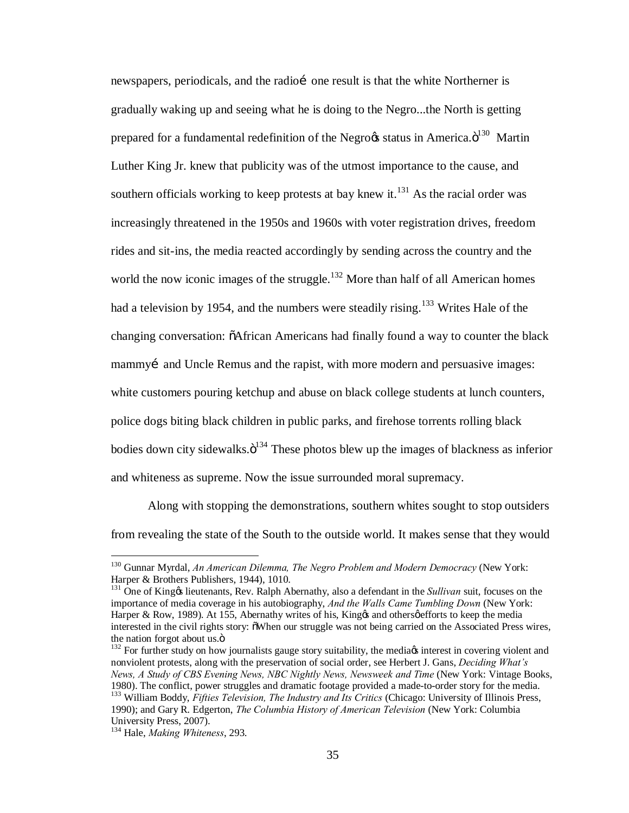newspapers, periodicals, and the radio i one result is that the white Northerner is gradually waking up and seeing what he is doing to the Negro...the North is getting prepared for a fundamental redefinition of the Negrocs status in America. $\ddot{\text{o}}^{130}$  Martin Luther King Jr. knew that publicity was of the utmost importance to the cause, and southern officials working to keep protests at bay knew it.<sup>131</sup> As the racial order was increasingly threatened in the 1950s and 1960s with voter registration drives, freedom rides and sit-ins, the media reacted accordingly by sending across the country and the world the now iconic images of the struggle.<sup>132</sup> More than half of all American homes had a television by 1954, and the numbers were steadily rising.<sup>133</sup> Writes Hale of the changing conversation:  $\delta$ African Americans had finally found a way to counter the black mammyi and Uncle Remus and the rapist, with more modern and persuasive images: white customers pouring ketchup and abuse on black college students at lunch counters, police dogs biting black children in public parks, and firehose torrents rolling black bodies down city sidewalks. $\ddot{o}^{134}$  These photos blew up the images of blackness as inferior and whiteness as supreme. Now the issue surrounded moral supremacy.

Along with stopping the demonstrations, southern whites sought to stop outsiders from revealing the state of the South to the outside world. It makes sense that they would

 <sup>130</sup> Gunnar Myrdal, *An American Dilemma, The Negro Problem and Modern Democracy* (New York: Harper & Brothers Publishers, 1944), 1010.

<sup>&</sup>lt;sup>131</sup> One of King & lieutenants, Rev. Ralph Abernathy, also a defendant in the *Sullivan* suit, focuses on the importance of media coverage in his autobiography, *And the Walls Came Tumbling Down* (New York: Harper & Row, 1989). At 155, Abernathy writes of his, King os and others  $\phi$  efforts to keep the media interested in the civil rights story:  $\tilde{o}$ When our struggle was not being carried on the Associated Press wires, the nation forgot about us.<sup>"</sup> is a state in the nationalists gauge story suitability, the media interest in covering violent and  $132$  For further study on how journalists gauge story suitability, the media interest in co

nonviolent protests, along with the preservation of social order, see Herbert J. Gans, *Deciding What's News, A Study of CBS Evening News, NBC Nightly News, Newsweek and Time* (New York: Vintage Books, 1980). The conflict, power struggles and dramatic footage provided a made-to-order story for the media. <sup>133</sup> William Boddy, *Fifties Television, The Industry and Its Critics* (Chicago: University of Illinois Press, 1990); and Gary R. Edgerton, *The Columbia History of American Television* (New York: Columbia University Press, 2007).

<sup>134</sup> Hale, *Making Whiteness*, 293.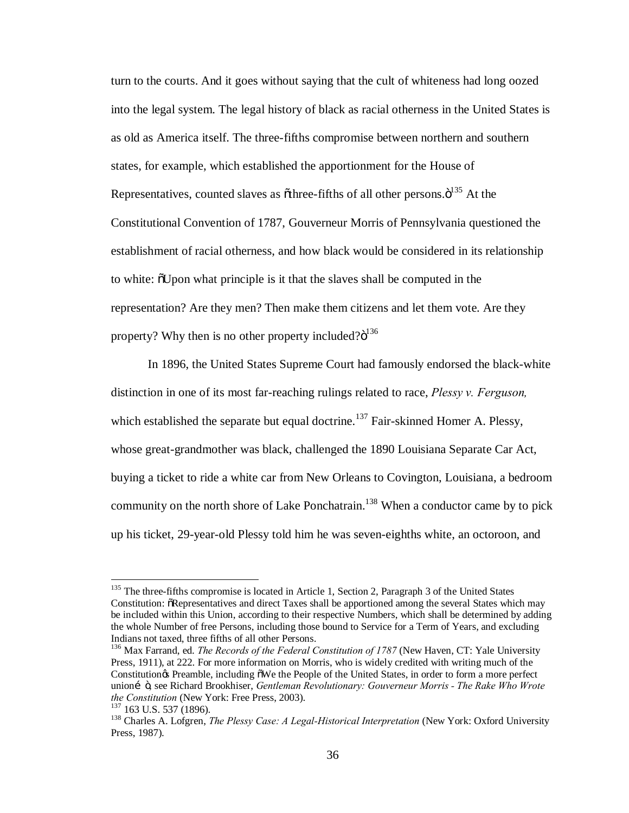turn to the courts. And it goes without saying that the cult of whiteness had long oozed into the legal system. The legal history of black as racial otherness in the United States is as old as America itself. The three-fifths compromise between northern and southern states, for example, which established the apportionment for the House of Representatives, counted slaves as othree-fifths of all other persons. $\ddot{o}^{135}$  At the Constitutional Convention of 1787, Gouverneur Morris of Pennsylvania questioned the establishment of racial otherness, and how black would be considered in its relationship to white:  $\delta$ Upon what principle is it that the slaves shall be computed in the representation? Are they men? Then make them citizens and let them vote. Are they property? Why then is no other property included? $6^{136}$ 

In 1896, the United States Supreme Court had famously endorsed the black-white distinction in one of its most far-reaching rulings related to race, *Plessy v. Ferguson,* which established the separate but equal doctrine.<sup>137</sup> Fair-skinned Homer A. Plessy, whose great-grandmother was black, challenged the 1890 Louisiana Separate Car Act, buying a ticket to ride a white car from New Orleans to Covington, Louisiana, a bedroom community on the north shore of Lake Ponchatrain.<sup>138</sup> When a conductor came by to pick up his ticket, 29-year-old Plessy told him he was seven-eighths white, an octoroon, and

<sup>&</sup>lt;sup>135</sup> The three-fifths compromise is located in Article 1, Section 2, Paragraph 3 of the United States Constitution:  $\delta$ Representatives and direct Taxes shall be apportioned among the several States which may be included within this Union, according to their respective Numbers, which shall be determined by adding the whole Number of free Persons, including those bound to Service for a Term of Years, and excluding Indians not taxed, three fifths of all other Persons.

<sup>136</sup> Max Farrand, ed. *The Records of the Federal Constitution of 1787* (New Haven, CT: Yale University Press, 1911), at 222. For more information on Morris, who is widely credited with writing much of the Constitution & Preamble, including  $\delta$ We the People of the United States, in order to form a more perfect union…", see Richard Brookhiser, *Gentleman Revolutionary: Gouverneur Morris - The Rake Who Wrote the Constitution* (New York: Free Press, 2003).<br><sup>137</sup> 163 U.S. 537 (1896).<br><sup>138</sup> Charles A. Lofgren, *The Plessy Case: A Legal-Historical Interpretation* (New York: Oxford University

Press, 1987).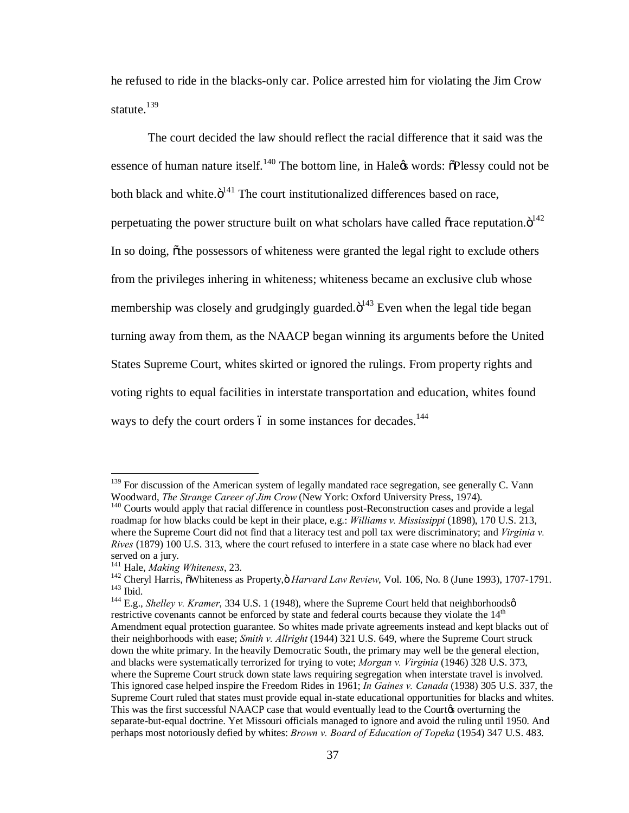he refused to ride in the blacks-only car. Police arrested him for violating the Jim Crow statute.<sup>139</sup>

The court decided the law should reflect the racial difference that it said was the essence of human nature itself.<sup>140</sup> The bottom line, in Hale% words:  $\tilde{o}$ Plessy could not be both black and white. $\ddot{o}^{141}$  The court institutionalized differences based on race, perpetuating the power structure built on what scholars have called  $\tilde{\sigma}$  race reputation. $\ddot{\sigma}^{142}$ In so doing, other possessors of whiteness were granted the legal right to exclude others from the privileges inhering in whiteness; whiteness became an exclusive club whose membership was closely and grudgingly guarded. $\ddot{\text{o}}^{143}$  Even when the legal tide began turning away from them, as the NAACP began winning its arguments before the United States Supreme Court, whites skirted or ignored the rulings. From property rights and voting rights to equal facilities in interstate transportation and education, whites found ways to defy the court orders 6 in some instances for decades.<sup>144</sup>

<sup>&</sup>lt;sup>139</sup> For discussion of the American system of legally mandated race segregation, see generally C. Vann Woodward, *The Strange Career of Jim Crow* (New York: Oxford University Press, 1974).

<sup>&</sup>lt;sup>140</sup> Courts would apply that racial difference in countless post-Reconstruction cases and provide a legal roadmap for how blacks could be kept in their place, e.g.: *Williams v. Mississippi* (1898), 170 U.S. 213, where the Supreme Court did not find that a literacy test and poll tax were discriminatory; and *Virginia v. Rives* (1879) 100 U.S. 313, where the court refused to interfere in a state case where no black had ever served on a jury.<br><sup>141</sup> Hale, *Making Whiteness*, 23.

<sup>&</sup>lt;sup>142</sup> Cheryl Harris, õWhiteness as Property, ö *Harvard Law Review*, Vol. 106, No. 8 (June 1993), 1707-1791.<br><sup>143</sup> Ibid.<br><sup>144</sup> E.g., *Shelley v. Kramer*, 334 U.S. 1 (1948), where the Supreme Court held that neighborhoodsø

restrictive covenants cannot be enforced by state and federal courts because they violate the  $14<sup>th</sup>$ Amendment equal protection guarantee. So whites made private agreements instead and kept blacks out of their neighborhoods with ease; *Smith v. Allright* (1944) 321 U.S. 649, where the Supreme Court struck down the white primary. In the heavily Democratic South, the primary may well be the general election, and blacks were systematically terrorized for trying to vote; *Morgan v. Virginia* (1946) 328 U.S. 373, where the Supreme Court struck down state laws requiring segregation when interstate travel is involved. This ignored case helped inspire the Freedom Rides in 1961; *In Gaines v. Canada* (1938) 305 U.S. 337, the Supreme Court ruled that states must provide equal in-state educational opportunities for blacks and whites. This was the first successful NAACP case that would eventually lead to the Courtos overturning the separate-but-equal doctrine. Yet Missouri officials managed to ignore and avoid the ruling until 1950. And perhaps most notoriously defied by whites: *Brown v. Board of Education of Topeka* (1954) 347 U.S. 483.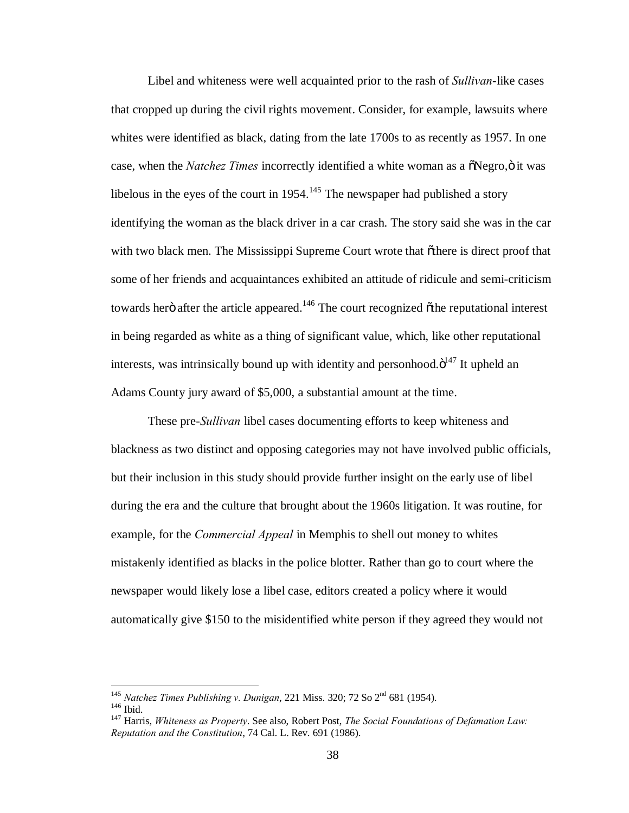Libel and whiteness were well acquainted prior to the rash of *Sullivan*-like cases that cropped up during the civil rights movement. Consider, for example, lawsuits where whites were identified as black, dating from the late 1700s to as recently as 1957. In one case, when the *Natchez Times* incorrectly identified a white woman as a  $\delta$ Negro, $\delta$  it was libelous in the eyes of the court in  $1954$ .<sup>145</sup> The newspaper had published a story identifying the woman as the black driver in a car crash. The story said she was in the car with two black men. The Mississippi Supreme Court wrote that othere is direct proof that some of her friends and acquaintances exhibited an attitude of ridicule and semi-criticism towards herö after the article appeared.<sup>146</sup> The court recognized  $\ddot{\text{o}}$ the reputational interest in being regarded as white as a thing of significant value, which, like other reputational interests, was intrinsically bound up with identity and personhood. $\ddot{o}^{147}$  It upheld an Adams County jury award of \$5,000, a substantial amount at the time.

These pre-*Sullivan* libel cases documenting efforts to keep whiteness and blackness as two distinct and opposing categories may not have involved public officials, but their inclusion in this study should provide further insight on the early use of libel during the era and the culture that brought about the 1960s litigation. It was routine, for example, for the *Commercial Appeal* in Memphis to shell out money to whites mistakenly identified as blacks in the police blotter. Rather than go to court where the newspaper would likely lose a libel case, editors created a policy where it would automatically give \$150 to the misidentified white person if they agreed they would not

<sup>&</sup>lt;sup>145</sup> *Natchez Times Publishing v. Dunigan*, 221 Miss. 320; 72 So 2<sup>nd</sup> 681 (1954).<br><sup>146</sup> Ibid.<br><sup>147</sup> Harris, *Whiteness as Property*. See also, Robert Post, *The Social Foundations of Defamation Law:* 

*Reputation and the Constitution*, 74 Cal. L. Rev. 691 (1986).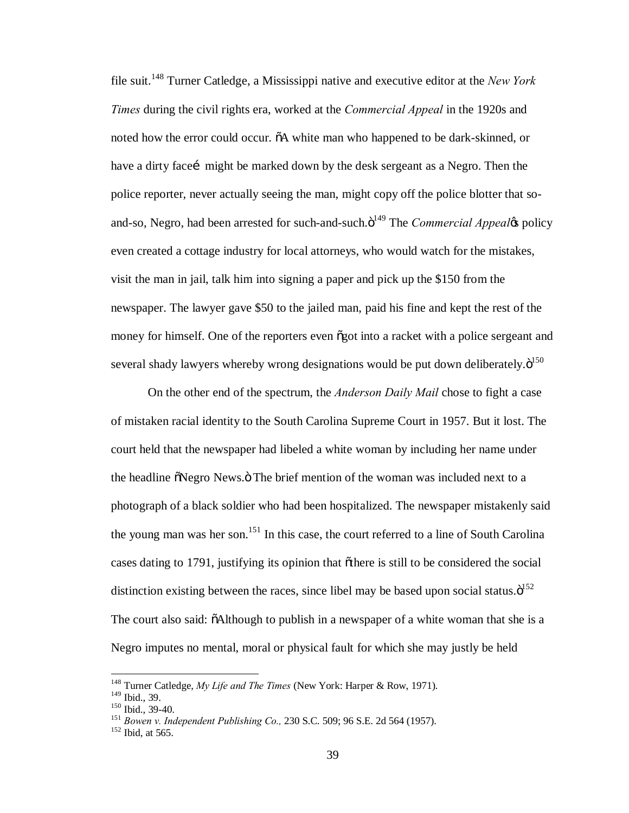file suit.<sup>148</sup> Turner Catledge, a Mississippi native and executive editor at the *New York Times* during the civil rights era, worked at the *Commercial Appeal* in the 1920s and noted how the error could occur.  $\delta A$  white man who happened to be dark-skinned, or have a dirty face might be marked down by the desk sergeant as a Negro. Then the police reporter, never actually seeing the man, might copy off the police blotter that soand-so, Negro, had been arrested for such-and-such. $\ddot{o}^{149}$  The *Commercial Appeal*'s policy even created a cottage industry for local attorneys, who would watch for the mistakes, visit the man in jail, talk him into signing a paper and pick up the \$150 from the newspaper. The lawyer gave \$50 to the jailed man, paid his fine and kept the rest of the money for himself. One of the reporters even  $\tilde{\sigma}$  optime a racket with a police sergeant and several shady lawyers whereby wrong designations would be put down deliberately. $\ddot{o}^{150}$ 

On the other end of the spectrum, the *Anderson Daily Mail* chose to fight a case of mistaken racial identity to the South Carolina Supreme Court in 1957. But it lost. The court held that the newspaper had libeled a white woman by including her name under the headline  $\delta$ Negro News. $\delta$  The brief mention of the woman was included next to a photograph of a black soldier who had been hospitalized. The newspaper mistakenly said the young man was her son.<sup>151</sup> In this case, the court referred to a line of South Carolina cases dating to 1791, justifying its opinion that othere is still to be considered the social distinction existing between the races, since libel may be based upon social status. $\ddot{\text{o}}^{152}$ The court also said:  $\delta$ Although to publish in a newspaper of a white woman that she is a Negro imputes no mental, moral or physical fault for which she may justly be held

<sup>&</sup>lt;sup>148</sup> Turner Catledge, *My Life and The Times* (New York: Harper & Row, 1971).<br><sup>149</sup> Ibid.. 39.

<sup>150</sup> Ibid., 39-40.<br><sup>151</sup> *Bowen v. Independent Publishing Co.*, 230 S.C. 509; 96 S.E. 2d 564 (1957).<br><sup>152</sup> Ibid, at 565.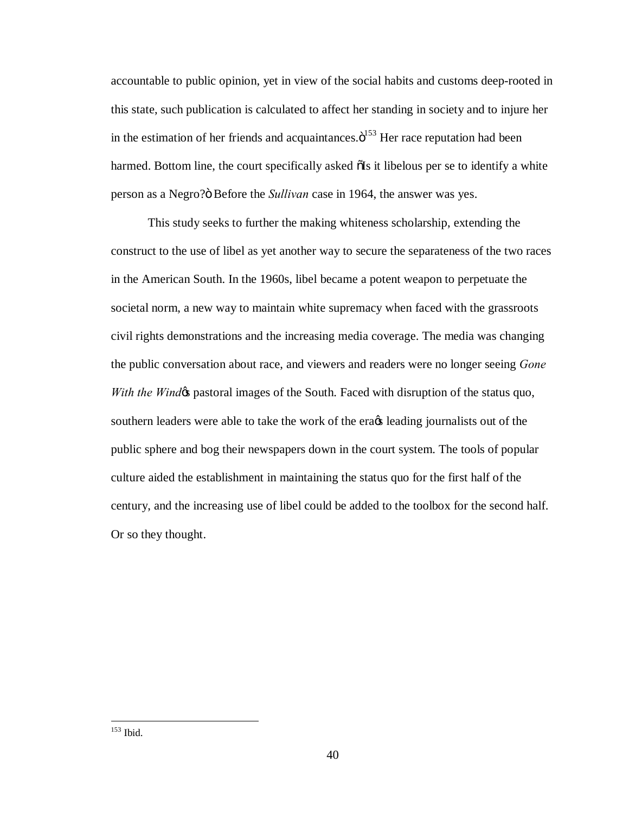accountable to public opinion, yet in view of the social habits and customs deep-rooted in this state, such publication is calculated to affect her standing in society and to injure her in the estimation of her friends and acquaintances. $\ddot{\text{o}}^{153}$  Her race reputation had been harmed. Bottom line, the court specifically asked  $\delta$  is it libelous per se to identify a white person as a Negro? $\ddot{o}$  Before the *Sullivan* case in 1964, the answer was yes.

This study seeks to further the making whiteness scholarship, extending the construct to the use of libel as yet another way to secure the separateness of the two races in the American South. In the 1960s, libel became a potent weapon to perpetuate the societal norm, a new way to maintain white supremacy when faced with the grassroots civil rights demonstrations and the increasing media coverage. The media was changing the public conversation about race, and viewers and readers were no longer seeing *Gone With the Windos* pastoral images of the South. Faced with disruption of the status quo, southern leaders were able to take the work of the erags leading journalists out of the public sphere and bog their newspapers down in the court system. The tools of popular culture aided the establishment in maintaining the status quo for the first half of the century, and the increasing use of libel could be added to the toolbox for the second half. Or so they thought.

153 Ibid.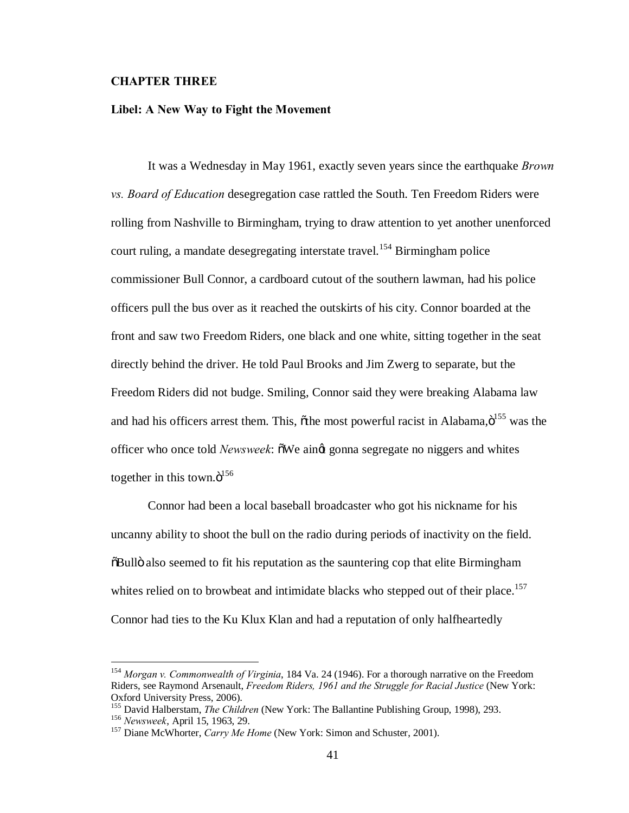# **CHAPTER THREE**

### **Libel: A New Way to Fight the Movement**

It was a Wednesday in May 1961, exactly seven years since the earthquake *Brown vs. Board of Education* desegregation case rattled the South. Ten Freedom Riders were rolling from Nashville to Birmingham, trying to draw attention to yet another unenforced court ruling, a mandate desegregating interstate travel.<sup>154</sup> Birmingham police commissioner Bull Connor, a cardboard cutout of the southern lawman, had his police officers pull the bus over as it reached the outskirts of his city. Connor boarded at the front and saw two Freedom Riders, one black and one white, sitting together in the seat directly behind the driver. He told Paul Brooks and Jim Zwerg to separate, but the Freedom Riders did not budge. Smiling, Connor said they were breaking Alabama law and had his officers arrest them. This,  $\tilde{o}$ the most powerful racist in Alabama, $\tilde{o}^{155}$  was the officer who once told *Newsweek*:  $\delta$ We aing gonna segregate no niggers and whites together in this town. $\ddot{o}^{156}$ 

Connor had been a local baseball broadcaster who got his nickname for his uncanny ability to shoot the bull on the radio during periods of inactivity on the field.  $\delta$ Bullö also seemed to fit his reputation as the sauntering cop that elite Birmingham whites relied on to browbeat and intimidate blacks who stepped out of their place.<sup>157</sup> Connor had ties to the Ku Klux Klan and had a reputation of only halfheartedly

 <sup>154</sup> *Morgan v. Commonwealth of Virginia*, 184 Va. 24 (1946). For a thorough narrative on the Freedom Riders, see Raymond Arsenault, *Freedom Riders, 1961 and the Struggle for Racial Justice* (New York: Oxford University Press, 2006).

<sup>&</sup>lt;sup>155</sup> David Halberstam, *The Children* (New York: The Ballantine Publishing Group, 1998), 293.<br><sup>156</sup> *Newsweek*, April 15, 1963, 29.<br><sup>157</sup> Diane McWhorter, *Carry Me Home* (New York: Simon and Schuster, 2001).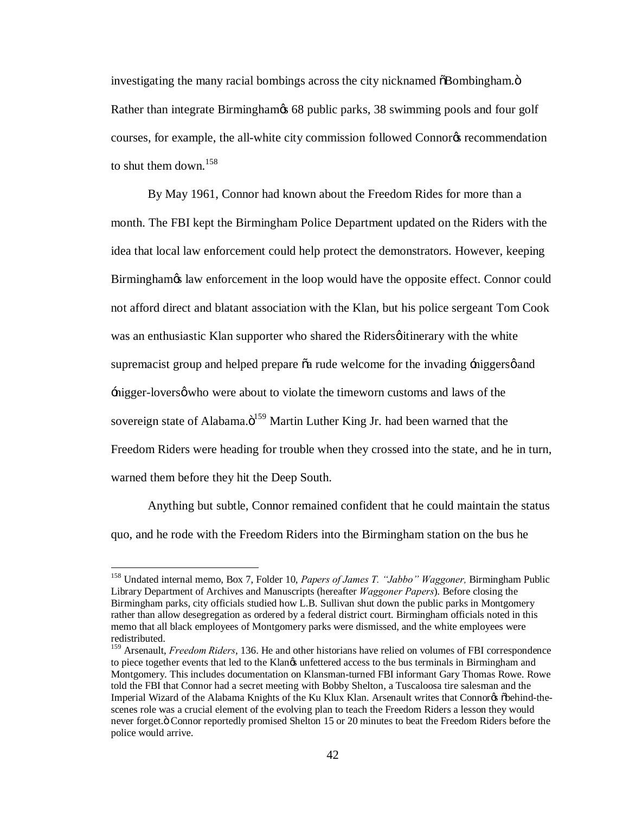investigating the many racial bombings across the city nicknamed  $\delta$ Bombingham. $\delta$ Rather than integrate Birmingham $\&$  68 public parks, 38 swimming pools and four golf courses, for example, the all-white city commission followed Connor<sup>g</sup> recommendation to shut them down.<sup>158</sup>

By May 1961, Connor had known about the Freedom Rides for more than a month. The FBI kept the Birmingham Police Department updated on the Riders with the idea that local law enforcement could help protect the demonstrators. However, keeping Birmingham taw enforcement in the loop would have the opposite effect. Connor could not afford direct and blatant association with the Klan, but his police sergeant Tom Cook was an enthusiastic Klan supporter who shared the Riders *g* itinerary with the white supremacist group and helped prepare  $\tilde{o}a$  rude welcome for the invading  $\tilde{\tau}$  inggers  $\phi$  and  $\frac{1}{2}$  inigger-lovers  $\phi$  who were about to violate the timeworn customs and laws of the sovereign state of Alabama. $\ddot{o}^{159}$  Martin Luther King Jr. had been warned that the Freedom Riders were heading for trouble when they crossed into the state, and he in turn, warned them before they hit the Deep South.

Anything but subtle, Connor remained confident that he could maintain the status quo, and he rode with the Freedom Riders into the Birmingham station on the bus he

 <sup>158</sup> Undated internal memo, Box 7, Folder 10, *Papers of James T. "Jabbo" Waggoner,* Birmingham Public Library Department of Archives and Manuscripts (hereafter *Waggoner Papers*). Before closing the Birmingham parks, city officials studied how L.B. Sullivan shut down the public parks in Montgomery rather than allow desegregation as ordered by a federal district court. Birmingham officials noted in this memo that all black employees of Montgomery parks were dismissed, and the white employees were redistributed.

<sup>159</sup> Arsenault, *Freedom Riders*, 136. He and other historians have relied on volumes of FBI correspondence to piece together events that led to the Klangs unfettered access to the bus terminals in Birmingham and Montgomery. This includes documentation on Klansman-turned FBI informant Gary Thomas Rowe. Rowe told the FBI that Connor had a secret meeting with Bobby Shelton, a Tuscaloosa tire salesman and the Imperial Wizard of the Alabama Knights of the Ku Klux Klan. Arsenault writes that Connorys õbehind-thescenes role was a crucial element of the evolving plan to teach the Freedom Riders a lesson they would never forget. " Connor reportedly promised Shelton 15 or 20 minutes to beat the Freedom Riders before the police would arrive.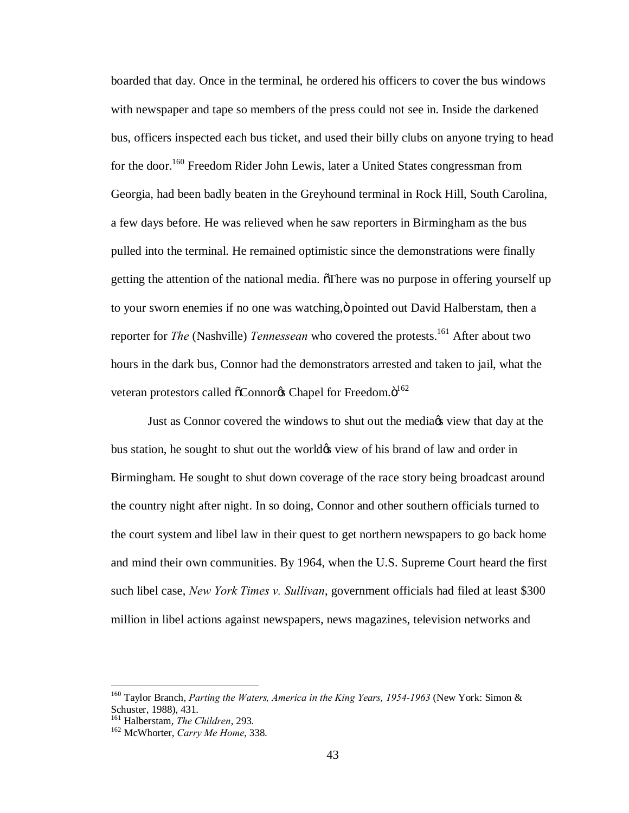boarded that day. Once in the terminal, he ordered his officers to cover the bus windows with newspaper and tape so members of the press could not see in. Inside the darkened bus, officers inspected each bus ticket, and used their billy clubs on anyone trying to head for the door.<sup>160</sup> Freedom Rider John Lewis, later a United States congressman from Georgia, had been badly beaten in the Greyhound terminal in Rock Hill, South Carolina, a few days before. He was relieved when he saw reporters in Birmingham as the bus pulled into the terminal. He remained optimistic since the demonstrations were finally getting the attention of the national media. There was no purpose in offering yourself up to your sworn enemies if no one was watching,  $\ddot{\text{o}}$  pointed out David Halberstam, then a reporter for *The* (Nashville) *Tennessean* who covered the protests.<sup>161</sup> After about two hours in the dark bus, Connor had the demonstrators arrested and taken to jail, what the veteran protestors called  $\tilde{o}$ Connor $\alpha$  Chapel for Freedom. $\ddot{o}^{162}$ 

Just as Connor covered the windows to shut out the media is view that day at the bus station, he sought to shut out the worldgs view of his brand of law and order in Birmingham. He sought to shut down coverage of the race story being broadcast around the country night after night. In so doing, Connor and other southern officials turned to the court system and libel law in their quest to get northern newspapers to go back home and mind their own communities. By 1964, when the U.S. Supreme Court heard the first such libel case, *New York Times v. Sullivan*, government officials had filed at least \$300 million in libel actions against newspapers, news magazines, television networks and

 <sup>160</sup> Taylor Branch, *Parting the Waters, America in the King Years, 1954-1963* (New York: Simon & Schuster, 1988), 431.<br><sup>161</sup> Halberstam, *The Children*, 293.

<sup>&</sup>lt;sup>162</sup> McWhorter, *Carry Me Home*, 338.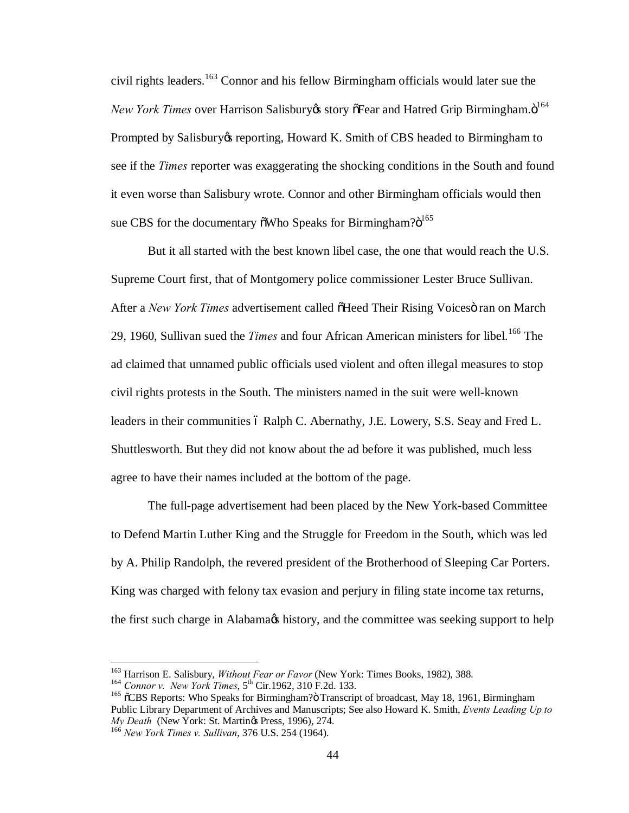civil rights leaders. <sup>163</sup> Connor and his fellow Birmingham officials would later sue the *New York Times* over Harrison Salisbury *i*s story of Fear and Hatred Grip Birmingham. $\ddot{o}^{164}$ Prompted by Salisbury is reporting, Howard K. Smith of CBS headed to Birmingham to see if the *Times* reporter was exaggerating the shocking conditions in the South and found it even worse than Salisbury wrote. Connor and other Birmingham officials would then sue CBS for the documentary  $\delta$ Who Speaks for Birmingham? $\delta^{165}$ 

But it all started with the best known libel case, the one that would reach the U.S. Supreme Court first, that of Montgomery police commissioner Lester Bruce Sullivan. After a *New York Times* advertisement called  $\delta$ Heed Their Rising Voices iran on March 29, 1960, Sullivan sued the *Times* and four African American ministers for libel.<sup>166</sup> The ad claimed that unnamed public officials used violent and often illegal measures to stop civil rights protests in the South. The ministers named in the suit were well-known leaders in their communities 6 Ralph C. Abernathy, J.E. Lowery, S.S. Seay and Fred L. Shuttlesworth. But they did not know about the ad before it was published, much less agree to have their names included at the bottom of the page.

The full-page advertisement had been placed by the New York-based Committee to Defend Martin Luther King and the Struggle for Freedom in the South, which was led by A. Philip Randolph, the revered president of the Brotherhood of Sleeping Car Porters. King was charged with felony tax evasion and perjury in filing state income tax returns, the first such charge in Alabama $\alpha$  history, and the committee was seeking support to help

<sup>&</sup>lt;sup>163</sup> Harrison E. Salisbury, *Without Fear or Favor* (New York: Times Books, 1982), 388.<br><sup>164</sup> Connor v. *New York Times*, 5<sup>th</sup> Cir.1962, 310 F.2d. 133.<br><sup>165</sup> õCBS Reports: Who Speaks for Birmingham?ö Transcript of broad Public Library Department of Archives and Manuscripts; See also Howard K. Smith, *Events Leading Up to* 

*My Death (New York Times v. Sullivan, 376 U.S. 254 (1964).*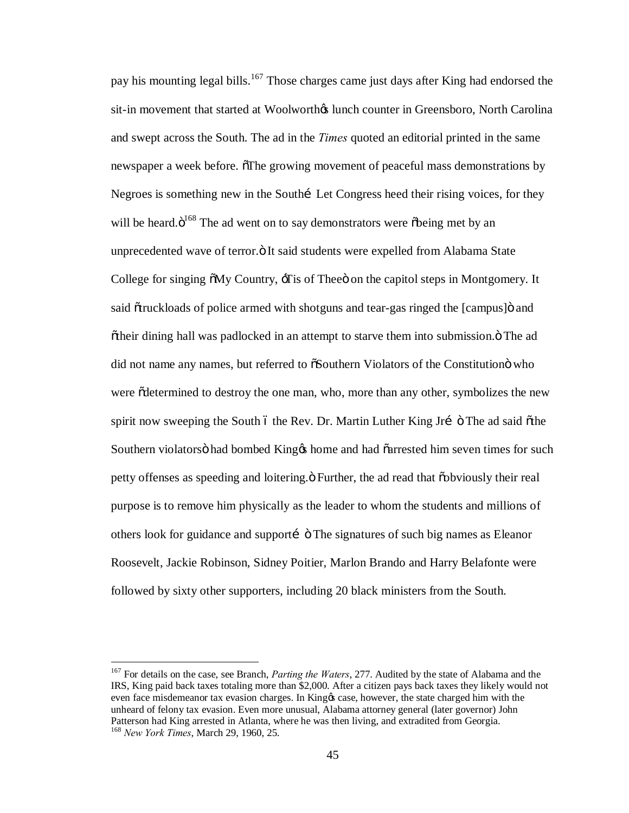pay his mounting legal bills.<sup>167</sup> Those charges came just days after King had endorsed the sit-in movement that started at Woolworth in Counter in Greensboro, North Carolina and swept across the South. The ad in the *Times* quoted an editorial printed in the same newspaper a week before. The growing movement of peaceful mass demonstrations by Negroes is something new in the Southi—Let Congress heed their rising voices, for they will be heard. $\ddot{\mathrm{o}}^{168}$  The ad went on to say demonstrators were  $\ddot{\mathrm{o}}$ being met by an unprecedented wave of terror. "It said students were expelled from Alabama State College for singing  $\delta My$  Country,  $\sigma$  Tis of Thee on the capitol steps in Montgomery. It said  $\tilde{\sigma}$ truckloads of police armed with shotguns and tear-gas ringed the [campus] $\ddot{\sigma}$  and  $\delta$ their dining hall was padlocked in an attempt to starve them into submission. $\ddot{o}$  The ad did not name any names, but referred to  $\tilde{\alpha}$ Southern Violators of the Constitution who were  $\tilde{\text{d}}$  determined to destroy the one man, who, more than any other, symbolizes the new spirit now sweeping the South 6 the Rev. Dr. Martin Luther King Jrí ö The ad said õthe Southern violators had bombed King to home and had  $\tilde{\text{carrested}}$  him seven times for such petty offenses as speeding and loitering.  $\ddot{o}$  Further, the ad read that  $\ddot{o}$  obviously their real purpose is to remove him physically as the leader to whom the students and millions of others look for guidance and supporti  $\ddot{\circ}$  The signatures of such big names as Eleanor Roosevelt, Jackie Robinson, Sidney Poitier, Marlon Brando and Harry Belafonte were followed by sixty other supporters, including 20 black ministers from the South.

 <sup>167</sup> For details on the case, see Branch, *Parting the Waters*, 277. Audited by the state of Alabama and the IRS, King paid back taxes totaling more than \$2,000. After a citizen pays back taxes they likely would not even face misdemeanor tax evasion charges. In King os case, however, the state charged him with the unheard of felony tax evasion. Even more unusual, Alabama attorney general (later governor) John Patterson had King arrested in Atlanta, where he was then living, and extradited from Georgia. <sup>168</sup> *New York Times*, March 29, 1960, 25.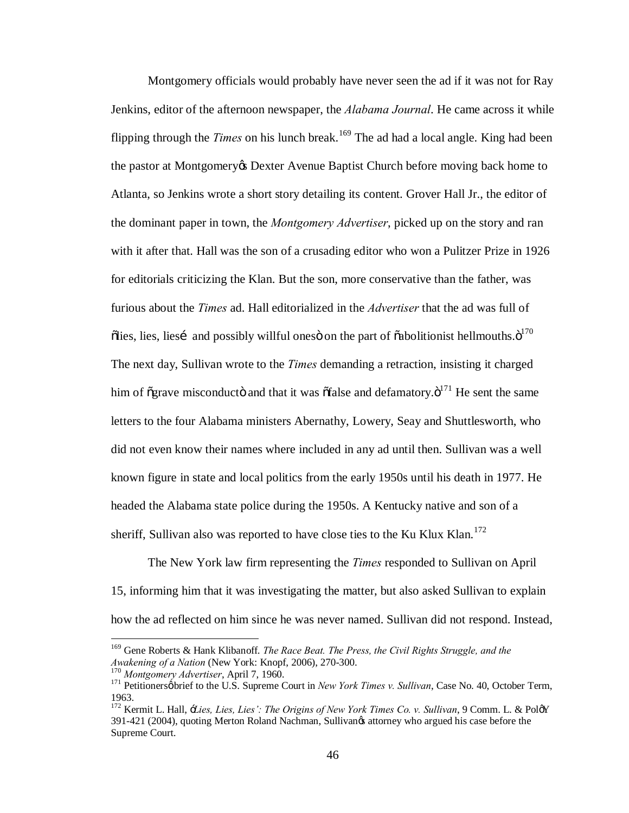Montgomery officials would probably have never seen the ad if it was not for Ray Jenkins, editor of the afternoon newspaper, the *Alabama Journal*. He came across it while flipping through the *Times* on his lunch break.<sup>169</sup> The ad had a local angle. King had been the pastor at Montgomery's Dexter Avenue Baptist Church before moving back home to Atlanta, so Jenkins wrote a short story detailing its content. Grover Hall Jr., the editor of the dominant paper in town, the *Montgomery Advertiser*, picked up on the story and ran with it after that. Hall was the son of a crusading editor who won a Pulitzer Prize in 1926 for editorials criticizing the Klan. But the son, more conservative than the father, was furious about the *Times* ad. Hall editorialized in the *Advertiser* that the ad was full of  $\delta$ lies, lies, liesi and possibly willful ones on the part of  $\delta$ abolitionist hellmouths. $\delta^{170}$ The next day, Sullivan wrote to the *Times* demanding a retraction, insisting it charged him of  $\tilde{\sigma}$ grave misconductö and that it was  $\tilde{\sigma}$ false and defamatory. $\tilde{\sigma}^{171}$  He sent the same letters to the four Alabama ministers Abernathy, Lowery, Seay and Shuttlesworth, who did not even know their names where included in any ad until then. Sullivan was a well known figure in state and local politics from the early 1950s until his death in 1977. He headed the Alabama state police during the 1950s. A Kentucky native and son of a sheriff, Sullivan also was reported to have close ties to the Ku Klux Klan.<sup>172</sup>

The New York law firm representing the *Times* responded to Sullivan on April 15, informing him that it was investigating the matter, but also asked Sullivan to explain how the ad reflected on him since he was never named. Sullivan did not respond. Instead,

 <sup>169</sup> Gene Roberts & Hank Klibanoff. *The Race Beat. The Press, the Civil Rights Struggle, and the*  Awakening of a Nation (New York: Knopf, 2006), 270-300.<br><sup>170</sup> Montgomery Advertiser, April 7, 1960.<br><sup>171</sup> Petitionersøbrief to the U.S. Supreme Court in New York Times v. Sullivan, Case No. 40, October Term,

<sup>1963.</sup>

<sup>172</sup> Kermit L. Hall, '*Lies, Lies, Lies': The Origins of New York Times Co. v. Sullivan*, 9 Comm. L. & Pol'Y 391-421 (2004), quoting Merton Roland Nachman, Sullivan's attorney who argued his case before the Supreme Court.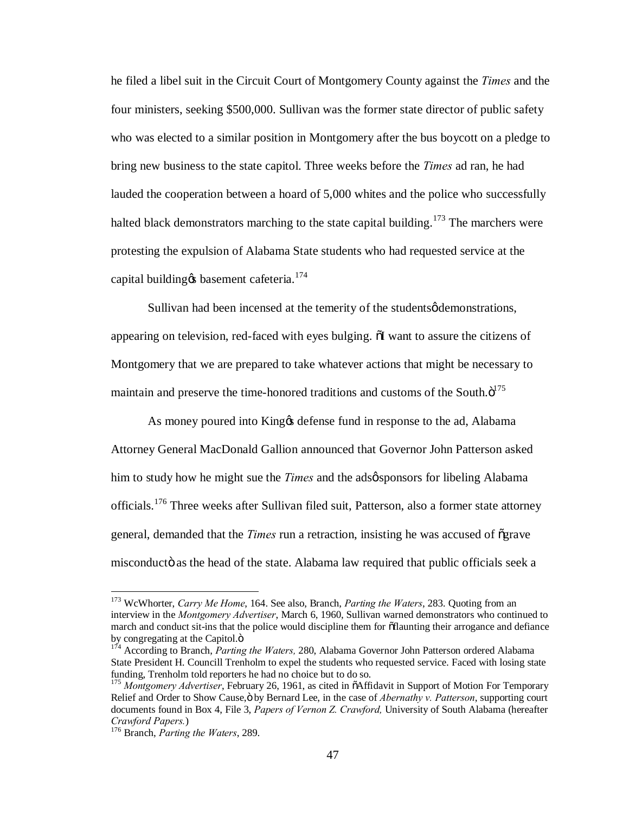he filed a libel suit in the Circuit Court of Montgomery County against the *Times* and the four ministers, seeking \$500,000. Sullivan was the former state director of public safety who was elected to a similar position in Montgomery after the bus boycott on a pledge to bring new business to the state capitol. Three weeks before the *Times* ad ran, he had lauded the cooperation between a hoard of 5,000 whites and the police who successfully halted black demonstrators marching to the state capital building.<sup>173</sup> The marchers were protesting the expulsion of Alabama State students who had requested service at the capital building  $\alpha$  basement cafeteria.<sup>174</sup>

Sullivan had been incensed at the temerity of the students  $\phi$  demonstrations, appearing on television, red-faced with eyes bulging.  $\delta I$  want to assure the citizens of Montgomery that we are prepared to take whatever actions that might be necessary to maintain and preserve the time-honored traditions and customs of the South. $\ddot{\text{o}}^{175}$ 

As money poured into King ts defense fund in response to the ad, Alabama Attorney General MacDonald Gallion announced that Governor John Patterson asked him to study how he might sue the *Times* and the adsøsponsors for libeling Alabama officials.<sup>176</sup> Three weeks after Sullivan filed suit, Patterson, also a former state attorney general, demanded that the *Times* run a retraction, insisting he was accused of "grave misconductö as the head of the state. Alabama law required that public officials seek a

 <sup>173</sup> WcWhorter, *Carry Me Home*, 164. See also, Branch, *Parting the Waters*, 283. Quoting from an interview in the *Montgomery Advertiser*, March 6, 1960, Sullivan warned demonstrators who continued to march and conduct sit-ins that the police would discipline them for  $\tilde{o}$ flaunting their arrogance and defiance by congregating at the Capitol.<sub>"</sub> 174 According the Waters, 280, Alabama Governor John Patterson ordered Alabama

State President H. Councill Trenholm to expel the students who requested service. Faced with losing state

<sup>&</sup>lt;sup>175</sup> Montgomery Advertiser, February 26, 1961, as cited in  $\tilde{o}$ Affidavit in Support of Motion For Temporary Relief and Order to Show Cause,  $\ddot{o}$  by Bernard Lee, in the case of *Abernathy v. Patterson*, supporting court documents found in Box 4, File 3, *Papers of Vernon Z. Crawford,* University of South Alabama (hereafter *Crawford Papers.*) <sup>176</sup> Branch, *Parting the Waters*, 289.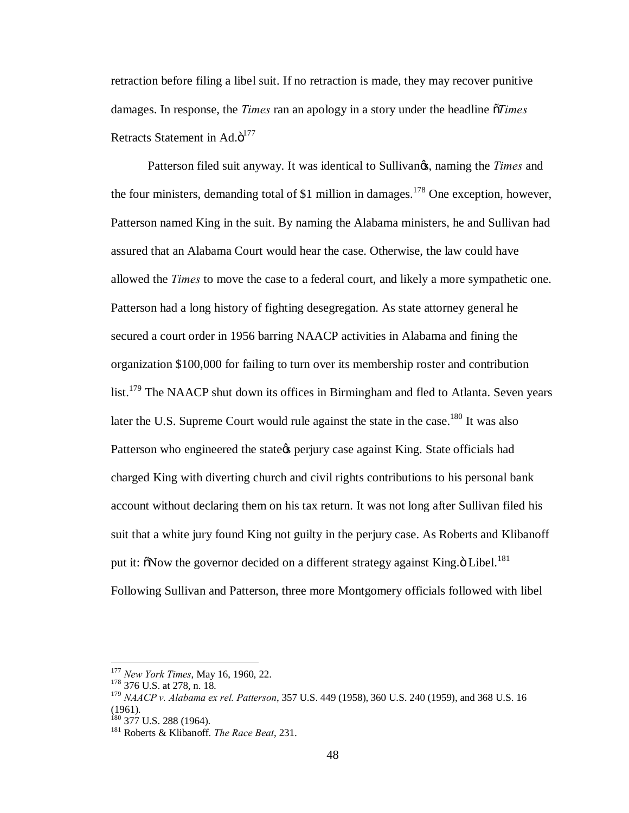retraction before filing a libel suit. If no retraction is made, they may recover punitive damages. In response, the *Times* ran an apology in a story under the headline "*Times* Retracts Statement in  $Ad.\ddot{\mathrm{o}}^{177}$ 

Patterson filed suit anyway. It was identical to Sullivan<sub>*g*</sub>, naming the *Times* and the four ministers, demanding total of \$1 million in damages.<sup>178</sup> One exception, however, Patterson named King in the suit. By naming the Alabama ministers, he and Sullivan had assured that an Alabama Court would hear the case. Otherwise, the law could have allowed the *Times* to move the case to a federal court, and likely a more sympathetic one. Patterson had a long history of fighting desegregation. As state attorney general he secured a court order in 1956 barring NAACP activities in Alabama and fining the organization \$100,000 for failing to turn over its membership roster and contribution list.<sup>179</sup> The NAACP shut down its offices in Birmingham and fled to Atlanta. Seven years later the U.S. Supreme Court would rule against the state in the case.<sup>180</sup> It was also Patterson who engineered the state term per state against King. State officials had charged King with diverting church and civil rights contributions to his personal bank account without declaring them on his tax return. It was not long after Sullivan filed his suit that a white jury found King not guilty in the perjury case. As Roberts and Klibanoff put it:  $\delta$ Now the governor decided on a different strategy against King. $\delta$  Libel.<sup>181</sup> Following Sullivan and Patterson, three more Montgomery officials followed with libel

<sup>177</sup> *New York Times*, May 16, 1960, 22. <sup>178</sup> 376 U.S. at 278, n. 18.

<sup>179</sup> *NAACP v. Alabama ex rel. Patterson*, 357 U.S. 449 (1958), 360 U.S. 240 (1959), and 368 U.S. 16

 $^{180}$  377 U.S. 288 (1964).

<sup>&</sup>lt;sup>181</sup> Roberts & Klibanoff. *The Race Beat*, 231.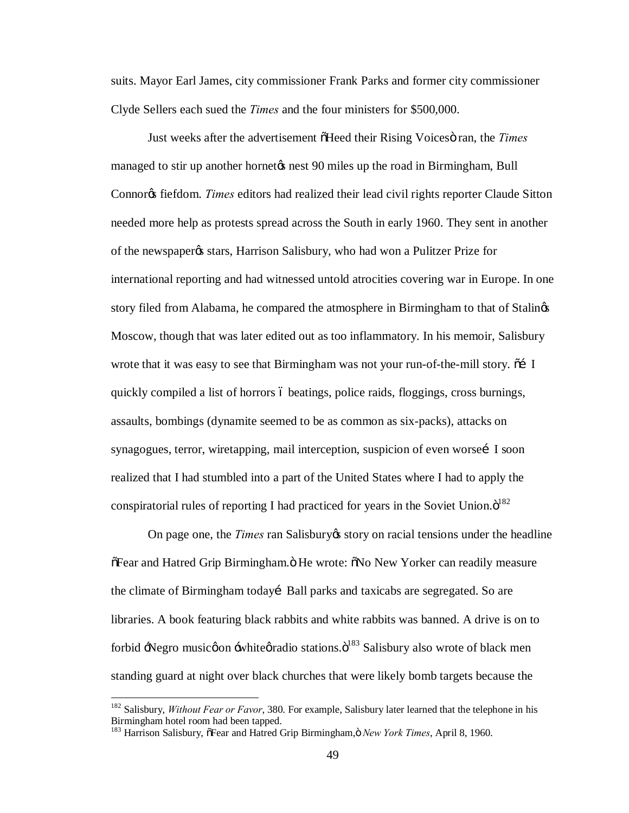suits. Mayor Earl James, city commissioner Frank Parks and former city commissioner Clyde Sellers each sued the *Times* and the four ministers for \$500,000.

Just weeks after the advertisement  $\tilde{\sigma}$ Heed their Rising Voices $\ddot{\sigma}$  ran, the *Times* managed to stir up another hornet to nest 90 miles up the road in Birmingham, Bull Connor<sub>g</sub> fiefdom. *Times* editors had realized their lead civil rights reporter Claude Sitton needed more help as protests spread across the South in early 1960. They sent in another of the newspaper's stars, Harrison Salisbury, who had won a Pulitzer Prize for international reporting and had witnessed untold atrocities covering war in Europe. In one story filed from Alabama, he compared the atmosphere in Birmingham to that of Stalings Moscow, though that was later edited out as too inflammatory. In his memoir, Salisbury wrote that it was easy to see that Birmingham was not your run-of-the-mill story.  $\tilde{\text{o}}$  I quickly compiled a list of horrors 6 beatings, police raids, floggings, cross burnings, assaults, bombings (dynamite seemed to be as common as six-packs), attacks on synagogues, terror, wiretapping, mail interception, suspicion of even worse [1 soon] realized that I had stumbled into a part of the United States where I had to apply the conspiratorial rules of reporting I had practiced for years in the Soviet Union. $\ddot{o}^{182}$ 

On page one, the *Times* ran Salisbury ts story on racial tensions under the headline  $\delta$ Fear and Hatred Grip Birmingham. O He wrote:  $\delta$ No New Yorker can readily measure the climate of Birmingham todayí Ball parks and taxicabs are segregated. So are libraries. A book featuring black rabbits and white rabbits was banned. A drive is on to forbid +Negro musicøon + white *øradio* stations. O<sup>183</sup> Salisbury also wrote of black men standing guard at night over black churches that were likely bomb targets because the

<sup>&</sup>lt;sup>182</sup> Salisbury, *Without Fear or Favor*, 380. For example, Salisbury later learned that the telephone in his Birmingham hotel room had been tapped.

<sup>183</sup> Harrison Salisbury,  $\delta$ Fear and Hatred Grip Birmingham,  $\delta$  *New York Times*, April 8, 1960.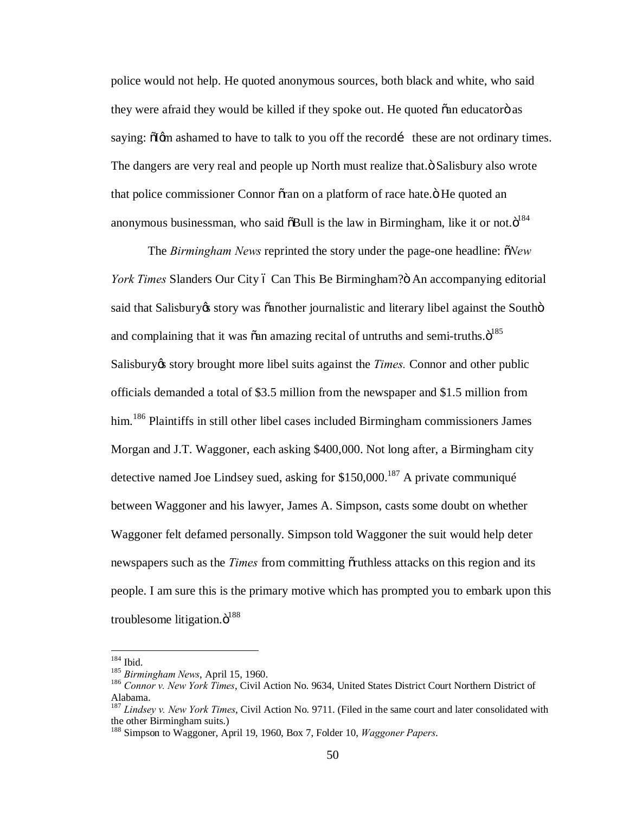police would not help. He quoted anonymous sources, both black and white, who said they were afraid they would be killed if they spoke out. He quoted  $\tilde{o}$  an educator $\ddot{o}$  as saying:  $\delta$ Igm ashamed to have to talk to you off the recordi these are not ordinary times. The dangers are very real and people up North must realize that. $\ddot{o}$  Salisbury also wrote that police commissioner Connor oran on a platform of race hate. $\ddot{o}$  He quoted an anonymous businessman, who said  $\delta$ Bull is the law in Birmingham, like it or not. $\ddot{\text{o}}^{184}$ 

The *Birmingham News* reprinted the story under the page-one headline:  $\delta$ *New York Times* Slanders Our City ó Can This Be Birmingham?ö An accompanying editorial said that Salisbury os story was canother journalistic and literary libel against the Southomand complaining that it was  $\tilde{o}$ an amazing recital of untruths and semi-truths. $\ddot{o}^{185}$ Salisbury *is* story brought more libel suits against the *Times*. Connor and other public officials demanded a total of \$3.5 million from the newspaper and \$1.5 million from him.<sup>186</sup> Plaintiffs in still other libel cases included Birmingham commissioners James Morgan and J.T. Waggoner, each asking \$400,000. Not long after, a Birmingham city detective named Joe Lindsey sued, asking for  $$150,000$ .<sup>187</sup> A private communiqué between Waggoner and his lawyer, James A. Simpson, casts some doubt on whether Waggoner felt defamed personally. Simpson told Waggoner the suit would help deter newspapers such as the *Times* from committing orthless attacks on this region and its people. I am sure this is the primary motive which has prompted you to embark upon this troublesome litigation. $\ddot{\mathrm{o}}^{188}$ 

<sup>&</sup>lt;sup>184</sup> Ibid.<br><sup>185</sup> *Birmingham News*, April 15, 1960.<br><sup>186</sup> Connor v. New York Times, Civil Action No. 9634, United States District Court Northern District of Alabama.

<sup>187</sup> *Lindsey v. New York Times*, Civil Action No. 9711. (Filed in the same court and later consolidated with the other Birmingham suits.)

<sup>188</sup> Simpson to Waggoner, April 19, 1960, Box 7, Folder 10, *Waggoner Papers*.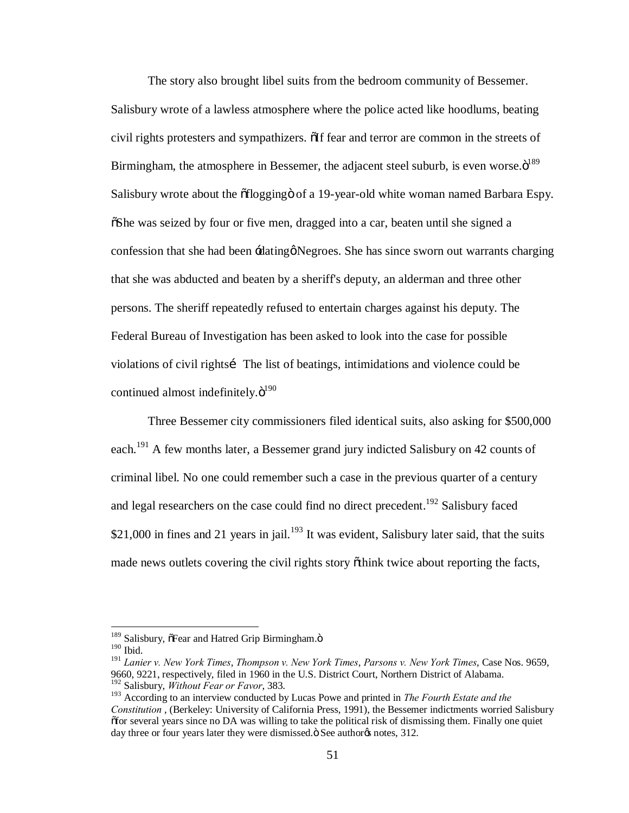The story also brought libel suits from the bedroom community of Bessemer. Salisbury wrote of a lawless atmosphere where the police acted like hoodlums, beating civil rights protesters and sympathizers.  $\delta$  if fear and terror are common in the streets of Birmingham, the atmosphere in Bessemer, the adjacent steel suburb, is even worse. $\ddot{\text{o}}^{189}$ Salisbury wrote about the  $\delta$ flogging $\delta$  of a 19-year-old white woman named Barbara Espy.  $\delta$ She was seized by four or five men, dragged into a car, beaten until she signed a confession that she had been  $\pm$ dating Negroes. She has since sworn out warrants charging that she was abducted and beaten by a sheriff's deputy, an alderman and three other persons. The sheriff repeatedly refused to entertain charges against his deputy. The Federal Bureau of Investigation has been asked to look into the case for possible violations of civil rights iThe list of beatings, intimidations and violence could be continued almost indefinitely. $\ddot{o}^{190}$ 

Three Bessemer city commissioners filed identical suits, also asking for \$500,000 each.<sup>191</sup> A few months later, a Bessemer grand jury indicted Salisbury on 42 counts of criminal libel. No one could remember such a case in the previous quarter of a century and legal researchers on the case could find no direct precedent.<sup>192</sup> Salisbury faced \$21,000 in fines and 21 years in jail.<sup>193</sup> It was evident, Salisbury later said, that the suits made news outlets covering the civil rights story  $\tilde{o}$ think twice about reporting the facts,

 $189$  Salisbury,  $\delta$ Fear and Hatred Grip Birmingham. $\ddot{o}$ 

<sup>190</sup> Ibid.

<sup>191</sup> *Lanier v. New York Times*, *Thompson v. New York Times*, *Parsons v. New York Times*, Case Nos. 9659, 9660, 9221, respectively, filed in 1960 in the U.S. District Court, Northern District of Alabama. <sup>192</sup> Salisbury, *Without Fear or Favor*, 383.

<sup>193</sup> According to an interview conducted by Lucas Powe and printed in *The Fourth Estate and the Constitution* , (Berkeley: University of California Press, 1991), the Bessemer indictments worried Salisbury "for several years since no DA was willing to take the political risk of dismissing them. Finally one quiet day three or four years later they were dismissed. $\ddot{\text{o}}$  See authoros notes, 312.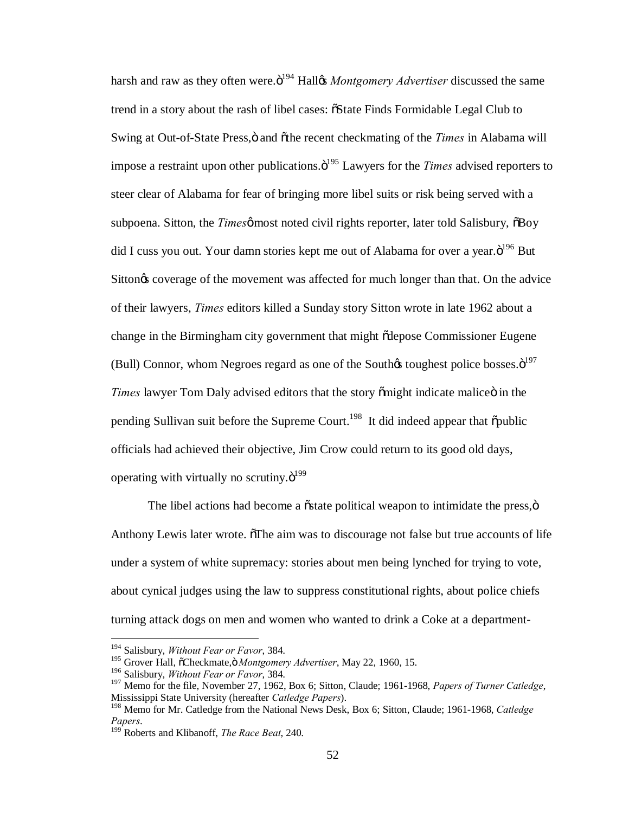harsh and raw as they often were.<sup>"3194</sup> Hallow *Montgomery Advertiser* discussed the same trend in a story about the rash of libel cases:  $\tilde{o}$ State Finds Formidable Legal Club to Swing at Out-of-State Press, $\ddot{o}$  and  $\ddot{o}$  the recent checkmating of the *Times* in Alabama will impose a restraint upon other publications. $\ddot{\mathrm{o}}^{195}$  Lawyers for the *Times* advised reporters to steer clear of Alabama for fear of bringing more libel suits or risk being served with a subpoena. Sitton, the *Times* most noted civil rights reporter, later told Salisbury,  $\delta$ Boy did I cuss you out. Your damn stories kept me out of Alabama for over a year. $\ddot{o}^{196}$  But Sitton<sub>os</sub> coverage of the movement was affected for much longer than that. On the advice of their lawyers, *Times* editors killed a Sunday story Sitton wrote in late 1962 about a change in the Birmingham city government that might  $\tilde{\alpha}$  depose Commissioner Eugene (Bull) Connor, whom Negroes regard as one of the South $\alpha$  toughest police bosses. $\ddot{\mathrm{o}}^{197}$ *Times* lawyer Tom Daly advised editors that the story omight indicate malice in the pending Sullivan suit before the Supreme Court.<sup>198</sup> It did indeed appear that  $\delta$  public officials had achieved their objective, Jim Crow could return to its good old days, operating with virtually no scrutiny. $\ddot{o}^{199}$ 

The libel actions had become a  $\ddot{\text{o}}$  state political weapon to intimidate the press, $\ddot{\text{o}}$ Anthony Lewis later wrote. The aim was to discourage not false but true accounts of life under a system of white supremacy: stories about men being lynched for trying to vote, about cynical judges using the law to suppress constitutional rights, about police chiefs turning attack dogs on men and women who wanted to drink a Coke at a department-

 <sup>194</sup> Salisbury, *Without Fear or Favor*, 384.

<sup>&</sup>lt;sup>195</sup> Grover Hall, õCheckmate, ö Montgomery Advertiser, May 22, 1960, 15.

<sup>196</sup> Salisbury, *Without Fear or Favor*, 384.

<sup>197</sup> Memo for the file, November 27, 1962, Box 6; Sitton, Claude; 1961-1968, *Papers of Turner Catledge*, Mississippi State University (hereafter *Catledge Papers*).

<sup>198</sup> Memo for Mr. Catledge from the National News Desk, Box 6; Sitton, Claude; 1961-1968, *Catledge Papers*. <sup>199</sup> Roberts and Klibanoff, *The Race Beat*, 240.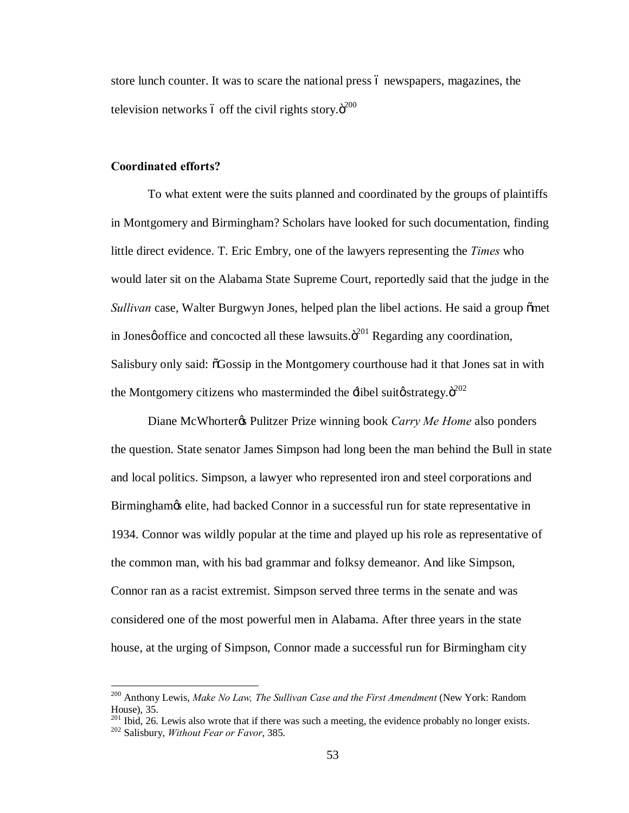store lunch counter. It was to scare the national press 6 newspapers, magazines, the television networks ó off the civil rights story. $\ddot{\sigma}^{200}$ 

### **Coordinated efforts?**

To what extent were the suits planned and coordinated by the groups of plaintiffs in Montgomery and Birmingham? Scholars have looked for such documentation, finding little direct evidence. T. Eric Embry, one of the lawyers representing the *Times* who would later sit on the Alabama State Supreme Court, reportedly said that the judge in the *Sullivan* case, Walter Burgwyn Jones, helped plan the libel actions. He said a group omet in Jonesø office and concocted all these lawsuits. $\ddot{\mathrm{o}}^{201}$  Regarding any coordination, Salisbury only said:  $\delta$ Gossip in the Montgomery courthouse had it that Jones sat in with the Montgomery citizens who masterminded the  $\pm$ libel suit $\phi$ strategy. $\ddot{\sigma}^{202}$ 

Diane McWhorter<sub>G</sub> Pulitzer Prize winning book *Carry Me Home* also ponders the question. State senator James Simpson had long been the man behind the Bull in state and local politics. Simpson, a lawyer who represented iron and steel corporations and Birmingham $\alpha$  elite, had backed Connor in a successful run for state representative in 1934. Connor was wildly popular at the time and played up his role as representative of the common man, with his bad grammar and folksy demeanor. And like Simpson, Connor ran as a racist extremist. Simpson served three terms in the senate and was considered one of the most powerful men in Alabama. After three years in the state house, at the urging of Simpson, Connor made a successful run for Birmingham city

<sup>&</sup>lt;sup>200</sup> Anthony Lewis, *Make No Law, The Sullivan Case and the First Amendment* (New York: Random

House), 35. <sup>201</sup> Ibid, 26. Lewis also wrote that if there was such a meeting, the evidence probably no longer exists. <sup>202</sup> Salisbury, *Without Fear or Favor*, 385.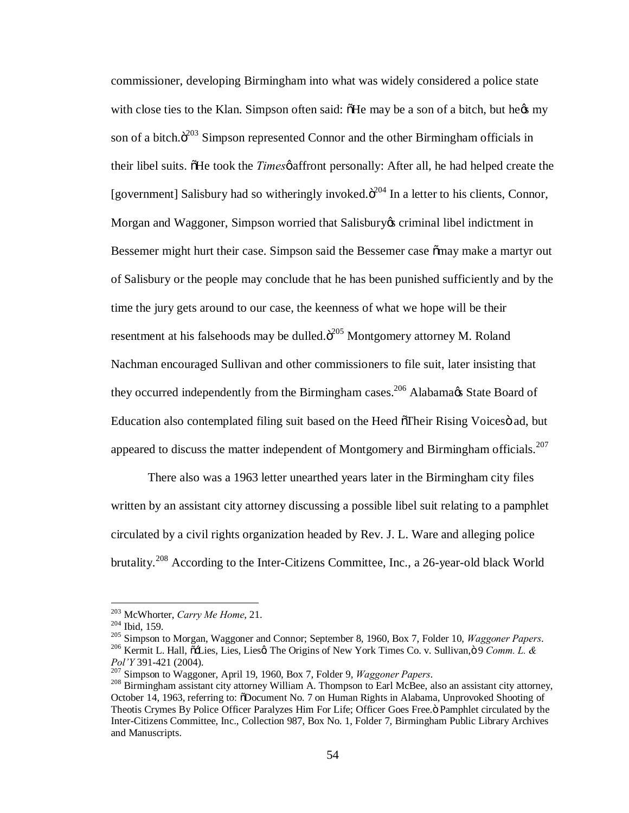commissioner, developing Birmingham into what was widely considered a police state with close ties to the Klan. Simpson often said:  $\delta$ He may be a son of a bitch, but hegs my son of a bitch. $\ddot{o}^{203}$  Simpson represented Connor and the other Birmingham officials in their libel suits. The took the *Times* paffront personally: After all, he had helped create the [government] Salisbury had so witheringly invoked. $\ddot{o}^{204}$  In a letter to his clients, Connor, Morgan and Waggoner, Simpson worried that Salisbury os criminal libel indictment in Bessemer might hurt their case. Simpson said the Bessemer case  $\tilde{c}$  may make a martyr out of Salisbury or the people may conclude that he has been punished sufficiently and by the time the jury gets around to our case, the keenness of what we hope will be their resentment at his falsehoods may be dulled. $\ddot{o}^{205}$  Montgomery attorney M. Roland Nachman encouraged Sullivan and other commissioners to file suit, later insisting that they occurred independently from the Birmingham cases.<sup>206</sup> Alabama $\alpha$ s State Board of Education also contemplated filing suit based on the Heed  $\tilde{\sigma}$ Their Rising Voices ad, but appeared to discuss the matter independent of Montgomery and Birmingham officials.<sup>207</sup>

There also was a 1963 letter unearthed years later in the Birmingham city files written by an assistant city attorney discussing a possible libel suit relating to a pamphlet circulated by a civil rights organization headed by Rev. J. L. Ware and alleging police brutality.<sup>208</sup> According to the Inter-Citizens Committee, Inc., a 26-year-old black World

<sup>&</sup>lt;sup>203</sup> McWhorter, *Carry Me Home*, 21.<br><sup>204</sup> Ibid, 159.<br><sup>205</sup> Simpson to Morgan, Waggoner and Connor; September 8, 1960, Box 7, Folder 10, *Waggoner Papers.*<br><sup>206</sup> Kermit L. Hall, õ-Lies, Lies, Lies, The Origins of New Yor Pol'Y 391-421 (2004).<br><sup>207</sup> Simpson to Waggoner, April 19, 1960, Box 7, Folder 9, *Waggoner Papers*.<br><sup>208</sup> Birmingham assistant city attorney William A. Thompson to Earl McBee, also an assistant city attorney,

October 14, 1963, referring to: ODocument No. 7 on Human Rights in Alabama, Unprovoked Shooting of Theotis Crymes By Police Officer Paralyzes Him For Life; Officer Goes Free.  $\ddot{o}$  Pamphlet circulated by the Inter-Citizens Committee, Inc., Collection 987, Box No. 1, Folder 7, Birmingham Public Library Archives and Manuscripts.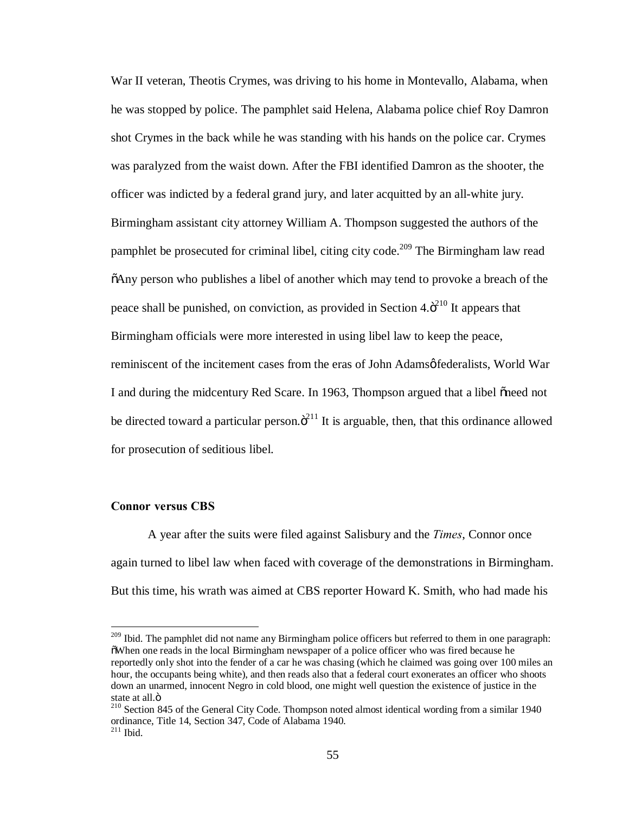War II veteran, Theotis Crymes, was driving to his home in Montevallo, Alabama, when he was stopped by police. The pamphlet said Helena, Alabama police chief Roy Damron shot Crymes in the back while he was standing with his hands on the police car. Crymes was paralyzed from the waist down. After the FBI identified Damron as the shooter, the officer was indicted by a federal grand jury, and later acquitted by an all-white jury. Birmingham assistant city attorney William A. Thompson suggested the authors of the pamphlet be prosecuted for criminal libel, citing city code.<sup>209</sup> The Birmingham law read  $\delta$ Any person who publishes a libel of another which may tend to provoke a breach of the peace shall be punished, on conviction, as provided in Section  $4.\ddot{\sigma}^{210}$  It appears that Birmingham officials were more interested in using libel law to keep the peace, reminiscent of the incitement cases from the eras of John Adamsø federalists, World War I and during the midcentury Red Scare. In 1963, Thompson argued that a libel oneed not be directed toward a particular person. $\ddot{o}^{211}$  It is arguable, then, that this ordinance allowed for prosecution of seditious libel.

### **Connor versus CBS**

A year after the suits were filed against Salisbury and the *Times*, Connor once again turned to libel law when faced with coverage of the demonstrations in Birmingham. But this time, his wrath was aimed at CBS reporter Howard K. Smith, who had made his

<sup>&</sup>lt;sup>209</sup> Ibid. The pamphlet did not name any Birmingham police officers but referred to them in one paragraph: "When one reads in the local Birmingham newspaper of a police officer who was fired because he reportedly only shot into the fender of a car he was chasing (which he claimed was going over 100 miles an hour, the occupants being white), and then reads also that a federal court exonerates an officer who shoots down an unarmed, innocent Negro in cold blood, one might well question the existence of justice in the state at all.ö<br><sup>210</sup> Section 845 of the General City Code. Thompson noted almost identical wording from a similar 1940

ordinance, Title 14, Section 347, Code of Alabama 1940.  $211$  Ibid.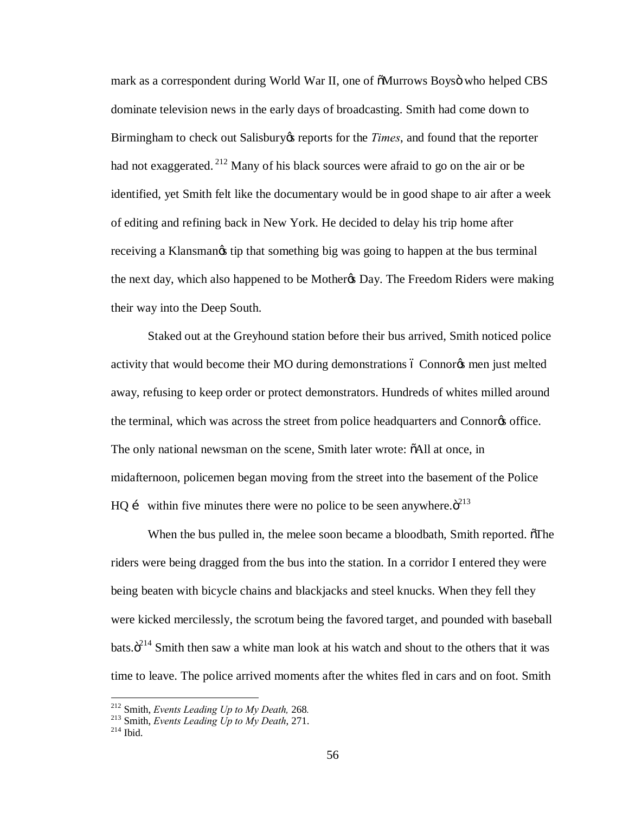mark as a correspondent during World War II, one of  $\delta$ Murrows Boysö who helped CBS dominate television news in the early days of broadcasting. Smith had come down to Birmingham to check out Salisbury is reports for the *Times*, and found that the reporter had not exaggerated.<sup>212</sup> Many of his black sources were afraid to go on the air or be identified, yet Smith felt like the documentary would be in good shape to air after a week of editing and refining back in New York. He decided to delay his trip home after receiving a Klansman $\alpha$  tip that something big was going to happen at the bus terminal the next day, which also happened to be Mother & Day. The Freedom Riders were making their way into the Deep South.

Staked out at the Greyhound station before their bus arrived, Smith noticed police activity that would become their MO during demonstrations 6 Connores men just melted away, refusing to keep order or protect demonstrators. Hundreds of whites milled around the terminal, which was across the street from police headquarters and Connor<sub>g</sub> office. The only national newsman on the scene, Smith later wrote:  $\delta$ All at once, in midafternoon, policemen began moving from the street into the basement of the Police HQ i within five minutes there were no police to be seen anywhere. $\ddot{\sigma}^{213}$ 

When the bus pulled in, the melee soon became a bloodbath, Smith reported.  $\delta$ The riders were being dragged from the bus into the station. In a corridor I entered they were being beaten with bicycle chains and blackjacks and steel knucks. When they fell they were kicked mercilessly, the scrotum being the favored target, and pounded with baseball bats. $\ddot{o}^{214}$  Smith then saw a white man look at his watch and shout to the others that it was time to leave. The police arrived moments after the whites fled in cars and on foot. Smith

<sup>&</sup>lt;sup>212</sup> Smith, *Events Leading Up to My Death*, 268*.* <sup>213</sup> Smith, *Events Leading Up to My Death*, 271.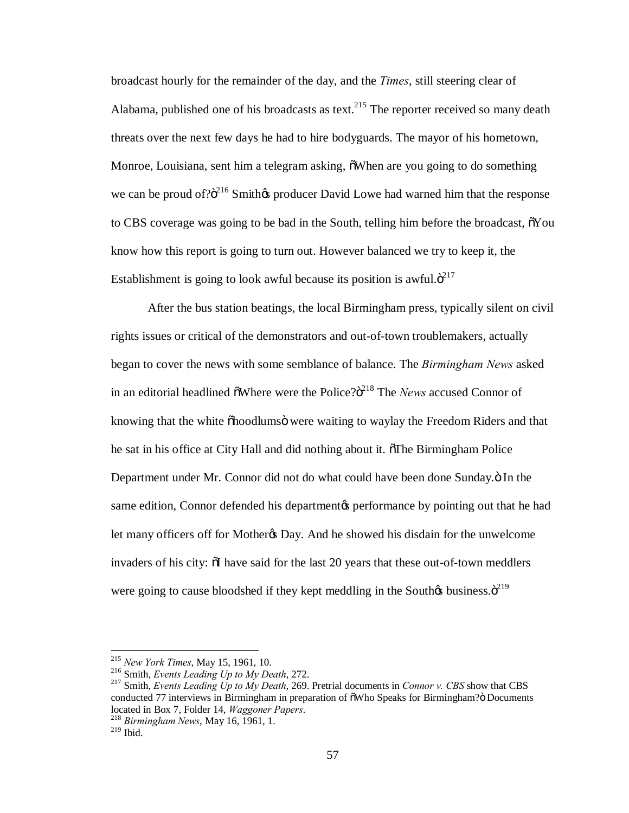broadcast hourly for the remainder of the day, and the *Times*, still steering clear of Alabama, published one of his broadcasts as text.<sup>215</sup> The reporter received so many death threats over the next few days he had to hire bodyguards. The mayor of his hometown, Monroe, Louisiana, sent him a telegram asking,  $\delta$ When are you going to do something we can be proud of? $\ddot{\text{o}}^{216}$  Smith $\&$  producer David Lowe had warned him that the response to CBS coverage was going to be bad in the South, telling him before the broadcast,  $\tilde{\sigma}$ You know how this report is going to turn out. However balanced we try to keep it, the Establishment is going to look awful because its position is awful. $\ddot{\sigma}^{217}$ 

After the bus station beatings, the local Birmingham press, typically silent on civil rights issues or critical of the demonstrators and out-of-town troublemakers, actually began to cover the news with some semblance of balance. The *Birmingham News* asked in an editorial headlined  $\tilde{\text{o}}$ Where were the Police? $\tilde{\text{o}}^{218}$  The *News* accused Connor of knowing that the white  $\delta$ hoodlums $\ddot{o}$  were waiting to waylay the Freedom Riders and that he sat in his office at City Hall and did nothing about it. The Birmingham Police Department under Mr. Connor did not do what could have been done Sunday. $\ddot{o}$  In the same edition, Connor defended his department to performance by pointing out that he had let many officers off for Mother& Day. And he showed his disdain for the unwelcome invaders of his city:  $\delta I$  have said for the last 20 years that these out-of-town meddlers were going to cause bloodshed if they kept meddling in the Southos business. $\ddot{\sigma}^{219}$ 

<sup>215</sup> *New York Times*, May 15, 1961, 10. <sup>216</sup> Smith, *Events Leading Up to My Death*, 272. <sup>217</sup> Smith, *Events Leading Up to My Death*, 269. Pretrial documents in *Connor v. CBS* show that CBS conducted 77 interviews in Birmingham in preparation of  $\tilde{\text{o}}$ Who Speaks for Birmingham? $\ddot{\text{o}}$  Documents located in Box 7, Folder 14, *Waggoner Papers*.

<sup>&</sup>lt;sup>218</sup> Birmingham News, May 16, 1961, 1.

 $^{219}$  Ibid.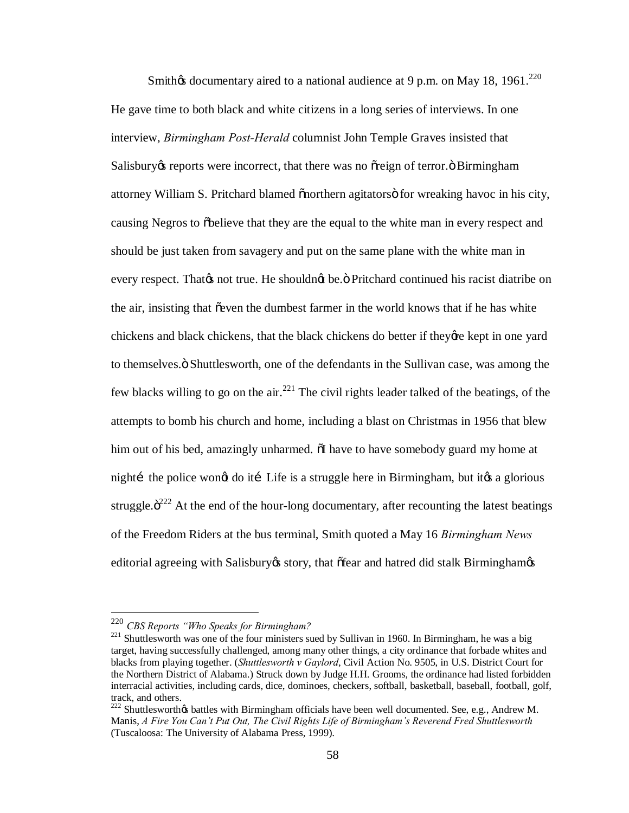Smith $\alpha$  documentary aired to a national audience at 9 p.m. on May 18, 1961.<sup>220</sup> He gave time to both black and white citizens in a long series of interviews. In one interview, *Birmingham Post-Herald* columnist John Temple Graves insisted that Salisbury is reports were incorrect, that there was no osteign of terror.  $\ddot{o}$  Birmingham attorney William S. Pritchard blamed othern agitators of the wreaking havoc in his city, causing Negros to  $\delta$ believe that they are the equal to the white man in every respect and should be just taken from savagery and put on the same plane with the white man in every respect. That to not true. He should that be." Pritchard continued his racist diatribe on the air, insisting that  $\tilde{\sigma}$  even the dumbest farmer in the world knows that if he has white chickens and black chickens, that the black chickens do better if they are kept in one yard to themselves." Shuttlesworth, one of the defendants in the Sullivan case, was among the few blacks willing to go on the air.<sup>221</sup> The civil rights leader talked of the beatings, of the attempts to bomb his church and home, including a blast on Christmas in 1956 that blew him out of his bed, amazingly unharmed.  $\delta I$  have to have somebody guard my home at nightí the police wongt do ití Life is a struggle here in Birmingham, but itgs a glorious struggle. $\ddot{\sigma}^{222}$  At the end of the hour-long documentary, after recounting the latest beatings of the Freedom Riders at the bus terminal, Smith quoted a May 16 *Birmingham News* editorial agreeing with Salisbury estory, that of fear and hatred did stalk Birmingham

 <sup>220</sup> *CBS Reports "Who Speaks for Birmingham?*

<sup>&</sup>lt;sup>221</sup> Shuttlesworth was one of the four ministers sued by Sullivan in 1960. In Birmingham, he was a big target, having successfully challenged, among many other things, a city ordinance that forbade whites and blacks from playing together. (*Shuttlesworth v Gaylord*, Civil Action No. 9505, in U.S. District Court for the Northern District of Alabama.) Struck down by Judge H.H. Grooms, the ordinance had listed forbidden interracial activities, including cards, dice, dominoes, checkers, softball, basketball, baseball, football, golf, track, and others.

 $222$  Shuttlesworth $\alpha$  battles with Birmingham officials have been well documented. See, e.g., Andrew M. Manis, *A Fire You Can't Put Out, The Civil Rights Life of Birmingham's Reverend Fred Shuttlesworth* (Tuscaloosa: The University of Alabama Press, 1999).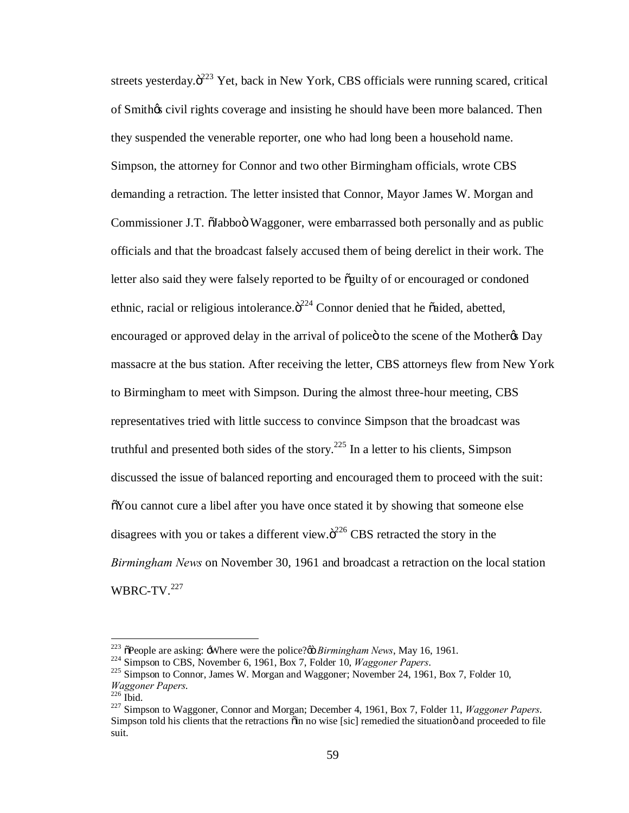streets yesterday. $\ddot{o}^{223}$  Yet, back in New York, CBS officials were running scared, critical of Smithos civil rights coverage and insisting he should have been more balanced. Then they suspended the venerable reporter, one who had long been a household name. Simpson, the attorney for Connor and two other Birmingham officials, wrote CBS demanding a retraction. The letter insisted that Connor, Mayor James W. Morgan and Commissioner J.T.  $\ddot{\text{o}}$ Iabboö Waggoner, were embarrassed both personally and as public officials and that the broadcast falsely accused them of being derelict in their work. The letter also said they were falsely reported to be  $\tilde{o}$ guilty of or encouraged or condoned ethnic, racial or religious intolerance. $\ddot{o}^{224}$  Connor denied that he õaided, abetted, encouraged or approved delay in the arrival of police to the scene of the Mother to Day massacre at the bus station. After receiving the letter, CBS attorneys flew from New York to Birmingham to meet with Simpson. During the almost three-hour meeting, CBS representatives tried with little success to convince Simpson that the broadcast was truthful and presented both sides of the story.<sup>225</sup> In a letter to his clients, Simpson discussed the issue of balanced reporting and encouraged them to proceed with the suit:  $\delta$ You cannot cure a libel after you have once stated it by showing that someone else disagrees with you or takes a different view. $\ddot{\sigma}^{226}$  CBS retracted the story in the *Birmingham News* on November 30, 1961 and broadcast a retraction on the local station WBRC-TV.<sup>227</sup>

<sup>&</sup>lt;sup>223</sup> õPeople are asking:  $\cdot$ Where were the police? $\omega$  *Birmingham News*, May 16, 1961.<br><sup>224</sup> Simpson to CBS, November 6, 1961, Box 7, Folder 10, *Waggoner Papers*.<br><sup>225</sup> Simpson to Connor, James W. Morgan and Waggoner; *Waggoner Papers*. 226 Ibid. <sup>227</sup> Simpson to Waggoner, Connor and Morgan; December 4, 1961, Box 7, Folder 11, *Waggoner Papers*.

Simpson told his clients that the retractions  $\ddot{\text{o}}$  in no wise [sic] remedied the situation and proceeded to file suit.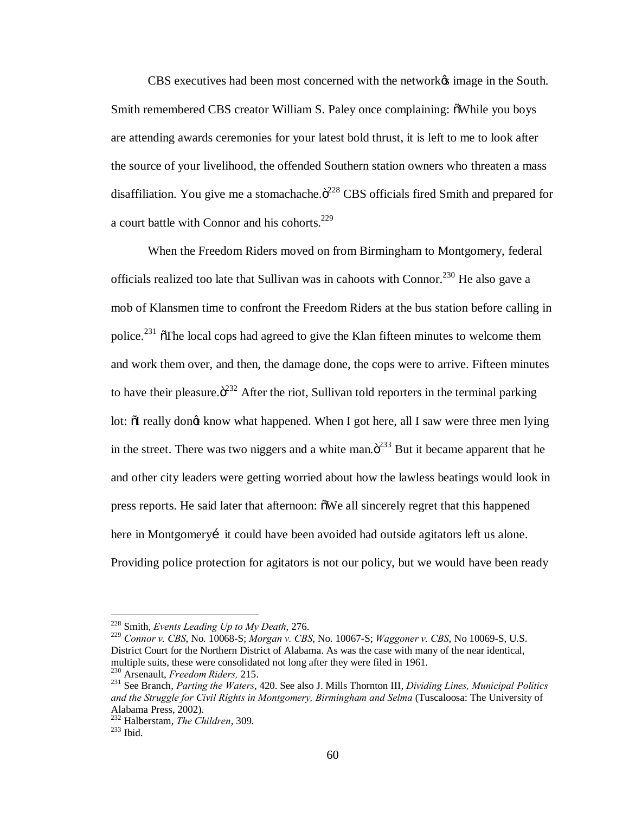CBS executives had been most concerned with the network's image in the South. Smith remembered CBS creator William S. Paley once complaining:  $\delta$ While you boys are attending awards ceremonies for your latest bold thrust, it is left to me to look after the source of your livelihood, the offended Southern station owners who threaten a mass disaffiliation. You give me a stomachache. $\ddot{o}^{228}$  CBS officials fired Smith and prepared for a court battle with Connor and his cohorts.<sup>229</sup>

When the Freedom Riders moved on from Birmingham to Montgomery, federal officials realized too late that Sullivan was in cahoots with Connor.<sup>230</sup> He also gave a mob of Klansmen time to confront the Freedom Riders at the bus station before calling in police.<sup>231</sup>  $\delta$ The local cops had agreed to give the Klan fifteen minutes to welcome them and work them over, and then, the damage done, the cops were to arrive. Fifteen minutes to have their pleasure. $\ddot{\sigma}^{232}$  After the riot, Sullivan told reporters in the terminal parking lot:  $\delta I$  really dongt know what happened. When I got here, all I saw were three men lying in the street. There was two niggers and a white man. $\ddot{\mathrm{o}}^{233}$  But it became apparent that he and other city leaders were getting worried about how the lawless beatings would look in press reports. He said later that afternoon:  $\delta$ We all sincerely regret that this happened here in Montgomery it could have been avoided had outside agitators left us alone. Providing police protection for agitators is not our policy, but we would have been ready

 <sup>228</sup> Smith, *Events Leading Up to My Death*, 276.

<sup>229</sup> *Connor v. CBS*, No. 10068-S; *Morgan v. CBS*, No. 10067-S; *Waggoner v. CBS*, No 10069-S, U.S. District Court for the Northern District of Alabama. As was the case with many of the near identical, multiple suits, these were consolidated not long after they were filed in 1961.<br><sup>230</sup> Arsenault, *Freedom Riders*, 215.<br><sup>231</sup> See Branch, *Parting the Waters*, 420. See also J. Mills Thornton III, *Dividing Lines, Municipa* 

and the Struggle for Civil Rights in Montgomery, Birmingham and Selma (Tuscaloosa: The University of Alabama Press, 2002).

<sup>&</sup>lt;sup>232</sup> Halberstam, *The Children*, 309.<br><sup>233</sup> Ibid.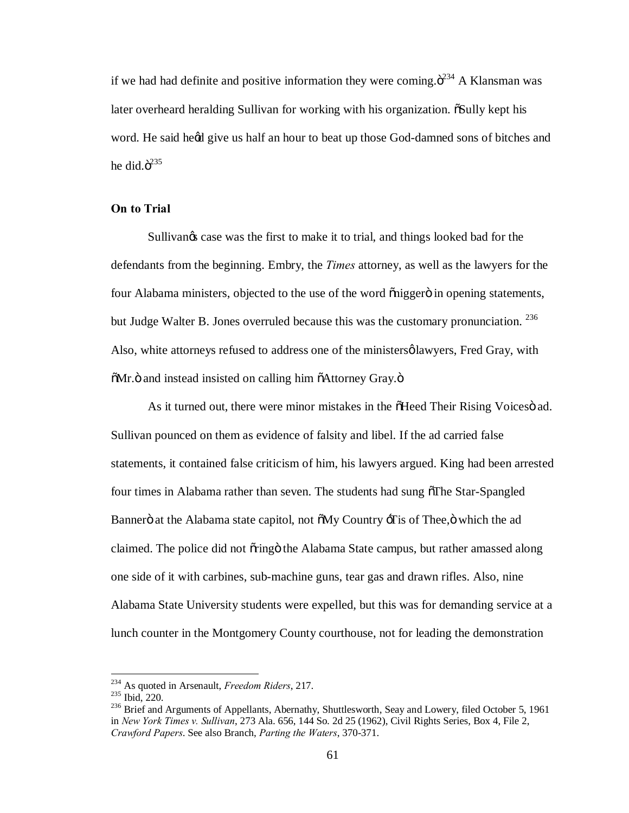if we had had definite and positive information they were coming. $\ddot{\sigma}^{234}$  A Klansman was later overheard heralding Sullivan for working with his organization.  $\delta$ Sully kept his word. He said heed give us half an hour to beat up those God-damned sons of bitches and he did. $\ddot{o}^{235}$ 

#### **On to Trial**

Sullivangs case was the first to make it to trial, and things looked bad for the defendants from the beginning. Embry, the *Times* attorney, as well as the lawyers for the four Alabama ministers, objected to the use of the word onigger in opening statements, but Judge Walter B. Jones overruled because this was the customary pronunciation.  $^{236}$ Also, white attorneys refused to address one of the ministersø lawyers, Fred Gray, with  $\delta$ Mr. $\ddot{\text{o}}$  and instead insisted on calling him  $\delta$ Attorney Gray. $\ddot{\text{o}}$ 

As it turned out, there were minor mistakes in the  $\delta$ Heed Their Rising Voices ad. Sullivan pounced on them as evidence of falsity and libel. If the ad carried false statements, it contained false criticism of him, his lawyers argued. King had been arrested four times in Alabama rather than seven. The students had sung of The Star-Spangled Bannerö at the Alabama state capitol, not  $\delta My$  Country  $\dot{\gamma}$  as of Thee,  $\ddot{\sigma}$  which the ad claimed. The police did not õringö the Alabama State campus, but rather amassed along one side of it with carbines, sub-machine guns, tear gas and drawn rifles. Also, nine Alabama State University students were expelled, but this was for demanding service at a lunch counter in the Montgomery County courthouse, not for leading the demonstration

<sup>&</sup>lt;sup>234</sup> As quoted in Arsenault, *Freedom Riders*, 217.<br><sup>235</sup> Ibid, 220.<br><sup>236</sup> Brief and Arguments of Appellants, Abernathy, Shuttlesworth, Seay and Lowery, filed October 5, 1961 in *New York Times v. Sullivan*, 273 Ala. 656, 144 So. 2d 25 (1962), Civil Rights Series, Box 4, File 2, *Crawford Papers*. See also Branch, *Parting the Waters*, 370-371.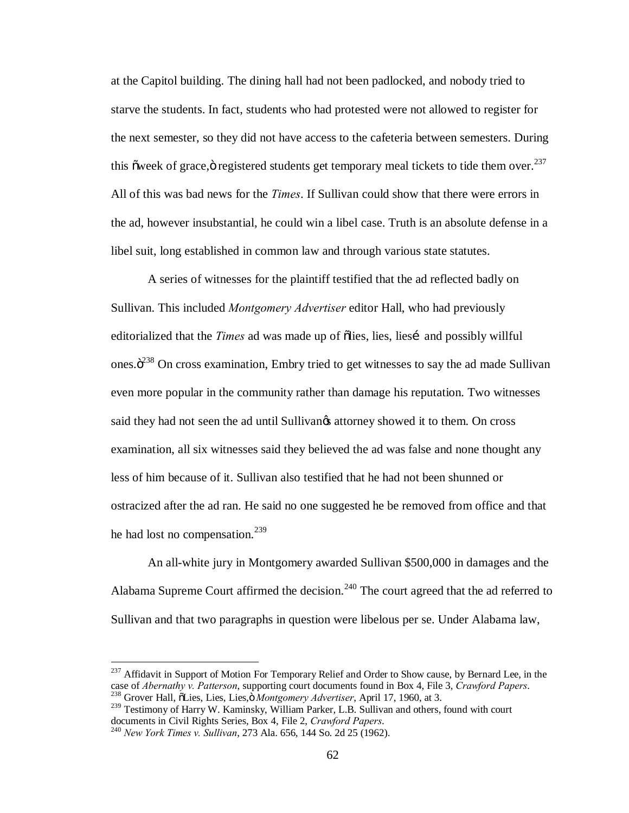at the Capitol building. The dining hall had not been padlocked, and nobody tried to starve the students. In fact, students who had protested were not allowed to register for the next semester, so they did not have access to the cafeteria between semesters. During this õ week of grace,  $\ddot{\text{o}}$  registered students get temporary meal tickets to tide them over.<sup>237</sup> All of this was bad news for the *Times*. If Sullivan could show that there were errors in the ad, however insubstantial, he could win a libel case. Truth is an absolute defense in a libel suit, long established in common law and through various state statutes.

A series of witnesses for the plaintiff testified that the ad reflected badly on Sullivan. This included *Montgomery Advertiser* editor Hall, who had previously editorialized that the *Times* ad was made up of olies, lies, lies and possibly willful ones. $\ddot{o}^{238}$  On cross examination, Embry tried to get witnesses to say the ad made Sullivan even more popular in the community rather than damage his reputation. Two witnesses said they had not seen the ad until Sullivan $\alpha$  attorney showed it to them. On cross examination, all six witnesses said they believed the ad was false and none thought any less of him because of it. Sullivan also testified that he had not been shunned or ostracized after the ad ran. He said no one suggested he be removed from office and that he had lost no compensation. $^{239}$ 

An all-white jury in Montgomery awarded Sullivan \$500,000 in damages and the Alabama Supreme Court affirmed the decision.<sup>240</sup> The court agreed that the ad referred to Sullivan and that two paragraphs in question were libelous per se. Under Alabama law,

<sup>&</sup>lt;sup>237</sup> Affidavit in Support of Motion For Temporary Relief and Order to Show cause, by Bernard Lee, in the case of *Abernathy v. Patterson*, supporting court documents found in Box 4, File 3, *Crawford Papers*. <sup>238</sup> Grover Hall, õLies, Lies, Lies, *Montgomery Advertiser*, April 17, 1960, at 3.

<sup>&</sup>lt;sup>239</sup> Testimony of Harry W. Kaminsky, William Parker, L.B. Sullivan and others, found with court documents in Civil Rights Series, Box 4, File 2, *Crawford Papers*.

documents in Civil Rights Series, Box 4, File 2, *Crawford Papers*. 240 *New York Times v. Sullivan*, 273 Ala. 656, 144 So. 2d 25 (1962).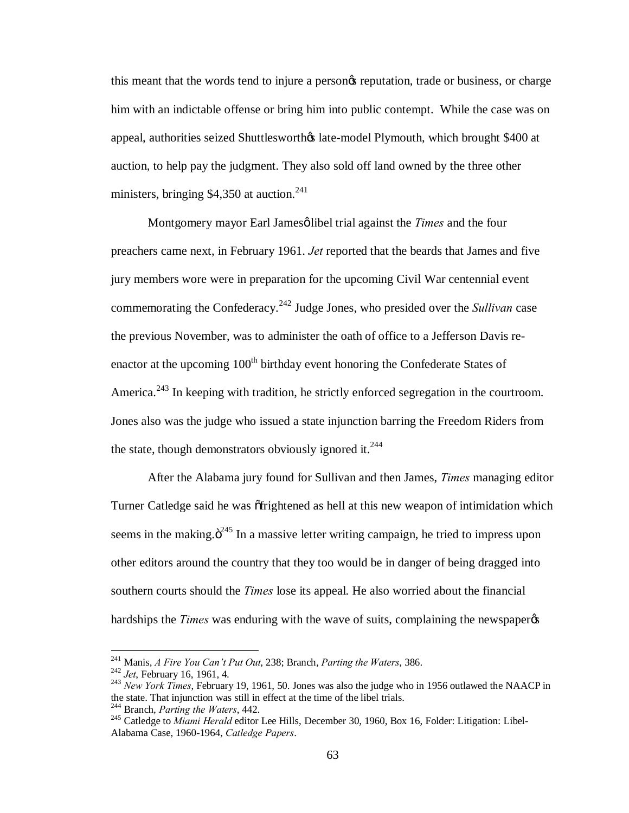this meant that the words tend to injure a personos reputation, trade or business, or charge him with an indictable offense or bring him into public contempt. While the case was on appeal, authorities seized Shuttlesworth $\alpha$  late-model Plymouth, which brought \$400 at auction, to help pay the judgment. They also sold off land owned by the three other ministers, bringing  $$4,350$  at auction.<sup>241</sup>

Montgomery mayor Earl Jamesø libel trial against the *Times* and the four preachers came next, in February 1961. *Jet* reported that the beards that James and five jury members wore were in preparation for the upcoming Civil War centennial event commemorating the Confederacy.<sup>242</sup> Judge Jones, who presided over the *Sullivan* case the previous November, was to administer the oath of office to a Jefferson Davis reenactor at the upcoming 100<sup>th</sup> birthday event honoring the Confederate States of America.<sup>243</sup> In keeping with tradition, he strictly enforced segregation in the courtroom. Jones also was the judge who issued a state injunction barring the Freedom Riders from the state, though demonstrators obviously ignored it.<sup>244</sup>

After the Alabama jury found for Sullivan and then James, *Times* managing editor Turner Catledge said he was ortrightened as hell at this new weapon of intimidation which seems in the making. $\ddot{o}^{245}$  In a massive letter writing campaign, he tried to impress upon other editors around the country that they too would be in danger of being dragged into southern courts should the *Times* lose its appeal. He also worried about the financial hardships the *Times* was enduring with the wave of suits, complaining the newspaper  $\alpha$ 

<sup>&</sup>lt;sup>241</sup> Manis, *A Fire You Can't Put Out*, 238; Branch, *Parting the Waters*, 386.<br><sup>242</sup> *Jet*, February 16, 1961, 4.<br><sup>243</sup> *New York Times*, February 19, 1961, 50. Jones was also the judge who in 1956 outlawed the NAACP in the state. That injunction was still in effect at the time of the libel trials.<br><sup>244</sup> Branch, *Parting the Waters*, 442.

<sup>&</sup>lt;sup>245</sup> Catledge to *Miami Herald* editor Lee Hills, December 30, 1960, Box 16, Folder: Litigation: Libel-Alabama Case, 1960-1964, *Catledge Papers*.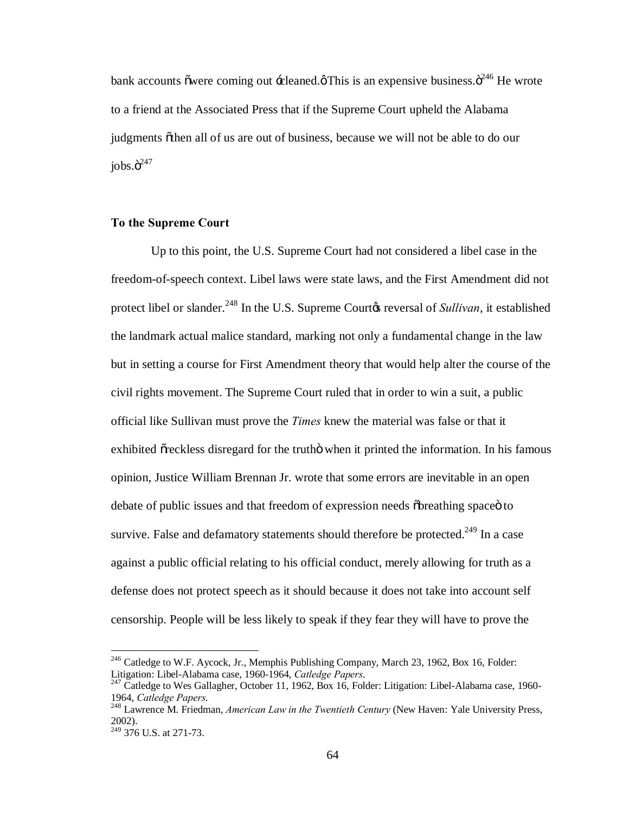bank accounts õwere coming out  $\div$ cleaned. $\phi$ This is an expensive business. $\ddot{\mathrm{o}}^{246}$  He wrote to a friend at the Associated Press that if the Supreme Court upheld the Alabama judgments  $\tilde{o}$  then all of us are out of business, because we will not be able to do our  $i$ obs. $\ddot{\mathrm{o}}^{247}$ 

## **To the Supreme Court**

Up to this point, the U.S. Supreme Court had not considered a libel case in the freedom-of-speech context. Libel laws were state laws, and the First Amendment did not protect libel or slander.<sup>248</sup> In the U.S. Supreme Court<sub>*(S*</sub> reversal of *Sullivan*, it established the landmark actual malice standard, marking not only a fundamental change in the law but in setting a course for First Amendment theory that would help alter the course of the civil rights movement. The Supreme Court ruled that in order to win a suit, a public official like Sullivan must prove the *Times* knew the material was false or that it exhibited  $\tilde{\sigma}$  reckless disregard for the truth when it printed the information. In his famous opinion, Justice William Brennan Jr. wrote that some errors are inevitable in an open debate of public issues and that freedom of expression needs  $\delta$ breathing space to survive. False and defamatory statements should therefore be protected.<sup>249</sup> In a case against a public official relating to his official conduct, merely allowing for truth as a defense does not protect speech as it should because it does not take into account self censorship. People will be less likely to speak if they fear they will have to prove the

<sup>&</sup>lt;sup>246</sup> Catledge to W.F. Aycock, Jr., Memphis Publishing Company, March 23, 1962, Box 16, Folder: Litigation: Libel-Alabama case, 1960-1964, *Catledge Papers*.

<sup>&</sup>lt;sup>247</sup> Catledge to Wes Gallagher, October 11, 1962, Box 16, Folder: Litigation: Libel-Alabama case, 1960-1964, *Catledge Papers*. <sup>248</sup> Lawrence M. Friedman, *American Law in the Twentieth Century* (New Haven: Yale University Press,

<sup>2002).</sup>

 $249$  376 U.S. at 271-73.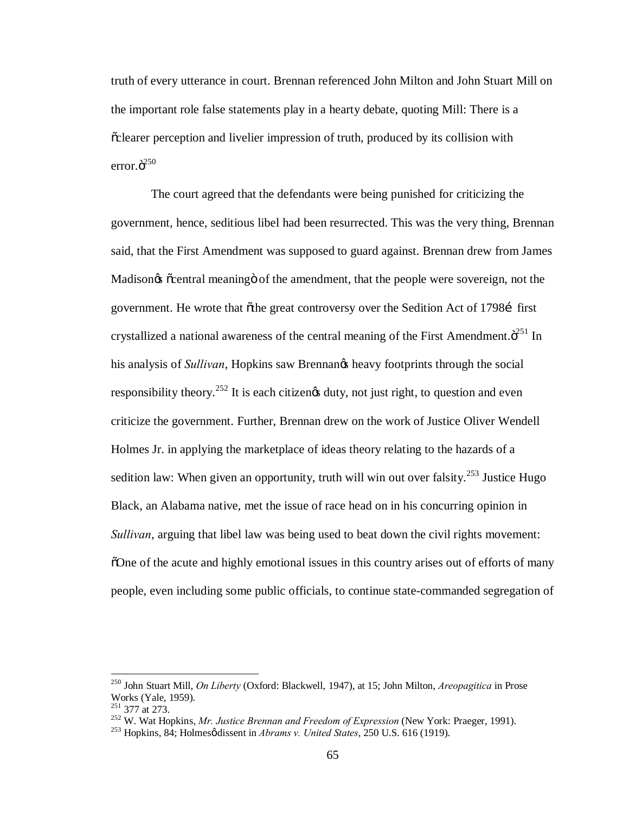truth of every utterance in court. Brennan referenced John Milton and John Stuart Mill on the important role false statements play in a hearty debate, quoting Mill: There is a  $\alpha$  clearer perception and livelier impression of truth, produced by its collision with error. $\ddot{\mathrm{o}}^{250}$ 

The court agreed that the defendants were being punished for criticizing the government, hence, seditious libel had been resurrected. This was the very thing, Brennan said, that the First Amendment was supposed to guard against. Brennan drew from James Madison $\alpha$   $\alpha$  central meaning  $\beta$  of the amendment, that the people were sovereign, not the government. He wrote that  $\tilde{\sigma}$ the great controversy over the Sedition Act of 1798 first crystallized a national awareness of the central meaning of the First Amendment. $\ddot{o}^{251}$  In his analysis of *Sullivan*, Hopkins saw Brennangs heavy footprints through the social responsibility theory.<sup>252</sup> It is each citizengs duty, not just right, to question and even criticize the government. Further, Brennan drew on the work of Justice Oliver Wendell Holmes Jr. in applying the marketplace of ideas theory relating to the hazards of a sedition law: When given an opportunity, truth will win out over falsity.<sup>253</sup> Justice Hugo Black, an Alabama native, met the issue of race head on in his concurring opinion in *Sullivan*, arguing that libel law was being used to beat down the civil rights movement: "One of the acute and highly emotional issues in this country arises out of efforts of many people, even including some public officials, to continue state-commanded segregation of

 <sup>250</sup> John Stuart Mill, *On Liberty* (Oxford: Blackwell, 1947), at 15; John Milton, *Areopagitica* in Prose Works (Yale, 1959).<br><sup>251</sup> 377 at 273.

<sup>&</sup>lt;sup>252</sup> W. Wat Hopkins, *Mr. Justice Brennan and Freedom of Expression* (New York: Praeger, 1991). <sup>253</sup> Hopkins, 84; Holmesø dissent in *Abrams v. United States*, 250 U.S. 616 (1919).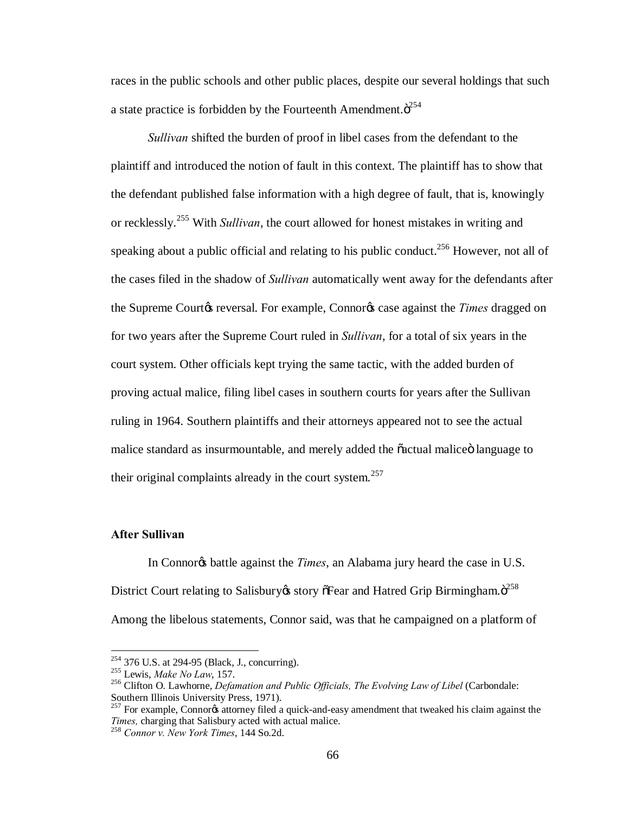races in the public schools and other public places, despite our several holdings that such a state practice is forbidden by the Fourteenth Amendment. $\ddot{\text{o}}^{254}$ 

*Sullivan* shifted the burden of proof in libel cases from the defendant to the plaintiff and introduced the notion of fault in this context. The plaintiff has to show that the defendant published false information with a high degree of fault, that is, knowingly or recklessly.<sup>255</sup> With *Sullivan*, the court allowed for honest mistakes in writing and speaking about a public official and relating to his public conduct.<sup>256</sup> However, not all of the cases filed in the shadow of *Sullivan* automatically went away for the defendants after the Supreme Court<sub>G</sub> reversal. For example, Connor<sub>G</sub> case against the *Times* dragged on for two years after the Supreme Court ruled in *Sullivan*, for a total of six years in the court system. Other officials kept trying the same tactic, with the added burden of proving actual malice, filing libel cases in southern courts for years after the Sullivan ruling in 1964. Southern plaintiffs and their attorneys appeared not to see the actual malice standard as insurmountable, and merely added the  $\ddot{\alpha}$  actual malice all language to their original complaints already in the court system.<sup>257</sup>

### **After Sullivan**

In Connor<sup>g</sup>s battle against the *Times*, an Alabama jury heard the case in U.S. District Court relating to Salisbury & story of Fear and Hatred Grip Birmingham.  $\ddot{o}^{258}$ Among the libelous statements, Connor said, was that he campaigned on a platform of

<sup>&</sup>lt;sup>254</sup> 376 U.S. at 294-95 (Black, J., concurring).<br><sup>255</sup> Lewis, *Make No Law*, 157.<br><sup>256</sup> Clifton O. Lawhorne, *Defamation and Public Officials, The Evolving Law of Libel* (Carbondale: Southern Illinois University Press, 1971).

 $^{257}$  For example, Connorgs attorney filed a quick-and-easy amendment that tweaked his claim against the *Times,* charging that Salisbury acted with actual malice. <sup>258</sup> *Connor v. New York Times*, 144 So.2d.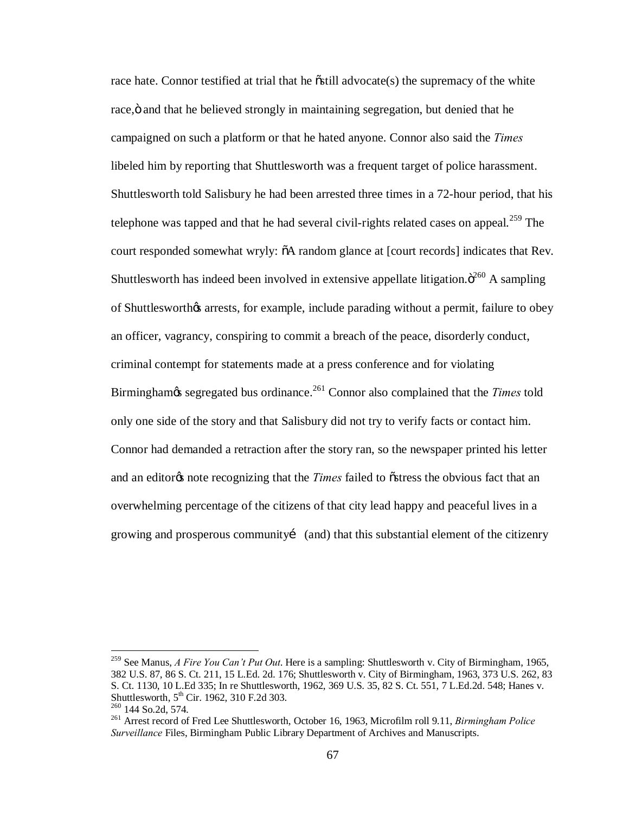race hate. Connor testified at trial that he  $\tilde{\text{c}}$ still advocate(s) the supremacy of the white race,  $\ddot{o}$  and that he believed strongly in maintaining segregation, but denied that he campaigned on such a platform or that he hated anyone. Connor also said the *Times*  libeled him by reporting that Shuttlesworth was a frequent target of police harassment. Shuttlesworth told Salisbury he had been arrested three times in a 72-hour period, that his telephone was tapped and that he had several civil-rights related cases on appeal.<sup>259</sup> The court responded somewhat wryly:  $\delta A$  random glance at [court records] indicates that Rev. Shuttlesworth has indeed been involved in extensive appellate litigation. $\ddot{\sigma}^{260}$  A sampling of Shuttlesworth & arrests, for example, include parading without a permit, failure to obey an officer, vagrancy, conspiring to commit a breach of the peace, disorderly conduct, criminal contempt for statements made at a press conference and for violating Birminghamos segregated bus ordinance.<sup>261</sup> Connor also complained that the *Times* told only one side of the story and that Salisbury did not try to verify facts or contact him. Connor had demanded a retraction after the story ran, so the newspaper printed his letter and an editorgs note recognizing that the *Times* failed to ostress the obvious fact that an overwhelming percentage of the citizens of that city lead happy and peaceful lives in a growing and prosperous community (and) that this substantial element of the citizenry

 <sup>259</sup> See Manus, *A Fire You Can't Put Out*. Here is a sampling: Shuttlesworth v. City of Birmingham, 1965, 382 U.S. 87, 86 S. Ct. 211, 15 L.Ed. 2d. 176; Shuttlesworth v. City of Birmingham, 1963, 373 U.S. 262, 83 S. Ct. 1130, 10 L.Ed 335; In re Shuttlesworth, 1962, 369 U.S. 35, 82 S. Ct. 551, 7 L.Ed.2d. 548; Hanes v. Shuttlesworth, 5<sup>th</sup> Cir. 1962, 310 F.2d 303.<br><sup>260</sup> 144 So.2d, 574.<br><sup>261</sup> Arrest record of Fred Lee Shuttlesworth, October 16, 1963, Microfilm roll 9.11, *Birmingham Police* 

*Surveillance* Files, Birmingham Public Library Department of Archives and Manuscripts.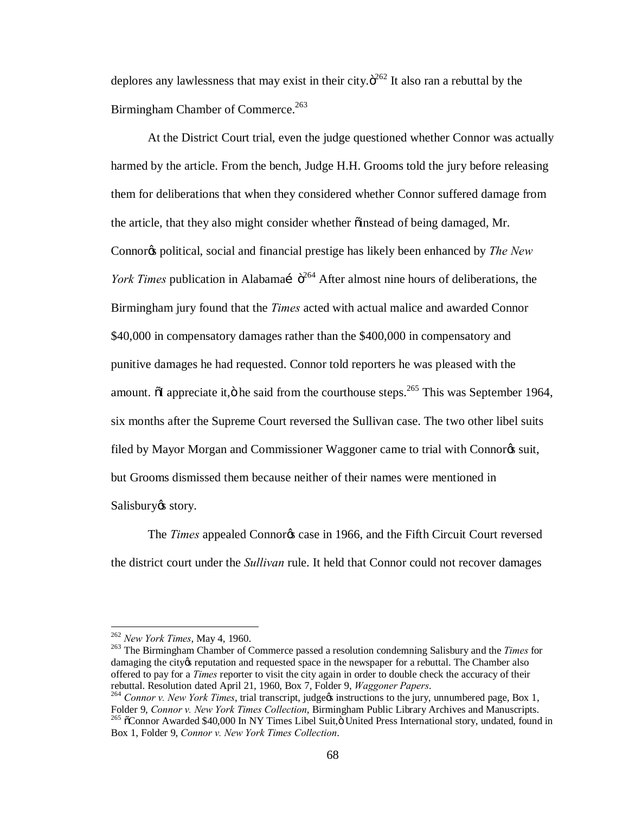deplores any lawlessness that may exist in their city. $\ddot{\sigma}^{262}$  It also ran a rebuttal by the Birmingham Chamber of Commerce.<sup>263</sup>

At the District Court trial, even the judge questioned whether Connor was actually harmed by the article. From the bench, Judge H.H. Grooms told the jury before releasing them for deliberations that when they considered whether Connor suffered damage from the article, that they also might consider whether  $\ddot{\text{o}}$  instead of being damaged, Mr. Connor<sub>®</sub> political, social and financial prestige has likely been enhanced by *The New York Times* publication in Alabamaí  $\ddot{o}^{264}$  After almost nine hours of deliberations, the Birmingham jury found that the *Times* acted with actual malice and awarded Connor \$40,000 in compensatory damages rather than the \$400,000 in compensatory and punitive damages he had requested. Connor told reporters he was pleased with the amount.  $\delta I$  appreciate it, $\ddot{\sigma}$  he said from the courthouse steps.<sup>265</sup> This was September 1964, six months after the Supreme Court reversed the Sullivan case. The two other libel suits filed by Mayor Morgan and Commissioner Waggoner came to trial with Connor<sup>g</sup>s suit, but Grooms dismissed them because neither of their names were mentioned in Salisbury<sup>os</sup> story.

The *Times* appealed Connor<sub>*s*</sub> case in 1966, and the Fifth Circuit Court reversed the district court under the *Sullivan* rule. It held that Connor could not recover damages

<sup>&</sup>lt;sup>262</sup> *New York Times*, May 4, 1960.<br><sup>263</sup> The Birmingham Chamber of Commerce passed a resolution condemning Salisbury and the *Times* for damaging the city os reputation and requested space in the newspaper for a rebuttal. The Chamber also offered to pay for a *Times* reporter to visit the city again in order to double check the accuracy of their

rebuttal. Resolution dated April 21, 1960, Box 7, Folder 9, *Waggoner Papers*.<br><sup>264</sup> *Connor v. New York Times*, trial transcript, judge% instructions to the jury, unnumbered page, Box 1, Folder 9, *Connor v. New York Time* <sup>265</sup> õConnor Awarded \$40,000 In NY Times Libel Suit, <sup>D</sup>United Press International story, undated, found in Box 1, Folder 9, *Connor v. New York Times Collection*.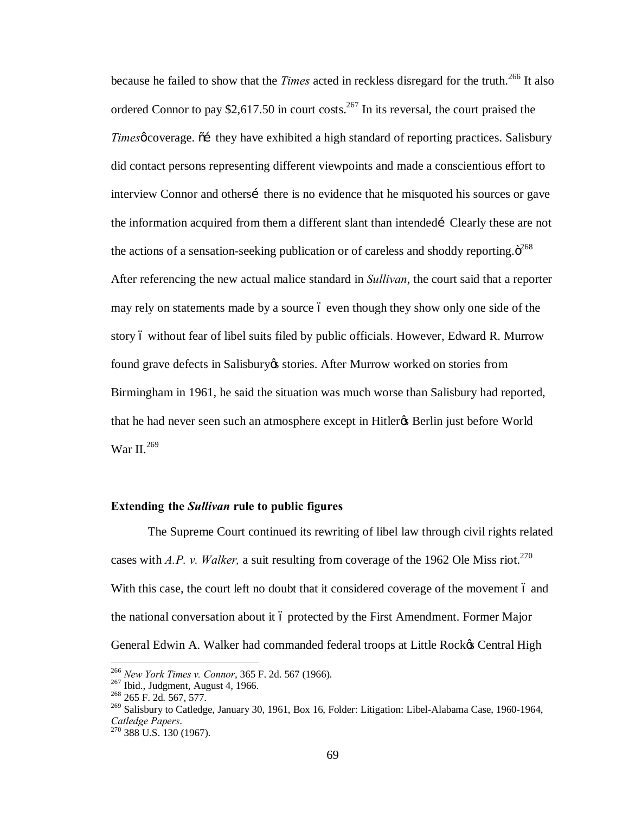because he failed to show that the *Times* acted in reckless disregard for the truth.<sup>266</sup> It also ordered Connor to pay \$2,617.50 in court costs.<sup>267</sup> In its reversal, the court praised the *Times* overage.  $\tilde{\text{o}}$  they have exhibited a high standard of reporting practices. Salisbury did contact persons representing different viewpoints and made a conscientious effort to interview Connor and others there is no evidence that he misquoted his sources or gave the information acquired from them a different slant than intended Clearly these are not the actions of a sensation-seeking publication or of careless and shoddy reporting. $\ddot{\mathrm{o}}^{268}$ After referencing the new actual malice standard in *Sullivan*, the court said that a reporter may rely on statements made by a source 6 even though they show only one side of the story 6 without fear of libel suits filed by public officials. However, Edward R. Murrow found grave defects in Salisbury & stories. After Murrow worked on stories from Birmingham in 1961, he said the situation was much worse than Salisbury had reported, that he had never seen such an atmosphere except in Hitler<sub>®</sub> Berlin just before World War II.<sup>269</sup>

# **Extending the** *Sullivan* **rule to public figures**

The Supreme Court continued its rewriting of libel law through civil rights related cases with *A.P. v. Walker,* a suit resulting from coverage of the 1962 Ole Miss riot. 270 With this case, the court left no doubt that it considered coverage of the movement 6 and the national conversation about it 6 protected by the First Amendment. Former Major General Edwin A. Walker had commanded federal troops at Little Rock& Central High

<sup>&</sup>lt;sup>266</sup> *New York Times v. Connor*, 365 F. 2d. 567 (1966).<br><sup>267</sup> Ibid., Judgment, August 4, 1966.<br><sup>268</sup> 265 F. 2d. 567, 577.

<sup>&</sup>lt;sup>269</sup> Salisbury to Catledge, January 30, 1961, Box 16, Folder: Litigation: Libel-Alabama Case, 1960-1964, *Catledge Papers*. <sup>270</sup> 388 U.S. 130 (1967).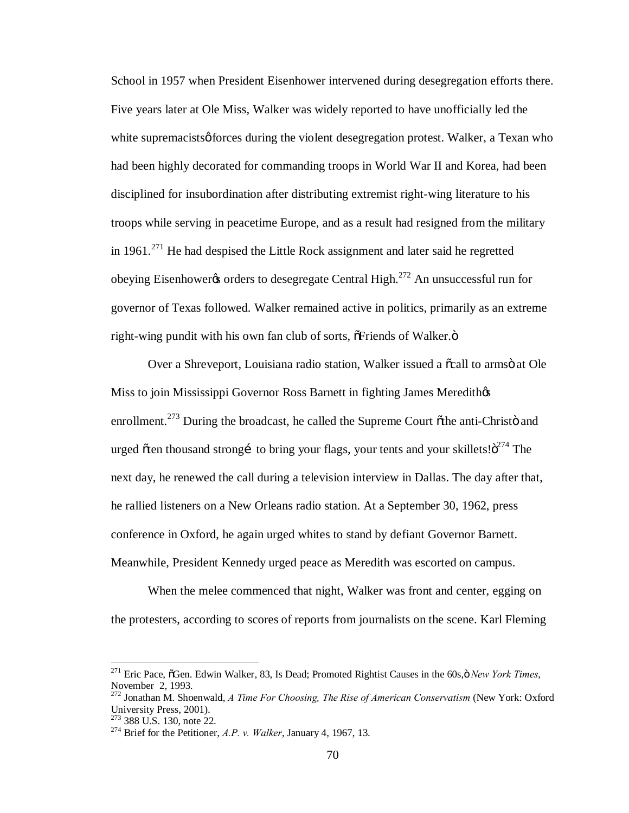School in 1957 when President Eisenhower intervened during desegregation efforts there. Five years later at Ole Miss, Walker was widely reported to have unofficially led the white supremacists of forces during the violent desegregation protest. Walker, a Texan who had been highly decorated for commanding troops in World War II and Korea, had been disciplined for insubordination after distributing extremist right-wing literature to his troops while serving in peacetime Europe, and as a result had resigned from the military in  $1961$ <sup>271</sup> He had despised the Little Rock assignment and later said he regretted obeying Eisenhower to desegregate Central High.<sup>272</sup> An unsuccessful run for governor of Texas followed. Walker remained active in politics, primarily as an extreme right-wing pundit with his own fan club of sorts,  $\delta$ Friends of Walker. $\ddot{\sigma}$ 

Over a Shreveport, Louisiana radio station, Walker issued a  $\tilde{\alpha}$  all to arms at Ole Miss to join Mississippi Governor Ross Barnett in fighting James Meredithos enrollment.<sup>273</sup> During the broadcast, he called the Supreme Court  $\tilde{\sigma}$ the anti-Christö and urged  $\tilde{\sigma}$  ten thousand strong to bring your flags, your tents and your skillets! $\tilde{\sigma}^{274}$  The next day, he renewed the call during a television interview in Dallas. The day after that, he rallied listeners on a New Orleans radio station. At a September 30, 1962, press conference in Oxford, he again urged whites to stand by defiant Governor Barnett. Meanwhile, President Kennedy urged peace as Meredith was escorted on campus.

When the melee commenced that night, Walker was front and center, egging on the protesters, according to scores of reports from journalists on the scene. Karl Fleming

<sup>&</sup>lt;sup>271</sup> Eric Pace,  $\tilde{O}$ Gen. Edwin Walker, 83, Is Dead; Promoted Rightist Causes in the 60s, $\ddot{O}$  *New York Times*, November 2, 1993.

<sup>272</sup> Jonathan M. Shoenwald, *A Time For Choosing, The Rise of American Conservatism* (New York: Oxford University Press, 2001).<br><sup>273</sup> 388 U.S. 130, note 22.

<sup>&</sup>lt;sup>274</sup> Brief for the Petitioner, *A.P. v. Walker*, January 4, 1967, 13.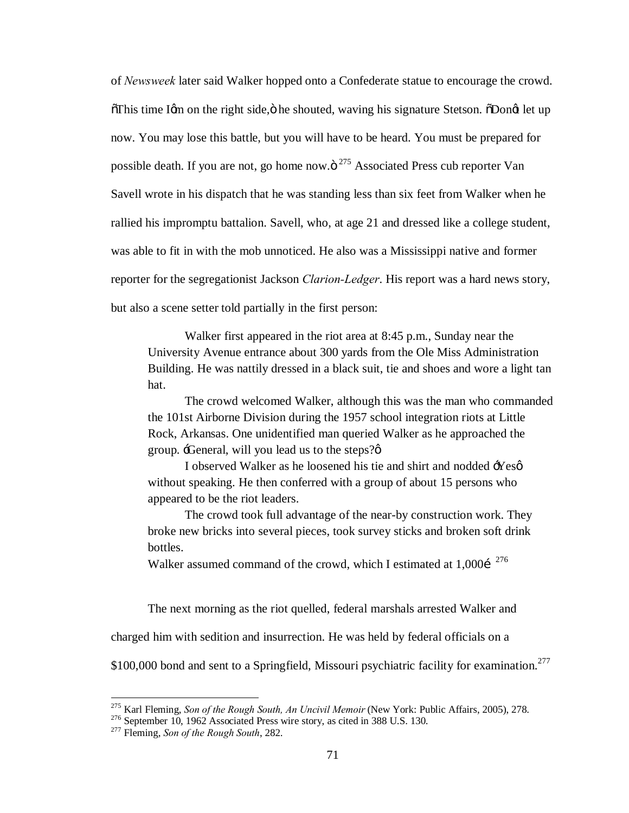of *Newsweek* later said Walker hopped onto a Confederate statue to encourage the crowd.  $\delta$ This time Igm on the right side, ö he shouted, waving his signature Stetson.  $\delta$ Dongt let up now. You may lose this battle, but you will have to be heard. You must be prepared for possible death. If you are not, go home now. $\ddot{\text{o}}^{275}$  Associated Press cub reporter Van Savell wrote in his dispatch that he was standing less than six feet from Walker when he rallied his impromptu battalion. Savell, who, at age 21 and dressed like a college student, was able to fit in with the mob unnoticed. He also was a Mississippi native and former reporter for the segregationist Jackson *Clarion-Ledger*. His report was a hard news story, but also a scene setter told partially in the first person:

Walker first appeared in the riot area at 8:45 p.m., Sunday near the University Avenue entrance about 300 yards from the Ole Miss Administration Building. He was nattily dressed in a black suit, tie and shoes and wore a light tan hat.

The crowd welcomed Walker, although this was the man who commanded the 101st Airborne Division during the 1957 school integration riots at Little Rock, Arkansas. One unidentified man queried Walker as he approached the group.  $\exists$ General, will you lead us to the steps? $\emptyset$ 

I observed Walker as he loosened his tie and shirt and nodded  $\exists$ Yesø without speaking. He then conferred with a group of about 15 persons who appeared to be the riot leaders.

The crowd took full advantage of the near-by construction work. They broke new bricks into several pieces, took survey sticks and broken soft drink bottles.

Walker assumed command of the crowd, which I estimated at  $1,000$  i<sup>276</sup>

The next morning as the riot quelled, federal marshals arrested Walker and

charged him with sedition and insurrection. He was held by federal officials on a

\$100,000 bond and sent to a Springfield, Missouri psychiatric facility for examination.<sup>277</sup>

<sup>&</sup>lt;sup>275</sup> Karl Fleming, *Son of the Rough South, An Uncivil Memoir* (New York: Public Affairs, 2005), 278.<br><sup>276</sup> September 10, 1962 Associated Press wire story, as cited in 388 U.S. 130.<br><sup>277</sup> Fleming, *Son of the Rough South*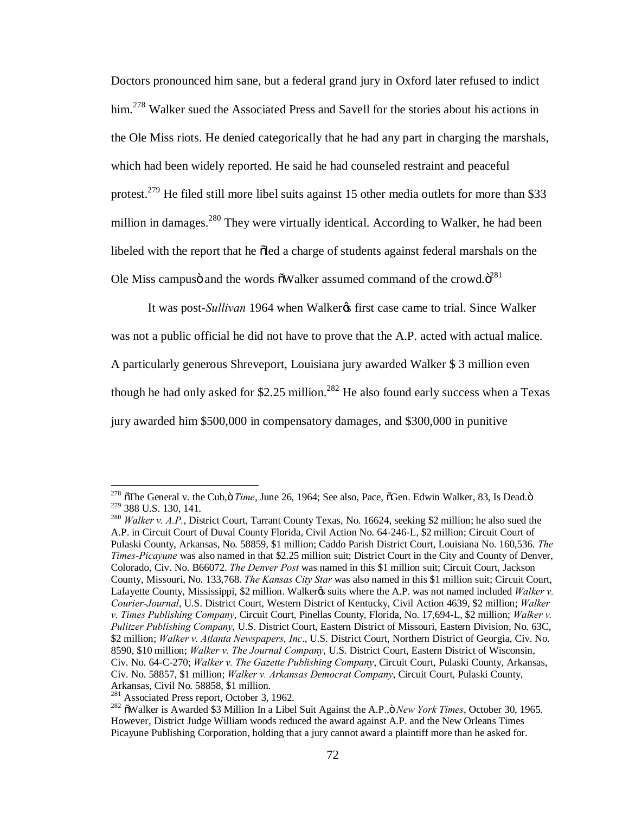Doctors pronounced him sane, but a federal grand jury in Oxford later refused to indict him.<sup>278</sup> Walker sued the Associated Press and Savell for the stories about his actions in the Ole Miss riots. He denied categorically that he had any part in charging the marshals, which had been widely reported. He said he had counseled restraint and peaceful protest.<sup>279</sup> He filed still more libel suits against 15 other media outlets for more than \$33 million in damages.<sup>280</sup> They were virtually identical. According to Walker, he had been libeled with the report that he oled a charge of students against federal marshals on the Ole Miss campusö and the words  $\delta$ Walker assumed command of the crowd. $\ddot{o}^{281}$ 

It was post-*Sullivan* 1964 when Walker<sub>®</sub> first case came to trial. Since Walker was not a public official he did not have to prove that the A.P. acted with actual malice. A particularly generous Shreveport, Louisiana jury awarded Walker \$ 3 million even though he had only asked for \$2.25 million.<sup>282</sup> He also found early success when a Texas jury awarded him \$500,000 in compensatory damages, and \$300,000 in punitive

<sup>&</sup>lt;sup>278</sup>  $\delta$ The General v. the Cub,  $\delta$  *Time*, June 26, 1964; See also, Pace,  $\delta$ Gen. Edwin Walker, 83, Is Dead. $\delta$ <sup>279</sup> 388 U.S. 130, 141.

<sup>&</sup>lt;sup>280</sup> Walker v. A.P., District Court, Tarrant County Texas, No. 16624, seeking \$2 million; he also sued the A.P. in Circuit Court of Duval County Florida, Civil Action No. 64-246-L, \$2 million; Circuit Court of Pulaski County, Arkansas, No. 58859, \$1 million; Caddo Parish District Court, Louisiana No. 160,536. *The Times-Picayune* was also named in that \$2.25 million suit; District Court in the City and County of Denver, Colorado, Civ. No. B66072. *The Denver Post* was named in this \$1 million suit; Circuit Court, Jackson County, Missouri, No. 133,768. *The Kansas City Star* was also named in this \$1 million suit; Circuit Court, Lafayette County, Mississippi, \$2 million. Walker*g*s suits where the A.P. was not named included *Walker v. Courier-Journal*, U.S. District Court, Western District of Kentucky, Civil Action 4639, \$2 million; *Walker v. Times Publishing Company*, Circuit Court, Pinellas County, Florida, No. 17,694-L, \$2 million; *Walker v. Pulitzer Publishing Company*, U.S. District Court, Eastern District of Missouri, Eastern Division, No. 63C, \$2 million; *Walker v. Atlanta Newspapers, Inc*., U.S. District Court, Northern District of Georgia, Civ. No. 8590, \$10 million; *Walker v. The Journal Company*, U.S. District Court, Eastern District of Wisconsin, Civ. No. 64-C-270; *Walker v. The Gazette Publishing Company*, Circuit Court, Pulaski County, Arkansas, Civ. No. 58857, \$1 million; *Walker v. Arkansas Democrat Company*, Circuit Court, Pulaski County, Arkansas, Civil No. 58858, \$1 million.<br><sup>281</sup> Associated Press report, October 3, 1962.

<sup>&</sup>lt;sup>282</sup> õWalker is Awarded \$3 Million In a Libel Suit Against the A.P., *öNew York Times*, October 30, 1965. However, District Judge William woods reduced the award against A.P. and the New Orleans Times Picayune Publishing Corporation, holding that a jury cannot award a plaintiff more than he asked for.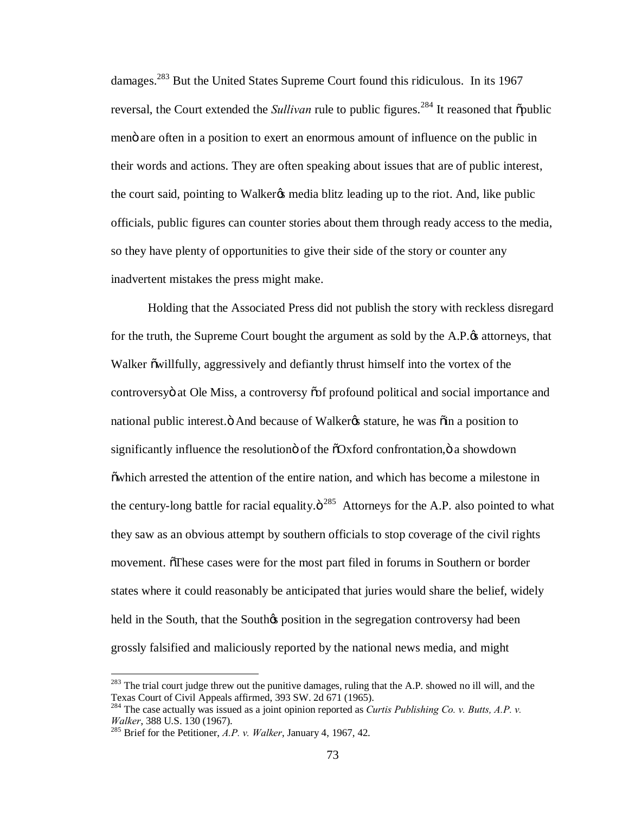damages.<sup>283</sup> But the United States Supreme Court found this ridiculous. In its 1967 reversal, the Court extended the *Sullivan* rule to public figures.<sup>284</sup> It reasoned that  $\delta$  public meno are often in a position to exert an enormous amount of influence on the public in their words and actions. They are often speaking about issues that are of public interest, the court said, pointing to Walker<sub>&</sub> media blitz leading up to the riot. And, like public officials, public figures can counter stories about them through ready access to the media, so they have plenty of opportunities to give their side of the story or counter any inadvertent mistakes the press might make.

Holding that the Associated Press did not publish the story with reckless disregard for the truth, the Supreme Court bought the argument as sold by the A.P. $\alpha$  attorneys, that Walker  $\ddot{\text{o}}$  willfully, aggressively and defiantly thrust himself into the vortex of the controversy at Ole Miss, a controversy os f profound political and social importance and national public interest. " And because of Walker & stature, he was "oin a position to significantly influence the resolution of the  $\delta$ Oxford confrontation, $\delta$  a showdown "which arrested the attention of the entire nation, and which has become a milestone in the century-long battle for racial equality. $\ddot{\mathrm{o}}^{285}$  Attorneys for the A.P. also pointed to what they saw as an obvious attempt by southern officials to stop coverage of the civil rights movement. These cases were for the most part filed in forums in Southern or border states where it could reasonably be anticipated that juries would share the belief, widely held in the South, that the South $\alpha$  position in the segregation controversy had been grossly falsified and maliciously reported by the national news media, and might

 $283$  The trial court judge threw out the punitive damages, ruling that the A.P. showed no ill will, and the Texas Court of Civil Appeals affirmed, 393 SW. 2d 671 (1965).

<sup>&</sup>lt;sup>284</sup> The case actually was issued as a joint opinion reported as *Curtis Publishing Co. v. Butts, A.P. v. Walker*, 388 U.S. 130 (1967).

<sup>&</sup>lt;sup>285</sup> Brief for the Petitioner, *A.P. v. Walker*, January 4, 1967, 42.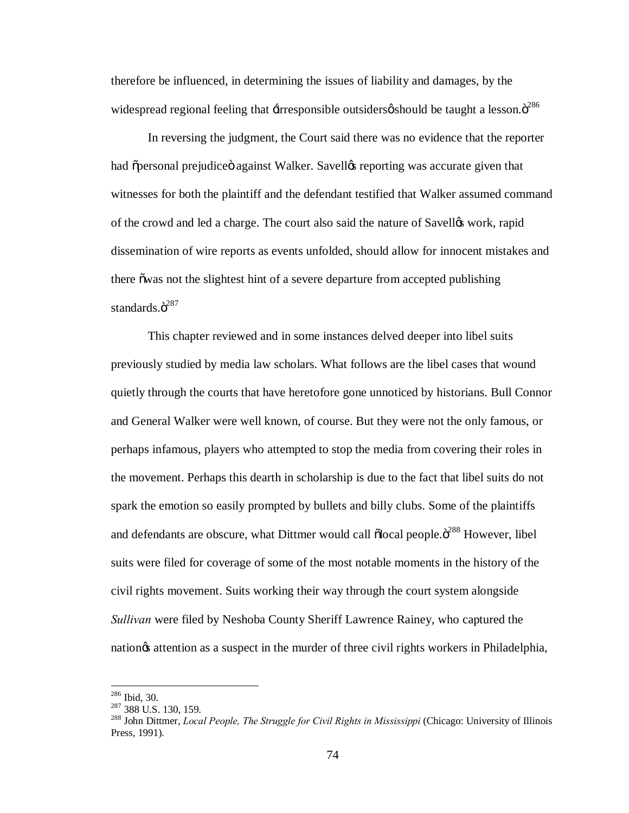therefore be influenced, in determining the issues of liability and damages, by the widespread regional feeling that  $\pm$ irresponsible outsiders $\varphi$  should be taught a lesson. $\ddot{o}^{286}$ 

In reversing the judgment, the Court said there was no evidence that the reporter had õpersonal prejudiceö against Walker. Savelløs reporting was accurate given that witnesses for both the plaintiff and the defendant testified that Walker assumed command of the crowd and led a charge. The court also said the nature of Savellos work, rapid dissemination of wire reports as events unfolded, should allow for innocent mistakes and there owas not the slightest hint of a severe departure from accepted publishing standards. $\ddot{\mathrm{o}}^{287}$ 

This chapter reviewed and in some instances delved deeper into libel suits previously studied by media law scholars. What follows are the libel cases that wound quietly through the courts that have heretofore gone unnoticed by historians. Bull Connor and General Walker were well known, of course. But they were not the only famous, or perhaps infamous, players who attempted to stop the media from covering their roles in the movement. Perhaps this dearth in scholarship is due to the fact that libel suits do not spark the emotion so easily prompted by bullets and billy clubs. Some of the plaintiffs and defendants are obscure, what Dittmer would call  $\delta$ local people. $\delta^{288}$  However, libel suits were filed for coverage of some of the most notable moments in the history of the civil rights movement. Suits working their way through the court system alongside *Sullivan* were filed by Neshoba County Sheriff Lawrence Rainey, who captured the nation is a suspect in the murder of three civil rights workers in Philadelphia,

<sup>&</sup>lt;sup>286</sup> Ibid, 30.<br><sup>287</sup> 388 U.S. 130, 159.<br><sup>288</sup> John Dittmer, *Local People, The Struggle for Civil Rights in Mississippi* (Chicago: University of Illinois Press, 1991).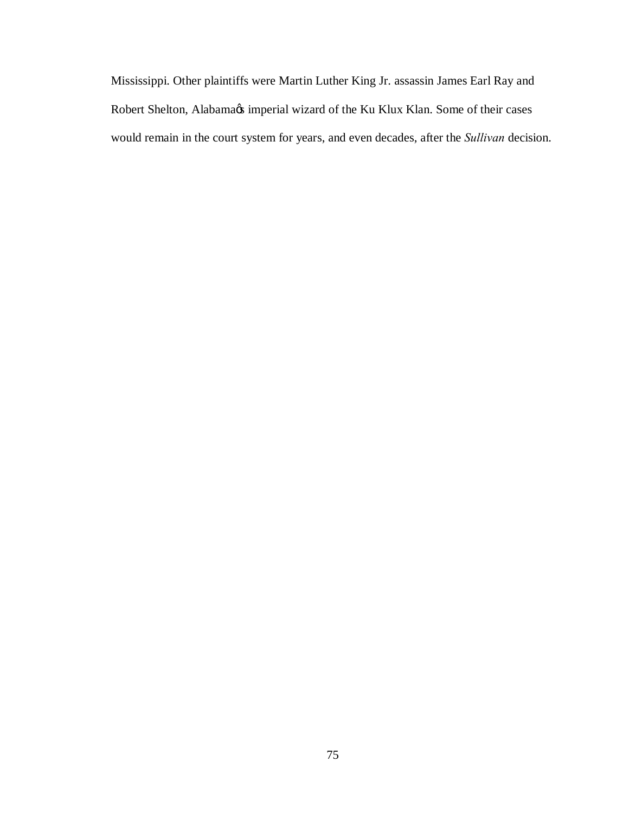Mississippi. Other plaintiffs were Martin Luther King Jr. assassin James Earl Ray and Robert Shelton, Alabama $\alpha$ s imperial wizard of the Ku Klux Klan. Some of their cases would remain in the court system for years, and even decades, after the *Sullivan* decision.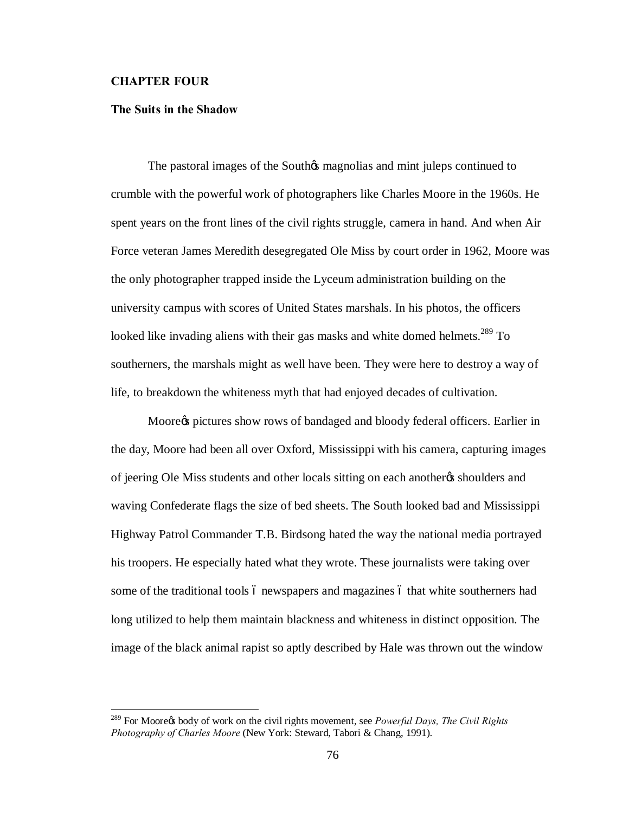### **CHAPTER FOUR**

### **The Suits in the Shadow**

The pastoral images of the Southos magnolias and mint juleps continued to crumble with the powerful work of photographers like Charles Moore in the 1960s. He spent years on the front lines of the civil rights struggle, camera in hand. And when Air Force veteran James Meredith desegregated Ole Miss by court order in 1962, Moore was the only photographer trapped inside the Lyceum administration building on the university campus with scores of United States marshals. In his photos, the officers looked like invading aliens with their gas masks and white domed helmets.<sup>289</sup> To southerners, the marshals might as well have been. They were here to destroy a way of life, to breakdown the whiteness myth that had enjoyed decades of cultivation.

Moore $\circ$  pictures show rows of bandaged and bloody federal officers. Earlier in the day, Moore had been all over Oxford, Mississippi with his camera, capturing images of jeering Ole Miss students and other locals sitting on each another the shoulders and waving Confederate flags the size of bed sheets. The South looked bad and Mississippi Highway Patrol Commander T.B. Birdsong hated the way the national media portrayed his troopers. He especially hated what they wrote. These journalists were taking over some of the traditional tools 6 newspapers and magazines 6 that white southerners had long utilized to help them maintain blackness and whiteness in distinct opposition. The image of the black animal rapist so aptly described by Hale was thrown out the window

<sup>&</sup>lt;sup>289</sup> For Mooregs body of work on the civil rights movement, see *Powerful Days, The Civil Rights Photography of Charles Moore* (New York: Steward, Tabori & Chang, 1991).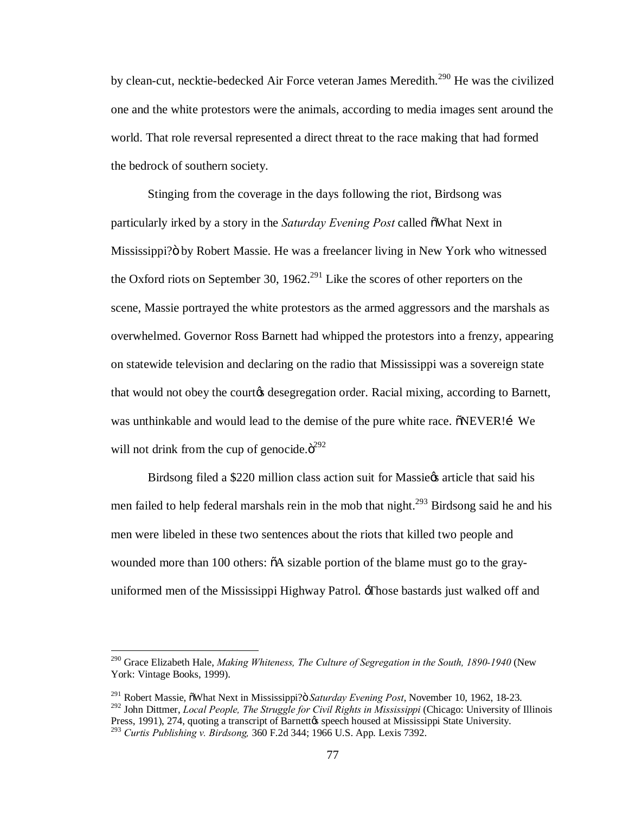by clean-cut, necktie-bedecked Air Force veteran James Meredith.<sup>290</sup> He was the civilized one and the white protestors were the animals, according to media images sent around the world. That role reversal represented a direct threat to the race making that had formed the bedrock of southern society.

Stinging from the coverage in the days following the riot, Birdsong was particularly irked by a story in the *Saturday Evening Post* called  $\tilde{\text{o}}$ What Next in Mississippi? by Robert Massie. He was a freelancer living in New York who witnessed the Oxford riots on September 30, 1962.<sup>291</sup> Like the scores of other reporters on the scene, Massie portrayed the white protestors as the armed aggressors and the marshals as overwhelmed. Governor Ross Barnett had whipped the protestors into a frenzy, appearing on statewide television and declaring on the radio that Mississippi was a sovereign state that would not obey the courtes desegregation order. Racial mixing, according to Barnett, was unthinkable and would lead to the demise of the pure white race.  $\delta$ NEVER! [We will not drink from the cup of genocide. $\ddot{\mathrm{o}}^{292}$ 

Birdsong filed a \$220 million class action suit for Massiegs article that said his men failed to help federal marshals rein in the mob that night.<sup>293</sup> Birdsong said he and his men were libeled in these two sentences about the riots that killed two people and wounded more than 100 others:  $\delta A$  sizable portion of the blame must go to the grayuniformed men of the Mississippi Highway Patrol. 'Those bastards just walked off and

 <sup>290</sup> Grace Elizabeth Hale, *Making Whiteness, The Culture of Segregation in the South, 1890-1940* (New York: Vintage Books, 1999).

<sup>&</sup>lt;sup>291</sup> Robert Massie,  $\tilde{\text{o}}$ What Next in Mississippi? $\ddot{\text{o}}$  *Saturday Evening Post*, November 10, 1962, 18-23.

<sup>&</sup>lt;sup>292</sup> John Dittmer, *Local People, The Struggle for Civil Rights in Mississippi* (Chicago: University of Illinois Press, 1991), 274, quoting a transcript of Barnettos speech housed at Mississippi State University. Press, 1991), 274, quoting a transcript of Barnett's speech housed at Mississippi State University. <sup>293</sup> *Curtis Publishing v. Birdsong,* 360 F.2d 344; 1966 U.S. App. Lexis 7392.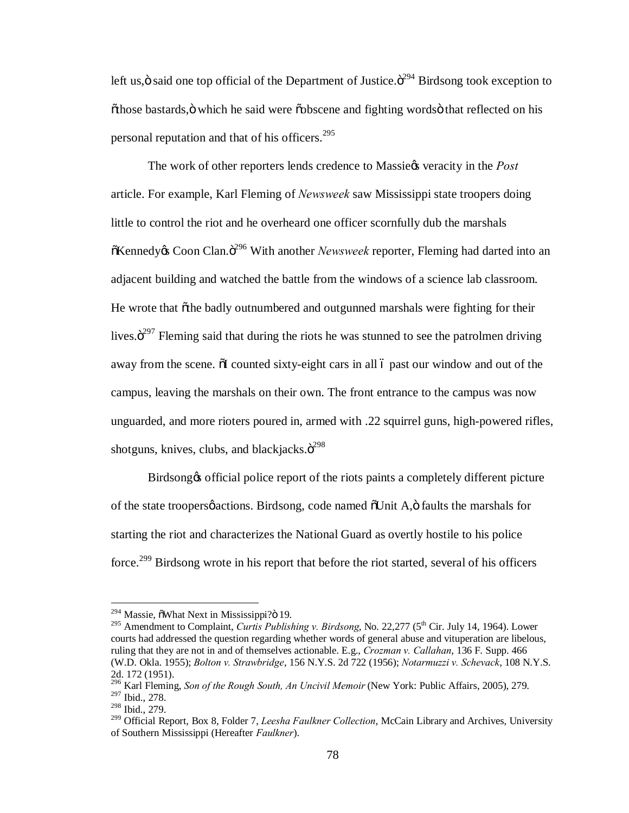left us, $\ddot{\text{o}}$  said one top official of the Department of Justice. $\ddot{\text{o}}^{294}$  Birdsong took exception to "those bastards," which he said were "obscene and fighting words" that reflected on his personal reputation and that of his officers.  $295$ 

The work of other reporters lends credence to Massie $\alpha$  veracity in the *Post* article. For example, Karl Fleming of *Newsweek* saw Mississippi state troopers doing little to control the riot and he overheard one officer scornfully dub the marshals  $\delta$ Kennedy& Coon Clan. $\delta^{296}$  With another *Newsweek* reporter, Fleming had darted into an adjacent building and watched the battle from the windows of a science lab classroom. He wrote that  $\delta$ the badly outnumbered and outgunned marshals were fighting for their lives. $\ddot{o}^{297}$  Fleming said that during the riots he was stunned to see the patrolmen driving away from the scene.  $\delta I$  counted sixty-eight cars in all 6 past our window and out of the campus, leaving the marshals on their own. The front entrance to the campus was now unguarded, and more rioters poured in, armed with .22 squirrel guns, high-powered rifles, shotguns, knives, clubs, and blackjacks. $\ddot{o}^{298}$ 

Birdsong to official police report of the riots paints a completely different picture of the state troopersø actions. Birdsong, code named  $\delta$ Unit A, $\ddot{o}$  faults the marshals for starting the riot and characterizes the National Guard as overtly hostile to his police force.<sup>299</sup> Birdsong wrote in his report that before the riot started, several of his officers

 $294$  Massie,  $\delta$ What Next in Mississippi? $\delta$  19.

<sup>&</sup>lt;sup>295</sup> Amendment to Complaint, *Curtis Publishing v. Birdsong*, No. 22,277 (5<sup>th</sup> Cir. July 14, 1964). Lower courts had addressed the question regarding whether words of general abuse and vituperation are libelous, ruling that they are not in and of themselves actionable. E.g., *Crozman v. Callahan*, 136 F. Supp. 466 (W.D. Okla. 1955); *Bolton v. Strawbridge*, 156 N.Y.S. 2d 722 (1956); *Notarmuzzi v. Schevack*, 108 N.Y.S. 2d. 172 (1951).

<sup>296</sup> Karl Fleming, *Son of the Rough South, An Uncivil Memoir* (New York: Public Affairs, 2005), 279. <sup>297</sup> Ibid., 278.

<sup>298</sup> Ibid., 279.

<sup>299</sup> Official Report, Box 8, Folder 7, *Leesha Faulkner Collection*, McCain Library and Archives, University of Southern Mississippi (Hereafter *Faulkner*).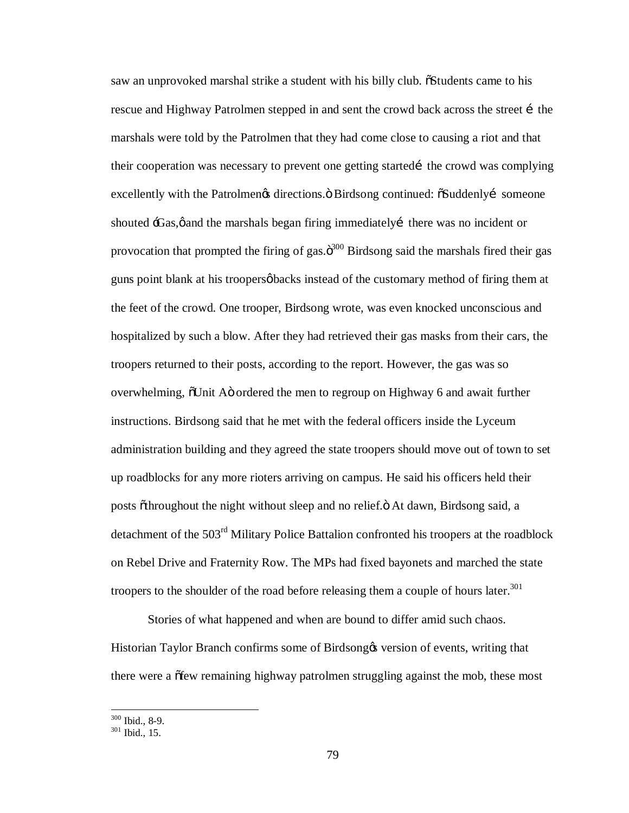saw an unprovoked marshal strike a student with his billy club. "Students came to his rescue and Highway Patrolmen stepped in and sent the crowd back across the street i the marshals were told by the Patrolmen that they had come close to causing a riot and that their cooperation was necessary to prevent one getting started the crowd was complying excellently with the Patrolmengs directions.  $\ddot{o}$  Birdsong continued:  $\ddot{o}S$ uddenly i someone shouted 'Gas,  $\phi$  and the marshals began firing immediately there was no incident or provocation that prompted the firing of gas. $\ddot{\sigma}^{300}$  Birdsong said the marshals fired their gas guns point blank at his troopers *backs* instead of the customary method of firing them at the feet of the crowd. One trooper, Birdsong wrote, was even knocked unconscious and hospitalized by such a blow. After they had retrieved their gas masks from their cars, the troopers returned to their posts, according to the report. However, the gas was so overwhelming,  $\delta$ Unit Aö ordered the men to regroup on Highway 6 and await further instructions. Birdsong said that he met with the federal officers inside the Lyceum administration building and they agreed the state troopers should move out of town to set up roadblocks for any more rioters arriving on campus. He said his officers held their posts õthroughout the night without sleep and no relief. Ö At dawn, Birdsong said, a detachment of the 503<sup>rd</sup> Military Police Battalion confronted his troopers at the roadblock on Rebel Drive and Fraternity Row. The MPs had fixed bayonets and marched the state troopers to the shoulder of the road before releasing them a couple of hours later.<sup>301</sup>

Stories of what happened and when are bound to differ amid such chaos. Historian Taylor Branch confirms some of Birdsong tnersion of events, writing that there were a  $\delta$  few remaining highway patrolmen struggling against the mob, these most

 $\frac{300}{301}$  Ibid., 8-9.<br> $\frac{301}{301}$  Ibid., 15.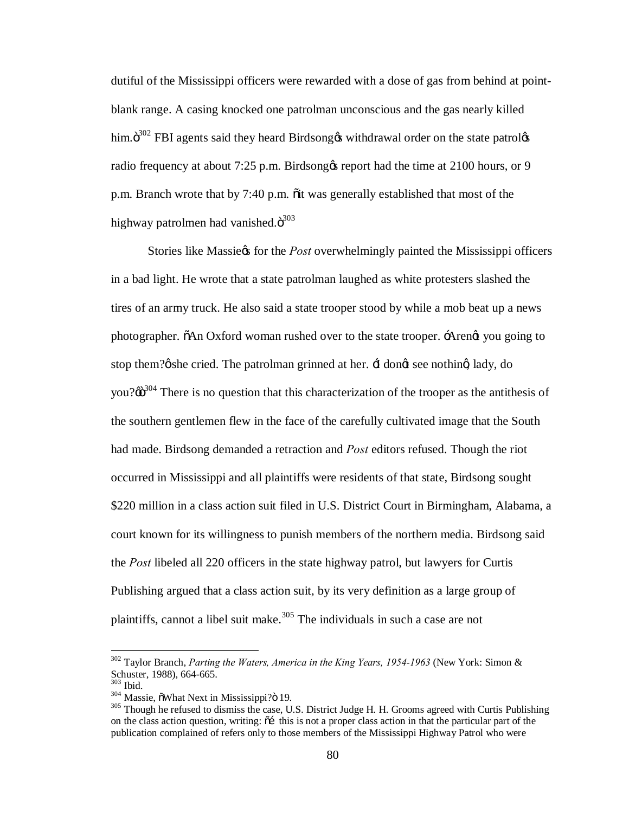dutiful of the Mississippi officers were rewarded with a dose of gas from behind at pointblank range. A casing knocked one patrolman unconscious and the gas nearly killed him. $\ddot{\mathrm{o}}^{302}$  FBI agents said they heard Birdsong withdrawal order on the state patrol radio frequency at about 7:25 p.m. Birdsong te report had the time at 2100 hours, or 9 p.m. Branch wrote that by 7:40 p.m.  $\ddot{\text{o}}$  it was generally established that most of the highway patrolmen had vanished. $\ddot{\mathrm{o}}^{303}$ 

Stories like Massie's for the *Post* overwhelmingly painted the Mississippi officers in a bad light. He wrote that a state patrolman laughed as white protesters slashed the tires of an army truck. He also said a state trooper stood by while a mob beat up a news photographer.  $\delta$ An Oxford woman rushed over to the state trooper.  $\Delta$ rengt you going to stop them? $\emptyset$  she cried. The patrolman grinned at her.  $\pm$  dongt see nothing lady, do you? $\omega^{304}$  There is no question that this characterization of the trooper as the antithesis of the southern gentlemen flew in the face of the carefully cultivated image that the South had made. Birdsong demanded a retraction and *Post* editors refused. Though the riot occurred in Mississippi and all plaintiffs were residents of that state, Birdsong sought \$220 million in a class action suit filed in U.S. District Court in Birmingham, Alabama, a court known for its willingness to punish members of the northern media. Birdsong said the *Post* libeled all 220 officers in the state highway patrol, but lawyers for Curtis Publishing argued that a class action suit, by its very definition as a large group of plaintiffs, cannot a libel suit make.<sup>305</sup> The individuals in such a case are not

 <sup>302</sup> Taylor Branch, *Parting the Waters, America in the King Years, 1954-1963* (New York: Simon & Schuster, 1988), 664-665.<br><sup>303</sup> Ibid.<br><sup>304</sup> Massie, õWhat Next in Mississippi?ö 19.<br><sup>305</sup> Though he refused to dismiss the case, U.S. District Judge H. H. Grooms agreed with Curtis Publishing

on the class action question, writing:  $\delta f$  this is not a proper class action in that the particular part of the publication complained of refers only to those members of the Mississippi Highway Patrol who were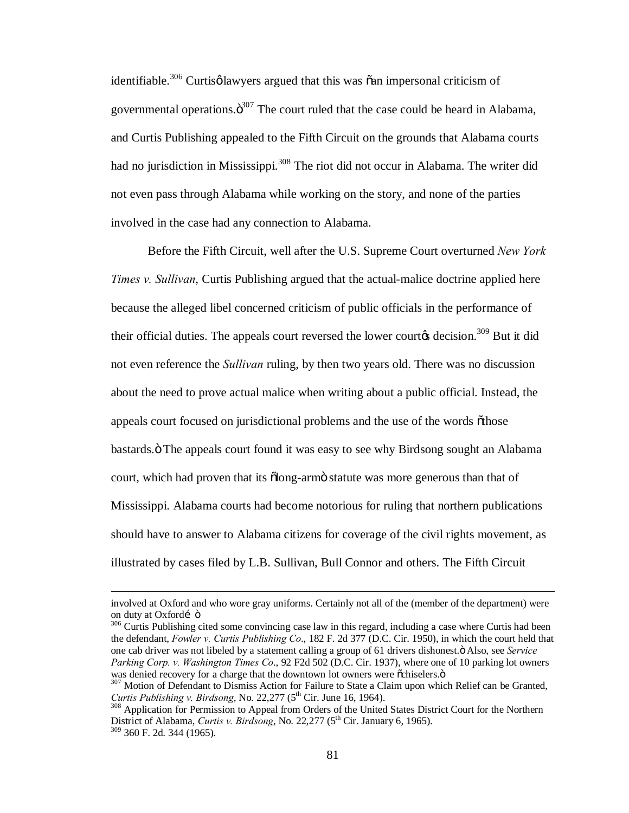identifiable.<sup>306</sup> Curtisø lawyers argued that this was  $\tilde{\text{o}}$ an impersonal criticism of governmental operations. $\ddot{\text{o}}^{307}$  The court ruled that the case could be heard in Alabama, and Curtis Publishing appealed to the Fifth Circuit on the grounds that Alabama courts had no jurisdiction in Mississippi.<sup>308</sup> The riot did not occur in Alabama. The writer did not even pass through Alabama while working on the story, and none of the parties involved in the case had any connection to Alabama.

Before the Fifth Circuit, well after the U.S. Supreme Court overturned *New York Times v. Sullivan*, Curtis Publishing argued that the actual-malice doctrine applied here because the alleged libel concerned criticism of public officials in the performance of their official duties. The appeals court reversed the lower court $\alpha$  decision.<sup>309</sup> But it did not even reference the *Sullivan* ruling, by then two years old. There was no discussion about the need to prove actual malice when writing about a public official. Instead, the appeals court focused on jurisdictional problems and the use of the words  $\tilde{o}$ those bastards." The appeals court found it was easy to see why Birdsong sought an Alabama court, which had proven that its  $\tilde{\text{olong}}$ -armö statute was more generous than that of Mississippi. Alabama courts had become notorious for ruling that northern publications should have to answer to Alabama citizens for coverage of the civil rights movement, as illustrated by cases filed by L.B. Sullivan, Bull Connor and others. The Fifth Circuit

involved at Oxford and who wore gray uniforms. Certainly not all of the (member of the department) were on duty at Oxfordí ö<br><sup>306</sup> Curtis Publishing cited some convincing case law in this regard, including a case where Curtis had been

the defendant, *Fowler v. Curtis Publishing Co*., 182 F. 2d 377 (D.C. Cir. 1950), in which the court held that one cab driver was not libeled by a statement calling a group of 61 drivers dishonest." Also, see *Service Parking Corp. v. Washington Times Co*., 92 F2d 502 (D.C. Cir. 1937), where one of 10 parking lot owners

<sup>307</sup> Motion of Defendant to Dismiss Action for Failure to State a Claim upon which Relief can be Granted, *Curtis Publishing v. Birdsong*, No. 22,277 (5<sup>th</sup> Cir. June 16, 1964).<br><sup>308</sup> Application for Permission to Appeal from Orders of the United States District Court for the Northern

District of Alabama, *Curtis v. Birdsong*, No. 22,277 (5<sup>th</sup> Cir. January 6, 1965). <sup>309</sup> 360 F. 2d. 344 (1965).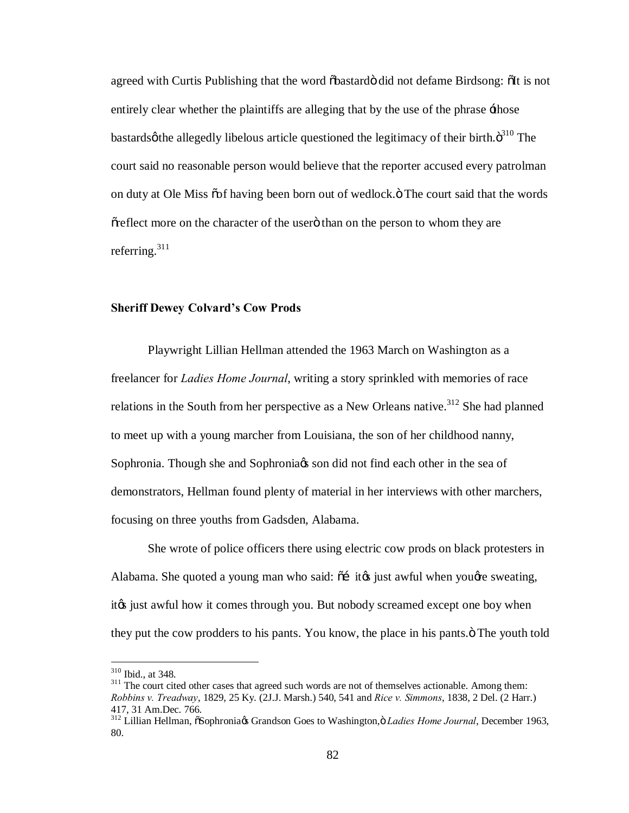agreed with Curtis Publishing that the word  $\delta$ bastard $\ddot{o}$  did not defame Birdsong:  $\delta$ It is not entirely clear whether the plaintiffs are alleging that by the use of the phrase  $\pm$ hose bastards  $\phi$  the allegedly libelous article questioned the legitimacy of their birth. $\ddot{\sigma}^{310}$  The court said no reasonable person would believe that the reporter accused every patrolman on duty at Ole Miss  $\tilde{\text{oo}}$ f having been born out of wedlock. $\ddot{\text{o}}$  The court said that the words  $\tilde{\sigma}$  effect more on the character of the user of than on the person to whom they are referring. $311$ 

## **Sheriff Dewey Colvard's Cow Prods**

Playwright Lillian Hellman attended the 1963 March on Washington as a freelancer for *Ladies Home Journal*, writing a story sprinkled with memories of race relations in the South from her perspective as a New Orleans native.<sup>312</sup> She had planned to meet up with a young marcher from Louisiana, the son of her childhood nanny, Sophronia. Though she and Sophronia is son did not find each other in the sea of demonstrators, Hellman found plenty of material in her interviews with other marchers, focusing on three youths from Gadsden, Alabama.

She wrote of police officers there using electric cow prods on black protesters in Alabama. She quoted a young man who said:  $\tilde{\sigma}$  it it is just awful when yough ess weating, ite just awful how it comes through you. But nobody screamed except one boy when they put the cow prodders to his pants. You know, the place in his pants. $\ddot{o}$  The youth told

 $310$  Ibid., at 348.<br> $311$  The court cited other cases that agreed such words are not of themselves actionable. Among them: *Robbins v. Treadway*, 1829, 25 Ky. (2J.J. Marsh.) 540, 541 and *Rice v. Simmons*, 1838, 2 Del. (2 Harr.) 417, 31 Am.Dec. 766.<br><sup>312</sup> Lillian Hellman, õSophronia¢ Grandson Goes to Washington,ö *Ladies Home Journal*, December 1963,

<sup>80.</sup>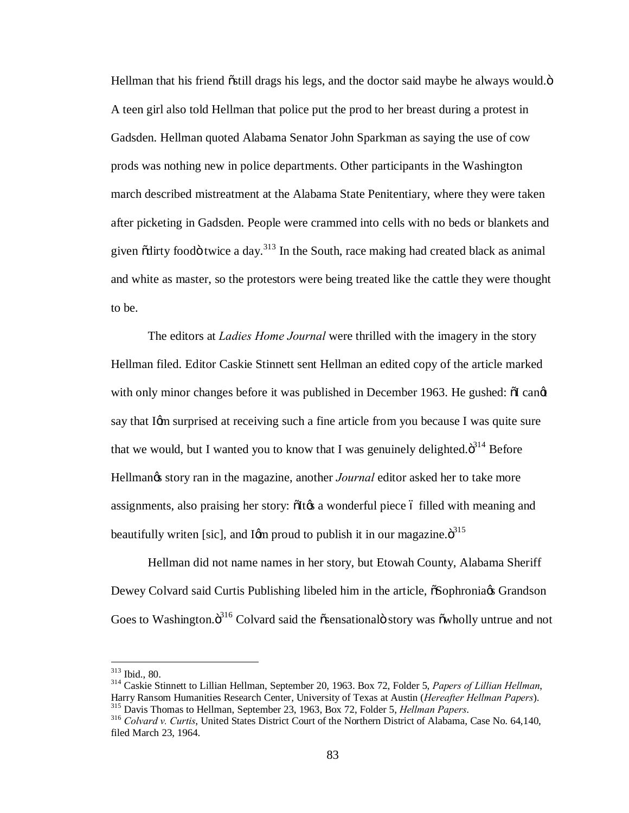Hellman that his friend  $\tilde{\text{o}}$ still drags his legs, and the doctor said maybe he always would. $\ddot{\text{o}}$ A teen girl also told Hellman that police put the prod to her breast during a protest in Gadsden. Hellman quoted Alabama Senator John Sparkman as saying the use of cow prods was nothing new in police departments. Other participants in the Washington march described mistreatment at the Alabama State Penitentiary, where they were taken after picketing in Gadsden. People were crammed into cells with no beds or blankets and given  $\tilde{\text{od}}$  food  $\tilde{\text{o}}$  twice a day.<sup>313</sup> In the South, race making had created black as animal and white as master, so the protestors were being treated like the cattle they were thought to be.

The editors at *Ladies Home Journal* were thrilled with the imagery in the story Hellman filed. Editor Caskie Stinnett sent Hellman an edited copy of the article marked with only minor changes before it was published in December 1963. He gushed:  $\delta I$  canger say that Igm surprised at receiving such a fine article from you because I was quite sure that we would, but I wanted you to know that I was genuinely delighted. $\ddot{\sigma}^{314}$  Before Hellman<sub>g</sub> story ran in the magazine, another *Journal* editor asked her to take more assignments, also praising her story:  $\delta$ It $\alpha$  a wonderful piece 6 filled with meaning and beautifully writen [sic], and Igm proud to publish it in our magazine. $\ddot{\sigma}^{315}$ 

Hellman did not name names in her story, but Etowah County, Alabama Sheriff Dewey Colvard said Curtis Publishing libeled him in the article,  $\delta$ Sophronia $\alpha$  Grandson Goes to Washington. $\ddot{o}^{316}$  Colvard said the  $\ddot{o}$ sensational $\ddot{o}$  story was  $\ddot{o}$ wholly untrue and not

<sup>313</sup> Ibid., 80. <sup>314</sup> Caskie Stinnett to Lillian Hellman, September 20, 1963. Box 72, Folder 5, *Papers of Lillian Hellman*, Harry Ransom Humanities Research Center, University of Texas at Austin (*Hereafter Hellman Papers*).<br><sup>315</sup> Davis Thomas to Hellman, September 23, 1963, Box 72, Folder 5, *Hellman Papers*.<br><sup>316</sup> Colvard v. Curtis, United St

filed March 23, 1964.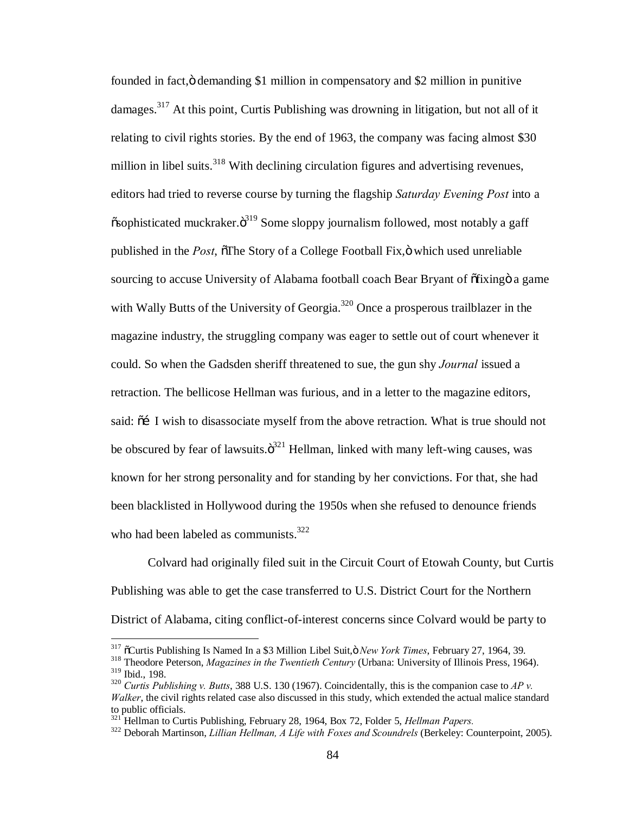founded in fact," demanding \$1 million in compensatory and \$2 million in punitive damages.<sup>317</sup> At this point, Curtis Publishing was drowning in litigation, but not all of it relating to civil rights stories. By the end of 1963, the company was facing almost \$30 million in libel suits.<sup>318</sup> With declining circulation figures and advertising revenues, editors had tried to reverse course by turning the flagship *Saturday Evening Post* into a  $\tilde{\text{c}}$ sophisticated muckraker. $\ddot{\text{o}}^{319}$  Some sloppy journalism followed, most notably a gaff published in the *Post*,  $\delta$ The Story of a College Football Fix,  $\ddot{o}$  which used unreliable sourcing to accuse University of Alabama football coach Bear Bryant of  $\delta$ fixing a game with Wally Butts of the University of Georgia.<sup>320</sup> Once a prosperous trailblazer in the magazine industry, the struggling company was eager to settle out of court whenever it could. So when the Gadsden sheriff threatened to sue, the gun shy *Journal* issued a retraction. The bellicose Hellman was furious, and in a letter to the magazine editors, said:  $\tilde{0}$  I wish to disassociate myself from the above retraction. What is true should not be obscured by fear of lawsuits. $\ddot{\sigma}^{321}$  Hellman, linked with many left-wing causes, was known for her strong personality and for standing by her convictions. For that, she had been blacklisted in Hollywood during the 1950s when she refused to denounce friends who had been labeled as communists.<sup>322</sup>

Colvard had originally filed suit in the Circuit Court of Etowah County, but Curtis Publishing was able to get the case transferred to U.S. District Court for the Northern District of Alabama, citing conflict-of-interest concerns since Colvard would be party to

<sup>&</sup>lt;sup>317</sup> <sup>317</sup> Curtis Publishing Is Named In a \$3 Million Libel Suit, *ö New York Times*, February 27, 1964, 39. <sup>318</sup> Theodore Peterson, *Magazines in the Twentieth Century* (Urbana: University of Illinois Press, 1964). <sup>319</sup>

 $320$  *Curtis Publishing v. Butts*, 388 U.S. 130 (1967). Coincidentally, this is the companion case to *AP v. Walker*, the civil rights related case also discussed in this study, which extended the actual malice standard to public officials.<br><sup>321</sup> Hellman to Curtis Publishing, February 28, 1964, Box 72, Folder 5, *Hellman Papers.* 

<sup>&</sup>lt;sup>322</sup> Deborah Martinson, *Lillian Hellman, A Life with Foxes and Scoundrels* (Berkeley: Counterpoint, 2005).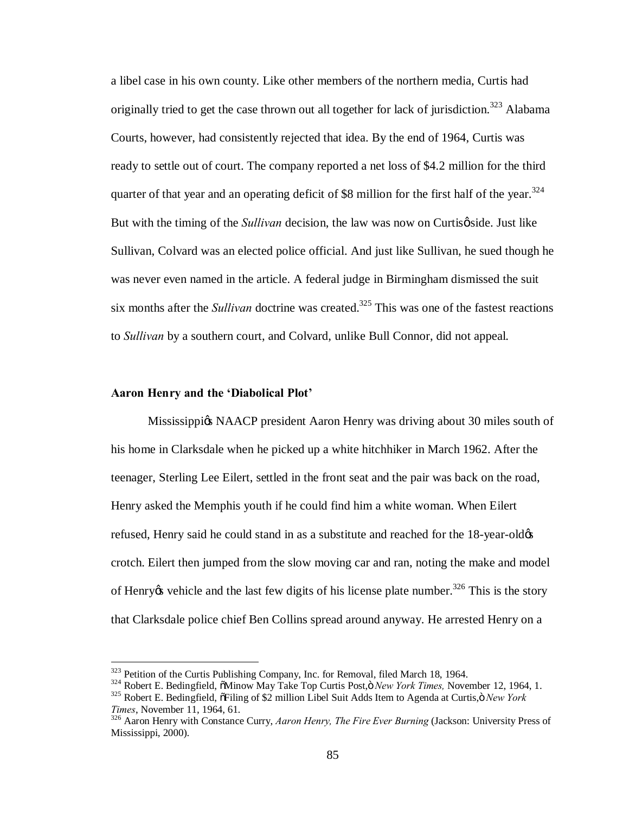a libel case in his own county. Like other members of the northern media, Curtis had originally tried to get the case thrown out all together for lack of jurisdiction.<sup>323</sup> Alabama Courts, however, had consistently rejected that idea. By the end of 1964, Curtis was ready to settle out of court. The company reported a net loss of \$4.2 million for the third quarter of that year and an operating deficit of \$8 million for the first half of the year.<sup>324</sup> But with the timing of the *Sullivan* decision, the law was now on Curtis *p* side. Just like Sullivan, Colvard was an elected police official. And just like Sullivan, he sued though he was never even named in the article. A federal judge in Birmingham dismissed the suit six months after the *Sullivan* doctrine was created.<sup>325</sup> This was one of the fastest reactions to *Sullivan* by a southern court, and Colvard, unlike Bull Connor, did not appeal.

#### **Aaron Henry and the 'Diabolical Plot'**

Mississippigs NAACP president Aaron Henry was driving about 30 miles south of his home in Clarksdale when he picked up a white hitchhiker in March 1962. After the teenager, Sterling Lee Eilert, settled in the front seat and the pair was back on the road, Henry asked the Memphis youth if he could find him a white woman. When Eilert refused, Henry said he could stand in as a substitute and reached for the 18-year-old  $\alpha$ crotch. Eilert then jumped from the slow moving car and ran, noting the make and model of Henry  $\alpha$  vehicle and the last few digits of his license plate number.<sup>326</sup> This is the story that Clarksdale police chief Ben Collins spread around anyway. He arrested Henry on a

<sup>&</sup>lt;sup>323</sup> Petition of the Curtis Publishing Company, Inc. for Removal, filed March 18, 1964.<br><sup>324</sup> Robert E. Bedingfield, õMinow May Take Top Curtis Post,ö *New York Times*, November 12, 1964, 1.<br><sup>325</sup> Robert E. Bedingfield,

<sup>&</sup>lt;sup>326</sup> Aaron Henry with Constance Curry, *Aaron Henry, The Fire Ever Burning* (Jackson: University Press of Mississippi, 2000).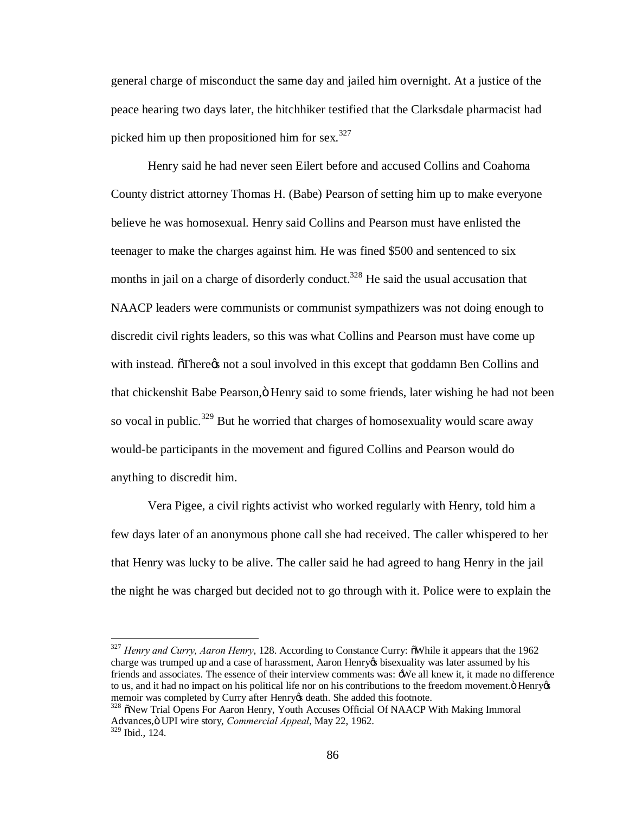general charge of misconduct the same day and jailed him overnight. At a justice of the peace hearing two days later, the hitchhiker testified that the Clarksdale pharmacist had picked him up then propositioned him for sex.<sup>327</sup>

Henry said he had never seen Eilert before and accused Collins and Coahoma County district attorney Thomas H. (Babe) Pearson of setting him up to make everyone believe he was homosexual. Henry said Collins and Pearson must have enlisted the teenager to make the charges against him. He was fined \$500 and sentenced to six months in jail on a charge of disorderly conduct.<sup>328</sup> He said the usual accusation that NAACP leaders were communists or communist sympathizers was not doing enough to discredit civil rights leaders, so this was what Collins and Pearson must have come up with instead. There *is* not a soul involved in this except that goddamn Ben Collins and that chickenshit Babe Pearson," Henry said to some friends, later wishing he had not been so vocal in public.<sup>329</sup> But he worried that charges of homosexuality would scare away would-be participants in the movement and figured Collins and Pearson would do anything to discredit him.

Vera Pigee, a civil rights activist who worked regularly with Henry, told him a few days later of an anonymous phone call she had received. The caller whispered to her that Henry was lucky to be alive. The caller said he had agreed to hang Henry in the jail the night he was charged but decided not to go through with it. Police were to explain the

<sup>&</sup>lt;sup>327</sup> *Henry and Curry, Aaron Henry*, 128. According to Constance Curry:  $\tilde{o}$ While it appears that the 1962 charge was trumped up and a case of harassment, Aaron Henry ts bisexuality was later assumed by his friends and associates. The essence of their interview comments was: 'We all knew it, it made no difference to us, and it had no impact on his political life nor on his contributions to the freedom movement. Thenry  $\alpha$ memoir was completed by Curry after Henry & death. She added this footnote.<br><sup>328</sup> õNew Trial Opens For Aaron Henry, Youth Accuses Official Of NAACP With Making Immoral

Advances," UPI wire story, *Commercial Appeal*, May 22, 1962. <sup>329</sup> Ibid., 124.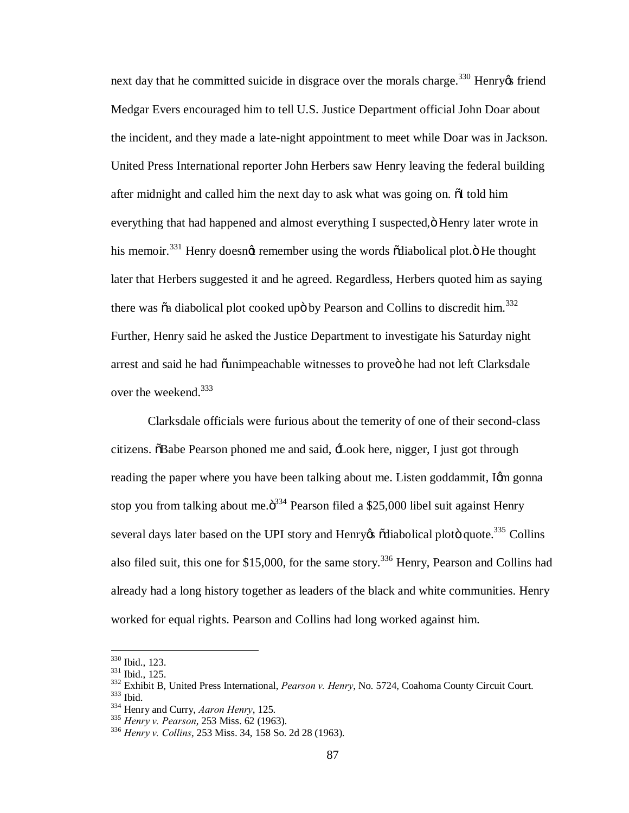next day that he committed suicide in disgrace over the morals charge.<sup>330</sup> Henry  $\alpha$  friend Medgar Evers encouraged him to tell U.S. Justice Department official John Doar about the incident, and they made a late-night appointment to meet while Doar was in Jackson. United Press International reporter John Herbers saw Henry leaving the federal building after midnight and called him the next day to ask what was going on.  $\delta I$  told him everything that had happened and almost everything I suspected,  $\ddot{o}$  Henry later wrote in his memoir.<sup>331</sup> Henry doesngt remember using the words  $\tilde{\text{odi}}$ abolical plot. $\ddot{\text{o}}$  He thought later that Herbers suggested it and he agreed. Regardless, Herbers quoted him as saying there was  $\tilde{o}a$  diabolical plot cooked upo by Pearson and Collins to discredit him.<sup>332</sup> Further, Henry said he asked the Justice Department to investigate his Saturday night arrest and said he had õunimpeachable witnesses to proveö he had not left Clarksdale over the weekend.<sup>333</sup>

Clarksdale officials were furious about the temerity of one of their second-class citizens. "Babe Pearson phoned me and said, 'Look here, nigger, I just got through reading the paper where you have been talking about me. Listen goddammit, Igm gonna stop you from talking about me. $\ddot{o}^{334}$  Pearson filed a \$25,000 libel suit against Henry several days later based on the UPI story and Henry  $\delta$  diabolical plot quote.<sup>335</sup> Collins also filed suit, this one for \$15,000, for the same story.<sup>336</sup> Henry, Pearson and Collins had already had a long history together as leaders of the black and white communities. Henry worked for equal rights. Pearson and Collins had long worked against him.

<sup>&</sup>lt;sup>330</sup> Ibid., 123.<br><sup>331</sup> Ibid., 125.<br><sup>332</sup> Exhibit B, United Press International, *Pearson v. Henry*, No. 5724, Coahoma County Circuit Court.<br><sup>333</sup> Ibid.<br><sup>334</sup> Henry and Curry, *Aaron Henry*, 125.<br><sup>335</sup> Henry v. Pearson, 2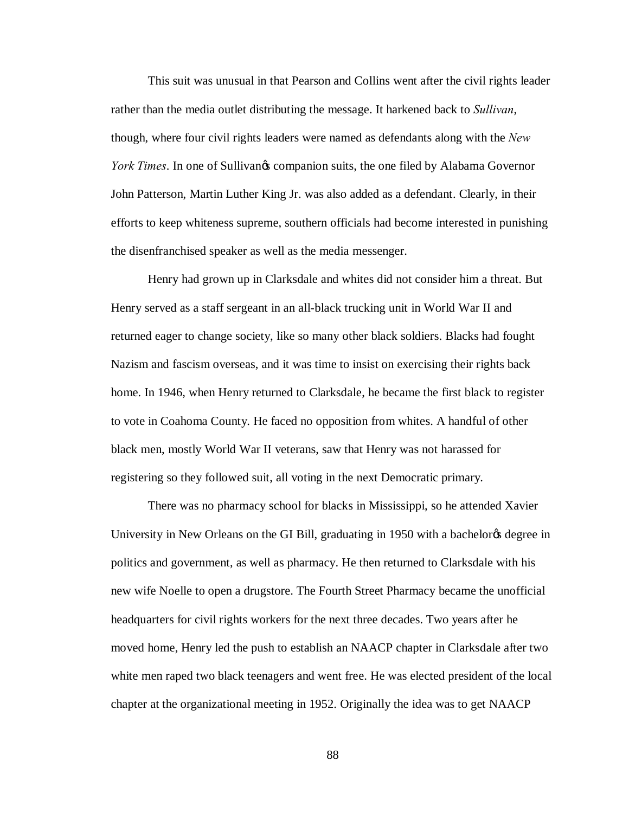This suit was unusual in that Pearson and Collins went after the civil rights leader rather than the media outlet distributing the message. It harkened back to *Sullivan*, though, where four civil rights leaders were named as defendants along with the *New York Times*. In one of Sullivangs companion suits, the one filed by Alabama Governor John Patterson, Martin Luther King Jr. was also added as a defendant. Clearly, in their efforts to keep whiteness supreme, southern officials had become interested in punishing the disenfranchised speaker as well as the media messenger.

Henry had grown up in Clarksdale and whites did not consider him a threat. But Henry served as a staff sergeant in an all-black trucking unit in World War II and returned eager to change society, like so many other black soldiers. Blacks had fought Nazism and fascism overseas, and it was time to insist on exercising their rights back home. In 1946, when Henry returned to Clarksdale, he became the first black to register to vote in Coahoma County. He faced no opposition from whites. A handful of other black men, mostly World War II veterans, saw that Henry was not harassed for registering so they followed suit, all voting in the next Democratic primary.

There was no pharmacy school for blacks in Mississippi, so he attended Xavier University in New Orleans on the GI Bill, graduating in 1950 with a bachelor ts degree in politics and government, as well as pharmacy. He then returned to Clarksdale with his new wife Noelle to open a drugstore. The Fourth Street Pharmacy became the unofficial headquarters for civil rights workers for the next three decades. Two years after he moved home, Henry led the push to establish an NAACP chapter in Clarksdale after two white men raped two black teenagers and went free. He was elected president of the local chapter at the organizational meeting in 1952. Originally the idea was to get NAACP

88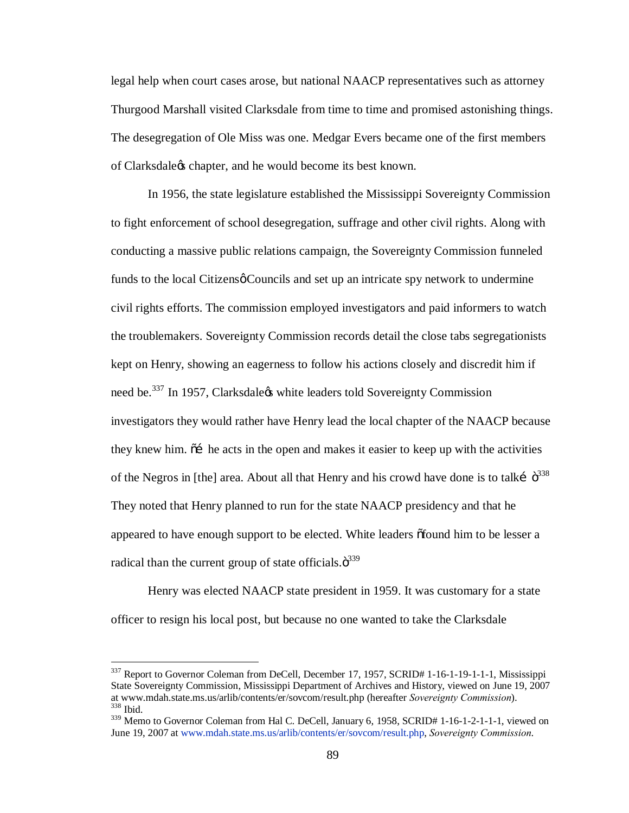legal help when court cases arose, but national NAACP representatives such as attorney Thurgood Marshall visited Clarksdale from time to time and promised astonishing things. The desegregation of Ole Miss was one. Medgar Evers became one of the first members of Clarksdale's chapter, and he would become its best known.

In 1956, the state legislature established the Mississippi Sovereignty Commission to fight enforcement of school desegregation, suffrage and other civil rights. Along with conducting a massive public relations campaign, the Sovereignty Commission funneled funds to the local Citizens  $\phi$  Councils and set up an intricate spy network to undermine civil rights efforts. The commission employed investigators and paid informers to watch the troublemakers. Sovereignty Commission records detail the close tabs segregationists kept on Henry, showing an eagerness to follow his actions closely and discredit him if need be.<sup>337</sup> In 1957, Clarksdale<sub>n</sub> white leaders told Sovereignty Commission investigators they would rather have Henry lead the local chapter of the NAACP because they knew him.  $\tilde{\sigma}$  he acts in the open and makes it easier to keep up with the activities of the Negros in [the] area. About all that Henry and his crowd have done is to talki  $\ddot{\sigma}^{338}$ They noted that Henry planned to run for the state NAACP presidency and that he appeared to have enough support to be elected. White leaders  $\delta$  found him to be lesser a radical than the current group of state officials. $\ddot{\sigma}^{339}$ 

Henry was elected NAACP state president in 1959. It was customary for a state officer to resign his local post, but because no one wanted to take the Clarksdale

<sup>&</sup>lt;sup>337</sup> Report to Governor Coleman from DeCell, December 17, 1957, SCRID# 1-16-1-19-1-1-1, Mississippi State Sovereignty Commission, Mississippi Department of Archives and History, viewed on June 19, 2007 at www.mdah.state.ms.us/arlib/contents/er/sovcom/result.php (hereafter *Sovereignty Commission*). <sup>338</sup> Ibid.

<sup>&</sup>lt;sup>339</sup> Memo to Governor Coleman from Hal C. DeCell, January 6, 1958, SCRID# 1-16-1-2-1-1-1, viewed on June 19, 2007 at www.mdah.state.ms.us/arlib/contents/er/sovcom/result.php, *Sovereignty Commission*.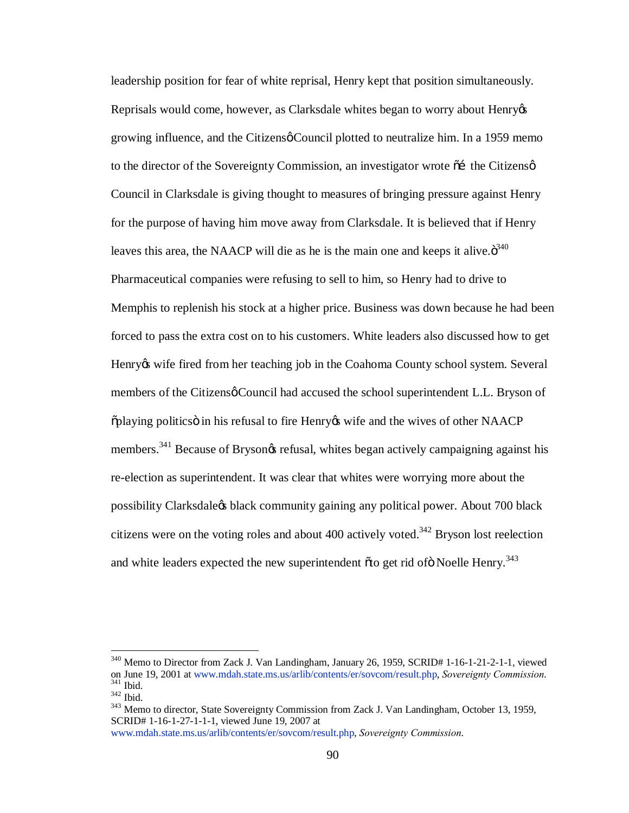leadership position for fear of white reprisal, Henry kept that position simultaneously. Reprisals would come, however, as Clarksdale whites began to worry about Henry  $\alpha$ growing influence, and the Citizens $\phi$  Council plotted to neutralize him. In a 1959 memo to the director of the Sovereignty Commission, an investigator wrote  $\tilde{\alpha}$  the Citizens  $\varphi$ Council in Clarksdale is giving thought to measures of bringing pressure against Henry for the purpose of having him move away from Clarksdale. It is believed that if Henry leaves this area, the NAACP will die as he is the main one and keeps it alive. $\ddot{\sigma}^{340}$ Pharmaceutical companies were refusing to sell to him, so Henry had to drive to Memphis to replenish his stock at a higher price. Business was down because he had been forced to pass the extra cost on to his customers. White leaders also discussed how to get Henry wife fired from her teaching job in the Coahoma County school system. Several members of the Citizens o Council had accused the school superintendent L.L. Bryson of  $\tilde{p}$  politics in his refusal to fire Henry to wife and the wives of other NAACP members.<sup>341</sup> Because of Brysongs refusal, whites began actively campaigning against his re-election as superintendent. It was clear that whites were worrying more about the possibility Clarksdale's black community gaining any political power. About 700 black citizens were on the voting roles and about 400 actively voted.<sup>342</sup> Bryson lost reelection and white leaders expected the new superintendent  $\tilde{\sigma}$  to get rid of  $\tilde{\sigma}$  Noelle Henry.<sup>343</sup>

 $340$  Memo to Director from Zack J. Van Landingham, January 26, 1959, SCRID# 1-16-1-21-2-1-1, viewed<br>on June 19, 2001 at www.mdah.state.ms.us/arlib/contents/er/sovcom/result.php, Sovereignty Commission. <sup>341</sup> Ibid.<br><sup>342</sup> Ibid.<br><sup>343</sup> Memo to director, State Sovereignty Commission from Zack J. Van Landingham, October 13, 1959,

SCRID# 1-16-1-27-1-1-1, viewed June 19, 2007 at

www.mdah.state.ms.us/arlib/contents/er/sovcom/result.php, *Sovereignty Commission*.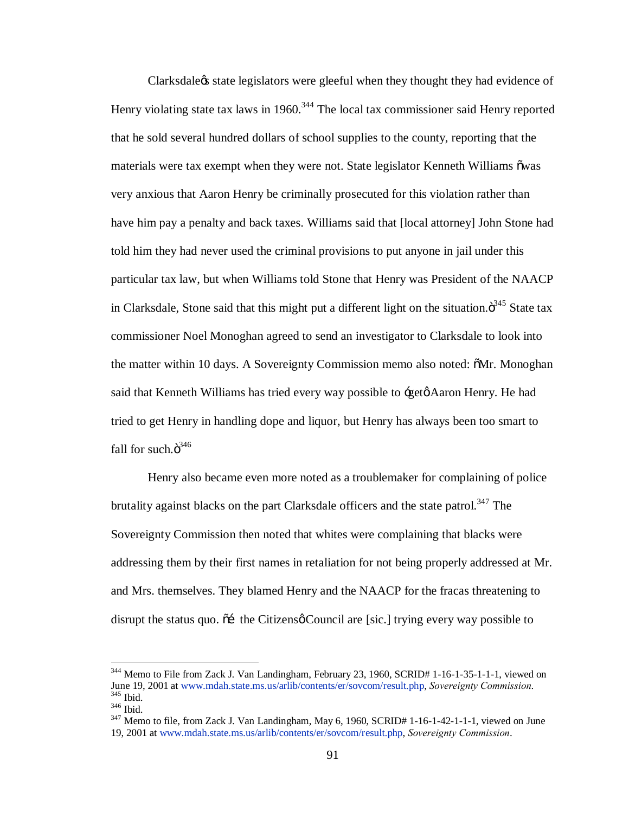Clarksdale is state legislators were gleeful when they thought they had evidence of Henry violating state tax laws in 1960.<sup>344</sup> The local tax commissioner said Henry reported that he sold several hundred dollars of school supplies to the county, reporting that the materials were tax exempt when they were not. State legislator Kenneth Williams  $\tilde{\text{ow}}$ as very anxious that Aaron Henry be criminally prosecuted for this violation rather than have him pay a penalty and back taxes. Williams said that [local attorney] John Stone had told him they had never used the criminal provisions to put anyone in jail under this particular tax law, but when Williams told Stone that Henry was President of the NAACP in Clarksdale, Stone said that this might put a different light on the situation. $\ddot{\sigma}^{345}$  State tax commissioner Noel Monoghan agreed to send an investigator to Clarksdale to look into the matter within 10 days. A Sovereignty Commission memo also noted:  $\delta Mr. Monoghan$ said that Kenneth Williams has tried every way possible to  $\div$  get  $\phi$  Aaron Henry. He had tried to get Henry in handling dope and liquor, but Henry has always been too smart to fall for such. $\ddot{\text{o}}^{346}$ 

Henry also became even more noted as a troublemaker for complaining of police brutality against blacks on the part Clarksdale officers and the state patrol.<sup>347</sup> The Sovereignty Commission then noted that whites were complaining that blacks were addressing them by their first names in retaliation for not being properly addressed at Mr. and Mrs. themselves. They blamed Henry and the NAACP for the fracas threatening to disrupt the status quo.  $\tilde{\sigma}$  the Citizens  $\phi$  Council are [sic.] trying every way possible to

<sup>&</sup>lt;sup>344</sup> Memo to File from Zack J. Van Landingham, February 23, 1960, SCRID# 1-16-1-35-1-1-1, viewed on June 19, 2001 at www.mdah.state.ms.us/arlib/contents/er/sovcom/result.php, *Sovereignty Commission*. <sup>345</sup> Ibid. <sup>346</sup> Ibid. <sup>347</sup> Memo to file, from Zack J. Van Landingham, May 6, 1960, SCRID# 1-16-1-42-1-1-1, viewed on June

<sup>19, 2001</sup> at www.mdah.state.ms.us/arlib/contents/er/sovcom/result.php, *Sovereignty Commission*.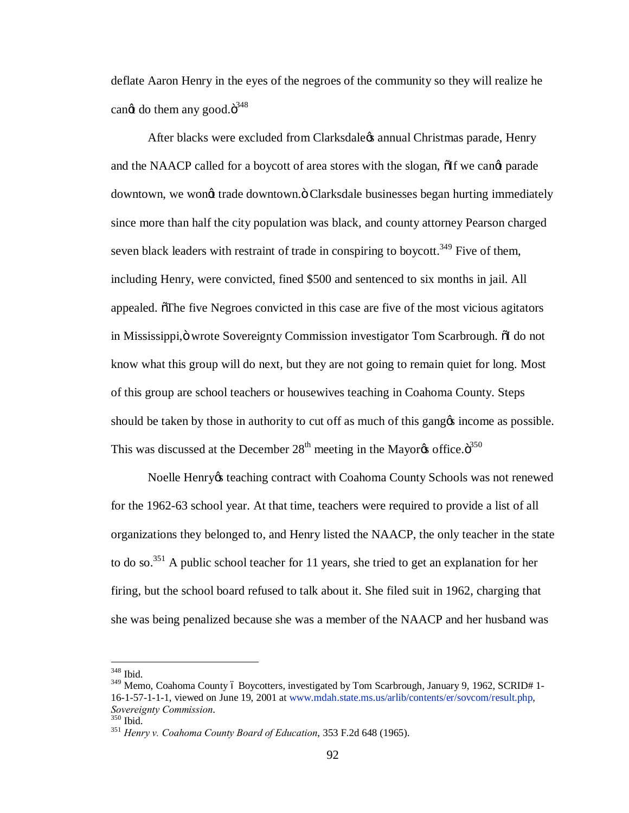deflate Aaron Henry in the eyes of the negroes of the community so they will realize he can $\alpha$  do them any good. $\ddot{\mathrm{o}}^{348}$ 

After blacks were excluded from Clarksdale is annual Christmas parade, Henry and the NAACP called for a boycott of area stores with the slogan,  $\delta$ If we cand parade downtown, we wongt trade downtown. " Clarksdale businesses began hurting immediately since more than half the city population was black, and county attorney Pearson charged seven black leaders with restraint of trade in conspiring to boycott.<sup>349</sup> Five of them, including Henry, were convicted, fined \$500 and sentenced to six months in jail. All appealed. The five Negroes convicted in this case are five of the most vicious agitators in Mississippi, ö wrote Sovereignty Commission investigator Tom Scarbrough. The domet know what this group will do next, but they are not going to remain quiet for long. Most of this group are school teachers or housewives teaching in Coahoma County. Steps should be taken by those in authority to cut off as much of this gang t income as possible. This was discussed at the December  $28<sup>th</sup>$  meeting in the Mayor $\alpha$  office. $\ddot{\sigma}^{350}$ 

Noelle Henry teaching contract with Coahoma County Schools was not renewed for the 1962-63 school year. At that time, teachers were required to provide a list of all organizations they belonged to, and Henry listed the NAACP, the only teacher in the state to do so.<sup>351</sup> A public school teacher for 11 years, she tried to get an explanation for her firing, but the school board refused to talk about it. She filed suit in 1962, charging that she was being penalized because she was a member of the NAACP and her husband was

 <sup>348</sup> Ibid.

<sup>&</sup>lt;sup>349</sup> Memo, Coahoma County ó Boycotters, investigated by Tom Scarbrough, January 9, 1962, SCRID# 1-16-1-57-1-1-1, viewed on June 19, 2001 at www.mdah.state.ms.us/arlib/contents/er/sovcom/result.php,

*Sovereignty Commission*. <sup>350</sup> Ibid. <sup>351</sup> *Henry v. Coahoma County Board of Education*, 353 F.2d 648 (1965).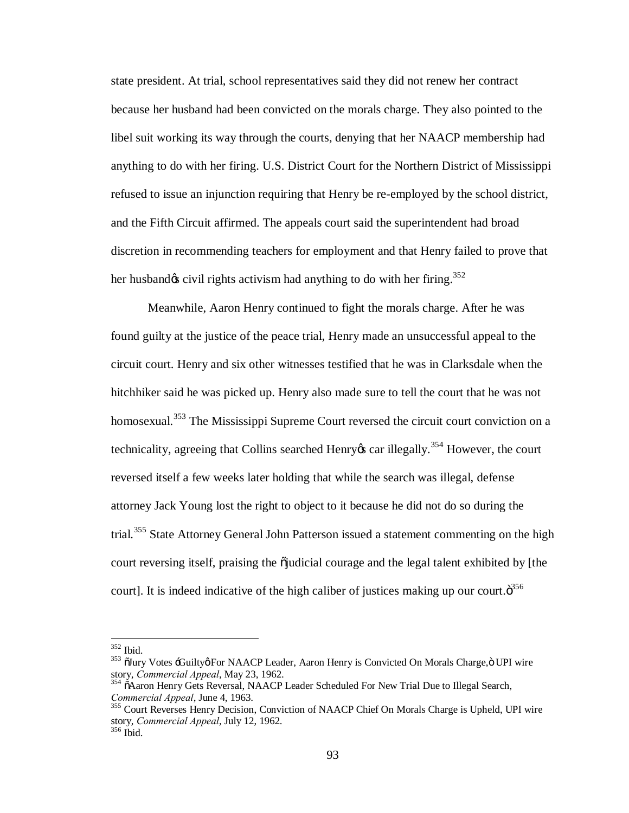state president. At trial, school representatives said they did not renew her contract because her husband had been convicted on the morals charge. They also pointed to the libel suit working its way through the courts, denying that her NAACP membership had anything to do with her firing. U.S. District Court for the Northern District of Mississippi refused to issue an injunction requiring that Henry be re-employed by the school district, and the Fifth Circuit affirmed. The appeals court said the superintendent had broad discretion in recommending teachers for employment and that Henry failed to prove that her husband $\alpha$  civil rights activism had anything to do with her firing.<sup>352</sup>

Meanwhile, Aaron Henry continued to fight the morals charge. After he was found guilty at the justice of the peace trial, Henry made an unsuccessful appeal to the circuit court. Henry and six other witnesses testified that he was in Clarksdale when the hitchhiker said he was picked up. Henry also made sure to tell the court that he was not homosexual.<sup>353</sup> The Mississippi Supreme Court reversed the circuit court conviction on a technicality, agreeing that Collins searched Henry  $\alpha$  car illegally.<sup>354</sup> However, the court reversed itself a few weeks later holding that while the search was illegal, defense attorney Jack Young lost the right to object to it because he did not do so during the trial.<sup>355</sup> State Attorney General John Patterson issued a statement commenting on the high court reversing itself, praising the  $\ddot{\rm o}$  judicial courage and the legal talent exhibited by [the court]. It is indeed indicative of the high caliber of justices making up our court. $\ddot{\sigma}^{356}$ 

<sup>&</sup>lt;sup>352</sup> Ibid.<br><sup>353</sup> õJury Votes <del>'.G</del>uiltyøFor NAACP Leader, Aaron Henry is Convicted On Morals Charge,ö UPI wire<br>story, *Commercial Appeal*, May 23, 1962.

<sup>&</sup>lt;sup>354</sup> õAaron Henry Gets Reversal, NAACP Leader Scheduled For New Trial Due to Illegal Search, Commercial Appeal, June 4, 1963.

<sup>&</sup>lt;sup>355</sup> Court Reverses Henry Decision, Conviction of NAACP Chief On Morals Charge is Upheld, UPI wire story, *Commercial Appeal*, July 12, 1962. <sup>356</sup> Ibid.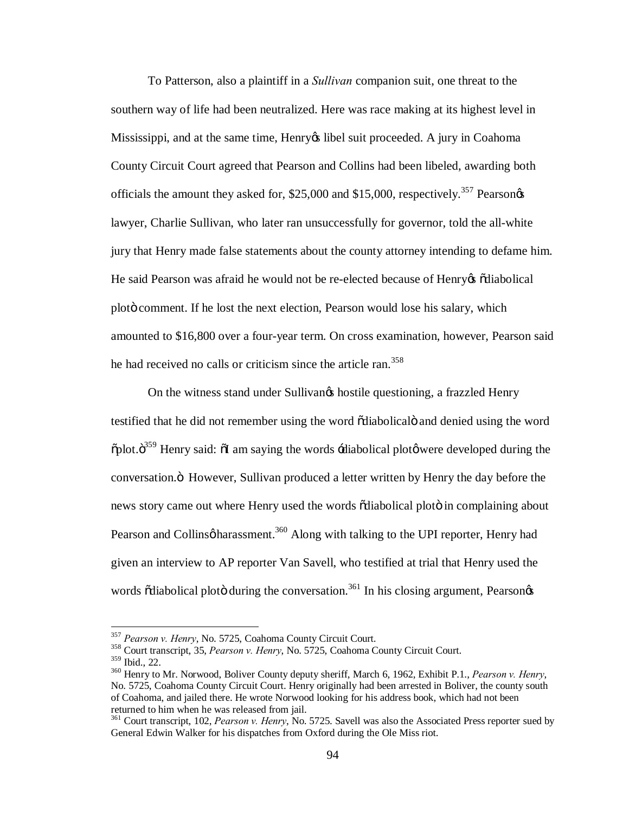To Patterson, also a plaintiff in a *Sullivan* companion suit, one threat to the southern way of life had been neutralized. Here was race making at its highest level in Mississippi, and at the same time, Henry is libel suit proceeded. A jury in Coahoma County Circuit Court agreed that Pearson and Collins had been libeled, awarding both officials the amount they asked for,  $$25,000$  and  $$15,000$ , respectively.<sup>357</sup> Pearsongs lawyer, Charlie Sullivan, who later ran unsuccessfully for governor, told the all-white jury that Henry made false statements about the county attorney intending to defame him. He said Pearson was afraid he would not be re-elected because of Henry os õdiabolical plot comment. If he lost the next election, Pearson would lose his salary, which amounted to \$16,800 over a four-year term. On cross examination, however, Pearson said he had received no calls or criticism since the article ran.<sup>358</sup>

On the witness stand under Sullivangs hostile questioning, a frazzled Henry testified that he did not remember using the word odiabolicalo and denied using the word  $\delta$ plot. $\delta^{359}$  Henry said:  $\delta$ I am saying the words  $\dot{\phi}$ -diabolical plot $\phi$  were developed during the conversation. " However, Sullivan produced a letter written by Henry the day before the news story came out where Henry used the words  $\ddot{\text{o}}$ diabolical ploto in complaining about Pearson and Collinsøharassment.<sup>360</sup> Along with talking to the UPI reporter, Henry had given an interview to AP reporter Van Savell, who testified at trial that Henry used the words  $\ddot{\text{o}}$ diabolical plot $\ddot{\text{o}}$  during the conversation.<sup>361</sup> In his closing argument, Pearson $\alpha$ 

<sup>&</sup>lt;sup>357</sup> *Pearson v. Henry*, No. 5725, Coahoma County Circuit Court.<br><sup>358</sup> Court transcript, 35, *Pearson v. Henry*, No. 5725, Coahoma County Circuit Court.<br><sup>359</sup> Ibid., 22.

<sup>&</sup>lt;sup>360</sup> Henry to Mr. Norwood, Boliver County deputy sheriff, March 6, 1962, Exhibit P.1., *Pearson v. Henry*, No. 5725, Coahoma County Circuit Court. Henry originally had been arrested in Boliver, the county south of Coahoma, and jailed there. He wrote Norwood looking for his address book, which had not been returned to him when he was released from jail.

<sup>361</sup> Court transcript, 102, *Pearson v. Henry*, No. 5725. Savell was also the Associated Press reporter sued by General Edwin Walker for his dispatches from Oxford during the Ole Miss riot.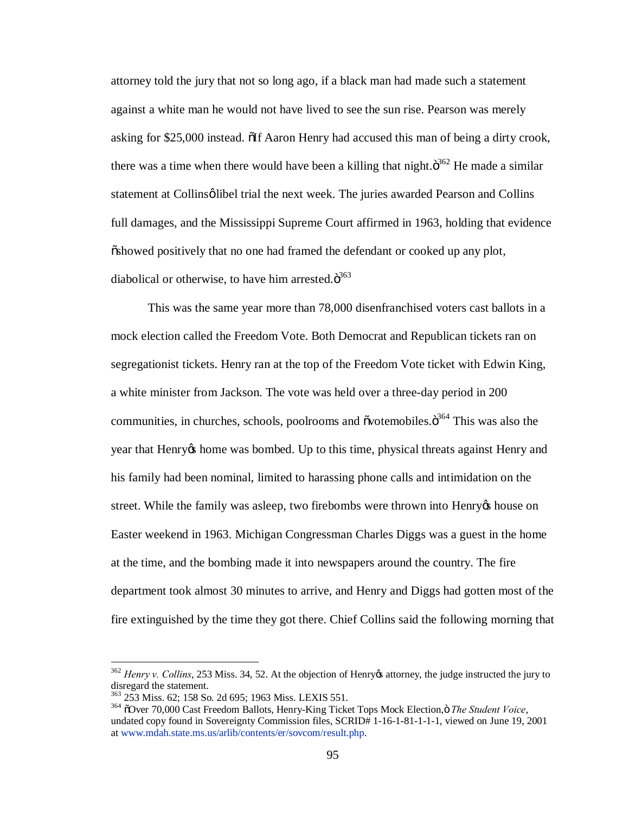attorney told the jury that not so long ago, if a black man had made such a statement against a white man he would not have lived to see the sun rise. Pearson was merely asking for \$25,000 instead. The Aaron Henry had accused this man of being a dirty crook, there was a time when there would have been a killing that night. $\ddot{\sigma}^{362}$  He made a similar statement at Collinsø libel trial the next week. The juries awarded Pearson and Collins full damages, and the Mississippi Supreme Court affirmed in 1963, holding that evidence  $\ddot{\text{o}}$ showed positively that no one had framed the defendant or cooked up any plot, diabolical or otherwise, to have him arrested. $\ddot{\text{o}}^{363}$ 

This was the same year more than 78,000 disenfranchised voters cast ballots in a mock election called the Freedom Vote. Both Democrat and Republican tickets ran on segregationist tickets. Henry ran at the top of the Freedom Vote ticket with Edwin King, a white minister from Jackson. The vote was held over a three-day period in 200 communities, in churches, schools, poolrooms and õvotemobiles. $\ddot{o}^{364}$  This was also the year that Henry is home was bombed. Up to this time, physical threats against Henry and his family had been nominal, limited to harassing phone calls and intimidation on the street. While the family was asleep, two firebombs were thrown into Henry the house on Easter weekend in 1963. Michigan Congressman Charles Diggs was a guest in the home at the time, and the bombing made it into newspapers around the country. The fire department took almost 30 minutes to arrive, and Henry and Diggs had gotten most of the fire extinguished by the time they got there. Chief Collins said the following morning that

<sup>&</sup>lt;sup>362</sup> *Henry v. Collins*, 253 Miss. 34, 52. At the objection of Henry & attorney, the judge instructed the jury to disregard the statement.<br>
<sup>363</sup> 253 Miss. 62; 158 So. 2d 695; 1963 Miss. LEXIS 551.

<sup>&</sup>lt;sup>364</sup> õOver 70,000 Cast Freedom Ballots, Henry-King Ticket Tops Mock Election, ö The Student Voice, undated copy found in Sovereignty Commission files, SCRID# 1-16-1-81-1-1-1, viewed on June 19, 2001 at www.mdah.state.ms.us/arlib/contents/er/sovcom/result.php.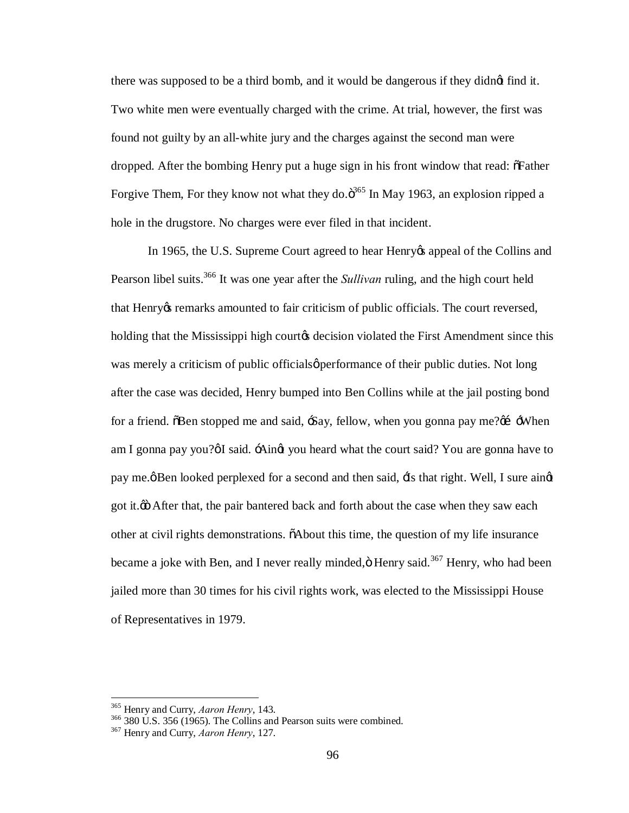there was supposed to be a third bomb, and it would be dangerous if they didnet find it. Two white men were eventually charged with the crime. At trial, however, the first was found not guilty by an all-white jury and the charges against the second man were dropped. After the bombing Henry put a huge sign in his front window that read:  $\delta$ Father Forgive Them, For they know not what they do. $\ddot{\text{o}}^{365}$  In May 1963, an explosion ripped a hole in the drugstore. No charges were ever filed in that incident.

In 1965, the U.S. Supreme Court agreed to hear Henry is appeal of the Collins and Pearson libel suits.<sup>366</sup> It was one year after the *Sullivan* ruling, and the high court held that Henry ts remarks amounted to fair criticism of public officials. The court reversed, holding that the Mississippi high court<sub>here</sub> decision violated the First Amendment since this was merely a criticism of public officials *performance* of their public duties. Not long after the case was decided, Henry bumped into Ben Collins while at the jail posting bond for a friend.  $\delta$ Ben stopped me and said,  $-\delta$ ay, fellow, when you gonna pay me? $\alpha$   $-\delta$ When am I gonna pay you? $\emptyset$ I said.  $\div$ Aingt you heard what the court said? You are gonna have to pay me. $\emptyset$  Ben looked perplexed for a second and then said,  $\exists$ s that right. Well, I sure aing got it. $\ddot{\omega}$  After that, the pair bantered back and forth about the case when they saw each other at civil rights demonstrations. "About this time, the question of my life insurance became a joke with Ben, and I never really minded, $\ddot{\text{o}}$  Henry said.<sup>367</sup> Henry, who had been jailed more than 30 times for his civil rights work, was elected to the Mississippi House of Representatives in 1979.

<sup>365</sup> Henry and Curry, *Aaron Henry*, 143. <sup>366</sup> 380 U.S. 356 (1965). The Collins and Pearson suits were combined. <sup>367</sup> Henry and Curry, *Aaron Henry*, 127.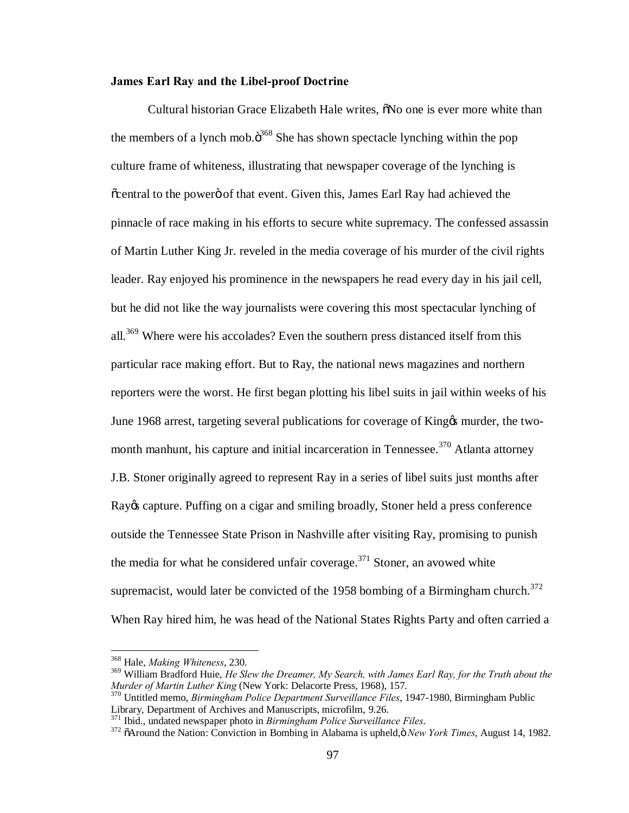## **James Earl Ray and the Libel-proof Doctrine**

Cultural historian Grace Elizabeth Hale writes,  $\delta$ No one is ever more white than the members of a lynch mob. $\ddot{o}^{368}$  She has shown spectacle lynching within the pop culture frame of whiteness, illustrating that newspaper coverage of the lynching is  $\tilde{c}$  central to the powero of that event. Given this, James Earl Ray had achieved the pinnacle of race making in his efforts to secure white supremacy. The confessed assassin of Martin Luther King Jr. reveled in the media coverage of his murder of the civil rights leader. Ray enjoyed his prominence in the newspapers he read every day in his jail cell, but he did not like the way journalists were covering this most spectacular lynching of all.<sup>369</sup> Where were his accolades? Even the southern press distanced itself from this particular race making effort. But to Ray, the national news magazines and northern reporters were the worst. He first began plotting his libel suits in jail within weeks of his June 1968 arrest, targeting several publications for coverage of King & murder, the twomonth manhunt, his capture and initial incarceration in Tennessee.<sup>370</sup> Atlanta attorney J.B. Stoner originally agreed to represent Ray in a series of libel suits just months after Ray & capture. Puffing on a cigar and smiling broadly, Stoner held a press conference outside the Tennessee State Prison in Nashville after visiting Ray, promising to punish the media for what he considered unfair coverage.<sup>371</sup> Stoner, an avowed white supremacist, would later be convicted of the 1958 bombing of a Birmingham church.<sup>372</sup> When Ray hired him, he was head of the National States Rights Party and often carried a

<sup>&</sup>lt;sup>368</sup> Hale, *Making Whiteness*, 230.<br><sup>369</sup> William Bradford Huie, *He Slew the Dreamer, My Search, with James Earl Ray, for the Truth about the Murder of Martin Luther King* (New York: Delacorte Press, 1968), 157. <sup>370</sup> Untitled memo, *Birmingham Police Department Surveillance Files*, 1947-1980, Birmingham Public

Library, Department of Archives and Manuscripts, microfilm, 9.26.<br><sup>371</sup> Ibid., undated newspaper photo in *Birmingham Police Surveillance Files*.

<sup>&</sup>lt;sup>372</sup> õAround the Nation: Conviction in Bombing in Alabama is upheld, ö New York Times, August 14, 1982.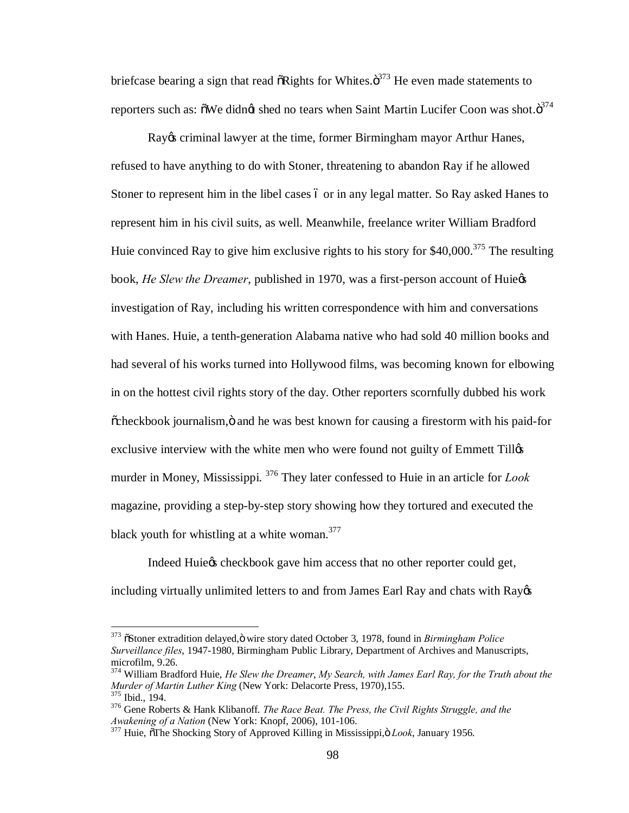briefcase bearing a sign that read  $\delta$ Rights for Whites. $\delta^{373}$  He even made statements to reporters such as:  $\tilde{o}$ We didn $\alpha$  shed no tears when Saint Martin Lucifer Coon was shot. $\tilde{o}^{374}$ 

Ray os criminal lawyer at the time, former Birmingham mayor Arthur Hanes, refused to have anything to do with Stoner, threatening to abandon Ray if he allowed Stoner to represent him in the libel cases 6 or in any legal matter. So Ray asked Hanes to represent him in his civil suits, as well. Meanwhile, freelance writer William Bradford Huie convinced Ray to give him exclusive rights to his story for  $$40,000$ .<sup>375</sup> The resulting book, *He Slew the Dreamer*, published in 1970, was a first-person account of Huie¢s investigation of Ray, including his written correspondence with him and conversations with Hanes. Huie, a tenth-generation Alabama native who had sold 40 million books and had several of his works turned into Hollywood films, was becoming known for elbowing in on the hottest civil rights story of the day. Other reporters scornfully dubbed his work  $\tilde{\text{c}}$ heckbook journalism,  $\ddot{\text{o}}$  and he was best known for causing a firestorm with his paid-for exclusive interview with the white men who were found not guilty of Emmett Till murder in Money, Mississippi. <sup>376</sup> They later confessed to Huie in an article for *Look* magazine, providing a step-by-step story showing how they tortured and executed the black youth for whistling at a white woman.<sup>377</sup>

Indeed Huie $\alpha$  checkbook gave him access that no other reporter could get, including virtually unlimited letters to and from James Earl Ray and chats with Ray&

<sup>&</sup>lt;sup>373</sup>  $\delta$ Stoner extradition delayed,  $\ddot{\text{o}}$  wire story dated October 3, 1978, found in *Birmingham Police Surveillance files*, 1947-1980, Birmingham Public Library, Department of Archives and Manuscripts, microfilm, 9.26.

<sup>374</sup> William Bradford Huie, *He Slew the Dreamer*, *My Search, with James Earl Ray, for the Truth about the Murder of Martin Luther King* (New York: Delacorte Press, 1970),155.<br><sup>375</sup> Ibid., 194.<br><sup>376</sup> Gene Roberts & Hank Klibanoff. *The Race Beat. The Press, the Civil Rights Struggle, and the* 

*Awakening of a Nation* (New York: Knopf, 2006), 101-106. <sup>377</sup> Huie,  $\delta$ The Shocking Story of Approved Killing in Mississippi, $\ddot{o}$  *Look*, January 1956.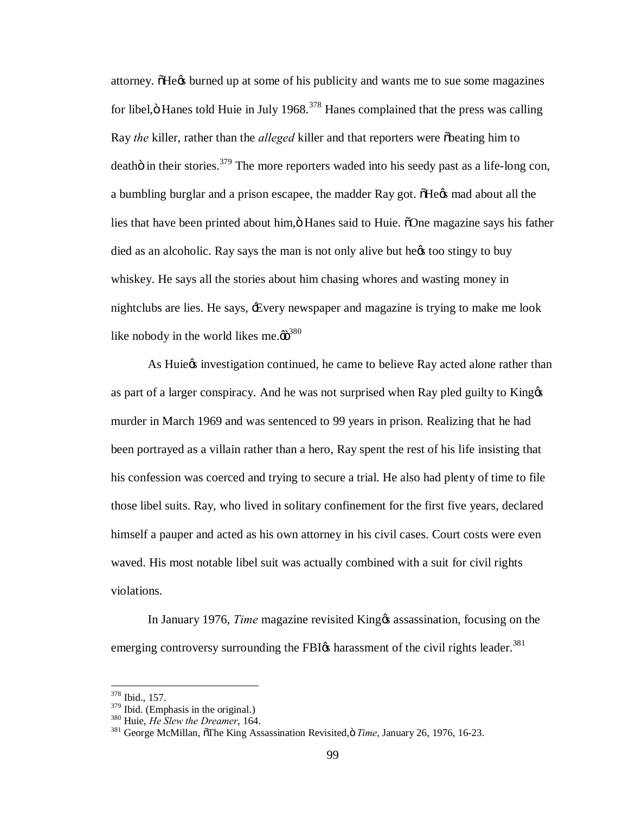attorney. The we burned up at some of his publicity and wants me to sue some magazines for libel, $\ddot{\text{o}}$  Hanes told Huie in July 1968.<sup>378</sup> Hanes complained that the press was calling Ray *the* killer, rather than the *alleged* killer and that reporters were obeating him to deatho in their stories.<sup>379</sup> The more reporters waded into his seedy past as a life-long con, a bumbling burglar and a prison escapee, the madder Ray got.  $\delta$ He $\alpha$  mad about all the lies that have been printed about him,  $\ddot{o}$  Hanes said to Huie.  $\ddot{o}$ One magazine says his father died as an alcoholic. Ray says the man is not only alive but hext too stingy to buy whiskey. He says all the stories about him chasing whores and wasting money in nightclubs are lies. He says, 'Every newspaper and magazine is trying to make me look like nobody in the world likes me. $\ddot{\omega}^{380}$ 

As Huie $\alpha$  investigation continued, he came to believe Ray acted alone rather than as part of a larger conspiracy. And he was not surprised when Ray pled guilty to Kinggs murder in March 1969 and was sentenced to 99 years in prison. Realizing that he had been portrayed as a villain rather than a hero, Ray spent the rest of his life insisting that his confession was coerced and trying to secure a trial. He also had plenty of time to file those libel suits. Ray, who lived in solitary confinement for the first five years, declared himself a pauper and acted as his own attorney in his civil cases. Court costs were even waved. His most notable libel suit was actually combined with a suit for civil rights violations.

In January 1976, *Time* magazine revisited King  $\alpha$  assassination, focusing on the emerging controversy surrounding the FBI $\alpha$  harassment of the civil rights leader.<sup>381</sup>

 $\frac{378}{379}$  Ibid., 157.<br> $\frac{379}{379}$  Ibid. (Emphasis in the original.)

<sup>&</sup>lt;sup>380</sup> Huie, *He Slew the Dreamer*, 164.<br><sup>381</sup> George McMillan, öThe King Assassination Revisited, *Time*, January 26, 1976, 16-23.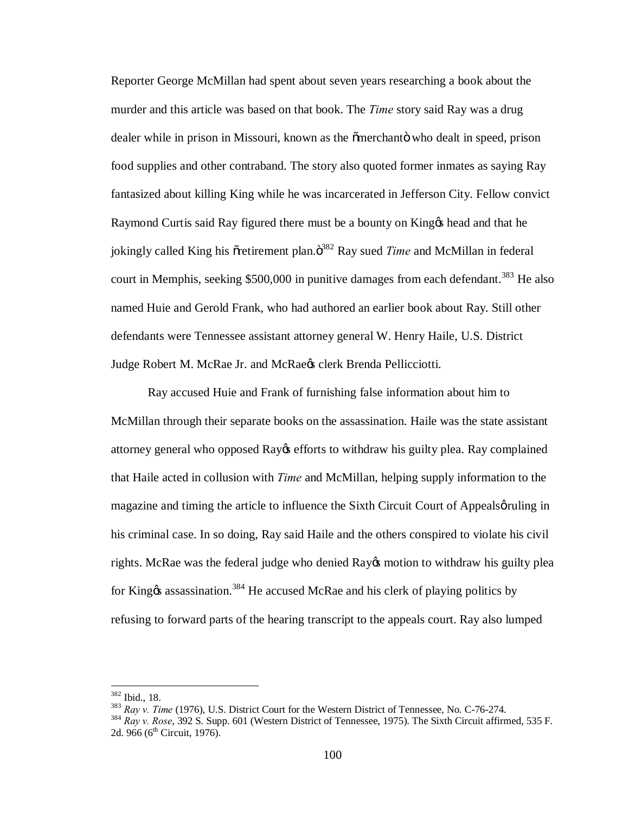Reporter George McMillan had spent about seven years researching a book about the murder and this article was based on that book. The *Time* story said Ray was a drug dealer while in prison in Missouri, known as the omerchant who dealt in speed, prison food supplies and other contraband. The story also quoted former inmates as saying Ray fantasized about killing King while he was incarcerated in Jefferson City. Fellow convict Raymond Curtis said Ray figured there must be a bounty on King & head and that he jokingly called King his oretirement plan. $\ddot{\sigma}^{382}$  Ray sued *Time* and McMillan in federal court in Memphis, seeking \$500,000 in punitive damages from each defendant.<sup>383</sup> He also named Huie and Gerold Frank, who had authored an earlier book about Ray. Still other defendants were Tennessee assistant attorney general W. Henry Haile, U.S. District Judge Robert M. McRae Jr. and McRae & clerk Brenda Pellicciotti.

Ray accused Huie and Frank of furnishing false information about him to McMillan through their separate books on the assassination. Haile was the state assistant attorney general who opposed Ray os efforts to withdraw his guilty plea. Ray complained that Haile acted in collusion with *Time* and McMillan, helping supply information to the magazine and timing the article to influence the Sixth Circuit Court of Appealso ruling in his criminal case. In so doing, Ray said Haile and the others conspired to violate his civil rights. McRae was the federal judge who denied Ray & motion to withdraw his guilty plea for King $\alpha$  assassination.<sup>384</sup> He accused McRae and his clerk of playing politics by refusing to forward parts of the hearing transcript to the appeals court. Ray also lumped

<sup>&</sup>lt;sup>382</sup> Ibid., 18.<br><sup>383</sup> Ray v. *Time* (1976), U.S. District Court for the Western District of Tennessee, No. C-76-274.<br><sup>384</sup> Rav v. Rose, 392 S. Supp. 601 (Western District of Tennessee, 1975). The Sixth Circuit affirmed, 5 2d. 966 ( $6^{th}$  Circuit, 1976).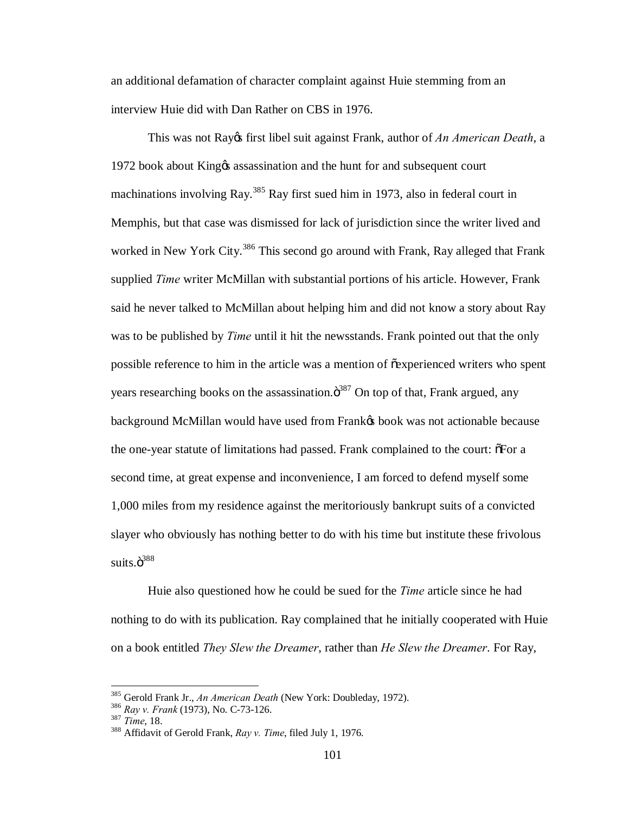an additional defamation of character complaint against Huie stemming from an interview Huie did with Dan Rather on CBS in 1976.

This was not Rayos first libel suit against Frank, author of *An American Death*, a 1972 book about King% assassination and the hunt for and subsequent court machinations involving Ray.<sup>385</sup> Ray first sued him in 1973, also in federal court in Memphis, but that case was dismissed for lack of jurisdiction since the writer lived and worked in New York City.<sup>386</sup> This second go around with Frank, Ray alleged that Frank supplied *Time* writer McMillan with substantial portions of his article. However, Frank said he never talked to McMillan about helping him and did not know a story about Ray was to be published by *Time* until it hit the newsstands. Frank pointed out that the only possible reference to him in the article was a mention of  $\tilde{c}$  experienced writers who spent years researching books on the assassination. $\ddot{\sigma}^{387}$  On top of that, Frank argued, any background McMillan would have used from Frank $\alpha$  book was not actionable because the one-year statute of limitations had passed. Frank complained to the court:  $\delta$ For a second time, at great expense and inconvenience, I am forced to defend myself some 1,000 miles from my residence against the meritoriously bankrupt suits of a convicted slayer who obviously has nothing better to do with his time but institute these frivolous suits. $\ddot{\text{o}}^{388}$ 

Huie also questioned how he could be sued for the *Time* article since he had nothing to do with its publication. Ray complained that he initially cooperated with Huie on a book entitled *They Slew the Dreamer*, rather than *He Slew the Dreamer*. For Ray,

<sup>385</sup> Gerold Frank Jr., *An American Death* (New York: Doubleday, 1972). <sup>386</sup> *Ray v. Frank* (1973), No. C-73-126. <sup>387</sup> *Time*, 18. <sup>388</sup> Affidavit of Gerold Frank, *Ray v. Time*, filed July 1, 1976.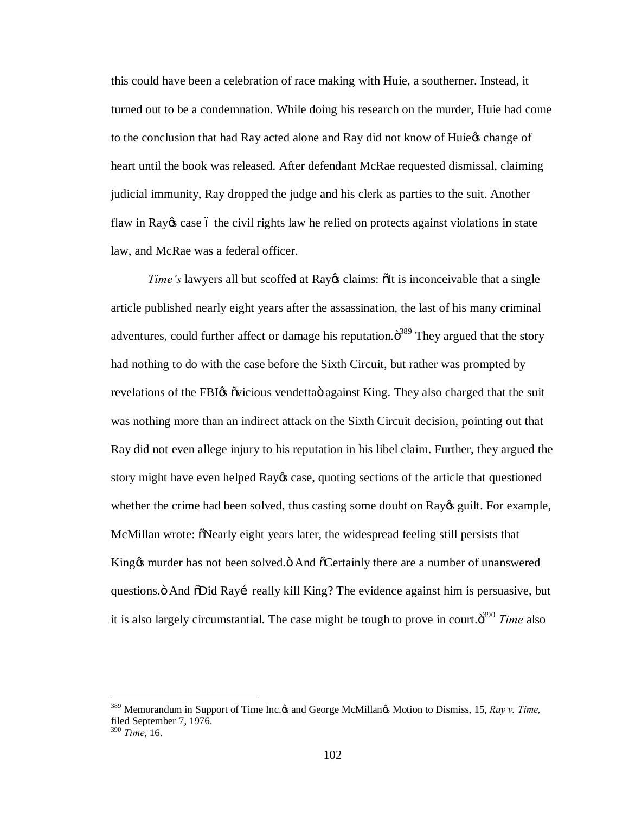this could have been a celebration of race making with Huie, a southerner. Instead, it turned out to be a condemnation. While doing his research on the murder, Huie had come to the conclusion that had Ray acted alone and Ray did not know of Huiegs change of heart until the book was released. After defendant McRae requested dismissal, claiming judicial immunity, Ray dropped the judge and his clerk as parties to the suit. Another flaw in Ray $\alpha$  case 6 the civil rights law he relied on protects against violations in state law, and McRae was a federal officer.

*Time*'s lawyers all but scoffed at Ray *i*s claims:  $\delta$ It is inconceivable that a single article published nearly eight years after the assassination, the last of his many criminal adventures, could further affect or damage his reputation. $\ddot{\mathrm{o}}^{389}$  They argued that the story had nothing to do with the case before the Sixth Circuit, but rather was prompted by revelations of the FBIG ovicious vendettao against King. They also charged that the suit was nothing more than an indirect attack on the Sixth Circuit decision, pointing out that Ray did not even allege injury to his reputation in his libel claim. Further, they argued the story might have even helped Ray & case, quoting sections of the article that questioned whether the crime had been solved, thus casting some doubt on Ray & guilt. For example, McMillan wrote:  $\delta$ Nearly eight years later, the widespread feeling still persists that King the murder has not been solved. And  $\delta$ Certainly there are a number of unanswered questions. S And  $\delta$ Did Rayi really kill King? The evidence against him is persuasive, but it is also largely circumstantial. The case might be tough to prove in court.<sup>390</sup> Time also

<sup>&</sup>lt;sup>389</sup> Memorandum in Support of Time Inc. $\alpha$  and George McMillan $\alpha$  Motion to Dismiss, 15, *Ray v. Time*, filed September 7, 1976.

<sup>390</sup> *Time*, 16.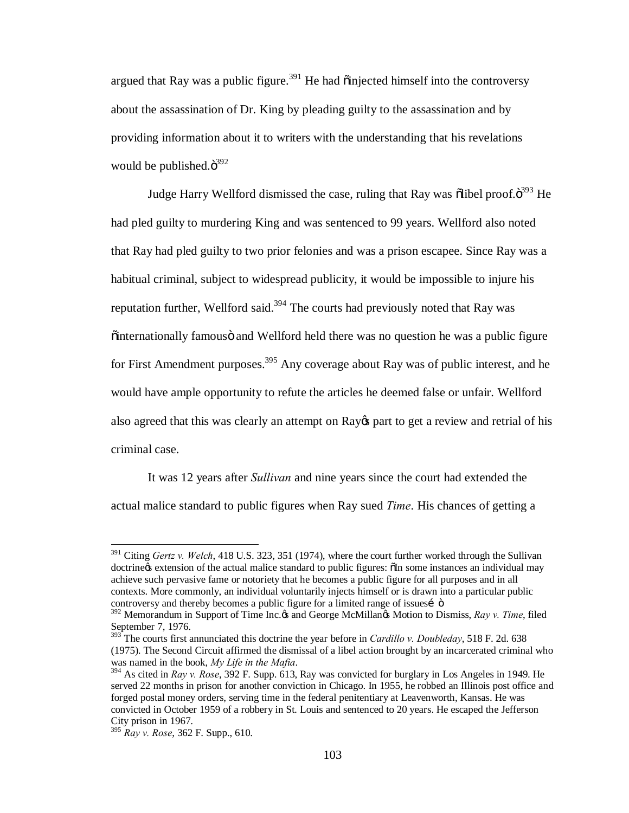argued that Ray was a public figure.<sup>391</sup> He had  $\ddot{\text{o}}$  injected himself into the controversy about the assassination of Dr. King by pleading guilty to the assassination and by providing information about it to writers with the understanding that his revelations would be published. $\ddot{\text{o}}^{392}$ 

Judge Harry Wellford dismissed the case, ruling that Ray was õlibel proof. $\ddot{\text{o}}^{393}$  He had pled guilty to murdering King and was sentenced to 99 years. Wellford also noted that Ray had pled guilty to two prior felonies and was a prison escapee. Since Ray was a habitual criminal, subject to widespread publicity, it would be impossible to injure his reputation further, Wellford said.<sup>394</sup> The courts had previously noted that Ray was  $\ddot{\text{o}}$ internationally famousö and Wellford held there was no question he was a public figure for First Amendment purposes.<sup>395</sup> Any coverage about Ray was of public interest, and he would have ample opportunity to refute the articles he deemed false or unfair. Wellford also agreed that this was clearly an attempt on Ray t part to get a review and retrial of his criminal case.

It was 12 years after *Sullivan* and nine years since the court had extended the actual malice standard to public figures when Ray sued *Time*. His chances of getting a

 <sup>391</sup> Citing *Gertz v. Welch*, 418 U.S. 323, 351 (1974), where the court further worked through the Sullivan doctrine ts extension of the actual malice standard to public figures:  $\delta$ In some instances an individual may achieve such pervasive fame or notoriety that he becomes a public figure for all purposes and in all contexts. More commonly, an individual voluntarily injects himself or is drawn into a particular public controversy and thereby becomes a public figure for a limited range of issuesí ö

<sup>&</sup>lt;sup>392</sup> Memorandum in Support of Time Inc. os and George McMillanos Motion to Dismiss, *Ray v. Time*, filed September 7, 1976.

<sup>393</sup> The courts first annunciated this doctrine the year before in *Cardillo v. Doubleday*, 518 F. 2d. 638 (1975). The Second Circuit affirmed the dismissal of a libel action brought by an incarcerated criminal who was named in the book, *My Life in the Mafia*.<br><sup>394</sup> As cited in *Ray v. Rose*, 392 F. Supp. 613, Ray was convicted for burglary in Los Angeles in 1949. He

served 22 months in prison for another conviction in Chicago. In 1955, he robbed an Illinois post office and forged postal money orders, serving time in the federal penitentiary at Leavenworth, Kansas. He was convicted in October 1959 of a robbery in St. Louis and sentenced to 20 years. He escaped the Jefferson City prison in 1967.

<sup>395</sup> *Ray v. Rose*, 362 F. Supp., 610.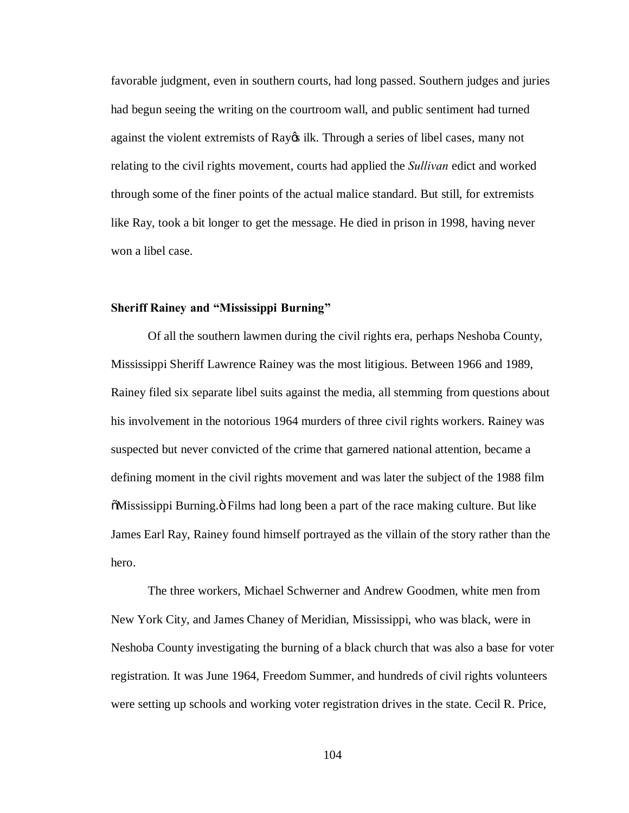favorable judgment, even in southern courts, had long passed. Southern judges and juries had begun seeing the writing on the courtroom wall, and public sentiment had turned against the violent extremists of Ray  $\alpha$  ilk. Through a series of libel cases, many not relating to the civil rights movement, courts had applied the *Sullivan* edict and worked through some of the finer points of the actual malice standard. But still, for extremists like Ray, took a bit longer to get the message. He died in prison in 1998, having never won a libel case.

# **Sheriff Rainey and "Mississippi Burning"**

Of all the southern lawmen during the civil rights era, perhaps Neshoba County, Mississippi Sheriff Lawrence Rainey was the most litigious. Between 1966 and 1989, Rainey filed six separate libel suits against the media, all stemming from questions about his involvement in the notorious 1964 murders of three civil rights workers. Rainey was suspected but never convicted of the crime that garnered national attention, became a defining moment in the civil rights movement and was later the subject of the 1988 film  $\delta$ Mississippi Burning.  $\delta$  Films had long been a part of the race making culture. But like James Earl Ray, Rainey found himself portrayed as the villain of the story rather than the hero.

The three workers, Michael Schwerner and Andrew Goodmen, white men from New York City, and James Chaney of Meridian, Mississippi, who was black, were in Neshoba County investigating the burning of a black church that was also a base for voter registration. It was June 1964, Freedom Summer, and hundreds of civil rights volunteers were setting up schools and working voter registration drives in the state. Cecil R. Price,

104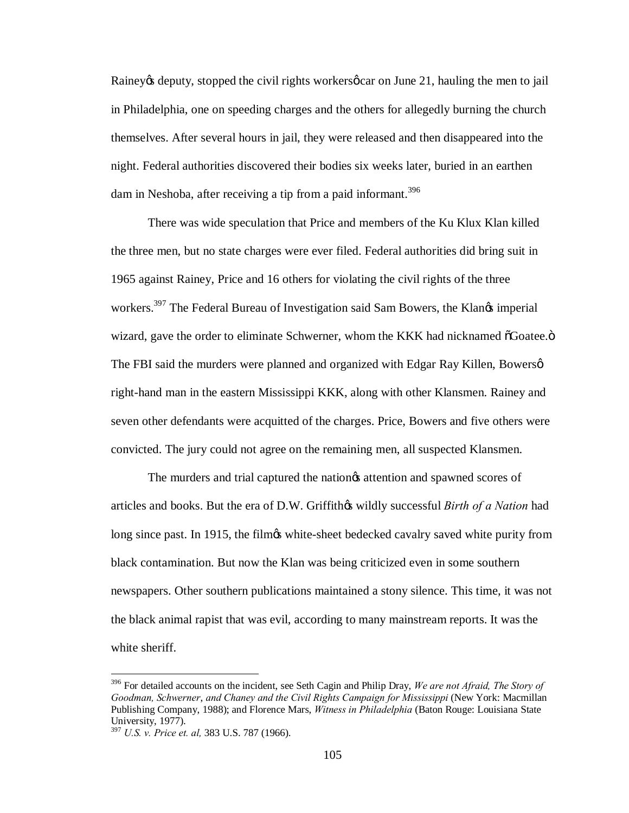Rainey to deputy, stopped the civil rights workers of carea on June 21, hauling the men to jail in Philadelphia, one on speeding charges and the others for allegedly burning the church themselves. After several hours in jail, they were released and then disappeared into the night. Federal authorities discovered their bodies six weeks later, buried in an earthen dam in Neshoba, after receiving a tip from a paid informant.<sup>396</sup>

There was wide speculation that Price and members of the Ku Klux Klan killed the three men, but no state charges were ever filed. Federal authorities did bring suit in 1965 against Rainey, Price and 16 others for violating the civil rights of the three workers.<sup>397</sup> The Federal Bureau of Investigation said Sam Bowers, the Klan $\alpha$  imperial wizard, gave the order to eliminate Schwerner, whom the KKK had nicknamed  $\delta$ Goatee. $\ddot{o}$ The FBI said the murders were planned and organized with Edgar Ray Killen, Bowersø right-hand man in the eastern Mississippi KKK, along with other Klansmen. Rainey and seven other defendants were acquitted of the charges. Price, Bowers and five others were convicted. The jury could not agree on the remaining men, all suspected Klansmen.

The murders and trial captured the nation of attention and spawned scores of articles and books. But the era of D.W. Griffithes wildly successful *Birth of a Nation* had long since past. In 1915, the filmg white-sheet bedecked cavalry saved white purity from black contamination. But now the Klan was being criticized even in some southern newspapers. Other southern publications maintained a stony silence. This time, it was not the black animal rapist that was evil, according to many mainstream reports. It was the white sheriff.

 <sup>396</sup> For detailed accounts on the incident, see Seth Cagin and Philip Dray, *We are not Afraid, The Story of Goodman, Schwerner*, *and Chaney and the Civil Rights Campaign for Mississippi* (New York: Macmillan Publishing Company, 1988); and Florence Mars, *Witness in Philadelphia* (Baton Rouge: Louisiana State University, 1977).

<sup>397</sup> *U.S. v. Price et. al,* 383 U.S. 787 (1966).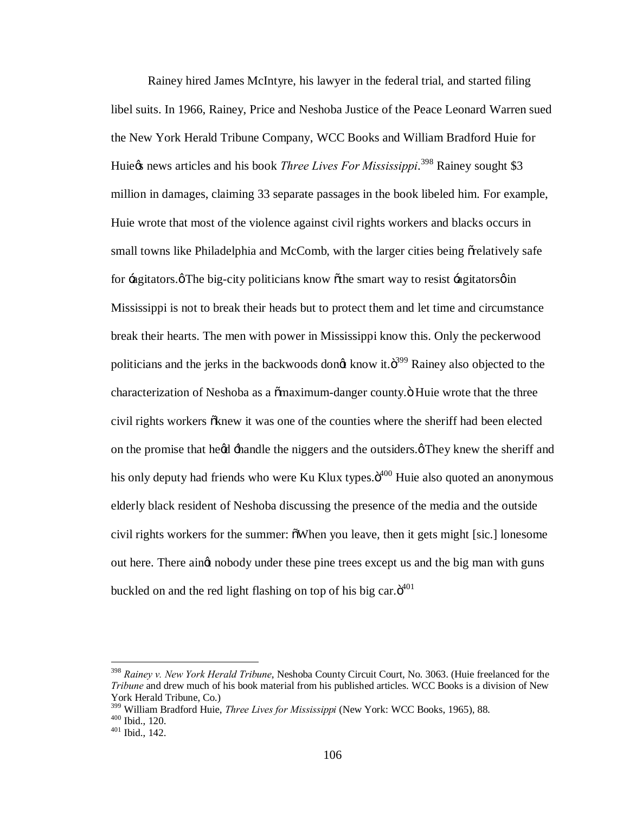Rainey hired James McIntyre, his lawyer in the federal trial, and started filing libel suits. In 1966, Rainey, Price and Neshoba Justice of the Peace Leonard Warren sued the New York Herald Tribune Company, WCC Books and William Bradford Huie for Huie $\alpha$  news articles and his book *Three Lives For Mississippi*.<sup>398</sup> Rainey sought \$3 million in damages, claiming 33 separate passages in the book libeled him. For example, Huie wrote that most of the violence against civil rights workers and blacks occurs in small towns like Philadelphia and McComb, with the larger cities being  $\tilde{\sigma}$  relatively safe for  $\pm$  agitators. $\phi$ The big-city politicians know  $\phi$ the smart way to resist  $\pm$ agitators $\phi$  in Mississippi is not to break their heads but to protect them and let time and circumstance break their hearts. The men with power in Mississippi know this. Only the peckerwood politicians and the jerks in the backwoods dongt know it. $\ddot{\text{o}}^{399}$  Rainey also objected to the characterization of Neshoba as a  $\tilde{\text{a}}$  maximum-danger county. $\ddot{\text{o}}$  Huie wrote that the three civil rights workers  $\tilde{\alpha}$ knew it was one of the counties where the sheriff had been elected on the promise that he $\alpha$  -handle the niggers and the outsiders. $\varphi$  They knew the sheriff and his only deputy had friends who were Ku Klux types.ö<sup>400</sup> Huie also quoted an anonymous elderly black resident of Neshoba discussing the presence of the media and the outside civil rights workers for the summer:  $\delta$ When you leave, then it gets might [sic.] lonesome out here. There aingt nobody under these pine trees except us and the big man with guns buckled on and the red light flashing on top of his big car. $\ddot{o}^{401}$ 

 <sup>398</sup> *Rainey v. New York Herald Tribune*, Neshoba County Circuit Court, No. 3063. (Huie freelanced for the *Tribune* and drew much of his book material from his published articles. WCC Books is a division of New York Herald Tribune, Co.)

<sup>&</sup>lt;sup>399</sup> William Bradford Huie, *Three Lives for Mississippi* (New York: WCC Books, 1965), 88. <sup>400</sup> Ibid., 120.<br><sup>401</sup> Ibid., 142.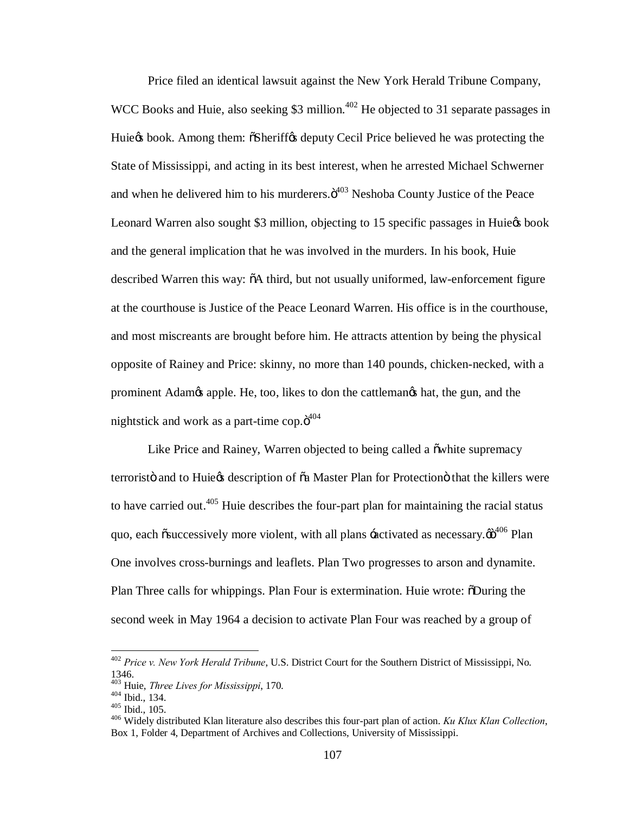Price filed an identical lawsuit against the New York Herald Tribune Company, WCC Books and Huie, also seeking \$3 million.<sup>402</sup> He objected to 31 separate passages in Huie to book. Among them:  $\delta$ Sheriff $\delta$  deputy Cecil Price believed he was protecting the State of Mississippi, and acting in its best interest, when he arrested Michael Schwerner and when he delivered him to his murderers. $\ddot{o}^{403}$  Neshoba County Justice of the Peace Leonard Warren also sought \$3 million, objecting to 15 specific passages in Huie& book and the general implication that he was involved in the murders. In his book, Huie described Warren this way:  $\delta A$  third, but not usually uniformed, law-enforcement figure at the courthouse is Justice of the Peace Leonard Warren. His office is in the courthouse, and most miscreants are brought before him. He attracts attention by being the physical opposite of Rainey and Price: skinny, no more than 140 pounds, chicken-necked, with a prominent Adam $\alpha$  apple. He, too, likes to don the cattlemangs hat, the gun, and the nightstick and work as a part-time cop. $\ddot{o}^{404}$ 

Like Price and Rainey, Warren objected to being called a  $\ddot{\text{o}}$  white supremacy terroristö and to Huie $\alpha$  description of  $\alpha$  Master Plan for Protection that the killers were to have carried out. $405$  Huie describes the four-part plan for maintaining the racial status quo, each  $\tilde{\text{os}$ uccessively more violent, with all plans  $\pm$ activated as necessary. $\tilde{\text{co}}^{406}$  Plan One involves cross-burnings and leaflets. Plan Two progresses to arson and dynamite. Plan Three calls for whippings. Plan Four is extermination. Huie wrote:  $\delta$ During the second week in May 1964 a decision to activate Plan Four was reached by a group of

 <sup>402</sup> *Price v. New York Herald Tribune*, U.S. District Court for the Southern District of Mississippi, No. 1346.<br><sup>403</sup> Huie, *Three Lives for Mississippi*, 170.

<sup>403</sup> Huid., 134.<br><sup>405</sup> Ibid., 105.<br><sup>406</sup> Widely distributed Klan literature also describes this four-part plan of action. *Ku Klux Klan Collection*, Box 1, Folder 4, Department of Archives and Collections, University of Mississippi.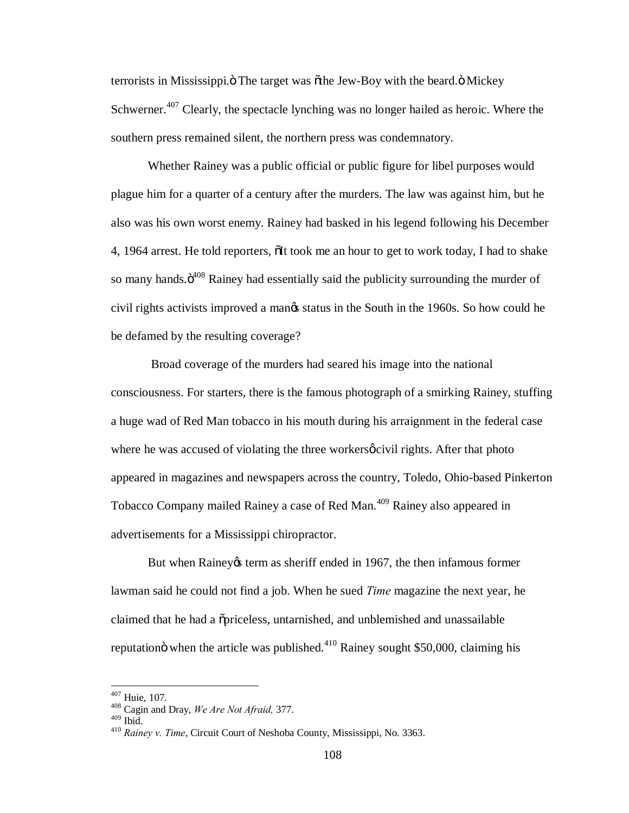terrorists in Mississippi. The target was  $\delta$ the Jew-Boy with the beard.  $\delta$  Mickey Schwerner.<sup>407</sup> Clearly, the spectacle lynching was no longer hailed as heroic. Where the southern press remained silent, the northern press was condemnatory.

Whether Rainey was a public official or public figure for libel purposes would plague him for a quarter of a century after the murders. The law was against him, but he also was his own worst enemy. Rainey had basked in his legend following his December 4, 1964 arrest. He told reporters,  $\delta$ It took me an hour to get to work today, I had to shake so many hands. $\ddot{\mathrm{o}}^{408}$  Rainey had essentially said the publicity surrounding the murder of civil rights activists improved a man $\alpha$  status in the South in the 1960s. So how could he be defamed by the resulting coverage?

Broad coverage of the murders had seared his image into the national consciousness. For starters, there is the famous photograph of a smirking Rainey, stuffing a huge wad of Red Man tobacco in his mouth during his arraignment in the federal case where he was accused of violating the three workers  $\phi$  civil rights. After that photo appeared in magazines and newspapers across the country, Toledo, Ohio-based Pinkerton Tobacco Company mailed Rainey a case of Red Man.<sup>409</sup> Rainey also appeared in advertisements for a Mississippi chiropractor.

But when Rainey term as sheriff ended in 1967, the then infamous former lawman said he could not find a job. When he sued *Time* magazine the next year, he claimed that he had a "priceless, untarnished, and unblemished and unassailable reputation when the article was published.<sup>410</sup> Rainey sought \$50,000, claiming his

<sup>407</sup> Huie, 107. <sup>408</sup> Cagin and Dray, *We Are Not Afraid,* 377.

<sup>&</sup>lt;sup>410</sup> Rainey v. Time, Circuit Court of Neshoba County, Mississippi, No. 3363.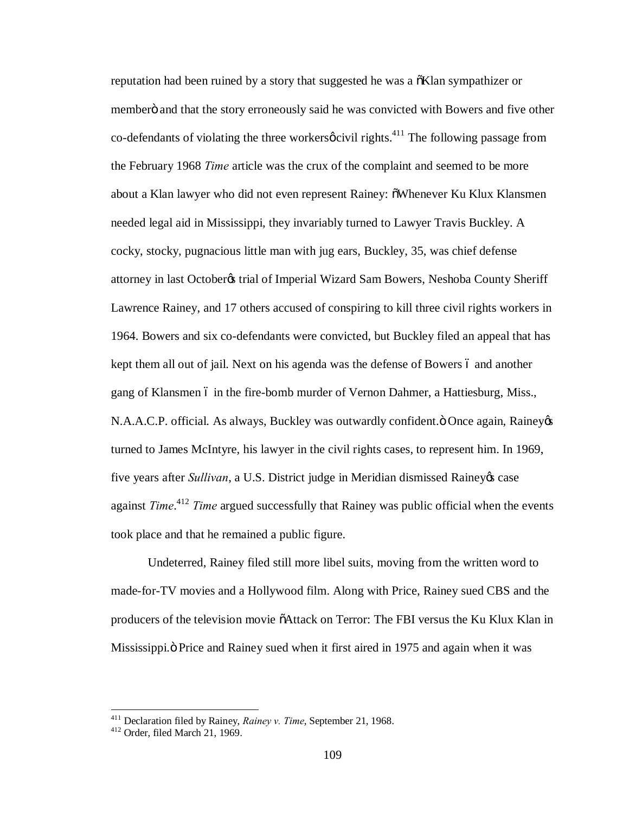reputation had been ruined by a story that suggested he was a  $\delta$ Klan sympathizer or memberö and that the story erroneously said he was convicted with Bowers and five other co-defendants of violating the three workers  $\phi$  civil rights.<sup>411</sup> The following passage from the February 1968 *Time* article was the crux of the complaint and seemed to be more about a Klan lawyer who did not even represent Rainey:  $\delta$ Whenever Ku Klux Klansmen needed legal aid in Mississippi, they invariably turned to Lawyer Travis Buckley. A cocky, stocky, pugnacious little man with jug ears, Buckley, 35, was chief defense attorney in last October& trial of Imperial Wizard Sam Bowers, Neshoba County Sheriff Lawrence Rainey, and 17 others accused of conspiring to kill three civil rights workers in 1964. Bowers and six co-defendants were convicted, but Buckley filed an appeal that has kept them all out of jail. Next on his agenda was the defense of Bowers 6 and another gang of Klansmen 6 in the fire-bomb murder of Vernon Dahmer, a Hattiesburg, Miss., N.A.A.C.P. official. As always, Buckley was outwardly confident. Ö Once again, Rainey  $\&$ turned to James McIntyre, his lawyer in the civil rights cases, to represent him. In 1969, five years after *Sullivan*, a U.S. District judge in Meridian dismissed Rainey & case against *Time*. <sup>412</sup> *Time* argued successfully that Rainey was public official when the events took place and that he remained a public figure.

Undeterred, Rainey filed still more libel suits, moving from the written word to made-for-TV movies and a Hollywood film. Along with Price, Rainey sued CBS and the producers of the television movie "Attack on Terror: The FBI versus the Ku Klux Klan in Mississippi. The Price and Rainey sued when it first aired in 1975 and again when it was

<sup>411</sup> Declaration filed by Rainey, *Rainey v. Time*, September 21, 1968. <sup>412</sup> Order, filed March 21, 1969.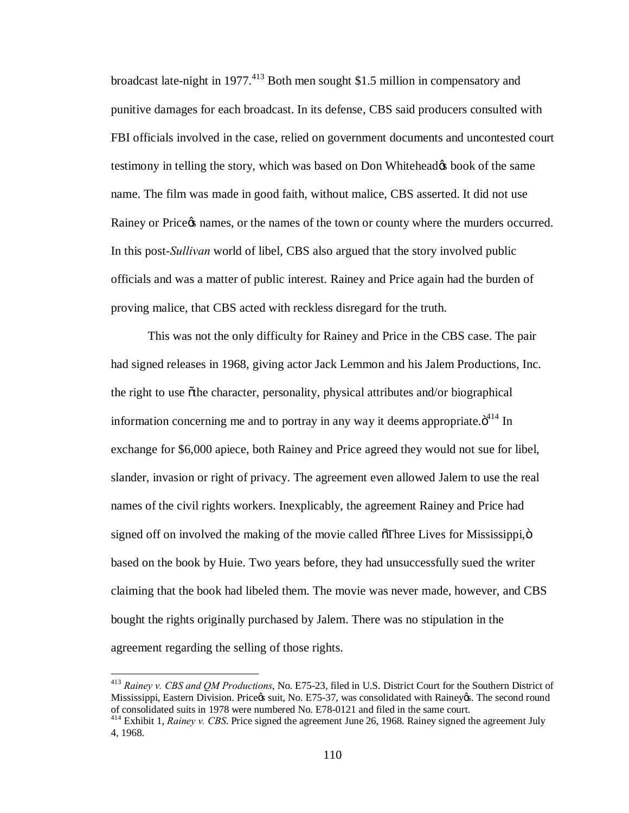broadcast late-night in 1977.<sup>413</sup> Both men sought \$1.5 million in compensatory and punitive damages for each broadcast. In its defense, CBS said producers consulted with FBI officials involved in the case, relied on government documents and uncontested court testimony in telling the story, which was based on Don Whitehead to book of the same name. The film was made in good faith, without malice, CBS asserted. It did not use Rainey or Price  $\alpha$  names, or the names of the town or county where the murders occurred. In this post-*Sullivan* world of libel, CBS also argued that the story involved public officials and was a matter of public interest. Rainey and Price again had the burden of proving malice, that CBS acted with reckless disregard for the truth.

This was not the only difficulty for Rainey and Price in the CBS case. The pair had signed releases in 1968, giving actor Jack Lemmon and his Jalem Productions, Inc. the right to use othe character, personality, physical attributes and/or biographical information concerning me and to portray in any way it deems appropriate. $\ddot{o}^{414}$  In exchange for \$6,000 apiece, both Rainey and Price agreed they would not sue for libel, slander, invasion or right of privacy. The agreement even allowed Jalem to use the real names of the civil rights workers. Inexplicably, the agreement Rainey and Price had signed off on involved the making of the movie called  $\delta$ Three Lives for Mississippi, $\ddot{\rm o}$ based on the book by Huie. Two years before, they had unsuccessfully sued the writer claiming that the book had libeled them. The movie was never made, however, and CBS bought the rights originally purchased by Jalem. There was no stipulation in the agreement regarding the selling of those rights.

 <sup>413</sup> *Rainey v. CBS and QM Productions*, No. E75-23, filed in U.S. District Court for the Southern District of Mississippi, Eastern Division. Price & suit, No. E75-37, was consolidated with Rainey &. The second round of consolidated suits in 1978 were numbered No. E78-0121 and filed in the same court.

<sup>&</sup>lt;sup>414</sup> Exhibit 1, *Rainey v. CBS*. Price signed the agreement June 26, 1968. Rainey signed the agreement July 4, 1968.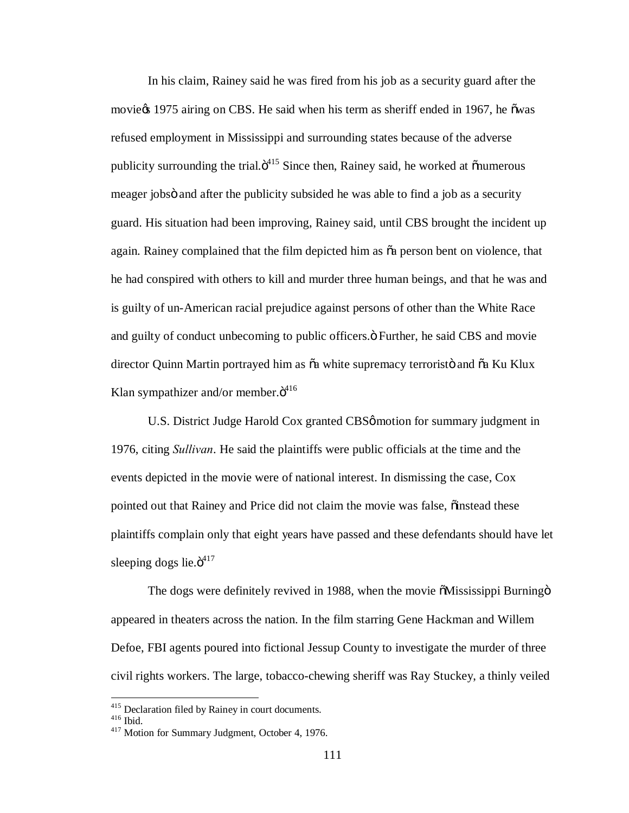In his claim, Rainey said he was fired from his job as a security guard after the movie $\infty$  1975 airing on CBS. He said when his term as sheriff ended in 1967, he õwas refused employment in Mississippi and surrounding states because of the adverse publicity surrounding the trial. $\ddot{\sigma}^{415}$  Since then, Rainey said, he worked at  $\ddot{\text{on}}$ umerous meager jobs and after the publicity subsided he was able to find a job as a security guard. His situation had been improving, Rainey said, until CBS brought the incident up again. Rainey complained that the film depicted him as  $\tilde{a}$  person bent on violence, that he had conspired with others to kill and murder three human beings, and that he was and is guilty of un-American racial prejudice against persons of other than the White Race and guilty of conduct unbecoming to public officers. $\ddot{o}$  Further, he said CBS and movie director Quinn Martin portrayed him as  $\tilde{o}a$  white supremacy terroristö and  $\tilde{o}a$  Ku Klux Klan sympathizer and/or member. $\ddot{o}^{416}$ 

U.S. District Judge Harold Cox granted CBSø motion for summary judgment in 1976, citing *Sullivan*. He said the plaintiffs were public officials at the time and the events depicted in the movie were of national interest. In dismissing the case, Cox pointed out that Rainey and Price did not claim the movie was false,  $\ddot{\text{o}}$  instead these plaintiffs complain only that eight years have passed and these defendants should have let sleeping dogs lie. $\ddot{\mathrm{o}}^{417}$ 

The dogs were definitely revived in 1988, when the movie  $\delta$ Mississippi Burning  $\delta$ appeared in theaters across the nation. In the film starring Gene Hackman and Willem Defoe, FBI agents poured into fictional Jessup County to investigate the murder of three civil rights workers. The large, tobacco-chewing sheriff was Ray Stuckey, a thinly veiled

<sup>&</sup>lt;sup>415</sup> Declaration filed by Rainey in court documents.<br><sup>416</sup> Ibid.  $417$  Motion for Summary Judgment, October 4, 1976.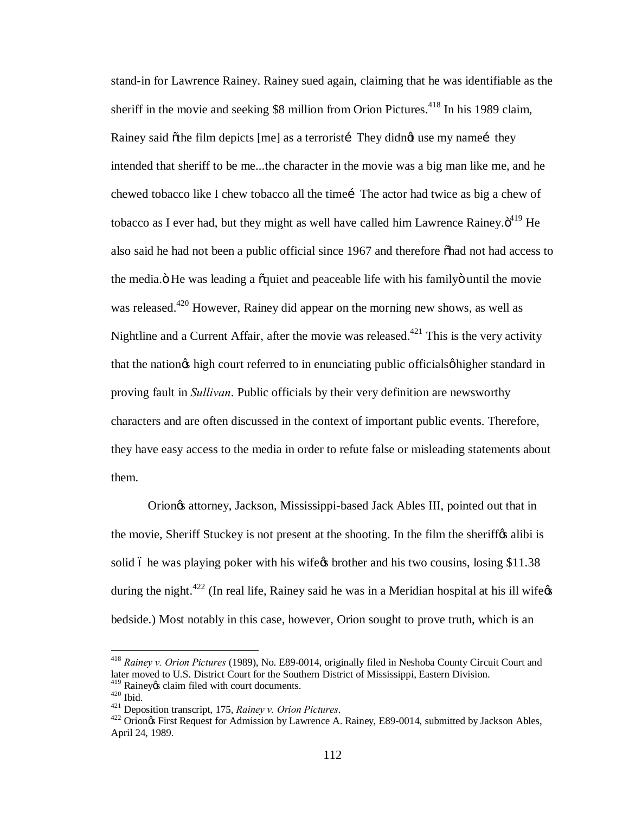stand-in for Lawrence Rainey. Rainey sued again, claiming that he was identifiable as the sheriff in the movie and seeking  $$8$  million from Orion Pictures.<sup>418</sup> In his 1989 claim, Rainey said õthe film depicts [me] as a terroristi They didnet use my namei they intended that sheriff to be me...the character in the movie was a big man like me, and he chewed tobacco like I chew tobacco all the time iThe actor had twice as big a chew of tobacco as I ever had, but they might as well have called him Lawrence Rainey. $\ddot{o}^{419}$  He also said he had not been a public official since 1967 and therefore on had not had access to the media. The was leading a quiet and peaceable life with his family ountil the movie was released.<sup>420</sup> However, Rainey did appear on the morning new shows, as well as Nightline and a Current Affair, after the movie was released.<sup>421</sup> This is the very activity that the nation the high court referred to in enunciating public officials of higher standard in proving fault in *Sullivan*. Public officials by their very definition are newsworthy characters and are often discussed in the context of important public events. Therefore, they have easy access to the media in order to refute false or misleading statements about them.

Orion's attorney, Jackson, Mississippi-based Jack Ables III, pointed out that in the movie, Sheriff Stuckey is not present at the shooting. In the film the sheriffy alibi is solid 6 he was playing poker with his wife t brother and his two cousins, losing \$11.38 during the night.<sup>422</sup> (In real life, Rainey said he was in a Meridian hospital at his ill wife $\alpha$ bedside.) Most notably in this case, however, Orion sought to prove truth, which is an

 <sup>418</sup> *Rainey v. Orion Pictures* (1989), No. E89-0014, originally filed in Neshoba County Circuit Court and later moved to U.S. District Court for the Southern District of Mississippi, Eastern Division.<br><sup>419</sup> Rainevos claim filed with court documents.

<sup>420</sup> Ibid.<br>
<sup>421</sup> Deposition transcript, 175, *Rainey v. Orion Pictures*.<br>
<sup>421</sup> Deposition transcript, 175, *Rainey v. Orion Pictures*.<br>
<sup>422</sup> Orion& First Request for Admission by Lawrence A. Rainey, E89-0014, submitted b April 24, 1989.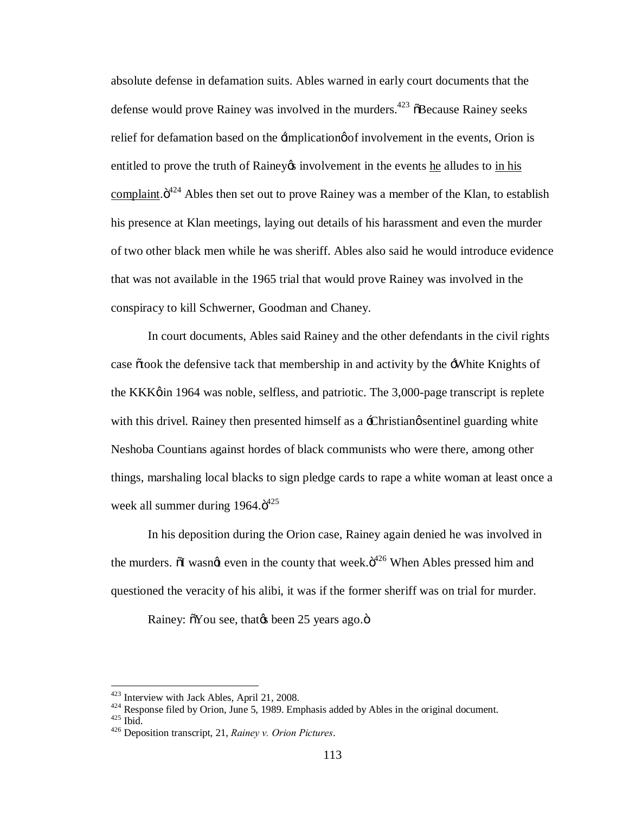absolute defense in defamation suits. Ables warned in early court documents that the defense would prove Rainey was involved in the murders.<sup>423</sup>  $\delta$ Because Rainey seeks relief for defamation based on the  $\exists$ implication of involvement in the events, Orion is entitled to prove the truth of Rainey involvement in the events he alludes to in his complaint. $\ddot{\mathrm{o}}^{424}$  Ables then set out to prove Rainey was a member of the Klan, to establish his presence at Klan meetings, laying out details of his harassment and even the murder of two other black men while he was sheriff. Ables also said he would introduce evidence that was not available in the 1965 trial that would prove Rainey was involved in the conspiracy to kill Schwerner, Goodman and Chaney.

In court documents, Ables said Rainey and the other defendants in the civil rights case  $\tilde{\sigma}$  took the defensive tack that membership in and activity by the  $\tilde{\sigma}$ . White Knights of the KKK $\phi$  in 1964 was noble, selfless, and patriotic. The 3,000-page transcript is replete with this drivel. Rainey then presented himself as a -Christian *sentinel* guarding white Neshoba Countians against hordes of black communists who were there, among other things, marshaling local blacks to sign pledge cards to rape a white woman at least once a week all summer during  $1964.\ddot{\sigma}^{425}$ 

In his deposition during the Orion case, Rainey again denied he was involved in the murders.  $\delta I$  wasn $\alpha$  even in the county that week. $\delta^{426}$  When Ables pressed him and questioned the veracity of his alibi, it was if the former sheriff was on trial for murder.

Rainey:  $\delta$ You see, that $\alpha$  been 25 years ago. $\ddot{\text{o}}$ 

<sup>423</sup> Interview with Jack Ables, April 21, 2008. <sup>424</sup> Response filed by Orion, June 5, 1989. Emphasis added by Ables in the original document. <sup>425</sup> Ibid. <sup>426</sup> Deposition transcript, 21, *Rainey v. Orion Pictures*.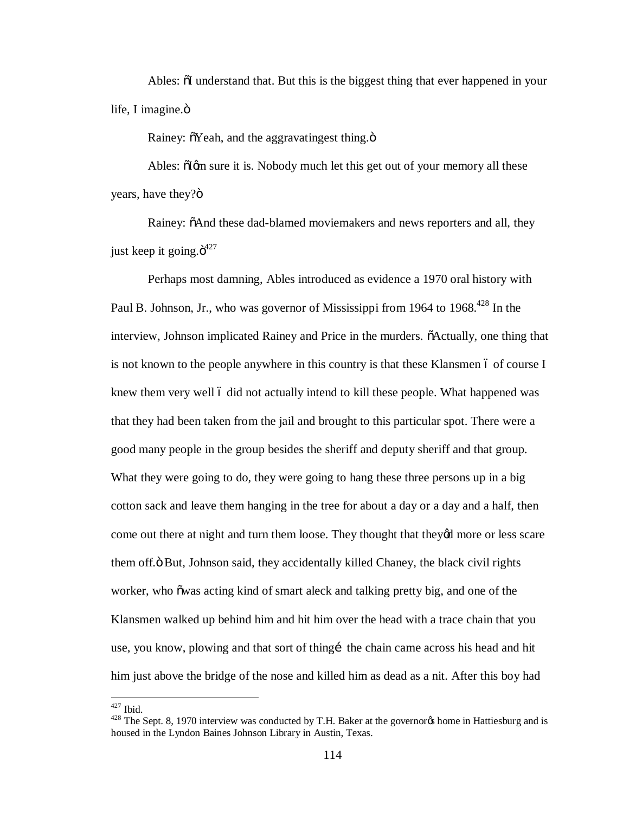Ables:  $\delta I$  understand that. But this is the biggest thing that ever happened in your life, I imagine. $\ddot{\text{o}}$ 

Rainey:  $\delta$ Yeah, and the aggravating est thing. $\ddot{\mathrm{o}}$ 

Ables:  $\delta$ Igm sure it is. Nobody much let this get out of your memory all these years, have they?"

Rainey:  $\delta$ And these dad-blamed moviemakers and news reporters and all, they just keep it going. $\ddot{\sigma}^{427}$ 

Perhaps most damning, Ables introduced as evidence a 1970 oral history with Paul B. Johnson, Jr., who was governor of Mississippi from 1964 to 1968.<sup>428</sup> In the interview, Johnson implicated Rainey and Price in the murders.  $\delta$ Actually, one thing that is not known to the people anywhere in this country is that these Klansmen 6 of course I knew them very well 6 did not actually intend to kill these people. What happened was that they had been taken from the jail and brought to this particular spot. There were a good many people in the group besides the sheriff and deputy sheriff and that group. What they were going to do, they were going to hang these three persons up in a big cotton sack and leave them hanging in the tree for about a day or a day and a half, then come out there at night and turn them loose. They thought that they'd more or less scare them off. $\ddot{o}$  But, Johnson said, they accidentally killed Chaney, the black civil rights worker, who õwas acting kind of smart aleck and talking pretty big, and one of the Klansmen walked up behind him and hit him over the head with a trace chain that you use, you know, plowing and that sort of thing the chain came across his head and hit him just above the bridge of the nose and killed him as dead as a nit. After this boy had

<sup>&</sup>lt;sup>427</sup> Ibid.<br><sup>428</sup> The Sept. 8, 1970 interview was conducted by T.H. Baker at the governor<sub>f</sub> home in Hattiesburg and is housed in the Lyndon Baines Johnson Library in Austin, Texas.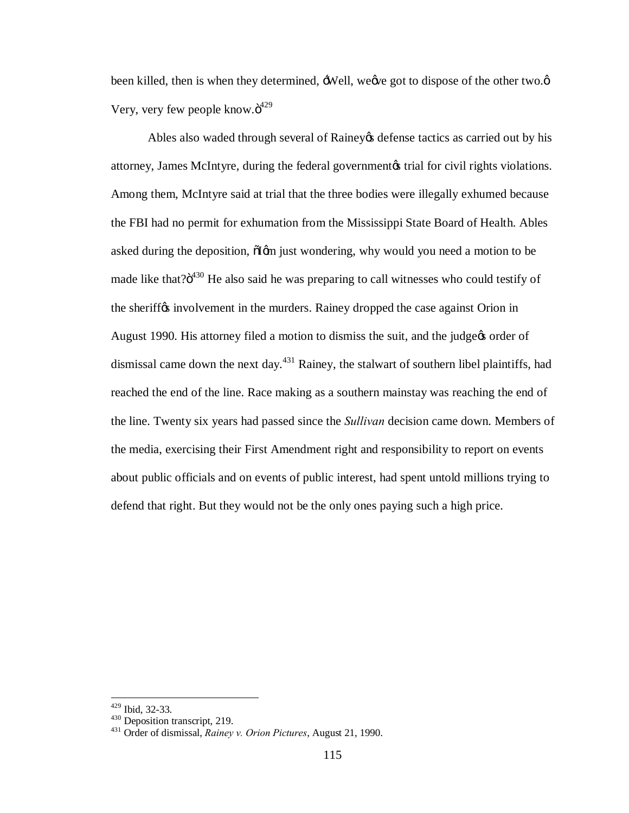been killed, then is when they determined,  $\exists$ Well, we we got to dispose of the other two. $\emptyset$ Very, very few people know. $\ddot{o}^{429}$ 

Ables also waded through several of Rainey & defense tactics as carried out by his attorney, James McIntyre, during the federal government is trial for civil rights violations. Among them, McIntyre said at trial that the three bodies were illegally exhumed because the FBI had no permit for exhumation from the Mississippi State Board of Health. Ables asked during the deposition,  $\delta$ Igm just wondering, why would you need a motion to be made like that? $\ddot{o}^{430}$  He also said he was preparing to call witnesses who could testify of the sheriff $\alpha$  involvement in the murders. Rainey dropped the case against Orion in August 1990. His attorney filed a motion to dismiss the suit, and the judge to order of dismissal came down the next day.<sup>431</sup> Rainey, the stalwart of southern libel plaintiffs, had reached the end of the line. Race making as a southern mainstay was reaching the end of the line. Twenty six years had passed since the *Sullivan* decision came down. Members of the media, exercising their First Amendment right and responsibility to report on events about public officials and on events of public interest, had spent untold millions trying to defend that right. But they would not be the only ones paying such a high price.

<sup>429</sup> Ibid, 32-33. <sup>430</sup> Deposition transcript, 219. <sup>431</sup> Order of dismissal, *Rainey v. Orion Pictures*, August 21, 1990.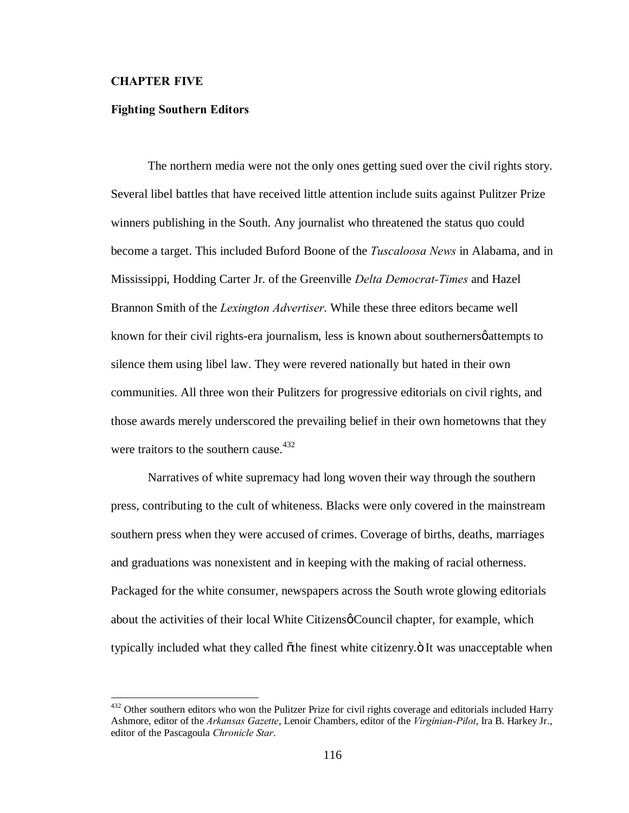## **CHAPTER FIVE**

# **Fighting Southern Editors**

The northern media were not the only ones getting sued over the civil rights story. Several libel battles that have received little attention include suits against Pulitzer Prize winners publishing in the South. Any journalist who threatened the status quo could become a target. This included Buford Boone of the *Tuscaloosa News* in Alabama, and in Mississippi, Hodding Carter Jr. of the Greenville *Delta Democrat-Times* and Hazel Brannon Smith of the *Lexington Advertiser*. While these three editors became well known for their civil rights-era journalism, less is known about southerners *φ* attempts to silence them using libel law. They were revered nationally but hated in their own communities. All three won their Pulitzers for progressive editorials on civil rights, and those awards merely underscored the prevailing belief in their own hometowns that they were traitors to the southern cause.<sup>432</sup>

Narratives of white supremacy had long woven their way through the southern press, contributing to the cult of whiteness. Blacks were only covered in the mainstream southern press when they were accused of crimes. Coverage of births, deaths, marriages and graduations was nonexistent and in keeping with the making of racial otherness. Packaged for the white consumer, newspapers across the South wrote glowing editorials about the activities of their local White Citizens  $\phi$  Council chapter, for example, which typically included what they called  $\ddot{\sigma}$ the finest white citizenry. $\ddot{\sigma}$  It was unacceptable when

<sup>&</sup>lt;sup>432</sup> Other southern editors who won the Pulitzer Prize for civil rights coverage and editorials included Harry Ashmore, editor of the *Arkansas Gazette*, Lenoir Chambers, editor of the *Virginian-Pilot*, Ira B. Harkey Jr., editor of the Pascagoula *Chronicle Star*.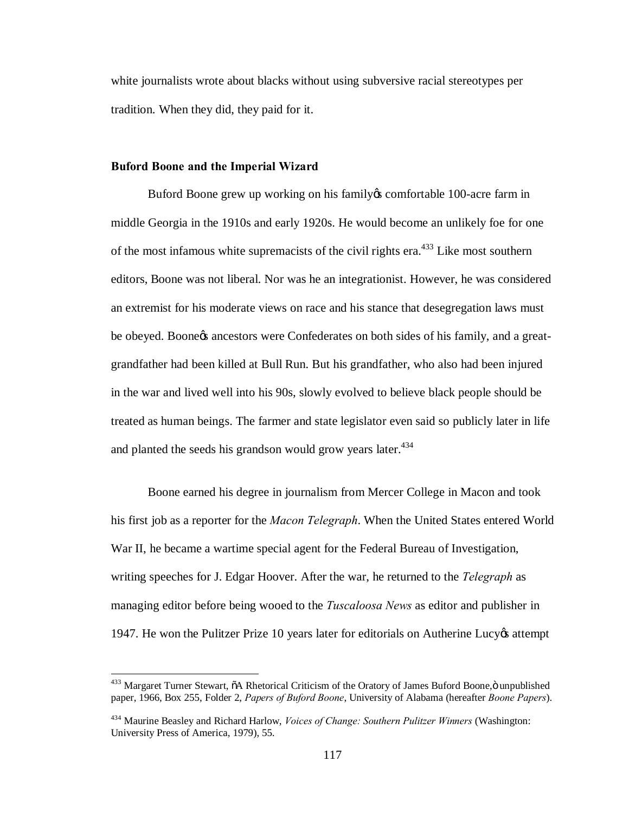white journalists wrote about blacks without using subversive racial stereotypes per tradition. When they did, they paid for it.

## **Buford Boone and the Imperial Wizard**

Buford Boone grew up working on his family to comfortable 100-acre farm in middle Georgia in the 1910s and early 1920s. He would become an unlikely foe for one of the most infamous white supremacists of the civil rights era.<sup>433</sup> Like most southern editors, Boone was not liberal. Nor was he an integrationist. However, he was considered an extremist for his moderate views on race and his stance that desegregation laws must be obeyed. Boone the ancestors were Confederates on both sides of his family, and a greatgrandfather had been killed at Bull Run. But his grandfather, who also had been injured in the war and lived well into his 90s, slowly evolved to believe black people should be treated as human beings. The farmer and state legislator even said so publicly later in life and planted the seeds his grandson would grow years later. $434$ 

Boone earned his degree in journalism from Mercer College in Macon and took his first job as a reporter for the *Macon Telegraph*. When the United States entered World War II, he became a wartime special agent for the Federal Bureau of Investigation, writing speeches for J. Edgar Hoover. After the war, he returned to the *Telegraph* as managing editor before being wooed to the *Tuscaloosa News* as editor and publisher in 1947. He won the Pulitzer Prize 10 years later for editorials on Autherine Lucy attempt

<sup>&</sup>lt;sup>433</sup> Margaret Turner Stewart,  $\tilde{o}A$  Rhetorical Criticism of the Oratory of James Buford Boone, $\ddot{o}$  unpublished paper, 1966, Box 255, Folder 2, *Papers of Buford Boone*, University of Alabama (hereafter *Boone Papers*).

<sup>434</sup> Maurine Beasley and Richard Harlow, *Voices of Change: Southern Pulitzer Winners* (Washington: University Press of America, 1979), 55.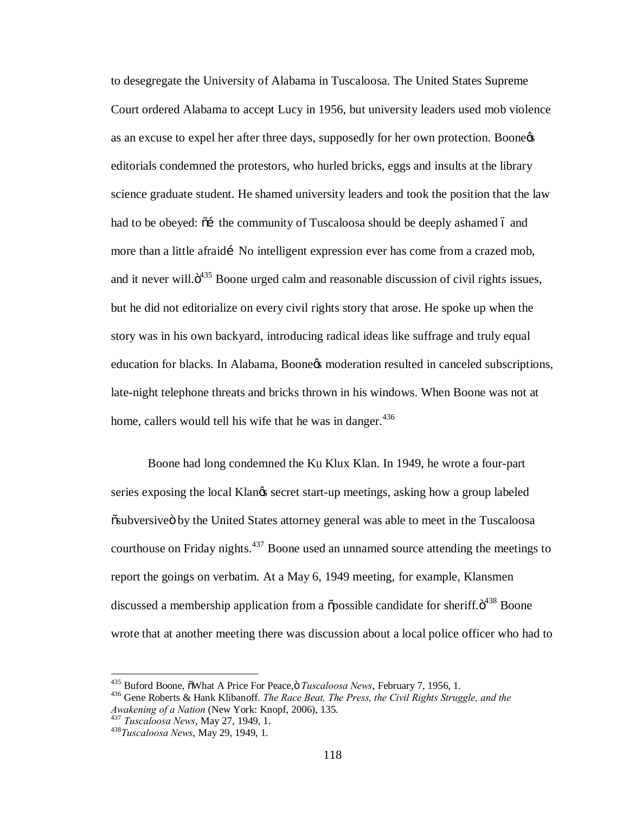to desegregate the University of Alabama in Tuscaloosa. The United States Supreme Court ordered Alabama to accept Lucy in 1956, but university leaders used mob violence as an excuse to expel her after three days, supposedly for her own protection. Boone editorials condemned the protestors, who hurled bricks, eggs and insults at the library science graduate student. He shamed university leaders and took the position that the law had to be obeyed:  $\tilde{o}$  the community of Tuscaloosa should be deeply ashamed 6 and more than a little afraidí No intelligent expression ever has come from a crazed mob, and it never will. $\ddot{\sigma}^{335}$  Boone urged calm and reasonable discussion of civil rights issues, but he did not editorialize on every civil rights story that arose. He spoke up when the story was in his own backyard, introducing radical ideas like suffrage and truly equal education for blacks. In Alabama, Boone& moderation resulted in canceled subscriptions, late-night telephone threats and bricks thrown in his windows. When Boone was not at home, callers would tell his wife that he was in danger.  $436$ 

Boone had long condemned the Ku Klux Klan. In 1949, he wrote a four-part series exposing the local Klangs secret start-up meetings, asking how a group labeled  $\ddot{\text{o}}$ subversive by the United States attorney general was able to meet in the Tuscaloosa courthouse on Friday nights.<sup>437</sup> Boone used an unnamed source attending the meetings to report the goings on verbatim. At a May 6, 1949 meeting, for example, Klansmen discussed a membership application from a  $\tilde{\text{op}}$  ossible candidate for sheriff. $\ddot{\text{o}}^{438}$  Boone wrote that at another meeting there was discussion about a local police officer who had to

<sup>&</sup>lt;sup>435</sup> Buford Boone,  $\delta$ What A Price For Peace, $\delta$  *Tuscaloosa News*, February 7, 1956, 1.<br><sup>436</sup> Gene Roberts & Hank Klibanoff. *The Race Beat, The Press, the Civil Rights Struggle, and the* 

*Awakening of a Nation* (New York: Knopf, 2006), 135. 437 *Tuscaloosa News*, May 27, 1949, 1. <sup>438</sup>*Tuscaloosa News*, May 29, 1949, 1.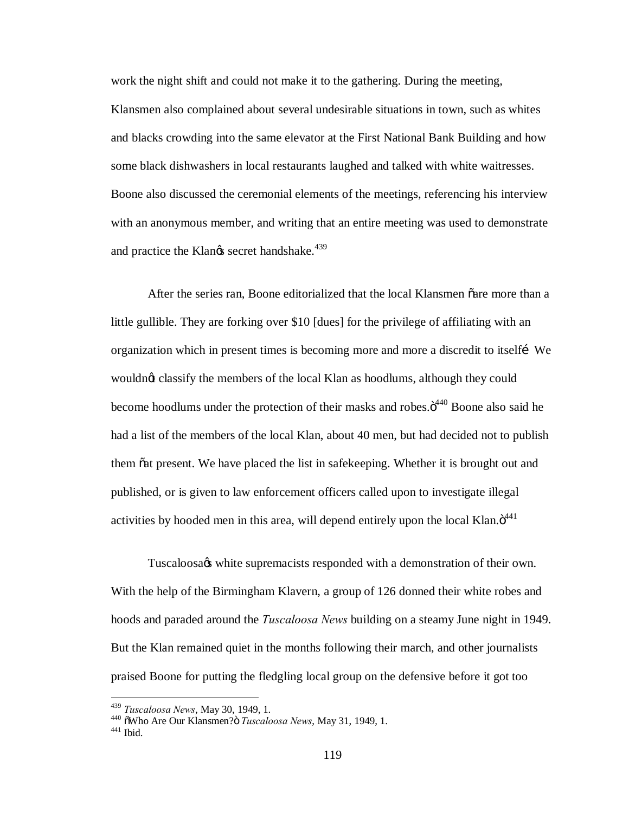work the night shift and could not make it to the gathering. During the meeting, Klansmen also complained about several undesirable situations in town, such as whites and blacks crowding into the same elevator at the First National Bank Building and how some black dishwashers in local restaurants laughed and talked with white waitresses. Boone also discussed the ceremonial elements of the meetings, referencing his interview with an anonymous member, and writing that an entire meeting was used to demonstrate and practice the Klangs secret handshake.<sup>439</sup>

After the series ran, Boone editorialized that the local Klansmen õare more than a little gullible. They are forking over \$10 [dues] for the privilege of affiliating with an organization which in present times is becoming more and more a discredit to itselfi We wouldnot classify the members of the local Klan as hoodlums, although they could become hoodlums under the protection of their masks and robes. $\ddot{o}^{440}$  Boone also said he had a list of the members of the local Klan, about 40 men, but had decided not to publish them  $\tilde{\sigma}$  present. We have placed the list in safekeeping. Whether it is brought out and published, or is given to law enforcement officers called upon to investigate illegal activities by hooded men in this area, will depend entirely upon the local Klan. $\ddot{o}^{441}$ 

Tuscaloosa<sub>/8</sub> white supremacists responded with a demonstration of their own. With the help of the Birmingham Klavern, a group of 126 donned their white robes and hoods and paraded around the *Tuscaloosa News* building on a steamy June night in 1949. But the Klan remained quiet in the months following their march, and other journalists praised Boone for putting the fledgling local group on the defensive before it got too

<sup>&</sup>lt;sup>439</sup> *Tuscaloosa News*, May 30, 1949, 1.<br><sup>440</sup> õWho Are Our Klansmen? *Tuscaloosa News*, May 31, 1949, 1.<br><sup>441</sup> Ibid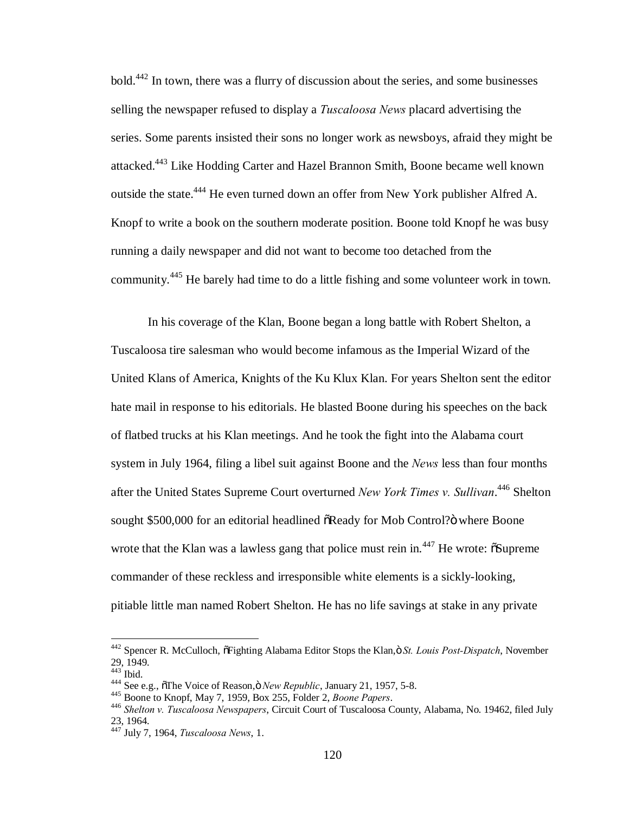bold.<sup>442</sup> In town, there was a flurry of discussion about the series, and some businesses selling the newspaper refused to display a *Tuscaloosa News* placard advertising the series. Some parents insisted their sons no longer work as newsboys, afraid they might be attacked.<sup>443</sup> Like Hodding Carter and Hazel Brannon Smith, Boone became well known outside the state.<sup>444</sup> He even turned down an offer from New York publisher Alfred A. Knopf to write a book on the southern moderate position. Boone told Knopf he was busy running a daily newspaper and did not want to become too detached from the community.<sup>445</sup> He barely had time to do a little fishing and some volunteer work in town.

In his coverage of the Klan, Boone began a long battle with Robert Shelton, a Tuscaloosa tire salesman who would become infamous as the Imperial Wizard of the United Klans of America, Knights of the Ku Klux Klan. For years Shelton sent the editor hate mail in response to his editorials. He blasted Boone during his speeches on the back of flatbed trucks at his Klan meetings. And he took the fight into the Alabama court system in July 1964, filing a libel suit against Boone and the *News* less than four months after the United States Supreme Court overturned *New York Times v. Sullivan*. <sup>446</sup> Shelton sought \$500,000 for an editorial headlined  $\delta$ Ready for Mob Control? $\ddot{o}$  where Boone wrote that the Klan was a lawless gang that police must rein in.<sup>447</sup> He wrote:  $\delta$ Supreme commander of these reckless and irresponsible white elements is a sickly-looking, pitiable little man named Robert Shelton. He has no life savings at stake in any private

<sup>&</sup>lt;sup>442</sup> Spencer R. McCulloch,  $\tilde{\sigma}$ Fighting Alabama Editor Stops the Klan,  $\tilde{\sigma}$  *St. Louis Post-Dispatch*, November  $29, 1949.$ <sup>443</sup> Ibid.

<sup>445</sup> See e.g., on The Voice of Reason, on New Republic, January 21, 1957, 5-8.<br>
445 Boone to Knopf, May 7, 1959, Box 255, Folder 2, *Boone Papers.*<br>
446 Shelton v. Tuscaloosa Newspapers, Circuit Court of Tuscaloosa County, 23, 1964. <sup>447</sup> July 7, 1964, *Tuscaloosa News*, 1.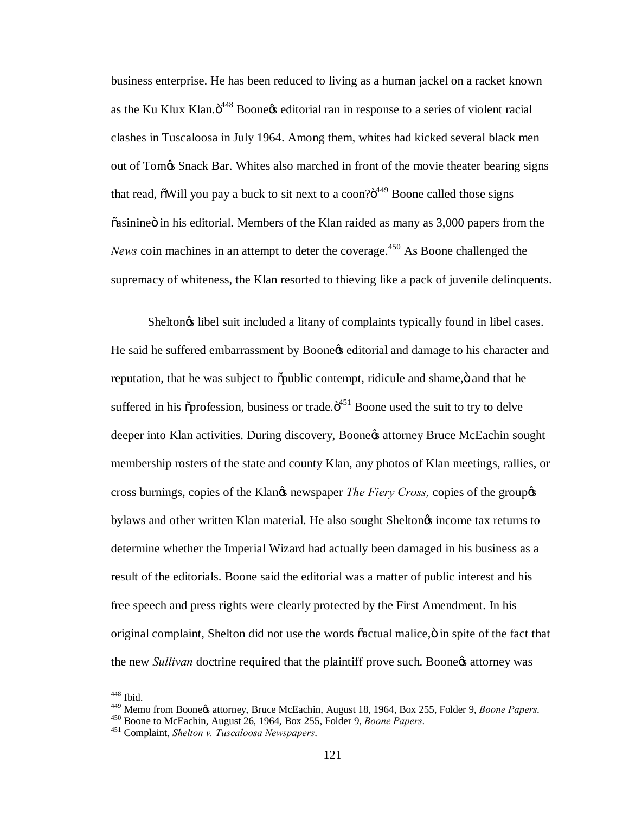business enterprise. He has been reduced to living as a human jackel on a racket known as the Ku Klux Klan. $\ddot{o}^{448}$  Boone $\alpha$  editorial ran in response to a series of violent racial clashes in Tuscaloosa in July 1964. Among them, whites had kicked several black men out of Tom's Snack Bar. Whites also marched in front of the movie theater bearing signs that read,  $\delta$ Will you pay a buck to sit next to a coon? $\delta^{449}$  Boone called those signs  $\tilde{\alpha}$  asinine  $\ddot{\alpha}$  in his editorial. Members of the Klan raided as many as 3,000 papers from the *News* coin machines in an attempt to deter the coverage.<sup>450</sup> As Boone challenged the supremacy of whiteness, the Klan resorted to thieving like a pack of juvenile delinquents.

Sheltongs libel suit included a litany of complaints typically found in libel cases. He said he suffered embarrassment by Boone $\alpha$  editorial and damage to his character and reputation, that he was subject to  $\ddot{\text{o}}$  public contempt, ridicule and shame, $\ddot{\text{o}}$  and that he suffered in his  $\tilde{\text{op}}$ rofession, business or trade. $\ddot{\text{o}}^{451}$  Boone used the suit to try to delve deeper into Klan activities. During discovery, Boone & attorney Bruce McEachin sought membership rosters of the state and county Klan, any photos of Klan meetings, rallies, or cross burnings, copies of the Klangs newspaper *The Fiery Cross*, copies of the groupgs bylaws and other written Klan material. He also sought Sheltongs income tax returns to determine whether the Imperial Wizard had actually been damaged in his business as a result of the editorials. Boone said the editorial was a matter of public interest and his free speech and press rights were clearly protected by the First Amendment. In his original complaint, Shelton did not use the words  $\tilde{c}$  actual malice, $\ddot{o}$  in spite of the fact that the new *Sullivan* doctrine required that the plaintiff prove such. Boone<sub>rs</sub> attorney was

 $448$  Ibid.

<sup>&</sup>lt;sup>449</sup> Memo from Boone¢s attorney, Bruce McEachin, August 18, 1964, Box 255, Folder 9, *Boone Papers.*<br><sup>450</sup> Boone to McEachin, August 26, 1964, Box 255, Folder 9, *Boone Papers*.<br><sup>451</sup> Complaint, *Shelton v. Tuscaloosa Ne*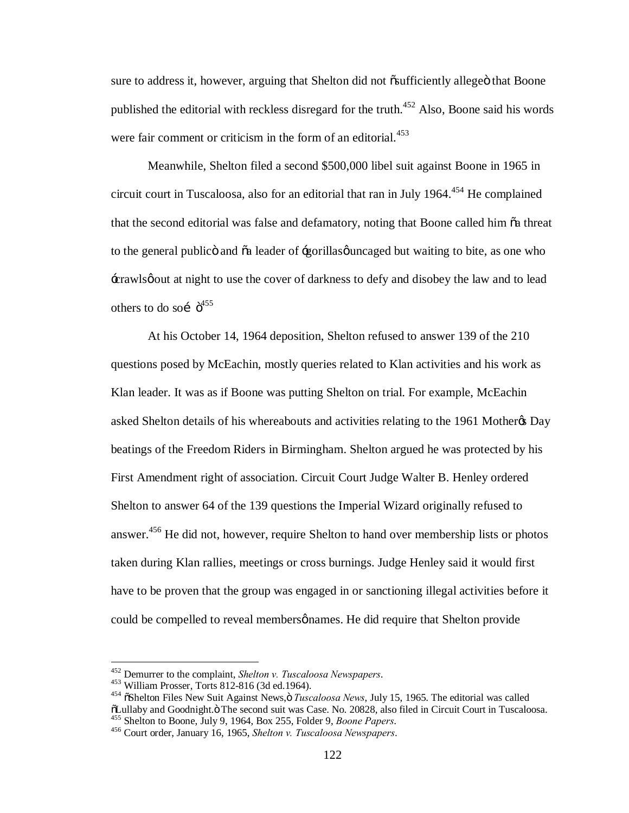sure to address it, however, arguing that Shelton did not  $\tilde{\text{c}}$ sufficiently allege that Boone published the editorial with reckless disregard for the truth.<sup>452</sup> Also, Boone said his words were fair comment or criticism in the form of an editorial.<sup>453</sup>

Meanwhile, Shelton filed a second \$500,000 libel suit against Boone in 1965 in circuit court in Tuscaloosa, also for an editorial that ran in July 1964. $454$  He complained that the second editorial was false and defamatory, noting that Boone called him  $\tilde{o}a$  threat to the general public and  $\tilde{o}a$  leader of  $\pm$ gorillas *g* uncaged but waiting to bite, as one who 'crawls' out at night to use the cover of darkness to defy and disobey the law and to lead others to do so $\acute{0}^{455}$ 

At his October 14, 1964 deposition, Shelton refused to answer 139 of the 210 questions posed by McEachin, mostly queries related to Klan activities and his work as Klan leader. It was as if Boone was putting Shelton on trial. For example, McEachin asked Shelton details of his whereabouts and activities relating to the 1961 Mother & Day beatings of the Freedom Riders in Birmingham. Shelton argued he was protected by his First Amendment right of association. Circuit Court Judge Walter B. Henley ordered Shelton to answer 64 of the 139 questions the Imperial Wizard originally refused to answer.<sup>456</sup> He did not, however, require Shelton to hand over membership lists or photos taken during Klan rallies, meetings or cross burnings. Judge Henley said it would first have to be proven that the group was engaged in or sanctioning illegal activities before it could be compelled to reveal membersønames. He did require that Shelton provide

<sup>&</sup>lt;sup>452</sup> Demurrer to the complaint, *Shelton v. Tuscaloosa Newspapers*.<br><sup>453</sup> William Prosser, Torts 812-816 (3d ed.1964).<br><sup>454</sup> õShelton Files New Suit Against News, ö *Tuscaloosa News*, July 15, 1965. The editorial was cal õLullaby and Goodnight.ö The second suit was Case. No. 20828, also filed in Circuit Court in Tuscaloosa.<br><sup>455</sup> Shelton to Boone, July 9, 1964, Box 255, Folder 9, *Boone Papers*.<br><sup>456</sup> Court order, January 16, 1965. *Shelto*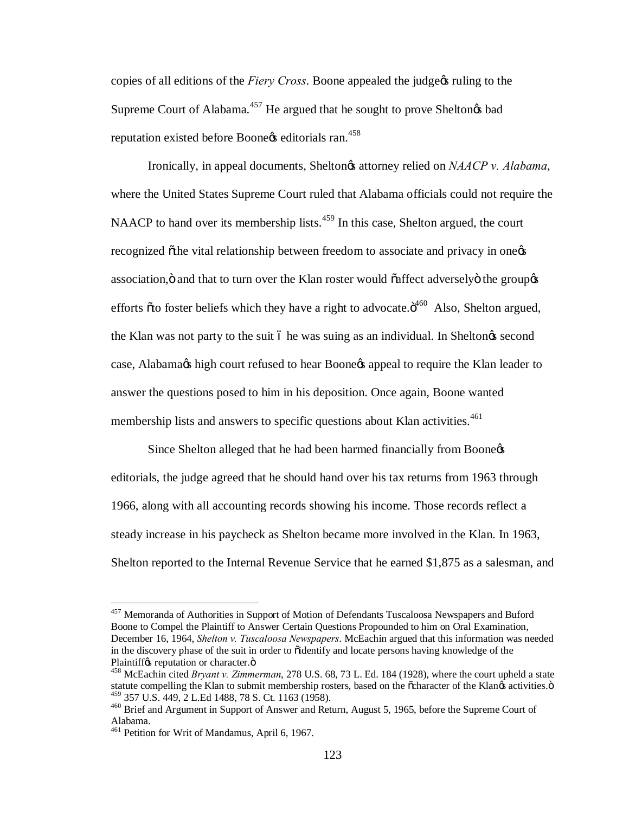copies of all editions of the *Fiery Cross*. Boone appealed the judge of ruling to the Supreme Court of Alabama.<sup>457</sup> He argued that he sought to prove Sheltongs bad reputation existed before Boone<sub>g</sub> editorials ran.<sup>458</sup>

Ironically, in appeal documents, Shelton<sub>*i*</sub>s attorney relied on *NAACP v. Alabama*, where the United States Supreme Court ruled that Alabama officials could not require the NAACP to hand over its membership lists.<sup>459</sup> In this case, Shelton argued, the court recognized othe vital relationship between freedom to associate and privacy in one association, ö and that to turn over the Klan roster would õaffect adversely ö the group  $\alpha$ efforts  $\tilde{\sigma}$  footer beliefs which they have a right to advocate. $\ddot{\sigma}^{460}$  Also, Shelton argued, the Klan was not party to the suit 6 he was suing as an individual. In Sheltongs second case, Alabama $\alpha$  high court refused to hear Boone $\alpha$  appeal to require the Klan leader to answer the questions posed to him in his deposition. Once again, Boone wanted membership lists and answers to specific questions about Klan activities.<sup>461</sup>

Since Shelton alleged that he had been harmed financially from Boone editorials, the judge agreed that he should hand over his tax returns from 1963 through 1966, along with all accounting records showing his income. Those records reflect a steady increase in his paycheck as Shelton became more involved in the Klan. In 1963, Shelton reported to the Internal Revenue Service that he earned \$1,875 as a salesman, and

 <sup>457</sup> Memoranda of Authorities in Support of Motion of Defendants Tuscaloosa Newspapers and Buford Boone to Compel the Plaintiff to Answer Certain Questions Propounded to him on Oral Examination, December 16, 1964, *Shelton v. Tuscaloosa Newspapers*. McEachin argued that this information was needed in the discovery phase of the suit in order to  $\ddot{\text{o}}$  identify and locate persons having knowledge of the Plaintiff¢s reputation or character.ö<br><sup>458</sup> McEachin cited *Bryant v. Zimmerman*, 278 U.S. 68, 73 L. Ed. 184 (1928), where the court upheld a state

statute compelling the Klan to submit membership rosters, based on the õcharacter of the Klan $\alpha$  activities.  $\ddot{o}$  459 357 U.S. 449, 2 L.Ed 1488, 78 S. Ct. 1163 (1958).

<sup>&</sup>lt;sup>460</sup> Brief and Argument in Support of Answer and Return, August 5, 1965, before the Supreme Court of Alabama.

<sup>&</sup>lt;sup>461</sup> Petition for Writ of Mandamus, April 6, 1967.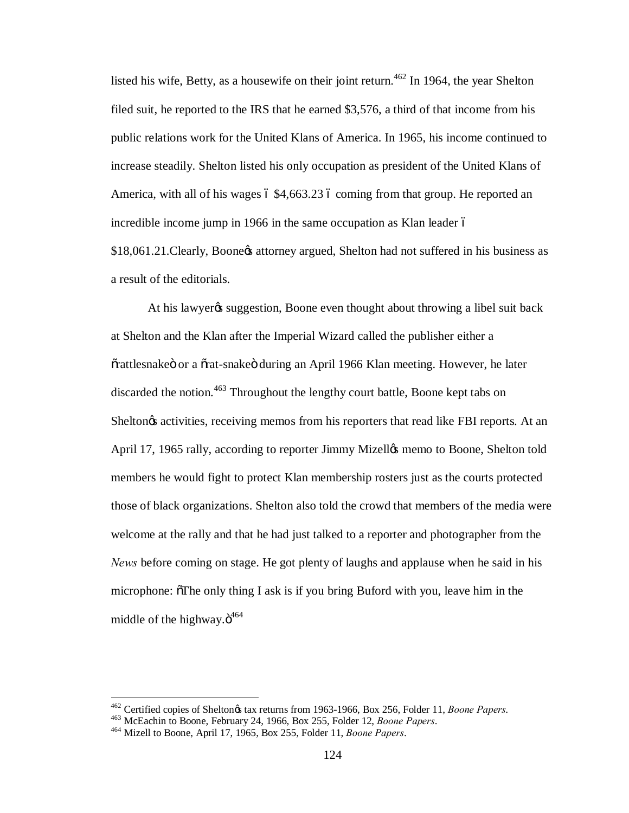listed his wife, Betty, as a housewife on their joint return.<sup>462</sup> In 1964, the year Shelton filed suit, he reported to the IRS that he earned \$3,576, a third of that income from his public relations work for the United Klans of America. In 1965, his income continued to increase steadily. Shelton listed his only occupation as president of the United Klans of America, with all of his wages  $6\frac{4,663.23}{6}$  coming from that group. He reported an incredible income jump in 1966 in the same occupation as Klan leader  $\acute{o}$ \$18,061.21. Clearly, Boone & attorney argued, Shelton had not suffered in his business as a result of the editorials.

At his lawyer is suggestion, Boone even thought about throwing a libel suit back at Shelton and the Klan after the Imperial Wizard called the publisher either a  $\tilde{\sigma}$ rattlesnake ö or a  $\tilde{\sigma}$ rat-snake ö during an April 1966 Klan meeting. However, he later discarded the notion.<sup>463</sup> Throughout the lengthy court battle, Boone kept tabs on Sheltongs activities, receiving memos from his reporters that read like FBI reports. At an April 17, 1965 rally, according to reporter Jimmy Mizellos memo to Boone, Shelton told members he would fight to protect Klan membership rosters just as the courts protected those of black organizations. Shelton also told the crowd that members of the media were welcome at the rally and that he had just talked to a reporter and photographer from the *News* before coming on stage. He got plenty of laughs and applause when he said in his microphone:  $\sigma$ The only thing I ask is if you bring Buford with you, leave him in the middle of the highway. $\ddot{o}^{464}$ 

 $^{462}$  Certified copies of Shelton $\alpha$  tax returns from 1963-1966, Box 256, Folder 11, Boone Papers.<br> $^{463}$  McEachin to Boone, February 24, 1966, Box 255, Folder 12, Boone Papers.<br> $^{464}$  Mizell to Boone. April 17, 1965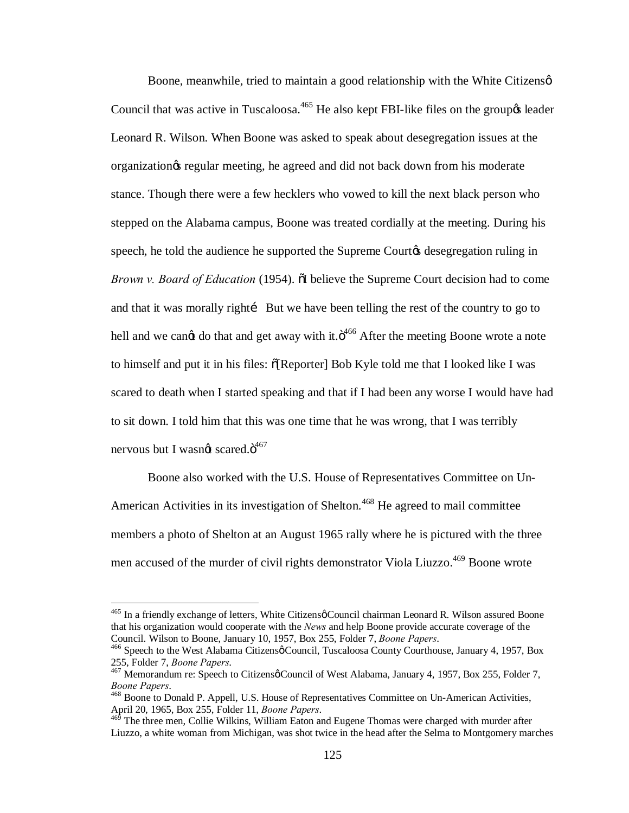Boone, meanwhile, tried to maintain a good relationship with the White Citizens  $\varphi$ Council that was active in Tuscaloosa.<sup>465</sup> He also kept FBI-like files on the group *s* leader Leonard R. Wilson. When Boone was asked to speak about desegregation issues at the organization's regular meeting, he agreed and did not back down from his moderate stance. Though there were a few hecklers who vowed to kill the next black person who stepped on the Alabama campus, Boone was treated cordially at the meeting. During his speech, he told the audience he supported the Supreme Court & desegregation ruling in *Brown v. Board of Education* (1954).  $\delta$ I believe the Supreme Court decision had to come and that it was morally right i But we have been telling the rest of the country to go to hell and we cangt do that and get away with it. $\ddot{o}^{466}$  After the meeting Boone wrote a note to himself and put it in his files:  $\delta$ [Reporter] Bob Kyle told me that I looked like I was scared to death when I started speaking and that if I had been any worse I would have had to sit down. I told him that this was one time that he was wrong, that I was terribly nervous but I wasn $\alpha$  scared. $\ddot{\mathrm{o}}^{467}$ 

Boone also worked with the U.S. House of Representatives Committee on Un-American Activities in its investigation of Shelton.<sup>468</sup> He agreed to mail committee members a photo of Shelton at an August 1965 rally where he is pictured with the three men accused of the murder of civil rights demonstrator Viola Liuzzo.<sup>469</sup> Boone wrote

 $465$  In a friendly exchange of letters, White Citizens  $\phi$  Council chairman Leonard R. Wilson assured Boone that his organization would cooperate with the *News* and help Boone provide accurate coverage of the

<sup>&</sup>lt;sup>466</sup> Speech to the West Alabama Citizensø Council, Tuscaloosa County Courthouse, January 4, 1957, Box 255, Folder 7, *Boone Papers*.<br><sup>467</sup> Memorandum re: Speech to Citizensø Council of West Alabama, January 4, 1957, Box 255, Folder 7,

*Boone Papers*. <sup>468</sup> Boone to Donald P. Appell, U.S. House of Representatives Committee on Un-American Activities,

April 20, 1965, Box 255, Folder 11, *Boone Papers*.<br><sup>469</sup> The three men, Collie Wilkins, William Eaton and Eugene Thomas were charged with murder after

Liuzzo, a white woman from Michigan, was shot twice in the head after the Selma to Montgomery marches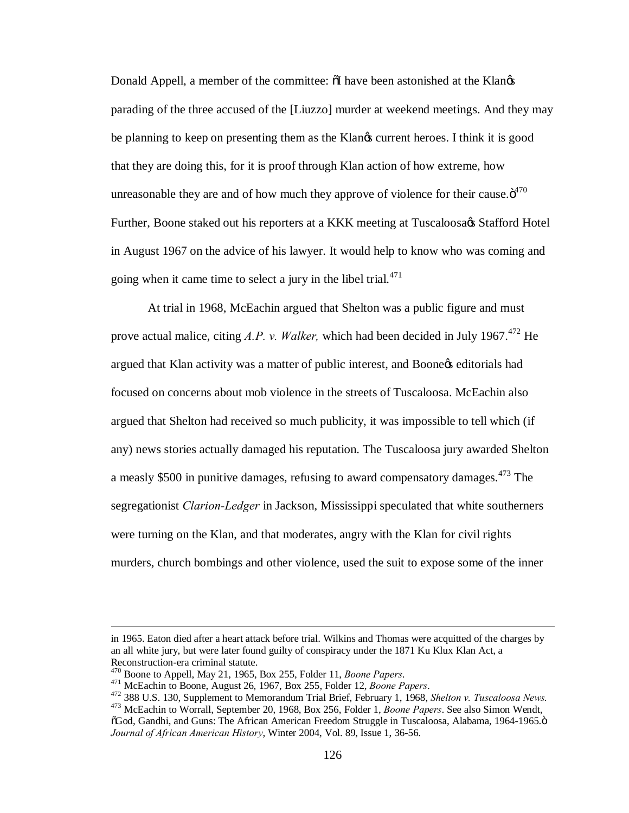Donald Appell, a member of the committee:  $\delta I$  have been astonished at the Klan $\delta s$ parading of the three accused of the [Liuzzo] murder at weekend meetings. And they may be planning to keep on presenting them as the Klangs current heroes. I think it is good that they are doing this, for it is proof through Klan action of how extreme, how unreasonable they are and of how much they approve of violence for their cause. $\ddot{\sigma}^{470}$ Further, Boone staked out his reporters at a KKK meeting at Tuscaloosa $\alpha$ s Stafford Hotel in August 1967 on the advice of his lawyer. It would help to know who was coming and going when it came time to select a jury in the libel trial. $471$ 

At trial in 1968, McEachin argued that Shelton was a public figure and must prove actual malice, citing *A.P. v. Walker,* which had been decided in July 1967. <sup>472</sup> He argued that Klan activity was a matter of public interest, and Boone & editorials had focused on concerns about mob violence in the streets of Tuscaloosa. McEachin also argued that Shelton had received so much publicity, it was impossible to tell which (if any) news stories actually damaged his reputation. The Tuscaloosa jury awarded Shelton a measly \$500 in punitive damages, refusing to award compensatory damages.<sup>473</sup> The segregationist *Clarion-Ledger* in Jackson, Mississippi speculated that white southerners were turning on the Klan, and that moderates, angry with the Klan for civil rights murders, church bombings and other violence, used the suit to expose some of the inner

 $\overline{a}$ 

in 1965. Eaton died after a heart attack before trial. Wilkins and Thomas were acquitted of the charges by an all white jury, but were later found guilty of conspiracy under the 1871 Ku Klux Klan Act, a

Reconstruction-era criminal statute.<br><sup>470</sup> Boone to Appell, May 21, 1965, Box 255, Folder 11, *Boone Papers*.<br><sup>471</sup> McEachin to Boone, August 26, 1967, Box 255, Folder 12, *Boone Papers*.<br><sup>472</sup> 388 U.S. 130, Supplement to  $\delta$ God, Gandhi, and Guns: The African American Freedom Struggle in Tuscaloosa, Alabama, 1964-1965. $\ddot{o}$ *Journal of African American History*, Winter 2004, Vol. 89, Issue 1, 36-56.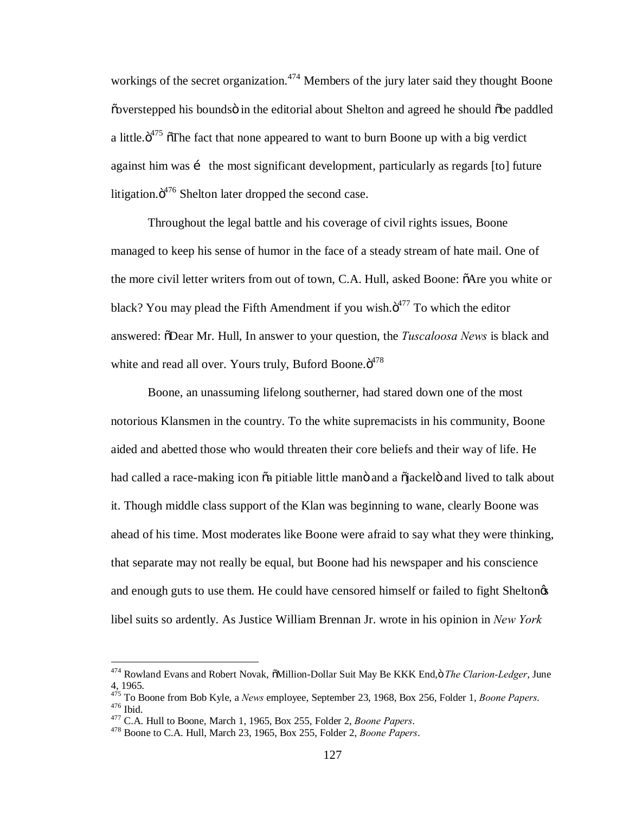workings of the secret organization.<sup> $474$ </sup> Members of the jury later said they thought Boone  $\ddot{\text{o}}$  overstepped his bounds  $\ddot{\text{o}}$  in the editorial about Shelton and agreed he should  $\ddot{\text{o}}$  be paddled a little. $\ddot{\mathrm{o}}^{475}$   $\ddot{\mathrm{o}}$ The fact that none appeared to want to burn Boone up with a big verdict against him was i the most significant development, particularly as regards [to] future litigation. $\ddot{o}^{476}$  Shelton later dropped the second case.

Throughout the legal battle and his coverage of civil rights issues, Boone managed to keep his sense of humor in the face of a steady stream of hate mail. One of the more civil letter writers from out of town, C.A. Hull, asked Boone:  $\tilde{o}$ Are you white or black? You may plead the Fifth Amendment if you wish. $\ddot{\sigma}^{477}$  To which the editor answered: "Dear Mr. Hull, In answer to your question, the *Tuscaloosa News* is black and white and read all over. Yours truly, Buford Boone. $\ddot{\text{o}}^{478}$ 

Boone, an unassuming lifelong southerner, had stared down one of the most notorious Klansmen in the country. To the white supremacists in his community, Boone aided and abetted those who would threaten their core beliefs and their way of life. He had called a race-making icon  $\tilde{o}a$  pitiable little mano and a  $\tilde{o}jackel\tilde{o}$  and lived to talk about it. Though middle class support of the Klan was beginning to wane, clearly Boone was ahead of his time. Most moderates like Boone were afraid to say what they were thinking, that separate may not really be equal, but Boone had his newspaper and his conscience and enough guts to use them. He could have censored himself or failed to fight Sheltongs libel suits so ardently. As Justice William Brennan Jr. wrote in his opinion in *New York* 

<sup>&</sup>lt;sup>474</sup> Rowland Evans and Robert Novak,  $\delta$ Million-Dollar Suit May Be KKK End,  $\ddot{o}$  The Clarion-Ledger, June 4, 1965.

<sup>&</sup>lt;sup>475</sup> To Boone from Bob Kyle, a *News* employee, September 23, 1968, Box 256, Folder 1, *Boone Papers.*<br><sup>476</sup> Ibid.<br><sup>476</sup> C.A. Hull to Boone, March 1, 1965, Box 255, Folder 2, *Boone Papers*.<br><sup>478</sup> Boone to C.A. Hull, Marc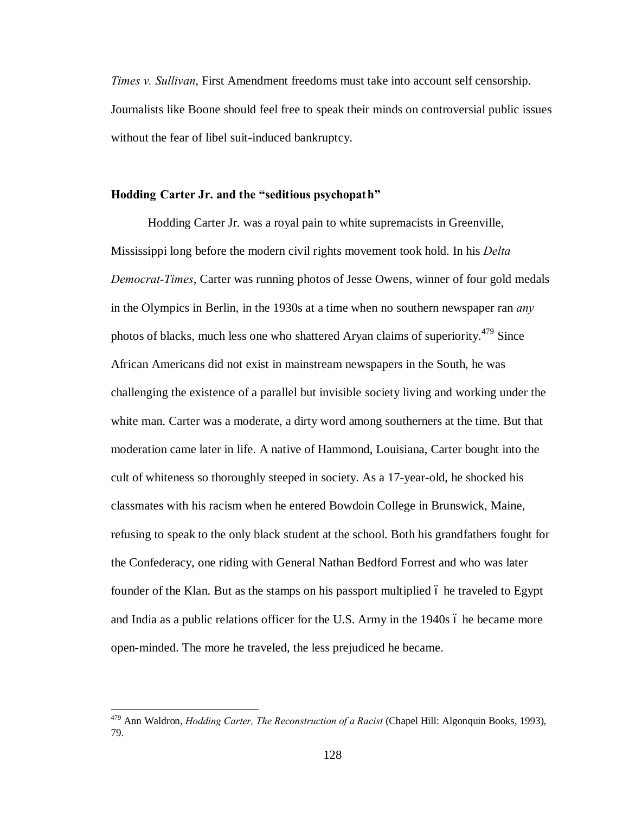*Times v. Sullivan*, First Amendment freedoms must take into account self censorship. Journalists like Boone should feel free to speak their minds on controversial public issues without the fear of libel suit-induced bankruptcy.

# **Hodding Carter Jr. and the "seditious psychopat h"**

Hodding Carter Jr. was a royal pain to white supremacists in Greenville, Mississippi long before the modern civil rights movement took hold. In his *Delta Democrat-Times*, Carter was running photos of Jesse Owens, winner of four gold medals in the Olympics in Berlin, in the 1930s at a time when no southern newspaper ran *any* photos of blacks, much less one who shattered Aryan claims of superiority.<sup>479</sup> Since African Americans did not exist in mainstream newspapers in the South, he was challenging the existence of a parallel but invisible society living and working under the white man. Carter was a moderate, a dirty word among southerners at the time. But that moderation came later in life. A native of Hammond, Louisiana, Carter bought into the cult of whiteness so thoroughly steeped in society. As a 17-year-old, he shocked his classmates with his racism when he entered Bowdoin College in Brunswick, Maine, refusing to speak to the only black student at the school. Both his grandfathers fought for the Confederacy, one riding with General Nathan Bedford Forrest and who was later founder of the Klan. But as the stamps on his passport multiplied 6 he traveled to Egypt and India as a public relations officer for the U.S. Army in the  $1940s$  6 he became more open-minded. The more he traveled, the less prejudiced he became.

 <sup>479</sup> Ann Waldron, *Hodding Carter, The Reconstruction of a Racist* (Chapel Hill: Algonquin Books, 1993), 79.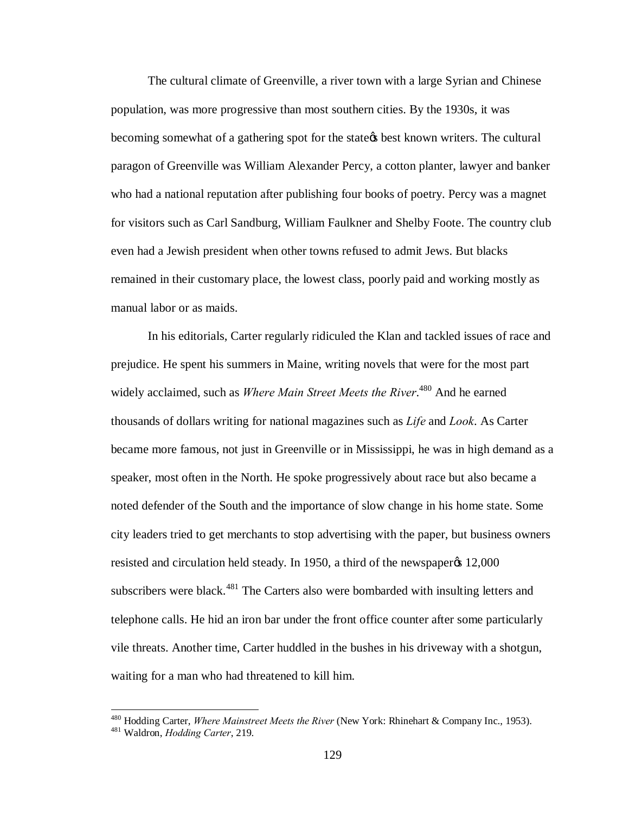The cultural climate of Greenville, a river town with a large Syrian and Chinese population, was more progressive than most southern cities. By the 1930s, it was becoming somewhat of a gathering spot for the state the best known writers. The cultural paragon of Greenville was William Alexander Percy, a cotton planter, lawyer and banker who had a national reputation after publishing four books of poetry. Percy was a magnet for visitors such as Carl Sandburg, William Faulkner and Shelby Foote. The country club even had a Jewish president when other towns refused to admit Jews. But blacks remained in their customary place, the lowest class, poorly paid and working mostly as manual labor or as maids.

In his editorials, Carter regularly ridiculed the Klan and tackled issues of race and prejudice. He spent his summers in Maine, writing novels that were for the most part widely acclaimed, such as *Where Main Street Meets the River*. <sup>480</sup> And he earned thousands of dollars writing for national magazines such as *Life* and *Look*. As Carter became more famous, not just in Greenville or in Mississippi, he was in high demand as a speaker, most often in the North. He spoke progressively about race but also became a noted defender of the South and the importance of slow change in his home state. Some city leaders tried to get merchants to stop advertising with the paper, but business owners resisted and circulation held steady. In 1950, a third of the newspaper $\alpha$  12,000 subscribers were black.<sup>481</sup> The Carters also were bombarded with insulting letters and telephone calls. He hid an iron bar under the front office counter after some particularly vile threats. Another time, Carter huddled in the bushes in his driveway with a shotgun, waiting for a man who had threatened to kill him.

<sup>480</sup> Hodding Carter, *Where Mainstreet Meets the River* (New York: Rhinehart & Company Inc., 1953). <sup>481</sup> Waldron, *Hodding Carter*, 219.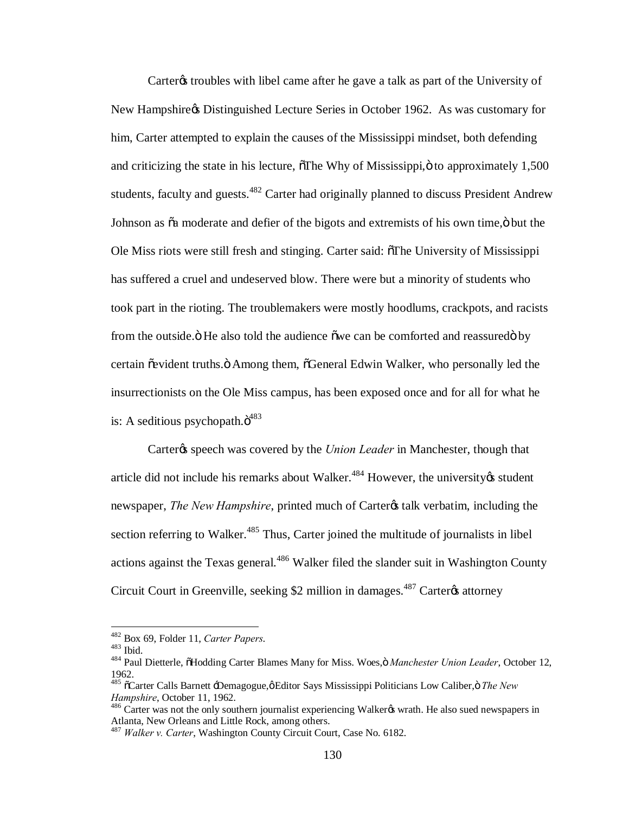Carter troubles with libel came after he gave a talk as part of the University of New Hampshire & Distinguished Lecture Series in October 1962. As was customary for him, Carter attempted to explain the causes of the Mississippi mindset, both defending and criticizing the state in his lecture,  $\delta$ The Why of Mississippi, $\ddot{o}$  to approximately 1,500 students, faculty and guests.<sup>482</sup> Carter had originally planned to discuss President Andrew Johnson as  $\tilde{\alpha}$  moderate and defier of the bigots and extremists of his own time, $\ddot{\text{o}}$  but the Ole Miss riots were still fresh and stinging. Carter said:  $\delta$ The University of Mississippi has suffered a cruel and undeserved blow. There were but a minority of students who took part in the rioting. The troublemakers were mostly hoodlums, crackpots, and racists from the outside. The also told the audience owe can be comforted and reassured by certain õevident truths. Ö Among them, õGeneral Edwin Walker, who personally led the insurrectionists on the Ole Miss campus, has been exposed once and for all for what he is: A seditious psychopath. $\ddot{o}^{483}$ 

Carter<sub>/s</sub> speech was covered by the *Union Leader* in Manchester, though that article did not include his remarks about Walker. $484$  However, the university  $\&$  student newspaper, *The New Hampshire*, printed much of Carter<sub>'s</sub> talk verbatim, including the section referring to Walker.<sup>485</sup> Thus, Carter joined the multitude of journalists in libel actions against the Texas general.<sup>486</sup> Walker filed the slander suit in Washington County Circuit Court in Greenville, seeking \$2 million in damages.<sup>487</sup> Carter<sub>®</sub> attorney

<sup>&</sup>lt;sup>482</sup> Box 69, Folder 11, *Carter Papers*.<br><sup>483</sup> Ibid.<br><sup>484</sup> Paul Dietterle, õHodding Carter Blames Many for Miss. Woes,ö *Manchester Union Leader*, October 12, 1962.

<sup>&</sup>lt;sup>485</sup>  $\tilde{o}$ Carter Calls Barnett <sup>-</sup>Demagogue, $\phi$ Editor Says Mississippi Politicians Low Caliber,  $\ddot{o}$  The New *Hampshire*, October 11, 1962.<br><sup>486</sup> Carter was not the only southern journalist experiencing Walker& wrath. He also sued newspapers in

Atlanta, New Orleans and Little Rock, among others. <sup>487</sup> *Walker v. Carter*, Washington County Circuit Court, Case No. 6182.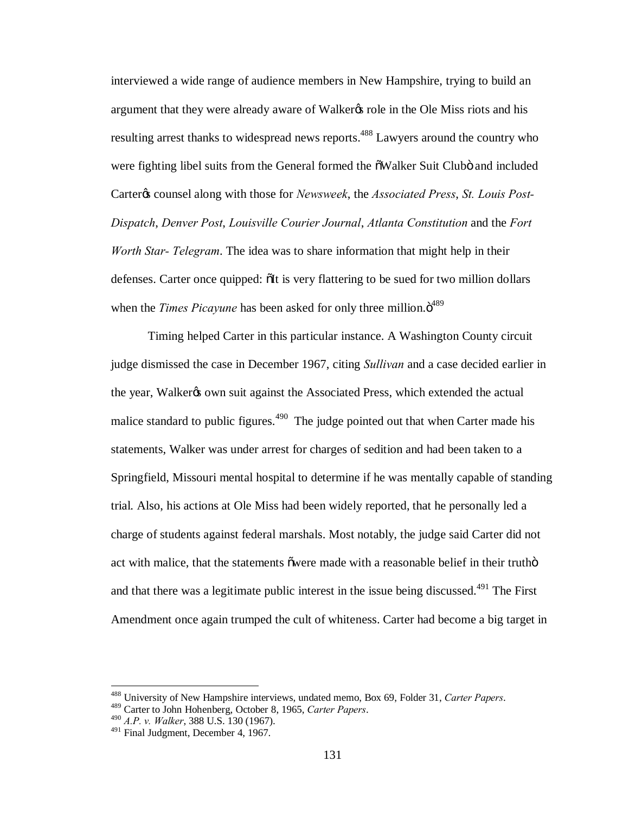interviewed a wide range of audience members in New Hampshire, trying to build an argument that they were already aware of Walker% role in the Ole Miss riots and his resulting arrest thanks to widespread news reports.<sup>488</sup> Lawyers around the country who were fighting libel suits from the General formed the  $\delta$ Walker Suit Clubö and included Carter<sub>*i*</sub> counsel along with those for *Newsweek*, the *Associated Press*, *St. Louis Post-Dispatch*, *Denver Post*, *Louisville Courier Journal*, *Atlanta Constitution* and the *Fort Worth Star- Telegram*. The idea was to share information that might help in their defenses. Carter once quipped:  $\delta$ It is very flattering to be sued for two million dollars when the *Times Picayune* has been asked for only three million. $\ddot{o}^{489}$ 

Timing helped Carter in this particular instance. A Washington County circuit judge dismissed the case in December 1967, citing *Sullivan* and a case decided earlier in the year, Walker<sub>g</sub> own suit against the Associated Press, which extended the actual malice standard to public figures.<sup>490</sup> The judge pointed out that when Carter made his statements, Walker was under arrest for charges of sedition and had been taken to a Springfield, Missouri mental hospital to determine if he was mentally capable of standing trial. Also, his actions at Ole Miss had been widely reported, that he personally led a charge of students against federal marshals. Most notably, the judge said Carter did not act with malice, that the statements owere made with a reasonable belief in their trutho and that there was a legitimate public interest in the issue being discussed.<sup>491</sup> The First Amendment once again trumped the cult of whiteness. Carter had become a big target in

<sup>488</sup> University of New Hampshire interviews, undated memo, Box 69, Folder 31, *Carter Papers*. 489 Carter to John Hohenberg, October 8, 1965, *Carter Papers*. <sup>490</sup> *A.P. v. Walker*, 388 U.S. 130 (1967).

<sup>&</sup>lt;sup>491</sup> Final Judgment, December 4, 1967.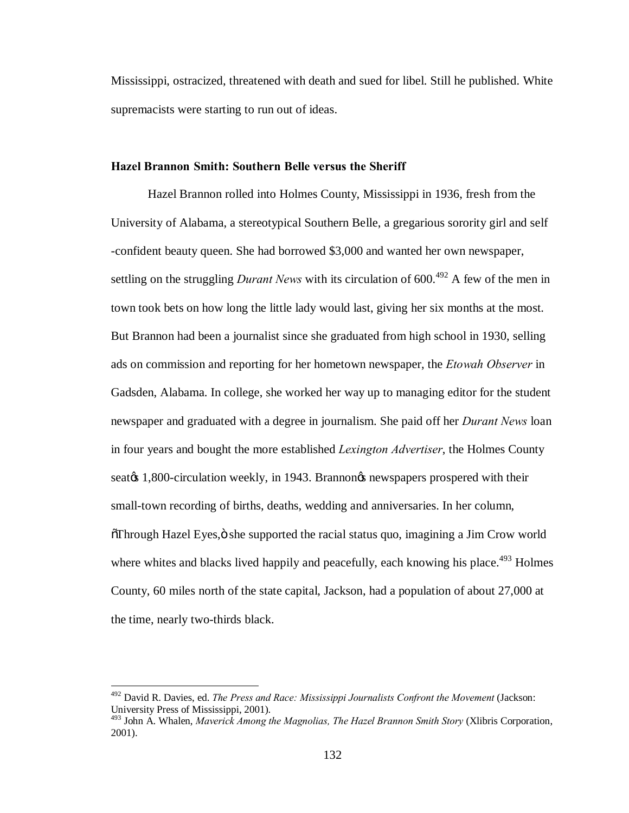Mississippi, ostracized, threatened with death and sued for libel. Still he published. White supremacists were starting to run out of ideas.

# **Hazel Brannon Smith: Southern Belle versus the Sheriff**

Hazel Brannon rolled into Holmes County, Mississippi in 1936, fresh from the University of Alabama, a stereotypical Southern Belle, a gregarious sorority girl and self -confident beauty queen. She had borrowed \$3,000 and wanted her own newspaper, settling on the struggling *Durant News* with its circulation of  $600.<sup>492</sup>$  A few of the men in town took bets on how long the little lady would last, giving her six months at the most. But Brannon had been a journalist since she graduated from high school in 1930, selling ads on commission and reporting for her hometown newspaper, the *Etowah Observer* in Gadsden, Alabama. In college, she worked her way up to managing editor for the student newspaper and graduated with a degree in journalism. She paid off her *Durant News* loan in four years and bought the more established *Lexington Advertiser*, the Holmes County seat<sub>/8</sub> 1,800-circulation weekly, in 1943. Brannon<sub>*S*</sub> newspapers prospered with their small-town recording of births, deaths, wedding and anniversaries. In her column, "Through Hazel Eyes," she supported the racial status quo, imagining a Jim Crow world where whites and blacks lived happily and peacefully, each knowing his place.<sup> $493$ </sup> Holmes County, 60 miles north of the state capital, Jackson, had a population of about 27,000 at the time, nearly two-thirds black.

 <sup>492</sup> David R. Davies, ed. *The Press and Race: Mississippi Journalists Confront the Movement* (Jackson: University Press of Mississippi, 2001).

<sup>493</sup> John A. Whalen, *Maverick Among the Magnolias, The Hazel Brannon Smith Story* (Xlibris Corporation, 2001).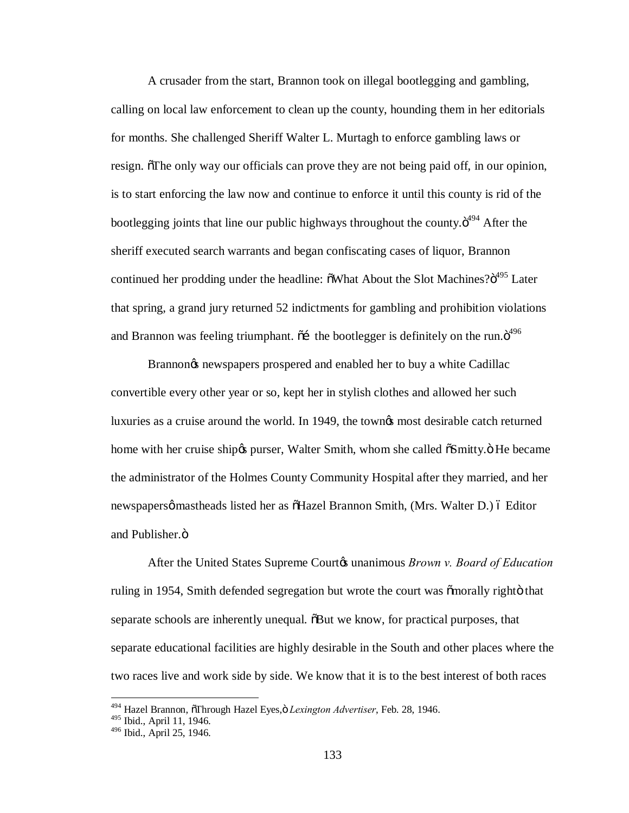A crusader from the start, Brannon took on illegal bootlegging and gambling, calling on local law enforcement to clean up the county, hounding them in her editorials for months. She challenged Sheriff Walter L. Murtagh to enforce gambling laws or resign. The only way our officials can prove they are not being paid off, in our opinion, is to start enforcing the law now and continue to enforce it until this county is rid of the bootlegging joints that line our public highways throughout the county. $\ddot{o}^{494}$  After the sheriff executed search warrants and began confiscating cases of liquor, Brannon continued her prodding under the headline:  $\delta$ What About the Slot Machines? $\delta^{495}$  Later that spring, a grand jury returned 52 indictments for gambling and prohibition violations and Brannon was feeling triumphant.  $\tilde{a}$  the bootlegger is definitely on the run. $\tilde{a}^{496}$ 

Brannon<sub>®</sub> newspapers prospered and enabled her to buy a white Cadillac convertible every other year or so, kept her in stylish clothes and allowed her such luxuries as a cruise around the world. In 1949, the townes most desirable catch returned home with her cruise ship og purser, Walter Smith, whom she called  $\delta S$ mitty. $\delta$  He became the administrator of the Holmes County Community Hospital after they married, and her newspapersø mastheads listed her as  $\delta$ Hazel Brannon Smith, (Mrs. Walter D.) ó Editor and Publisher.<sub> $ö$ </sub>

After the United States Supreme Court<sub>*i*</sub> unanimous *Brown v. Board of Education* ruling in 1954, Smith defended segregation but wrote the court was  $\delta$ morally righto that separate schools are inherently unequal.  $\delta$ But we know, for practical purposes, that separate educational facilities are highly desirable in the South and other places where the two races live and work side by side. We know that it is to the best interest of both races

<sup>&</sup>lt;sup>494</sup> Hazel Brannon, õThrough Hazel Eyes,ö *Lexington Advertiser*, Feb. 28, 1946.

<sup>&</sup>lt;sup>495</sup> Ibid., April 11, 1946.

<sup>496</sup> Ibid., April 25, 1946.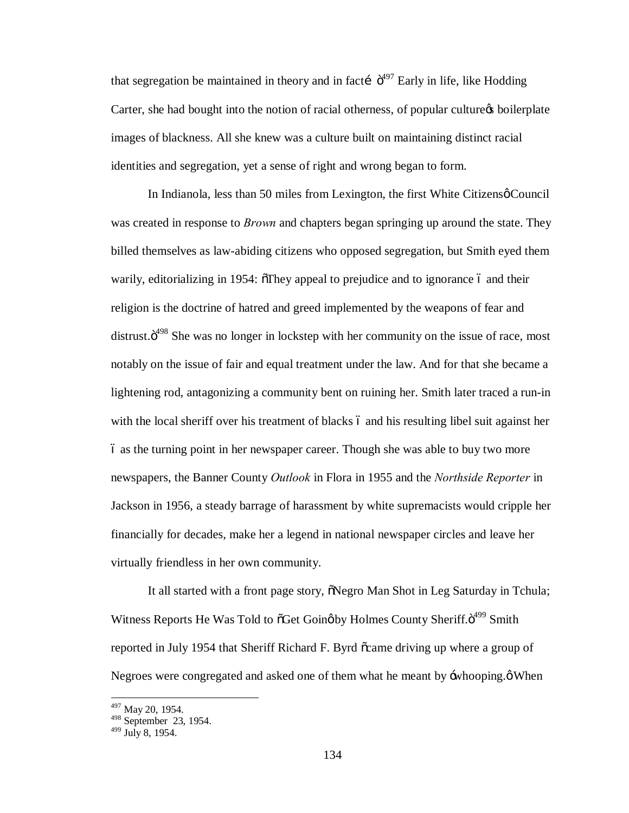that segregation be maintained in theory and in facti  $\ddot{\sigma}^{497}$  Early in life, like Hodding Carter, she had bought into the notion of racial otherness, of popular culture to boilerplate images of blackness. All she knew was a culture built on maintaining distinct racial identities and segregation, yet a sense of right and wrong began to form.

In Indianola, less than 50 miles from Lexington, the first White Citizens  $\phi$  Council was created in response to *Brown* and chapters began springing up around the state. They billed themselves as law-abiding citizens who opposed segregation, but Smith eyed them warily, editorializing in 1954:  $\delta$ They appeal to prejudice and to ignorance 6 and their religion is the doctrine of hatred and greed implemented by the weapons of fear and distrust. $\ddot{\sigma}^{498}$  She was no longer in lockstep with her community on the issue of race, most notably on the issue of fair and equal treatment under the law. And for that she became a lightening rod, antagonizing a community bent on ruining her. Smith later traced a run-in with the local sheriff over his treatment of blacks 6 and his resulting libel suit against her – as the turning point in her newspaper career. Though she was able to buy two more newspapers, the Banner County *Outlook* in Flora in 1955 and the *Northside Reporter* in Jackson in 1956, a steady barrage of harassment by white supremacists would cripple her financially for decades, make her a legend in national newspaper circles and leave her virtually friendless in her own community.

It all started with a front page story,  $\delta$ Negro Man Shot in Leg Saturday in Tchula; Witness Reports He Was Told to  $\delta$ Get Going by Holmes County Sheriff. $\delta^{499}$  Smith reported in July 1954 that Sheriff Richard F. Byrd  $\tilde{\alpha}$  came driving up where a group of Negroes were congregated and asked one of them what he meant by  $\div$ whooping. $\phi$  When

 $^{497}$  May 20, 1954.<br><sup>498</sup> September 23, 1954.

 $499$  July 8, 1954.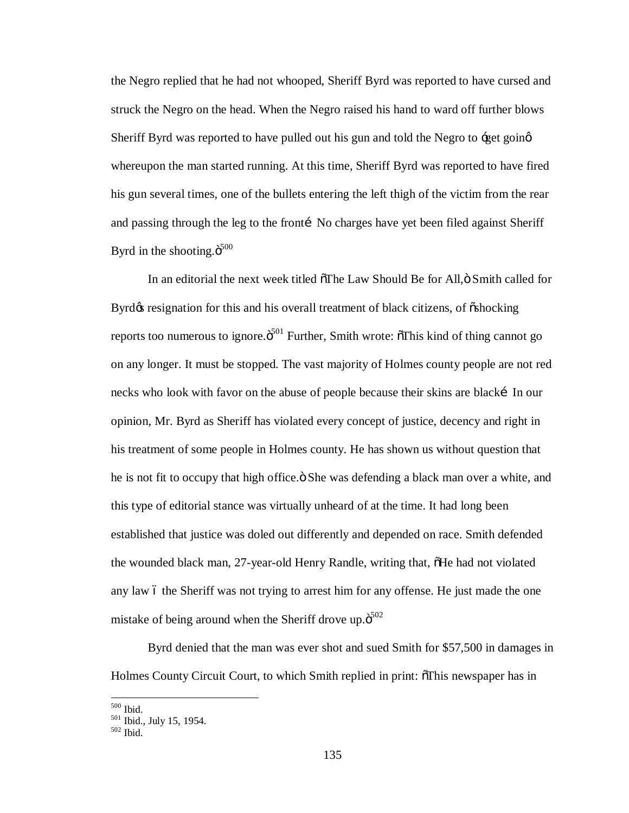the Negro replied that he had not whooped, Sheriff Byrd was reported to have cursed and struck the Negro on the head. When the Negro raised his hand to ward off further blows Sheriff Byrd was reported to have pulled out his gun and told the Negro to  $\div$ get going whereupon the man started running. At this time, Sheriff Byrd was reported to have fired his gun several times, one of the bullets entering the left thigh of the victim from the rear and passing through the leg to the fronti—No charges have yet been filed against Sheriff Byrd in the shooting. $\ddot{\text{o}}^{500}$ 

In an editorial the next week titled  $\delta$ The Law Should Be for All, $\delta$  Smith called for Byrd $\alpha$  resignation for this and his overall treatment of black citizens, of  $\ddot{\text{o}}$ shocking reports too numerous to ignore. $\ddot{\text{o}}^{501}$  Further, Smith wrote:  $\ddot{\text{o}}$ This kind of thing cannot go on any longer. It must be stopped. The vast majority of Holmes county people are not red necks who look with favor on the abuse of people because their skins are black [In our opinion, Mr. Byrd as Sheriff has violated every concept of justice, decency and right in his treatment of some people in Holmes county. He has shown us without question that he is not fit to occupy that high office. She was defending a black man over a white, and this type of editorial stance was virtually unheard of at the time. It had long been established that justice was doled out differently and depended on race. Smith defended the wounded black man, 27-year-old Henry Randle, writing that, "He had not violated any law 6 the Sheriff was not trying to arrest him for any offense. He just made the one mistake of being around when the Sheriff drove up. $\ddot{\text{o}}^{502}$ 

Byrd denied that the man was ever shot and sued Smith for \$57,500 in damages in Holmes County Circuit Court, to which Smith replied in print: "This newspaper has in

 $^{500}_{501}$  Ibid., July 15, 1954.<br> $^{501}_{502}$  Ibid., July 15, 1954.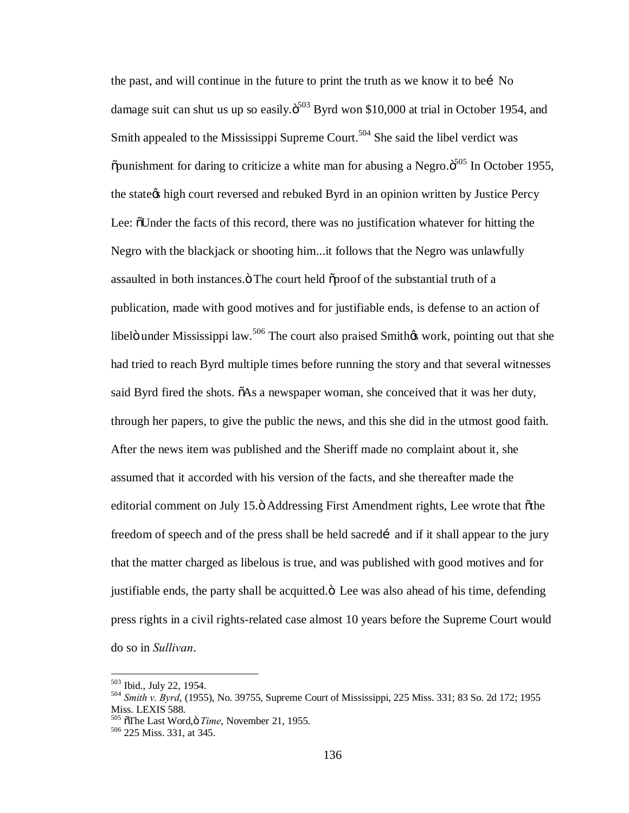the past, and will continue in the future to print the truth as we know it to bei No damage suit can shut us up so easily. $\ddot{\mathrm{o}}^{503}$  Byrd won \$10,000 at trial in October 1954, and Smith appealed to the Mississippi Supreme Court.<sup>504</sup> She said the libel verdict was  $\delta$  punishment for daring to criticize a white man for abusing a Negro. $\delta^{505}$  In October 1955, the state of high court reversed and rebuked Byrd in an opinion written by Justice Percy Lee:  $\delta$ Under the facts of this record, there was no justification whatever for hitting the Negro with the blackjack or shooting him...it follows that the Negro was unlawfully assaulted in both instances. The court held  $\tilde{\sigma}$  proof of the substantial truth of a publication, made with good motives and for justifiable ends, is defense to an action of libelö under Mississippi law.<sup>506</sup> The court also praised Smith $\alpha$  work, pointing out that she had tried to reach Byrd multiple times before running the story and that several witnesses said Byrd fired the shots.  $\delta$ As a newspaper woman, she conceived that it was her duty, through her papers, to give the public the news, and this she did in the utmost good faith. After the news item was published and the Sheriff made no complaint about it, she assumed that it accorded with his version of the facts, and she thereafter made the editorial comment on July 15. $\ddot{o}$  Addressing First Amendment rights, Lee wrote that  $\ddot{o}$ the freedom of speech and of the press shall be held sacred i and if it shall appear to the jury that the matter charged as libelous is true, and was published with good motives and for justifiable ends, the party shall be acquitted. $\ddot{o}$  Lee was also ahead of his time, defending press rights in a civil rights-related case almost 10 years before the Supreme Court would do so in *Sullivan*.

<sup>503</sup> Ibid., July 22, 1954. <sup>504</sup> *Smith v. Byrd*, (1955), No. 39755, Supreme Court of Mississippi, 225 Miss. 331; 83 So. 2d 172; 1955 Miss. LEXIS 588.

<sup>&</sup>lt;sup>505</sup>  $\overline{6}$ The Last Word,  $\overline{0}$ *Time*, November 21, 1955.<br><sup>506</sup> 225 Miss. 331, at 345.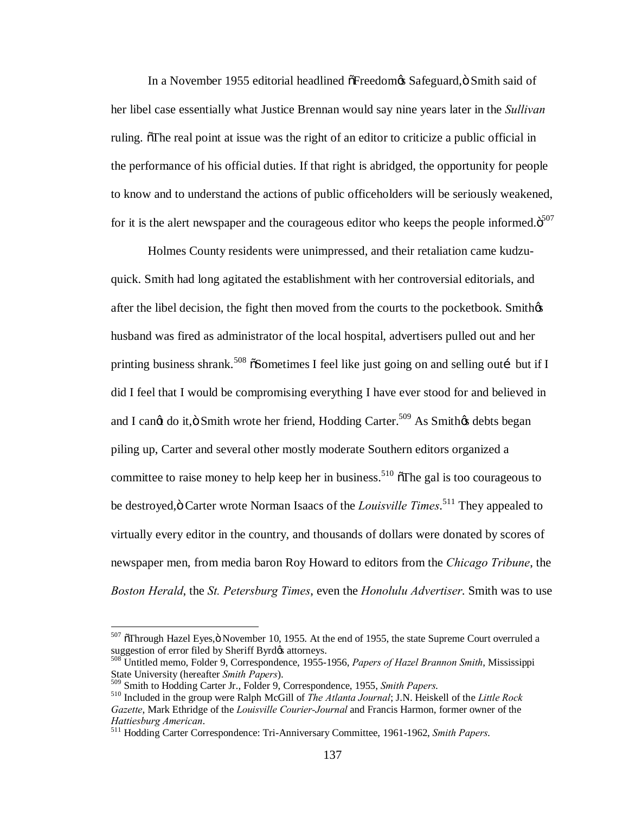In a November 1955 editorial headlined  $\delta$ Freedom $\delta$ s Safeguard,  $\delta$  Smith said of her libel case essentially what Justice Brennan would say nine years later in the *Sullivan* ruling. The real point at issue was the right of an editor to criticize a public official in the performance of his official duties. If that right is abridged, the opportunity for people to know and to understand the actions of public officeholders will be seriously weakened, for it is the alert newspaper and the courageous editor who keeps the people informed. $\ddot{\text{o}}^{507}$ 

Holmes County residents were unimpressed, and their retaliation came kudzuquick. Smith had long agitated the establishment with her controversial editorials, and after the libel decision, the fight then moved from the courts to the pocketbook. Smith $\phi$ s husband was fired as administrator of the local hospital, advertisers pulled out and her printing business shrank.<sup>508</sup>  $\delta$ Sometimes I feel like just going on and selling outi but if I did I feel that I would be compromising everything I have ever stood for and believed in and I can¢t do it,ö Smith wrote her friend, Hodding Carter.<sup>509</sup> As Smith¢s debts began piling up, Carter and several other mostly moderate Southern editors organized a committee to raise money to help keep her in business.<sup>510</sup>  $\delta$ The gal is too courageous to be destroyed, ö Carter wrote Norman Isaacs of the *Louisville Times*.<sup>511</sup> They appealed to virtually every editor in the country, and thousands of dollars were donated by scores of newspaper men, from media baron Roy Howard to editors from the *Chicago Tribune*, the *Boston Herald*, the *St. Petersburg Times*, even the *Honolulu Advertiser*. Smith was to use

 $507$   $\tilde{O}$ Through Hazel Eyes, $\ddot{O}$  November 10, 1955. At the end of 1955, the state Supreme Court overruled a suggestion of error filed by Sheriff Byrd $\alpha$  attorneys.

<sup>&</sup>lt;sup>508</sup> Untitled memo, Folder 9, Correspondence, 1955-1956, *Papers of Hazel Brannon Smith*, Mississippi State University (hereafter *Smith Papers*).<br><sup>509</sup> Smith to Hodding Carter Jr., Folder 9, Correspondence, 1955, *Smith Papers*.

<sup>510</sup> Included in the group were Ralph McGill of *The Atlanta Journal*; J.N. Heiskell of the *Little Rock Gazette*, Mark Ethridge of the *Louisville Courier-Journal* and Francis Harmon, former owner of the *Hattiesburg American*. <sup>511</sup> Hodding Carter Correspondence: Tri-Anniversary Committee, 1961-1962, *Smith Papers*.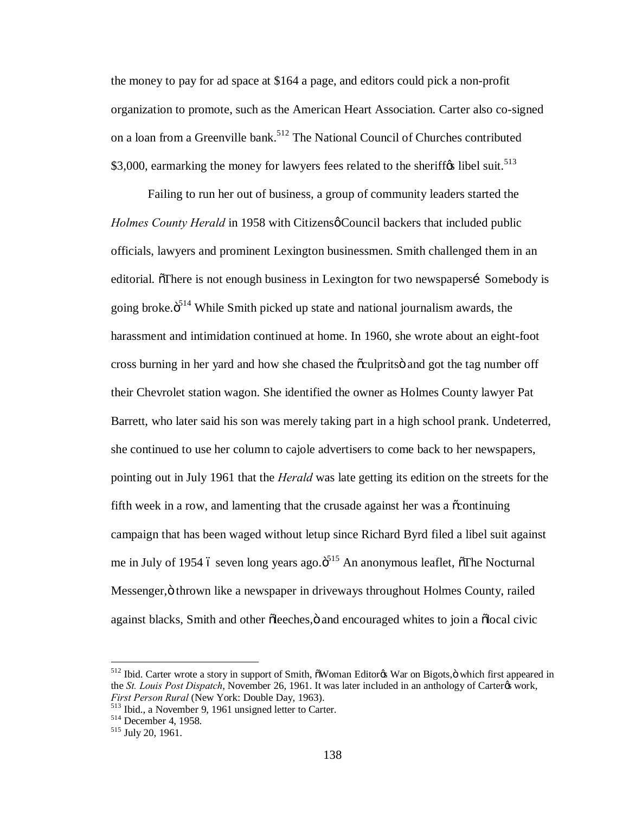the money to pay for ad space at \$164 a page, and editors could pick a non-profit organization to promote, such as the American Heart Association. Carter also co-signed on a loan from a Greenville bank.<sup>512</sup> The National Council of Churches contributed \$3,000, earmarking the money for lawyers fees related to the sheriff $\alpha$  libel suit.<sup>513</sup>

Failing to run her out of business, a group of community leaders started the *Holmes County Herald* in 1958 with Citizens *g* Council backers that included public officials, lawyers and prominent Lexington businessmen. Smith challenged them in an editorial. There is not enough business in Lexington for two newspapersi Somebody is going broke. $\ddot{o}^{514}$  While Smith picked up state and national journalism awards, the harassment and intimidation continued at home. In 1960, she wrote about an eight-foot cross burning in her yard and how she chased the  $\tilde{\alpha}$ culprits and got the tag number off their Chevrolet station wagon. She identified the owner as Holmes County lawyer Pat Barrett, who later said his son was merely taking part in a high school prank. Undeterred, she continued to use her column to cajole advertisers to come back to her newspapers, pointing out in July 1961 that the *Herald* was late getting its edition on the streets for the fifth week in a row, and lamenting that the crusade against her was a  $\ddot{\text{continuing}}$ campaign that has been waged without letup since Richard Byrd filed a libel suit against me in July of 1954 ó seven long years ago. $\ddot{\delta}^{15}$  An anonymous leaflet,  $\ddot{\delta}$ The Nocturnal Messenger, ö thrown like a newspaper in driveways throughout Holmes County, railed against blacks, Smith and other õleeches, ö and encouraged whites to join a õlocal civic

<sup>&</sup>lt;sup>512</sup> Ibid. Carter wrote a story in support of Smith,  $\delta W$ oman Editor $\alpha$  War on Bigots,  $\ddot{\text{o}}$  which first appeared in the *St. Louis Post Dispatch*, November 26, 1961. It was later included in an anthology of Carter<sub>®</sub> work, *First Person Rural* (New York: Double Day, 1963).<br><sup>513</sup> Ibid., a November 9, 1961 unsigned letter to Carter.<br><sup>514</sup> December 4, 1958.<br><sup>515</sup> July 20, 1961.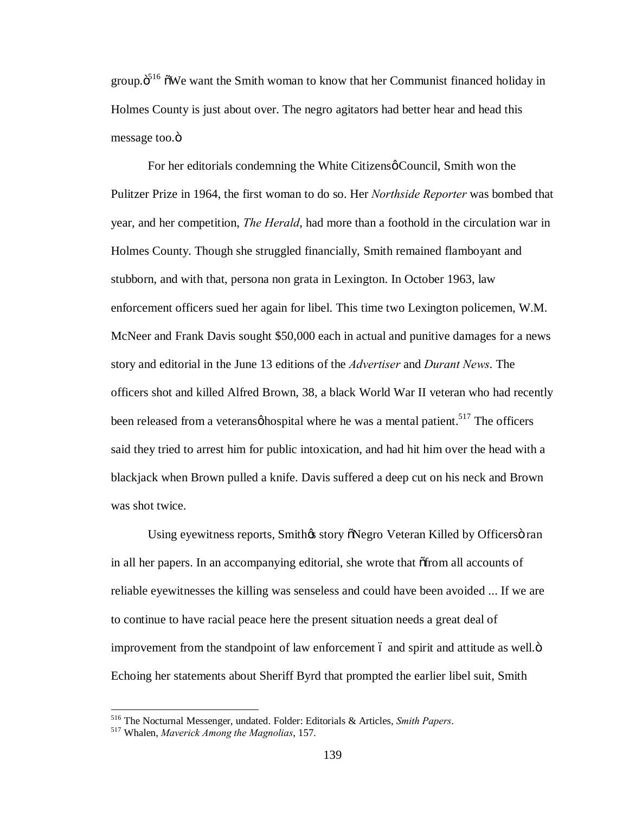group. $\ddot{o}^{516}$   $\ddot{o}$ We want the Smith woman to know that her Communist financed holiday in Holmes County is just about over. The negro agitators had better hear and head this message too.<sup>"</sup>

For her editorials condemning the White Citizens o Council, Smith won the Pulitzer Prize in 1964, the first woman to do so. Her *Northside Reporter* was bombed that year, and her competition, *The Herald*, had more than a foothold in the circulation war in Holmes County. Though she struggled financially, Smith remained flamboyant and stubborn, and with that, persona non grata in Lexington. In October 1963, law enforcement officers sued her again for libel. This time two Lexington policemen, W.M. McNeer and Frank Davis sought \$50,000 each in actual and punitive damages for a news story and editorial in the June 13 editions of the *Advertiser* and *Durant News*. The officers shot and killed Alfred Brown, 38, a black World War II veteran who had recently been released from a veterans  $\phi$  hospital where he was a mental patient.<sup>517</sup> The officers said they tried to arrest him for public intoxication, and had hit him over the head with a blackjack when Brown pulled a knife. Davis suffered a deep cut on his neck and Brown was shot twice.

Using eyewitness reports, Smith $\alpha$  story  $\delta$ Negro Veteran Killed by Officers  $\delta$  ran in all her papers. In an accompanying editorial, she wrote that  $\delta$  from all accounts of reliable eyewitnesses the killing was senseless and could have been avoided ... If we are to continue to have racial peace here the present situation needs a great deal of improvement from the standpoint of law enforcement 6 and spirit and attitude as well. $\ddot{o}$ Echoing her statements about Sheriff Byrd that prompted the earlier libel suit, Smith

<sup>516</sup> The Nocturnal Messenger, undated. Folder: Editorials & Articles, *Smith Papers*. <sup>517</sup> Whalen, *Maverick Among the Magnolias*, 157.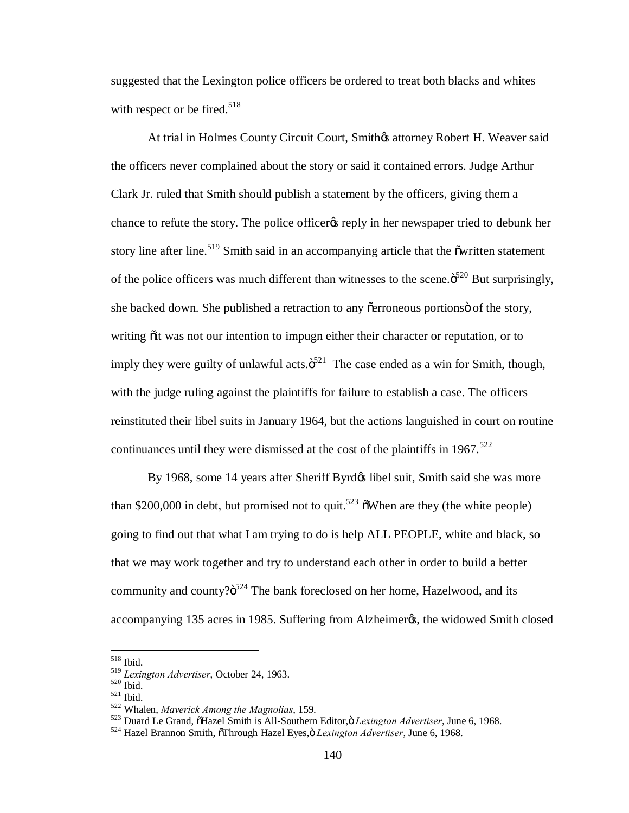suggested that the Lexington police officers be ordered to treat both blacks and whites with respect or be fired.<sup>518</sup>

At trial in Holmes County Circuit Court, Smithos attorney Robert H. Weaver said the officers never complained about the story or said it contained errors. Judge Arthur Clark Jr. ruled that Smith should publish a statement by the officers, giving them a chance to refute the story. The police officer triefly in her newspaper tried to debunk her story line after line.<sup>519</sup> Smith said in an accompanying article that the  $\tilde{\text{owritten}}$  statement of the police officers was much different than witnesses to the scene. $\ddot{\mathrm{o}}^{520}$  But surprisingly, she backed down. She published a retraction to any  $\tilde{o}$  erroneous portions of the story, writing  $\ddot{\text{o}}$  it was not our intention to impugn either their character or reputation, or to imply they were guilty of unlawful acts. $\ddot{\mathrm{o}}^{521}$  The case ended as a win for Smith, though, with the judge ruling against the plaintiffs for failure to establish a case. The officers reinstituted their libel suits in January 1964, but the actions languished in court on routine continuances until they were dismissed at the cost of the plaintiffs in  $1967$ <sup>522</sup>

By 1968, some 14 years after Sheriff Byrd $\alpha$  libel suit, Smith said she was more than \$200,000 in debt, but promised not to quit.<sup>523</sup>  $\delta$ When are they (the white people) going to find out that what I am trying to do is help ALL PEOPLE, white and black, so that we may work together and try to understand each other in order to build a better community and county? $\ddot{\text{o}}^{524}$  The bank foreclosed on her home, Hazelwood, and its accompanying 135 acres in 1985. Suffering from Alzheimer $\alpha$ , the widowed Smith closed

<sup>&</sup>lt;sup>518</sup> Ibid.<br><sup>519</sup> Lexington Advertiser, October 24, 1963.

<sup>&</sup>lt;sup>520</sup> Ibid.<br><sup>521</sup> Ibid.<br><sup>522</sup> Whalen, *Maverick Among the Magnolias*, 159.<br><sup>523</sup> Duard Le Grand, õHazel Smith is All-Southern Editor,ö *Lexington Advertiser*, June 6, 1968.<br><sup>524</sup> Hazel Brannon Smith, õThrough Hazel Eyes,ö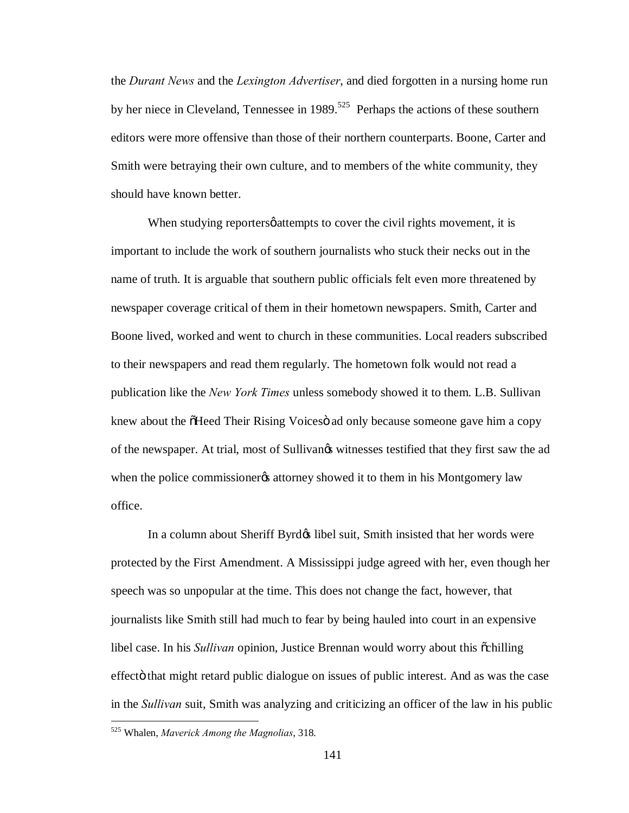the *Durant News* and the *Lexington Advertiser*, and died forgotten in a nursing home run by her niece in Cleveland, Tennessee in 1989.<sup>525</sup> Perhaps the actions of these southern editors were more offensive than those of their northern counterparts. Boone, Carter and Smith were betraying their own culture, and to members of the white community, they should have known better.

When studying reporters *s* attempts to cover the civil rights movement, it is important to include the work of southern journalists who stuck their necks out in the name of truth. It is arguable that southern public officials felt even more threatened by newspaper coverage critical of them in their hometown newspapers. Smith, Carter and Boone lived, worked and went to church in these communities. Local readers subscribed to their newspapers and read them regularly. The hometown folk would not read a publication like the *New York Times* unless somebody showed it to them. L.B. Sullivan knew about the  $\delta$ Heed Their Rising Voices ad only because someone gave him a copy of the newspaper. At trial, most of Sullivangs witnesses testified that they first saw the ad when the police commissionergs attorney showed it to them in his Montgomery law office.

In a column about Sheriff Byrd $\alpha$  libel suit, Smith insisted that her words were protected by the First Amendment. A Mississippi judge agreed with her, even though her speech was so unpopular at the time. This does not change the fact, however, that journalists like Smith still had much to fear by being hauled into court in an expensive libel case. In his *Sullivan* opinion, Justice Brennan would worry about this  $\tilde{\text{c}}$ chilling effect that might retard public dialogue on issues of public interest. And as was the case in the *Sullivan* suit, Smith was analyzing and criticizing an officer of the law in his public

 <sup>525</sup> Whalen, *Maverick Among the Magnolias*, 318.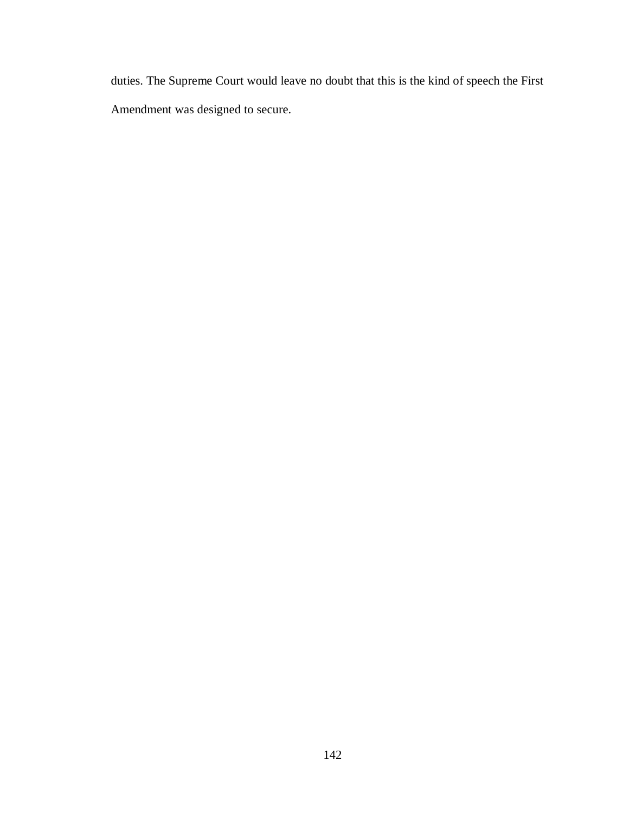duties. The Supreme Court would leave no doubt that this is the kind of speech the First Amendment was designed to secure.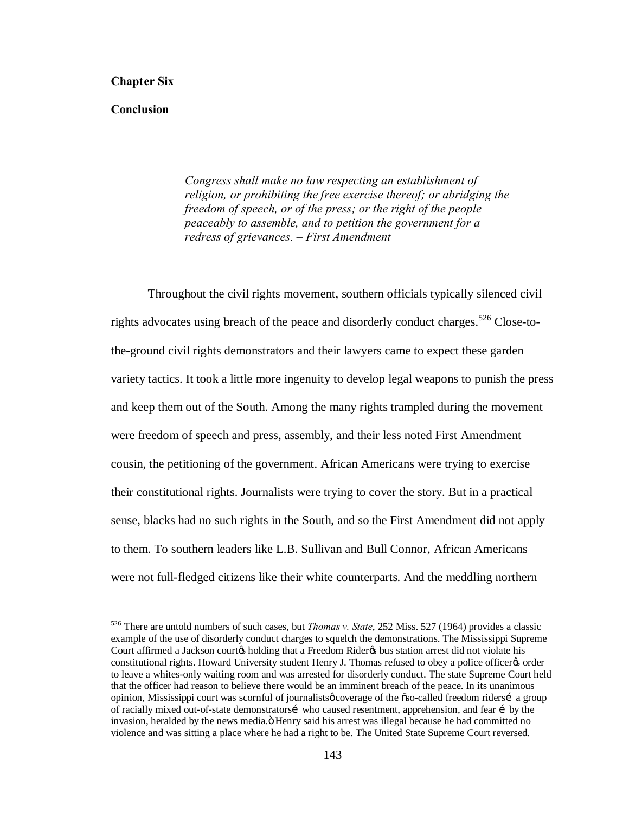## **Chapter Six**

## **Conclusion**

*Congress shall make no law respecting an establishment of religion, or prohibiting the free exercise thereof; or abridging the freedom of speech, or of the press; or the right of the people peaceably to assemble, and to petition the government for a redress of grievances. – First Amendment*

Throughout the civil rights movement, southern officials typically silenced civil rights advocates using breach of the peace and disorderly conduct charges.<sup>526</sup> Close-tothe-ground civil rights demonstrators and their lawyers came to expect these garden variety tactics. It took a little more ingenuity to develop legal weapons to punish the press and keep them out of the South. Among the many rights trampled during the movement were freedom of speech and press, assembly, and their less noted First Amendment cousin, the petitioning of the government. African Americans were trying to exercise their constitutional rights. Journalists were trying to cover the story. But in a practical sense, blacks had no such rights in the South, and so the First Amendment did not apply to them. To southern leaders like L.B. Sullivan and Bull Connor, African Americans were not full-fledged citizens like their white counterparts. And the meddling northern

 <sup>526</sup> There are untold numbers of such cases, but *Thomas v. State*, 252 Miss. 527 (1964) provides a classic example of the use of disorderly conduct charges to squelch the demonstrations. The Mississippi Supreme Court affirmed a Jackson courtos holding that a Freedom Rideros bus station arrest did not violate his constitutional rights. Howard University student Henry J. Thomas refused to obey a police officer to order to leave a whites-only waiting room and was arrested for disorderly conduct. The state Supreme Court held that the officer had reason to believe there would be an imminent breach of the peace. In its unanimous opinion, Mississippi court was scornful of journalists pcoverage of the 6so-called freedom ridersi a group of racially mixed out-of-state demonstratorsi who caused resentment, apprehension, and fear i by the invasion, heralded by the news media. B Henry said his arrest was illegal because he had committed no violence and was sitting a place where he had a right to be. The United State Supreme Court reversed.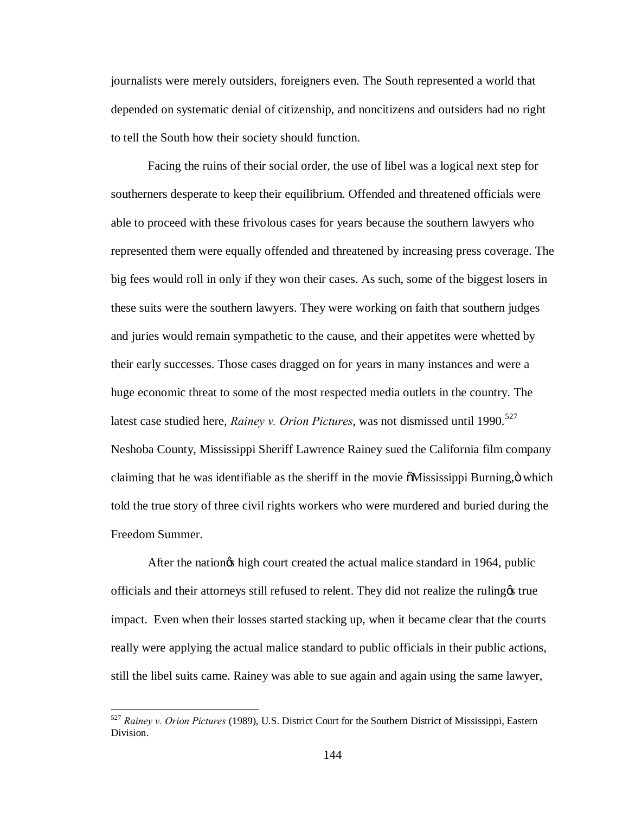journalists were merely outsiders, foreigners even. The South represented a world that depended on systematic denial of citizenship, and noncitizens and outsiders had no right to tell the South how their society should function.

Facing the ruins of their social order, the use of libel was a logical next step for southerners desperate to keep their equilibrium. Offended and threatened officials were able to proceed with these frivolous cases for years because the southern lawyers who represented them were equally offended and threatened by increasing press coverage. The big fees would roll in only if they won their cases. As such, some of the biggest losers in these suits were the southern lawyers. They were working on faith that southern judges and juries would remain sympathetic to the cause, and their appetites were whetted by their early successes. Those cases dragged on for years in many instances and were a huge economic threat to some of the most respected media outlets in the country. The latest case studied here, *Rainey v. Orion Pictures*, was not dismissed until 1990.<sup>527</sup> Neshoba County, Mississippi Sheriff Lawrence Rainey sued the California film company claiming that he was identifiable as the sheriff in the movie  $\tilde{o}$ Mississippi Burning, $\ddot{o}$  which told the true story of three civil rights workers who were murdered and buried during the Freedom Summer.

After the nation is high court created the actual malice standard in 1964, public officials and their attorneys still refused to relent. They did not realize the ruling's true impact. Even when their losses started stacking up, when it became clear that the courts really were applying the actual malice standard to public officials in their public actions, still the libel suits came. Rainey was able to sue again and again using the same lawyer,

 <sup>527</sup> *Rainey v. Orion Pictures* (1989), U.S. District Court for the Southern District of Mississippi, Eastern Division.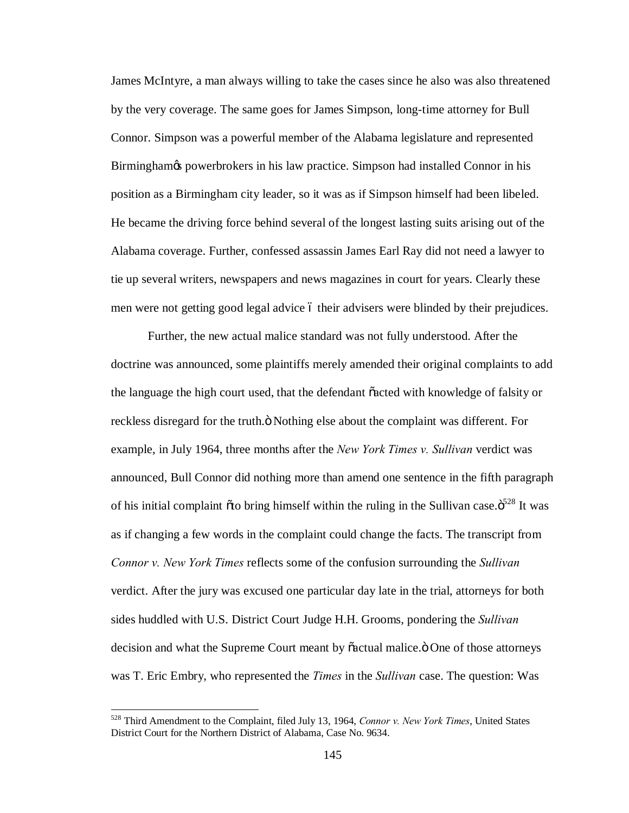James McIntyre, a man always willing to take the cases since he also was also threatened by the very coverage. The same goes for James Simpson, long-time attorney for Bull Connor. Simpson was a powerful member of the Alabama legislature and represented Birmingham& powerbrokers in his law practice. Simpson had installed Connor in his position as a Birmingham city leader, so it was as if Simpson himself had been libeled. He became the driving force behind several of the longest lasting suits arising out of the Alabama coverage. Further, confessed assassin James Earl Ray did not need a lawyer to tie up several writers, newspapers and news magazines in court for years. Clearly these men were not getting good legal advice 6 their advisers were blinded by their prejudices.

Further, the new actual malice standard was not fully understood. After the doctrine was announced, some plaintiffs merely amended their original complaints to add the language the high court used, that the defendant "acted with knowledge of falsity or reckless disregard for the truth. $\ddot{o}$  Nothing else about the complaint was different. For example, in July 1964, three months after the *New York Times v. Sullivan* verdict was announced, Bull Connor did nothing more than amend one sentence in the fifth paragraph of his initial complaint  $\tilde{o}$  to bring himself within the ruling in the Sullivan case. $\tilde{o}^{228}$  It was as if changing a few words in the complaint could change the facts. The transcript from *Connor v. New York Times* reflects some of the confusion surrounding the *Sullivan*  verdict. After the jury was excused one particular day late in the trial, attorneys for both sides huddled with U.S. District Court Judge H.H. Grooms, pondering the *Sullivan* decision and what the Supreme Court meant by  $\tilde{c}$  actual malice. $\ddot{o}$  One of those attorneys was T. Eric Embry, who represented the *Times* in the *Sullivan* case. The question: Was

 <sup>528</sup> Third Amendment to the Complaint, filed July 13, 1964, *Connor v. New York Times*, United States District Court for the Northern District of Alabama, Case No. 9634.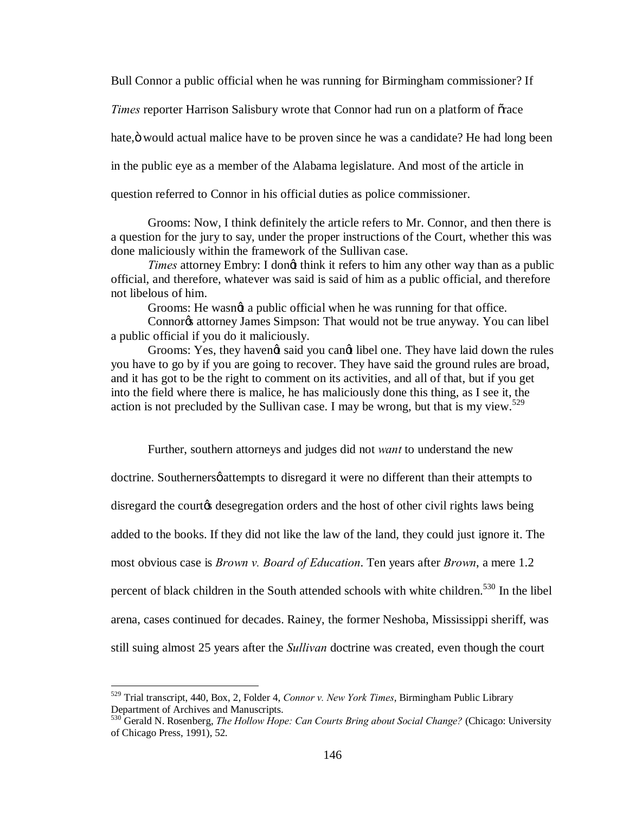Bull Connor a public official when he was running for Birmingham commissioner? If

*Times* reporter Harrison Salisbury wrote that Connor had run on a platform of orace

hate, ö would actual malice have to be proven since he was a candidate? He had long been

in the public eye as a member of the Alabama legislature. And most of the article in

question referred to Connor in his official duties as police commissioner.

Grooms: Now, I think definitely the article refers to Mr. Connor, and then there is a question for the jury to say, under the proper instructions of the Court, whether this was done maliciously within the framework of the Sullivan case.

*Times* attorney Embry: I dong think it refers to him any other way than as a public official, and therefore, whatever was said is said of him as a public official, and therefore not libelous of him.

Grooms: He wasngt a public official when he was running for that office.

Connor<sub>®</sub> attorney James Simpson: That would not be true anyway. You can libel a public official if you do it maliciously.

Grooms: Yes, they havengt said you cangt libel one. They have laid down the rules you have to go by if you are going to recover. They have said the ground rules are broad, and it has got to be the right to comment on its activities, and all of that, but if you get into the field where there is malice, he has maliciously done this thing, as I see it, the action is not precluded by the Sullivan case. I may be wrong, but that is my view.<sup>529</sup>

Further, southern attorneys and judges did not *want* to understand the new doctrine. Southerners *g* attempts to disregard it were no different than their attempts to disregard the courtos desegregation orders and the host of other civil rights laws being added to the books. If they did not like the law of the land, they could just ignore it. The most obvious case is *Brown v. Board of Education*. Ten years after *Brown*, a mere 1.2 percent of black children in the South attended schools with white children.<sup>530</sup> In the libel arena, cases continued for decades. Rainey, the former Neshoba, Mississippi sheriff, was still suing almost 25 years after the *Sullivan* doctrine was created, even though the court

 <sup>529</sup> Trial transcript, 440, Box, 2, Folder 4, *Connor v. New York Times*, Birmingham Public Library

<sup>530</sup> Gerald N. Rosenberg, *The Hollow Hope: Can Courts Bring about Social Change?* (Chicago: University of Chicago Press, 1991), 52.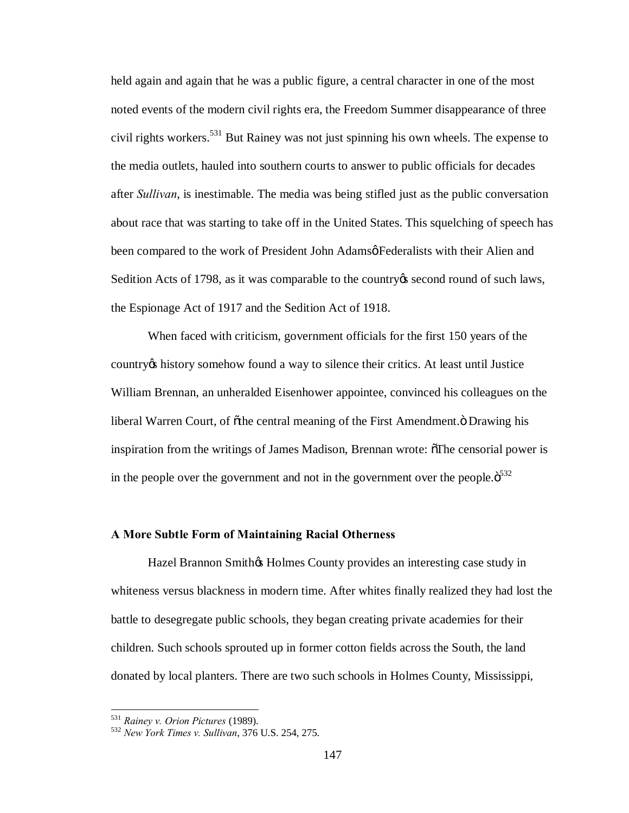held again and again that he was a public figure, a central character in one of the most noted events of the modern civil rights era, the Freedom Summer disappearance of three civil rights workers.<sup>531</sup> But Rainey was not just spinning his own wheels. The expense to the media outlets, hauled into southern courts to answer to public officials for decades after *Sullivan*, is inestimable. The media was being stifled just as the public conversation about race that was starting to take off in the United States. This squelching of speech has been compared to the work of President John Adamsø Federalists with their Alien and Sedition Acts of 1798, as it was comparable to the country opseud round of such laws, the Espionage Act of 1917 and the Sedition Act of 1918.

When faced with criticism, government officials for the first 150 years of the country's history somehow found a way to silence their critics. At least until Justice William Brennan, an unheralded Eisenhower appointee, convinced his colleagues on the liberal Warren Court, of õthe central meaning of the First Amendment. Ö Drawing his inspiration from the writings of James Madison, Brennan wrote:  $\delta$ The censorial power is in the people over the government and not in the government over the people. $\ddot{\text{o}}^{532}$ 

### **A More Subtle Form of Maintaining Racial Otherness**

Hazel Brannon Smithos Holmes County provides an interesting case study in whiteness versus blackness in modern time. After whites finally realized they had lost the battle to desegregate public schools, they began creating private academies for their children. Such schools sprouted up in former cotton fields across the South, the land donated by local planters. There are two such schools in Holmes County, Mississippi,

<sup>531</sup> *Rainey v. Orion Pictures* (1989). <sup>532</sup> *New York Times v. Sullivan*, 376 U.S. 254, 275.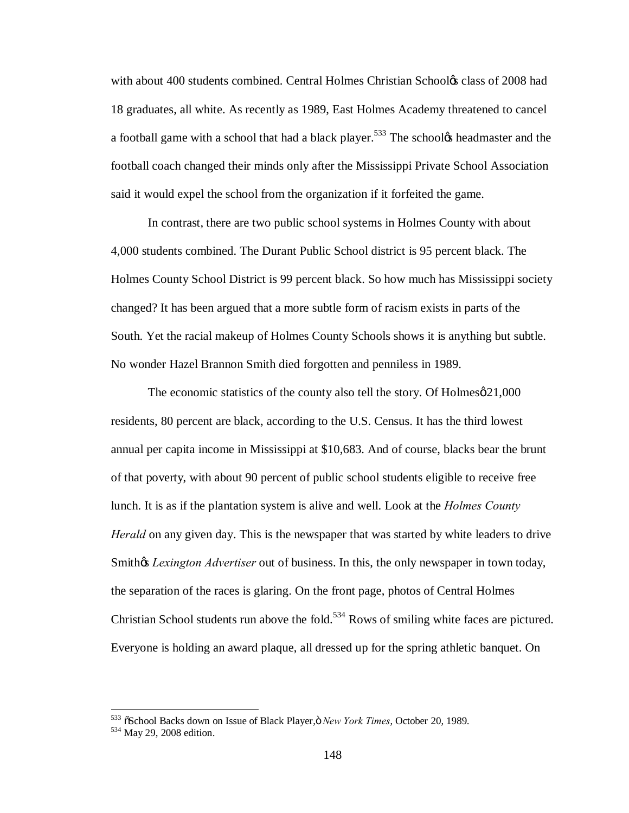with about 400 students combined. Central Holmes Christian Schooles class of 2008 had 18 graduates, all white. As recently as 1989, East Holmes Academy threatened to cancel a football game with a school that had a black player.<sup>533</sup> The school<sub>\*</sub> headmaster and the football coach changed their minds only after the Mississippi Private School Association said it would expel the school from the organization if it forfeited the game.

In contrast, there are two public school systems in Holmes County with about 4,000 students combined. The Durant Public School district is 95 percent black. The Holmes County School District is 99 percent black. So how much has Mississippi society changed? It has been argued that a more subtle form of racism exists in parts of the South. Yet the racial makeup of Holmes County Schools shows it is anything but subtle. No wonder Hazel Brannon Smith died forgotten and penniless in 1989.

The economic statistics of the county also tell the story. Of  $Holmes \varnothing 21,000$ residents, 80 percent are black, according to the U.S. Census. It has the third lowest annual per capita income in Mississippi at \$10,683. And of course, blacks bear the brunt of that poverty, with about 90 percent of public school students eligible to receive free lunch. It is as if the plantation system is alive and well. Look at the *Holmes County Herald* on any given day. This is the newspaper that was started by white leaders to drive Smith<sub>of</sub> *Lexington Advertiser* out of business. In this, the only newspaper in town today, the separation of the races is glaring. On the front page, photos of Central Holmes Christian School students run above the fold.<sup>534</sup> Rows of smiling white faces are pictured. Everyone is holding an award plaque, all dressed up for the spring athletic banquet. On

<sup>533</sup> "School Backs down on Issue of Black Player," *New York Times*, October 20, 1989. 534 May 29, 2008 edition.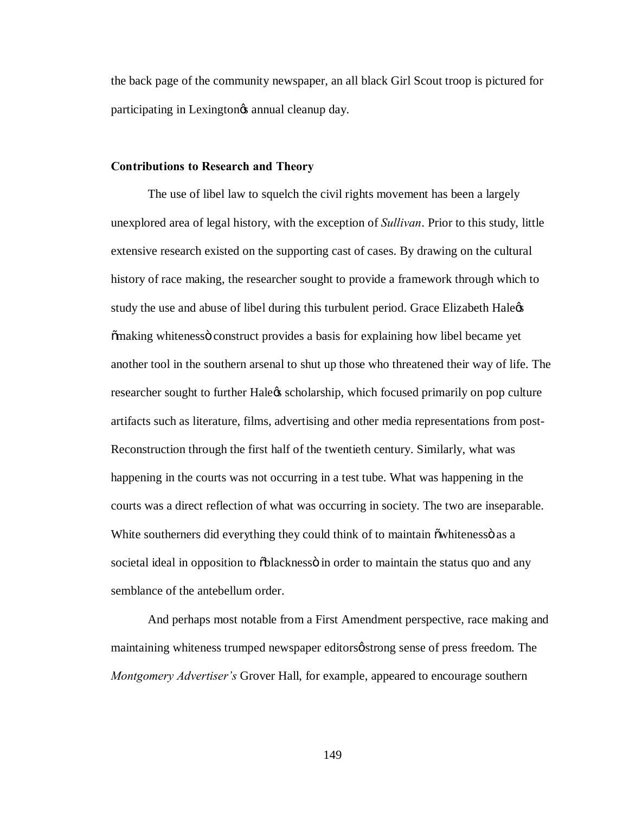the back page of the community newspaper, an all black Girl Scout troop is pictured for participating in Lexington<sub>os</sub> annual cleanup day.

#### **Contributions to Research and Theory**

The use of libel law to squelch the civil rights movement has been a largely unexplored area of legal history, with the exception of *Sullivan*. Prior to this study, little extensive research existed on the supporting cast of cases. By drawing on the cultural history of race making, the researcher sought to provide a framework through which to study the use and abuse of libel during this turbulent period. Grace Elizabeth Hale  $\delta$ making whiteness $\ddot{\text{o}}$  construct provides a basis for explaining how libel became yet another tool in the southern arsenal to shut up those who threatened their way of life. The researcher sought to further Hale ts scholarship, which focused primarily on pop culture artifacts such as literature, films, advertising and other media representations from post-Reconstruction through the first half of the twentieth century. Similarly, what was happening in the courts was not occurring in a test tube. What was happening in the courts was a direct reflection of what was occurring in society. The two are inseparable. White southerners did everything they could think of to maintain  $\ddot{\text{a}}$  multipless as a societal ideal in opposition to  $\delta$ blackness in order to maintain the status quo and any semblance of the antebellum order.

And perhaps most notable from a First Amendment perspective, race making and maintaining whiteness trumped newspaper editors *o* strong sense of press freedom. The *Montgomery Advertiser's* Grover Hall, for example, appeared to encourage southern

149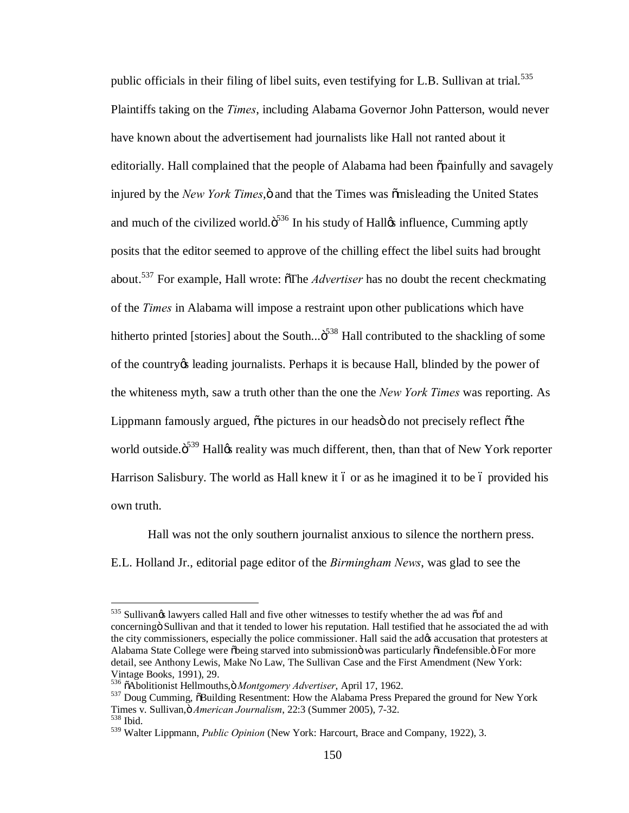public officials in their filing of libel suits, even testifying for L.B. Sullivan at trial.<sup>535</sup> Plaintiffs taking on the *Times*, including Alabama Governor John Patterson, would never have known about the advertisement had journalists like Hall not ranted about it editorially. Hall complained that the people of Alabama had been  $\ddot{\rho}$  operationally and savagely injured by the *New York Times*,  $\ddot{\text{o}}$  and that the Times was  $\ddot{\text{o}}$  misleading the United States and much of the civilized world. $\ddot{\mathrm{o}}^{536}$  In his study of Hall $\alpha$  influence, Cumming aptly posits that the editor seemed to approve of the chilling effect the libel suits had brought about.<sup>537</sup> For example, Hall wrote:  $\delta$ The *Advertiser* has no doubt the recent checkmating of the *Times* in Alabama will impose a restraint upon other publications which have hitherto printed [stories] about the South... $\ddot{\text{o}}^{538}$  Hall contributed to the shackling of some of the country teading journalists. Perhaps it is because Hall, blinded by the power of the whiteness myth, saw a truth other than the one the *New York Times* was reporting. As Lippmann famously argued,  $\ddot{\text{o}}$  the pictures in our heads do not precisely reflect  $\ddot{\text{o}}$  the world outside.<sup>539</sup> Halløs reality was much different, then, than that of New York reporter Harrison Salisbury. The world as Hall knew it 6 or as he imagined it to be 6 provided his own truth.

Hall was not the only southern journalist anxious to silence the northern press. E.L. Holland Jr., editorial page editor of the *Birmingham News*, was glad to see the

<sup>535</sup> Sullivangs lawyers called Hall and five other witnesses to testify whether the ad was oof and concerning Sullivan and that it tended to lower his reputation. Hall testified that he associated the ad with the city commissioners, especially the police commissioner. Hall said the adøs accusation that protesters at Alabama State College were õbeing starved into submissionö was particularly õindefensible. Ö For more detail, see Anthony Lewis, Make No Law, The Sullivan Case and the First Amendment (New York: Vintage Books, 1991), 29.<br><sup>536</sup> õAbolitionist Hellmouths,ö Montgomery Advertiser, April 17, 1962.

<sup>&</sup>lt;sup>537</sup> Doug Cumming, õBuilding Resentment: How the Alabama Press Prepared the ground for New York Times v. Sullivan, ö *American Journalism*, 22:3 (Summer 2005), 7-32.<br><sup>538</sup> Ibid.

<sup>539</sup> Walter Lippmann, *Public Opinion* (New York: Harcourt, Brace and Company, 1922), 3.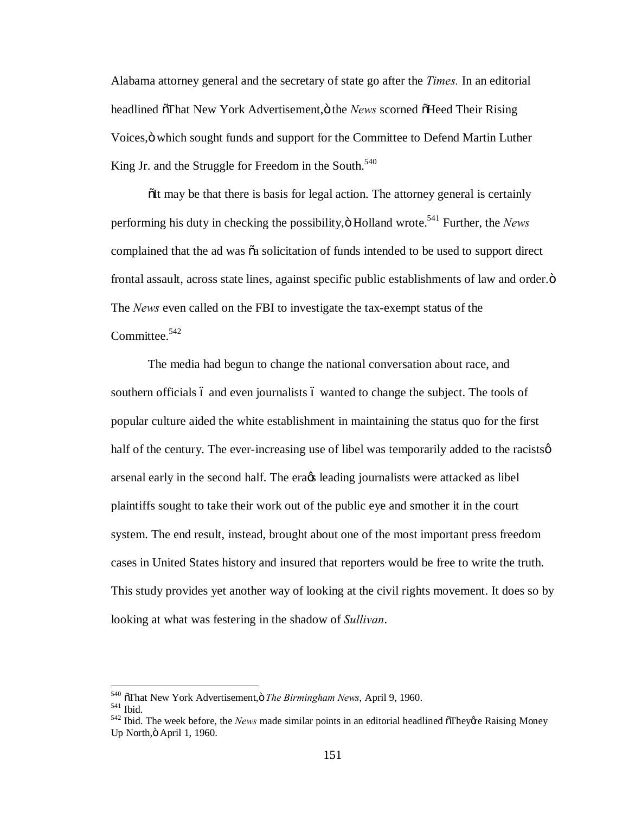Alabama attorney general and the secretary of state go after the *Times.* In an editorial headlined öThat New York Advertisement, ö the *News* scorned öHeed Their Rising Voices," which sought funds and support for the Committee to Defend Martin Luther King Jr. and the Struggle for Freedom in the South.<sup>540</sup>

 $\delta$ It may be that there is basis for legal action. The attorney general is certainly performing his duty in checking the possibility,  $\ddot{\text{o}}$  Holland wrote.<sup>541</sup> Further, the *News* complained that the ad was  $\tilde{\alpha}$  solicitation of funds intended to be used to support direct frontal assault, across state lines, against specific public establishments of law and order. $\ddot{o}$ The *News* even called on the FBI to investigate the tax-exempt status of the Committee. $542$ 

The media had begun to change the national conversation about race, and southern officials 6 and even journalists 6 wanted to change the subject. The tools of popular culture aided the white establishment in maintaining the status quo for the first half of the century. The ever-increasing use of libel was temporarily added to the racists  $\varphi$ arsenal early in the second half. The era $\alpha$  leading journalists were attacked as libel plaintiffs sought to take their work out of the public eye and smother it in the court system. The end result, instead, brought about one of the most important press freedom cases in United States history and insured that reporters would be free to write the truth. This study provides yet another way of looking at the civil rights movement. It does so by looking at what was festering in the shadow of *Sullivan*.

<sup>&</sup>lt;sup>540</sup>  $\sigma$ That New York Advertisement,  $\sigma$  *The Birmingham News*, April 9, 1960.<br><sup>541</sup> Ibid. The week before, the *News* made similar points in an editorial headlined  $\sigma$ They *t*e Raising Money Up North, ö April 1, 1960.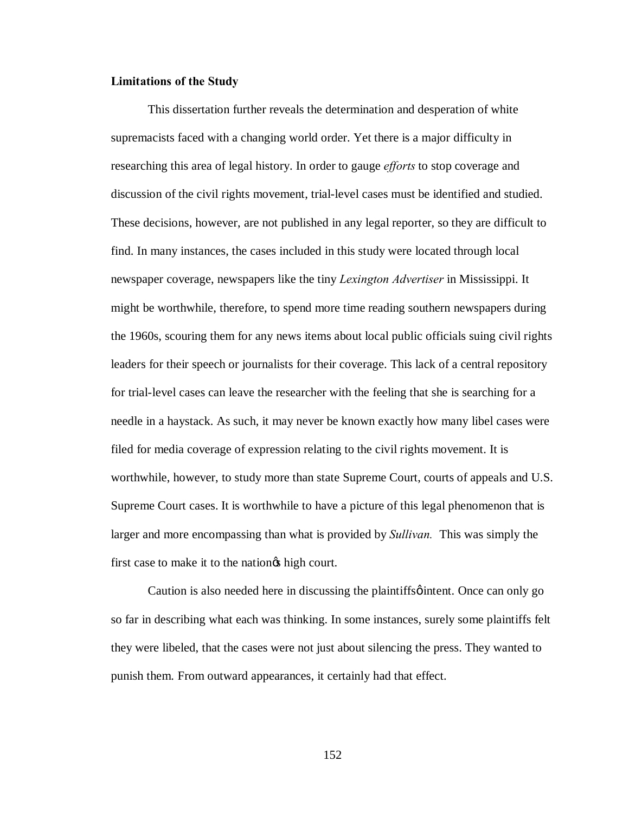## **Limitations of the Study**

This dissertation further reveals the determination and desperation of white supremacists faced with a changing world order. Yet there is a major difficulty in researching this area of legal history. In order to gauge *efforts* to stop coverage and discussion of the civil rights movement, trial-level cases must be identified and studied. These decisions, however, are not published in any legal reporter, so they are difficult to find. In many instances, the cases included in this study were located through local newspaper coverage, newspapers like the tiny *Lexington Advertiser* in Mississippi. It might be worthwhile, therefore, to spend more time reading southern newspapers during the 1960s, scouring them for any news items about local public officials suing civil rights leaders for their speech or journalists for their coverage. This lack of a central repository for trial-level cases can leave the researcher with the feeling that she is searching for a needle in a haystack. As such, it may never be known exactly how many libel cases were filed for media coverage of expression relating to the civil rights movement. It is worthwhile, however, to study more than state Supreme Court, courts of appeals and U.S. Supreme Court cases. It is worthwhile to have a picture of this legal phenomenon that is larger and more encompassing than what is provided by *Sullivan.* This was simply the first case to make it to the nation the high court.

Caution is also needed here in discussing the plaintiffs intent. Once can only go so far in describing what each was thinking. In some instances, surely some plaintiffs felt they were libeled, that the cases were not just about silencing the press. They wanted to punish them. From outward appearances, it certainly had that effect.

152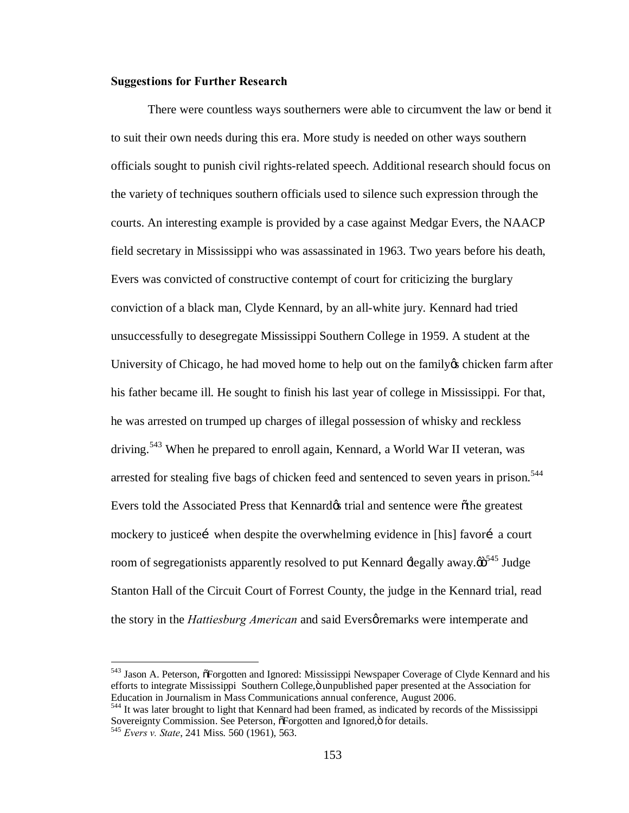## **Suggestions for Further Research**

There were countless ways southerners were able to circumvent the law or bend it to suit their own needs during this era. More study is needed on other ways southern officials sought to punish civil rights-related speech. Additional research should focus on the variety of techniques southern officials used to silence such expression through the courts. An interesting example is provided by a case against Medgar Evers, the NAACP field secretary in Mississippi who was assassinated in 1963. Two years before his death, Evers was convicted of constructive contempt of court for criticizing the burglary conviction of a black man, Clyde Kennard, by an all-white jury. Kennard had tried unsuccessfully to desegregate Mississippi Southern College in 1959. A student at the University of Chicago, he had moved home to help out on the family the chicken farm after his father became ill. He sought to finish his last year of college in Mississippi. For that, he was arrested on trumped up charges of illegal possession of whisky and reckless driving.<sup>543</sup> When he prepared to enroll again, Kennard, a World War II veteran, was arrested for stealing five bags of chicken feed and sentenced to seven years in prison.<sup>544</sup> Evers told the Associated Press that Kennard& trial and sentence were othe greatest mockery to justicei when despite the overwhelming evidence in [his] favori a court room of segregationists apparently resolved to put Kennard  $\pm$ egally away. $\ddot{\omega}^{545}$  Judge Stanton Hall of the Circuit Court of Forrest County, the judge in the Kennard trial, read the story in the *Hattiesburg American* and said Eversøremarks were intemperate and

<sup>&</sup>lt;sup>543</sup> Jason A. Peterson,  $\tilde{\sigma}$ Forgotten and Ignored: Mississippi Newspaper Coverage of Clyde Kennard and his efforts to integrate Mississippi Southern College,  $\ddot{o}$  unpublished paper presented at the Association for Education in Journalism in Mass Communications annual conference, August 2006. <sup>544</sup> It was later brought to light that Kennard had been framed, as indicated by records of the Mississippi

Sovereignty Commission. See Peterson,  $\delta$ Forgotten and Ignored, $\ddot{o}$  for details. 545 *Evers v. State*, 241 Miss. 560 (1961), 563.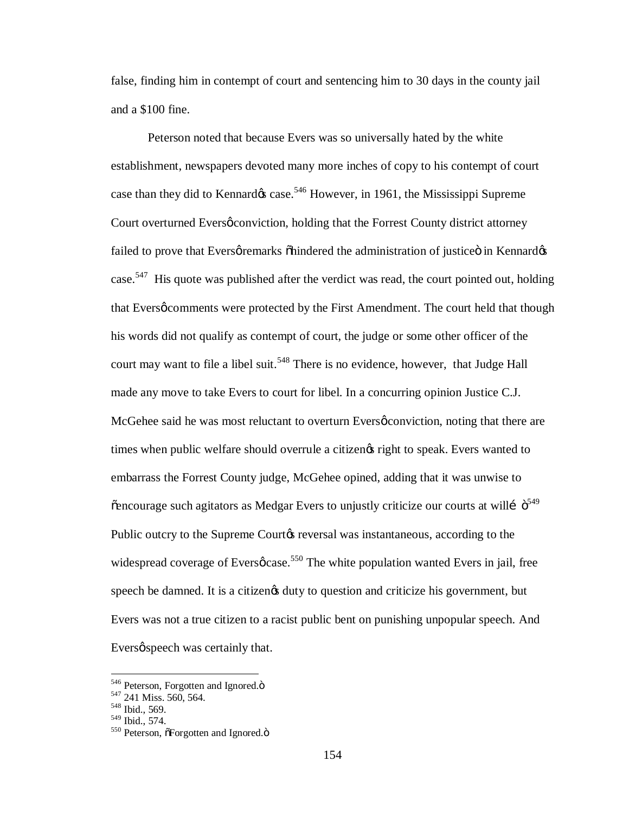false, finding him in contempt of court and sentencing him to 30 days in the county jail and a \$100 fine.

Peterson noted that because Evers was so universally hated by the white establishment, newspapers devoted many more inches of copy to his contempt of court case than they did to Kennard $\alpha$  case.<sup>546</sup> However, in 1961, the Mississippi Supreme Court overturned Eversø conviction, holding that the Forrest County district attorney failed to prove that Eversø remarks õhindered the administration of justiceö in Kennardøs case.<sup>547</sup> His quote was published after the verdict was read, the court pointed out, holding that Eversø comments were protected by the First Amendment. The court held that though his words did not qualify as contempt of court, the judge or some other officer of the court may want to file a libel suit.<sup>548</sup> There is no evidence, however, that Judge Hall made any move to take Evers to court for libel. In a concurring opinion Justice C.J. McGehee said he was most reluctant to overturn Eversø conviction, noting that there are times when public welfare should overrule a citizengs right to speak. Evers wanted to embarrass the Forrest County judge, McGehee opined, adding that it was unwise to  $\alpha$  chroace such agitators as Medgar Evers to unjustly criticize our courts at will  $\ddot{\sigma}^{549}$ Public outcry to the Supreme Court the reversal was instantaneous, according to the widespread coverage of Evers $\phi$  case.<sup>550</sup> The white population wanted Evers in jail, free speech be damned. It is a citizen  $\alpha$  duty to question and criticize his government, but Evers was not a true citizen to a racist public bent on punishing unpopular speech. And Eversø speech was certainly that.

<sup>&</sup>lt;sup>546</sup> Peterson, Forgotten and Ignored. $\ddot{\text{o}}^{547}$  241 Miss. 560, 564.<br><sup>548</sup> Ibid., 569.<br><sup>549</sup> Ibid., 574.

<sup>&</sup>lt;sup>550</sup> Peterson, õForgotten and Ignored.ö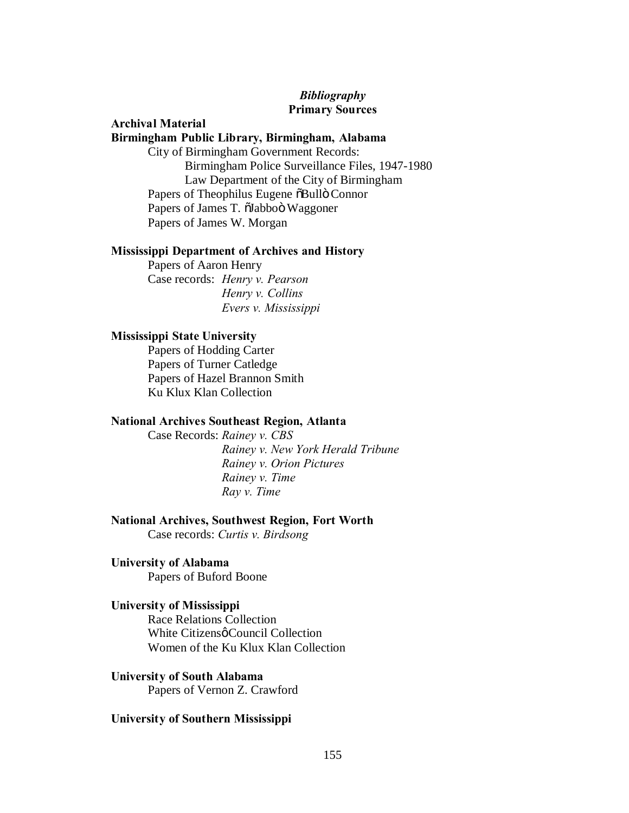# *Bibliography* **Primary Sources**

## **Archival Material Birmingham Public Library, Birmingham, Alabama**

City of Birmingham Government Records: Birmingham Police Surveillance Files, 1947-1980 Law Department of the City of Birmingham Papers of Theophilus Eugene  $\delta$ Bullö Connor Papers of James T.  $\tilde{o}$ Jabboö Waggoner Papers of James W. Morgan

## **Mississippi Department of Archives and History**

Papers of Aaron Henry Case records: *Henry v. Pearson Henry v. Collins Evers v. Mississippi*

## **Mississippi State University**

Papers of Hodding Carter Papers of Turner Catledge Papers of Hazel Brannon Smith Ku Klux Klan Collection

## **National Archives Southeast Region, Atlanta**

Case Records: *Rainey v. CBS Rainey v. New York Herald Tribune Rainey v. Orion Pictures Rainey v. Time Ray v. Time*

## **National Archives, Southwest Region, Fort Worth**

Case records: *Curtis v. Birdsong*

### **University of Alabama**

Papers of Buford Boone

### **University of Mississippi**

Race Relations Collection White Citizens o Council Collection Women of the Ku Klux Klan Collection

#### **University of South Alabama**

Papers of Vernon Z. Crawford

### **University of Southern Mississippi**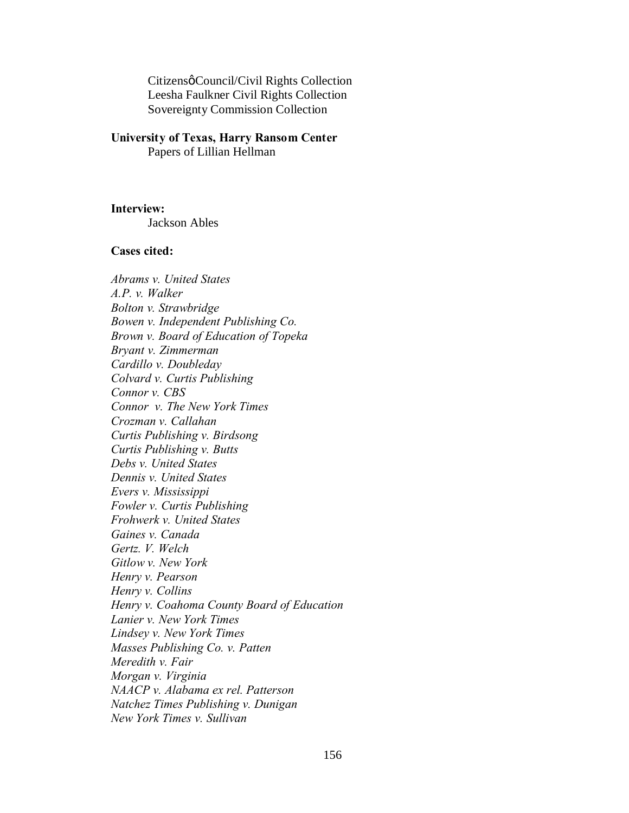Citizensø Council/Civil Rights Collection Leesha Faulkner Civil Rights Collection Sovereignty Commission Collection

## **University of Texas, Harry Ransom Center** Papers of Lillian Hellman

**Interview:**

Jackson Ables

## **Cases cited:**

*Abrams v. United States A.P. v. Walker Bolton v. Strawbridge Bowen v. Independent Publishing Co. Brown v. Board of Education of Topeka Bryant v. Zimmerman Cardillo v. Doubleday Colvard v. Curtis Publishing Connor v. CBS Connor v. The New York Times Crozman v. Callahan Curtis Publishing v. Birdsong Curtis Publishing v. Butts Debs v. United States Dennis v. United States Evers v. Mississippi Fowler v. Curtis Publishing Frohwerk v. United States Gaines v. Canada Gertz. V. Welch Gitlow v. New York Henry v. Pearson Henry v. Collins Henry v. Coahoma County Board of Education Lanier v. New York Times Lindsey v. New York Times Masses Publishing Co. v. Patten Meredith v. Fair Morgan v. Virginia NAACP v. Alabama ex rel. Patterson Natchez Times Publishing v. Dunigan New York Times v. Sullivan*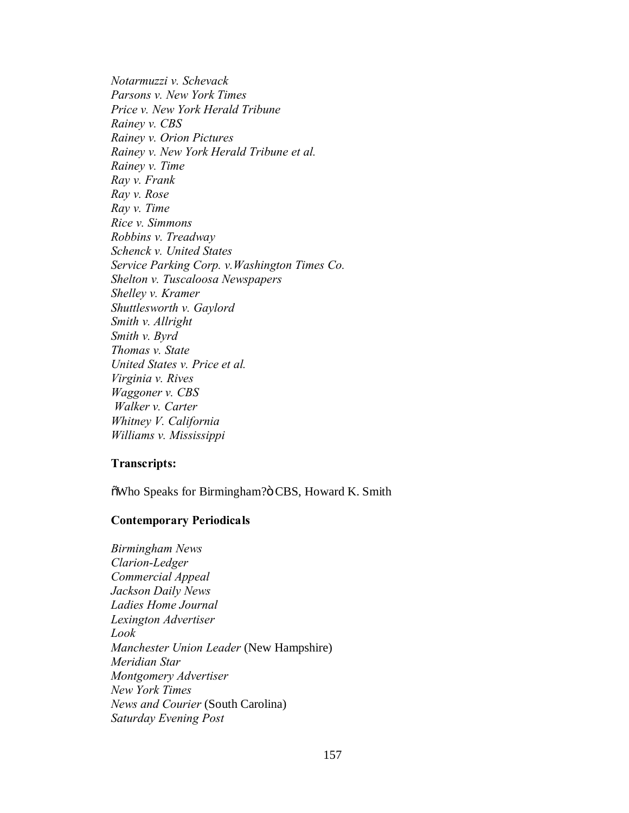*Notarmuzzi v. Schevack Parsons v. New York Times Price v. New York Herald Tribune Rainey v. CBS Rainey v. Orion Pictures Rainey v. New York Herald Tribune et al. Rainey v. Time Ray v. Frank Ray v. Rose Ray v. Time Rice v. Simmons Robbins v. Treadway Schenck v. United States Service Parking Corp. v.Washington Times Co. Shelton v. Tuscaloosa Newspapers Shelley v. Kramer Shuttlesworth v. Gaylord Smith v. Allright Smith v. Byrd Thomas v. State United States v. Price et al. Virginia v. Rives Waggoner v. CBS Walker v. Carter Whitney V. California Williams v. Mississippi*

# **Transcripts:**

öWho Speaks for Birmingham?ö CBS, Howard K. Smith

## **Contemporary Periodicals**

*Birmingham News Clarion-Ledger Commercial Appeal Jackson Daily News Ladies Home Journal Lexington Advertiser Look Manchester Union Leader* (New Hampshire) *Meridian Star Montgomery Advertiser New York Times News and Courier* (South Carolina) *Saturday Evening Post*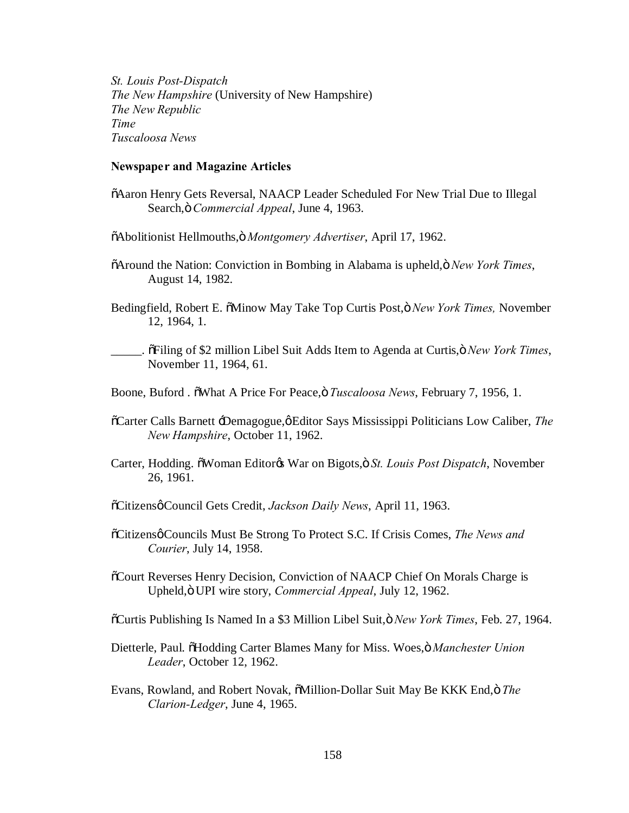*St. Louis Post-Dispatch The New Hampshire* (University of New Hampshire) *The New Republic Time Tuscaloosa News*

#### **Newspaper and Magazine Articles**

- $\tilde{o}$ Aaron Henry Gets Reversal, NAACP Leader Scheduled For New Trial Due to Illegal Search," *Commercial Appeal*, June 4, 1963.
- "Abolitionist Hellmouths," *Montgomery Advertiser*, April 17, 1962.
- "Around the Nation: Conviction in Bombing in Alabama is upheld," *New York Times*, August 14, 1982.
- Bedingfield, Robert E. "Minow May Take Top Curtis Post," *New York Times,* November 12, 1964, 1.
- \_\_\_\_\_. "Filing of \$2 million Libel Suit Adds Item to Agenda at Curtis," *New York Times*, November 11, 1964, 61.
- Boone, Buford . "What A Price For Peace," *Tuscaloosa News*, February 7, 1956, 1.
- $\tilde{\text{o}}$ Carter Calls Barnett  $\text{-Demagogue}, \varphi$ Editor Says Mississippi Politicians Low Caliber, *The New Hampshire*, October 11, 1962.
- Carter, Hodding.  $\tilde{\text{o}}$ Woman Editor $\alpha$  War on Bigots, $\tilde{\text{o}}$  *St. Louis Post Dispatch*, November 26, 1961.
- $\tilde{\text{o}}$ Citizensø Council Gets Credit, *Jackson Daily News*, April 11, 1963.
- $\tilde{\text{o}}$ Citizens $\varphi$ Councils Must Be Strong To Protect S.C. If Crisis Comes, *The News and Courier*, July 14, 1958.
- "Court Reverses Henry Decision, Conviction of NAACP Chief On Morals Charge is Upheld," UPI wire story, *Commercial Appeal*, July 12, 1962.
- "Curtis Publishing Is Named In a \$3 Million Libel Suit," *New York Times*, Feb. 27, 1964.
- Dietterle, Paul.  $\tilde{o}Hodding$  Carter Blames Many for Miss. Woes, $\tilde{o}$  *Manchester Union Leader*, October 12, 1962.
- Evans, Rowland, and Robert Novak,  $\tilde{\text{a}}$ Million-Dollar Suit May Be KKK End,  $\ddot{\text{o}}$  The *Clarion-Ledger*, June 4, 1965.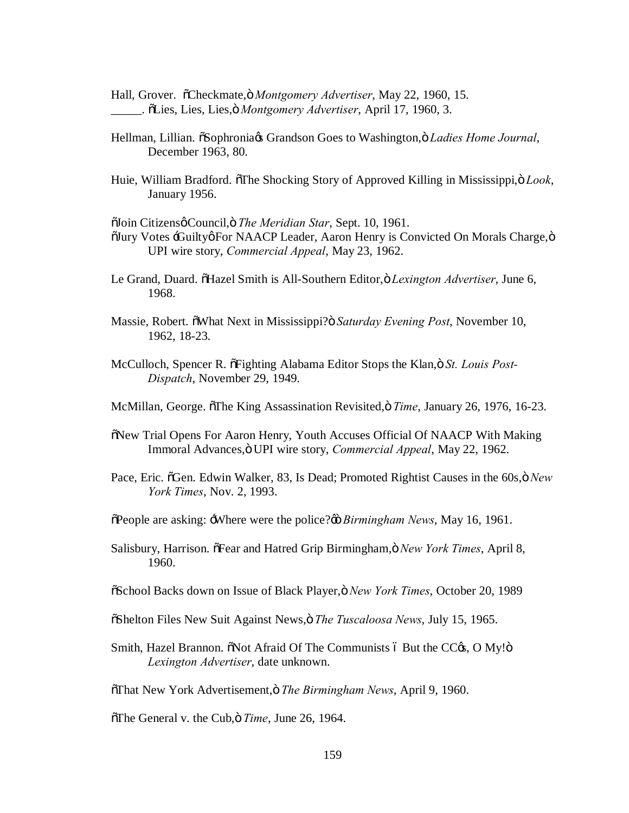Hall, Grover.  $\tilde{o}$ Checkmate, $\ddot{o}$  *Montgomery Advertiser*, May 22, 1960, 15. \_\_\_\_\_. "Lies, Lies, Lies," *Montgomery Advertiser*, April 17, 1960, 3.

- Hellman, Lillian. "Sophronia's Grandson Goes to Washington," *Ladies Home Journal*, December 1963, 80.
- Huie, William Bradford. The Shocking Story of Approved Killing in Mississippi, ö Look, January 1956.

 $\tilde{\text{a}}$ Join Citizensø Council, ö The Meridian Star, Sept. 10, 1961.

- $\tilde{\text{O}}$ Uury Votes -GuiltyøFor NAACP Leader, Aaron Henry is Convicted On Morals Charge, $\ddot{\text{o}}$ UPI wire story, *Commercial Appeal*, May 23, 1962.
- Le Grand, Duard.  $\tilde{o}$ Hazel Smith is All-Southern Editor, $\tilde{o}$  *Lexington Advertiser*, June 6, 1968.
- Massie, Robert.  $\tilde{\text{o}}$ What Next in Mississippi? $\ddot{\text{o}}$  *Saturday Evening Post*, November 10, 1962, 18-23.
- McCulloch, Spencer R. õFighting Alabama Editor Stops the Klan,ö St. Louis Post-*Dispatch*, November 29, 1949.
- McMillan, George.  $\sigma$ The King Assassination Revisited,  $\sigma$  *Time*, January 26, 1976, 16-23.
- "New Trial Opens For Aaron Henry, Youth Accuses Official Of NAACP With Making Immoral Advances," UPI wire story, *Commercial Appeal*, May 22, 1962.
- Pace, Eric.  $\delta$ Gen. Edwin Walker, 83, Is Dead; Promoted Rightist Causes in the 60s, $\delta$  *New York Times*, Nov. 2, 1993.
- $\delta$ People are asking: -Where were the police? $\phi$  *Birmingham News*, May 16, 1961.
- Salisbury, Harrison. "Fear and Hatred Grip Birmingham," *New York Times*, April 8, 1960.
- "School Backs down on Issue of Black Player," *New York Times*, October 20, 1989
- "Shelton Files New Suit Against News," *The Tuscaloosa News*, July 15, 1965.
- Smith, Hazel Brannon.  $\delta$ Not Afraid Of The Communists ó But the CC $\delta$ , O My! $\delta$ *Lexington Advertiser*, date unknown.
- "That New York Advertisement," *The Birmingham News*, April 9, 1960.

 $\delta$ The General v. the Cub, *Time*, June 26, 1964.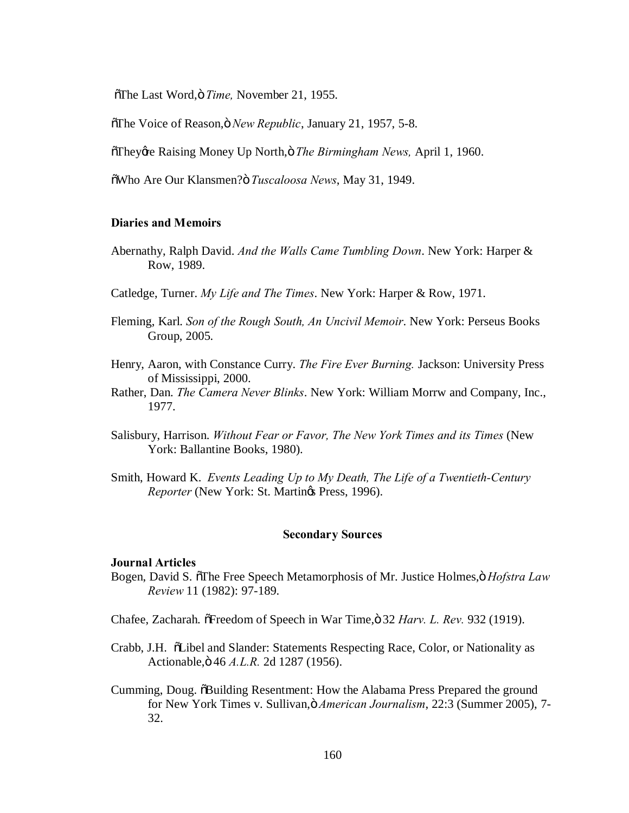öThe Last Word, ö Time, November 21, 1955.

"The Voice of Reason," *New Republic*, January 21, 1957, 5-8.

 $\tilde{\sigma}$ Theygre Raising Money Up North, ö The Birmingham News, April 1, 1960.

"Who Are Our Klansmen?" *Tuscaloosa News*, May 31, 1949.

## **Diaries and Memoirs**

- Abernathy, Ralph David. *And the Walls Came Tumbling Down*. New York: Harper & Row, 1989.
- Catledge, Turner. *My Life and The Times*. New York: Harper & Row, 1971.
- Fleming, Karl. *Son of the Rough South, An Uncivil Memoir*. New York: Perseus Books Group, 2005.
- Henry, Aaron, with Constance Curry. *The Fire Ever Burning.* Jackson: University Press of Mississippi, 2000.
- Rather, Dan. *The Camera Never Blinks*. New York: William Morrw and Company, Inc., 1977.
- Salisbury, Harrison. *Without Fear or Favor, The New York Times and its Times* (New York: Ballantine Books, 1980).
- Smith, Howard K. *Events Leading Up to My Death, The Life of a Twentieth-Century Reporter* (New York: St. Martings Press, 1996).

#### **Secondary Sources**

#### **Journal Articles**

- Bogen, David S. "The Free Speech Metamorphosis of Mr. Justice Holmes," *Hofstra Law Review* 11 (1982): 97-189.
- Chafee, Zacharah.  $\delta$ Freedom of Speech in War Time,  $\delta$  32 *Harv. L. Rev.* 932 (1919).
- Crabb, J.H. "Libel and Slander: Statements Respecting Race, Color, or Nationality as Actionable," 46 *A.L.R.* 2d 1287 (1956).
- Cumming, Doug.  $\delta$ Building Resentment: How the Alabama Press Prepared the ground for New York Times v. Sullivan," *American Journalism*, 22:3 (Summer 2005), 7- 32.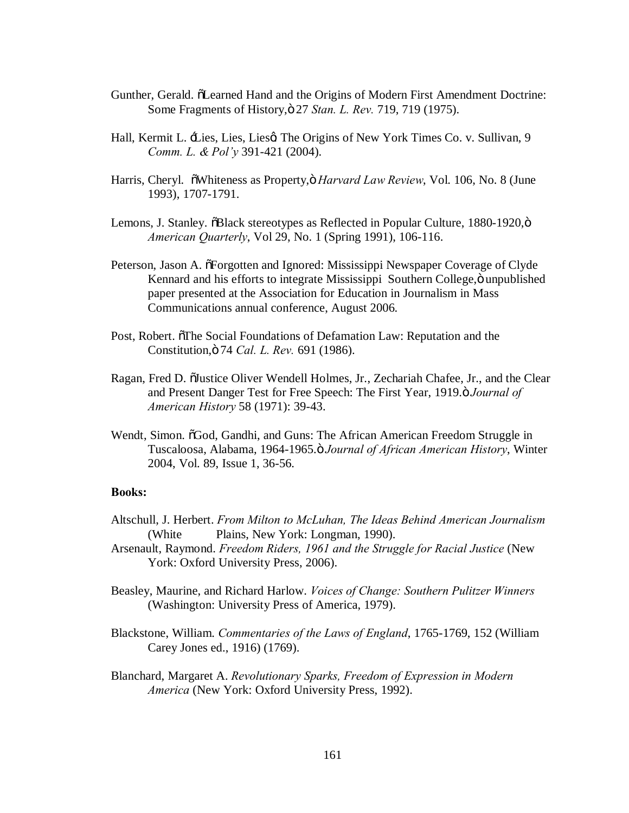- Gunther, Gerald.  $\delta$ Learned Hand and the Origins of Modern First Amendment Doctrine: Some Fragments of History," 27 *Stan. L. Rev.* 719, 719 (1975).
- Hall, Kermit L. Lies, Lies, Lies, The Origins of New York Times Co. v. Sullivan, 9 *Comm. L. & Pol'y* 391-421 (2004).
- Harris, Cheryl. "Whiteness as Property," *Harvard Law Review*, Vol. 106, No. 8 (June 1993), 1707-1791.
- Lemons, J. Stanley.  $\delta$ Black stereotypes as Reflected in Popular Culture, 1880-1920, $\ddot{o}$ *American Quarterly*, Vol 29, No. 1 (Spring 1991), 106-116.
- Peterson, Jason A.  $\tilde{\sigma}$ Forgotten and Ignored: Mississippi Newspaper Coverage of Clyde Kennard and his efforts to integrate Mississippi Southern College, ö unpublished paper presented at the Association for Education in Journalism in Mass Communications annual conference, August 2006.
- Post, Robert.  $\tilde{\sigma}$ The Social Foundations of Defamation Law: Reputation and the Constitution," 74 *Cal. L. Rev.* 691 (1986).
- Ragan, Fred D.  $\ddot{\text{o}}$ Uustice Oliver Wendell Holmes, Jr., Zechariah Chafee, Jr., and the Clear and Present Danger Test for Free Speech: The First Year, 1919. $\ddot{o}$  *Journal of American History* 58 (1971): 39-43.
- Wendt, Simon.  $\delta$ God, Gandhi, and Guns: The African American Freedom Struggle in Tuscaloosa, Alabama, 1964-1965." *Journal of African American History*, Winter 2004, Vol. 89, Issue 1, 36-56.

#### **Books:**

- Altschull, J. Herbert. *From Milton to McLuhan, The Ideas Behind American Journalism* (White Plains, New York: Longman, 1990).
- Arsenault, Raymond. *Freedom Riders, 1961 and the Struggle for Racial Justice* (New York: Oxford University Press, 2006).
- Beasley, Maurine, and Richard Harlow. *Voices of Change: Southern Pulitzer Winners* (Washington: University Press of America, 1979).
- Blackstone, William. *Commentaries of the Laws of England*, 1765-1769, 152 (William Carey Jones ed., 1916) (1769).
- Blanchard, Margaret A. *Revolutionary Sparks, Freedom of Expression in Modern America* (New York: Oxford University Press, 1992).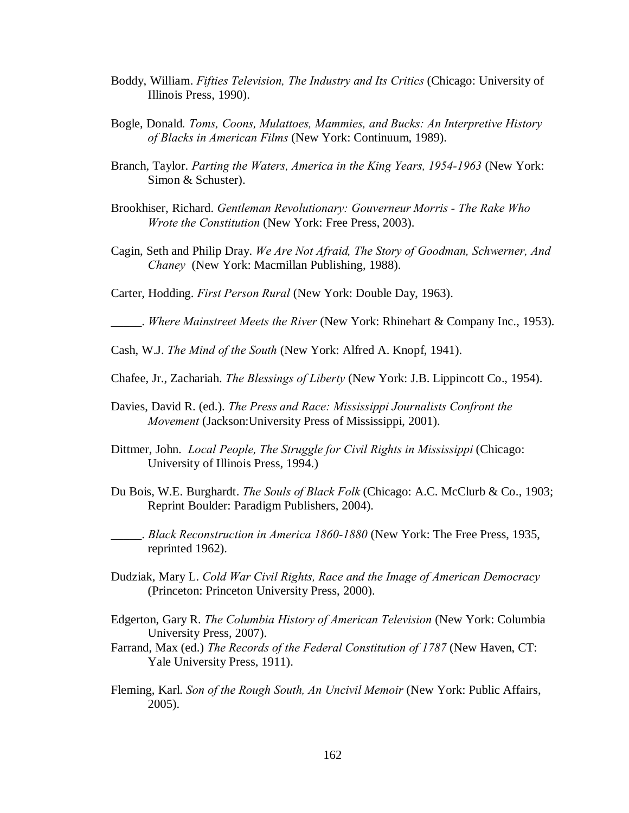- Boddy, William. *Fifties Television, The Industry and Its Critics* (Chicago: University of Illinois Press, 1990).
- Bogle, Donald*. Toms, Coons, Mulattoes, Mammies, and Bucks: An Interpretive History of Blacks in American Films* (New York: Continuum, 1989).
- Branch, Taylor. *Parting the Waters, America in the King Years, 1954-1963* (New York: Simon & Schuster).
- Brookhiser, Richard. *Gentleman Revolutionary: Gouverneur Morris - The Rake Who Wrote the Constitution* (New York: Free Press, 2003).
- Cagin, Seth and Philip Dray. *We Are Not Afraid, The Story of Goodman, Schwerner, And Chaney* (New York: Macmillan Publishing, 1988).

Carter, Hodding. *First Person Rural* (New York: Double Day, 1963).

\_\_\_\_\_. *Where Mainstreet Meets the River* (New York: Rhinehart & Company Inc., 1953).

Cash, W.J. *The Mind of the South* (New York: Alfred A. Knopf, 1941).

- Chafee, Jr., Zachariah. *The Blessings of Liberty* (New York: J.B. Lippincott Co., 1954).
- Davies, David R. (ed.). *The Press and Race: Mississippi Journalists Confront the Movement* (Jackson:University Press of Mississippi, 2001).
- Dittmer, John. *Local People, The Struggle for Civil Rights in Mississippi* (Chicago: University of Illinois Press, 1994.)
- Du Bois, W.E. Burghardt. *The Souls of Black Folk* (Chicago: A.C. McClurb & Co., 1903; Reprint Boulder: Paradigm Publishers, 2004).

\_\_\_\_\_. *Black Reconstruction in America 1860-1880* (New York: The Free Press, 1935, reprinted 1962).

- Dudziak, Mary L. *Cold War Civil Rights, Race and the Image of American Democracy* (Princeton: Princeton University Press, 2000).
- Edgerton, Gary R. *The Columbia History of American Television* (New York: Columbia University Press, 2007).
- Farrand, Max (ed.) *The Records of the Federal Constitution of 1787* (New Haven, CT: Yale University Press, 1911).
- Fleming, Karl. *Son of the Rough South, An Uncivil Memoir* (New York: Public Affairs, 2005).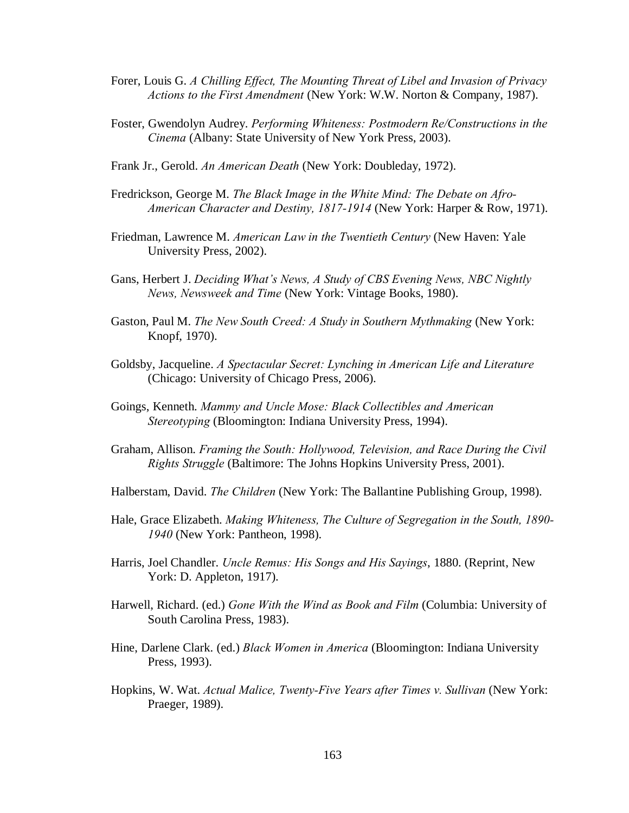- Forer, Louis G. *A Chilling Effect, The Mounting Threat of Libel and Invasion of Privacy Actions to the First Amendment* (New York: W.W. Norton & Company, 1987).
- Foster, Gwendolyn Audrey. *Performing Whiteness: Postmodern Re/Constructions in the Cinema* (Albany: State University of New York Press, 2003).
- Frank Jr., Gerold. *An American Death* (New York: Doubleday, 1972).
- Fredrickson, George M. *The Black Image in the White Mind: The Debate on Afro-American Character and Destiny, 1817-1914* (New York: Harper & Row, 1971).
- Friedman, Lawrence M. *American Law in the Twentieth Century* (New Haven: Yale University Press, 2002).
- Gans, Herbert J. *Deciding What's News, A Study of CBS Evening News, NBC Nightly News, Newsweek and Time* (New York: Vintage Books, 1980).
- Gaston, Paul M. *The New South Creed: A Study in Southern Mythmaking* (New York: Knopf, 1970).
- Goldsby, Jacqueline. *A Spectacular Secret: Lynching in American Life and Literature* (Chicago: University of Chicago Press, 2006).
- Goings, Kenneth. *Mammy and Uncle Mose: Black Collectibles and American Stereotyping* (Bloomington: Indiana University Press, 1994).
- Graham, Allison. *Framing the South: Hollywood, Television, and Race During the Civil Rights Struggle* (Baltimore: The Johns Hopkins University Press, 2001).
- Halberstam, David. *The Children* (New York: The Ballantine Publishing Group, 1998).
- Hale, Grace Elizabeth. *Making Whiteness, The Culture of Segregation in the South, 1890- 1940* (New York: Pantheon, 1998).
- Harris, Joel Chandler. *Uncle Remus: His Songs and His Sayings*, 1880. (Reprint, New York: D. Appleton, 1917).
- Harwell, Richard. (ed.) *Gone With the Wind as Book and Film* (Columbia: University of South Carolina Press, 1983).
- Hine, Darlene Clark. (ed.) *Black Women in America* (Bloomington: Indiana University Press, 1993).
- Hopkins, W. Wat. *Actual Malice, Twenty-Five Years after Times v. Sullivan* (New York: Praeger, 1989).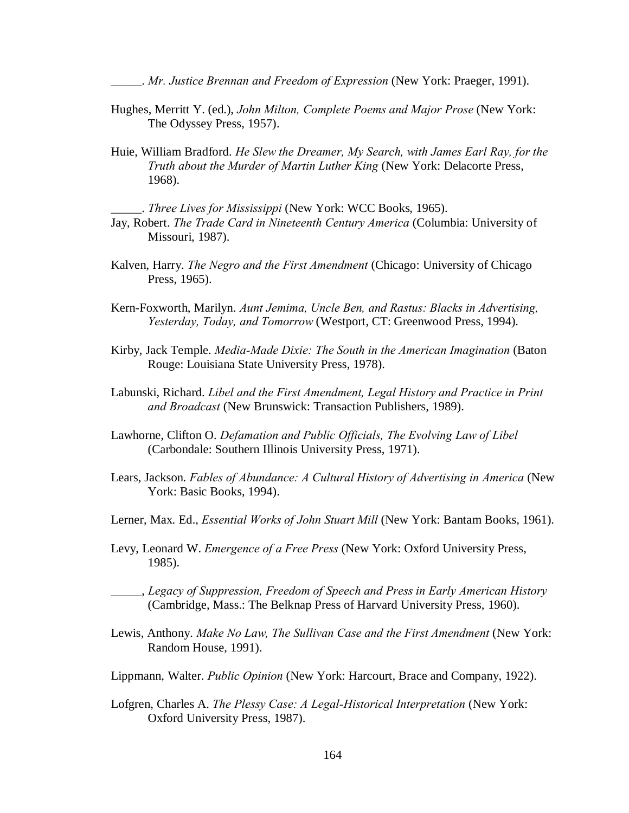\_\_\_\_\_. *Mr. Justice Brennan and Freedom of Expression* (New York: Praeger, 1991).

- Hughes, Merritt Y. (ed.), *John Milton, Complete Poems and Major Prose* (New York: The Odyssey Press, 1957).
- Huie, William Bradford. *He Slew the Dreamer, My Search, with James Earl Ray, for the Truth about the Murder of Martin Luther King* (New York: Delacorte Press, 1968).

\_\_\_\_\_. *Three Lives for Mississippi* (New York: WCC Books, 1965).

- Jay, Robert. *The Trade Card in Nineteenth Century America* (Columbia: University of Missouri, 1987).
- Kalven, Harry. *The Negro and the First Amendment* (Chicago: University of Chicago Press, 1965).
- Kern-Foxworth, Marilyn. *Aunt Jemima, Uncle Ben, and Rastus: Blacks in Advertising, Yesterday, Today, and Tomorrow* (Westport, CT: Greenwood Press, 1994).
- Kirby, Jack Temple. *Media-Made Dixie: The South in the American Imagination* (Baton Rouge: Louisiana State University Press, 1978).
- Labunski, Richard. *Libel and the First Amendment, Legal History and Practice in Print and Broadcast* (New Brunswick: Transaction Publishers, 1989).
- Lawhorne, Clifton O. *Defamation and Public Officials, The Evolving Law of Libel* (Carbondale: Southern Illinois University Press, 1971).
- Lears, Jackson. *Fables of Abundance: A Cultural History of Advertising in America* (New York: Basic Books, 1994).
- Lerner, Max. Ed., *Essential Works of John Stuart Mill* (New York: Bantam Books, 1961).
- Levy, Leonard W. *Emergence of a Free Press* (New York: Oxford University Press, 1985).
- \_\_\_\_\_, *Legacy of Suppression, Freedom of Speech and Press in Early American History* (Cambridge, Mass.: The Belknap Press of Harvard University Press, 1960).
- Lewis, Anthony. *Make No Law, The Sullivan Case and the First Amendment* (New York: Random House, 1991).
- Lippmann, Walter. *Public Opinion* (New York: Harcourt, Brace and Company, 1922).
- Lofgren, Charles A. *The Plessy Case: A Legal-Historical Interpretation* (New York: Oxford University Press, 1987).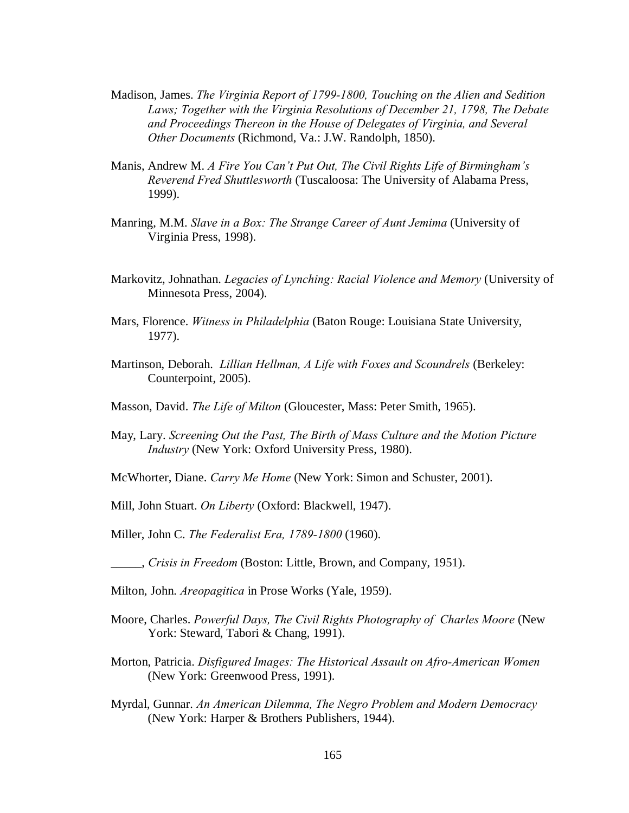- Madison, James. *The Virginia Report of 1799-1800, Touching on the Alien and Sedition Laws; Together with the Virginia Resolutions of December 21, 1798, The Debate and Proceedings Thereon in the House of Delegates of Virginia, and Several Other Documents* (Richmond, Va.: J.W. Randolph, 1850).
- Manis, Andrew M. *A Fire You Can't Put Out, The Civil Rights Life of Birmingham's Reverend Fred Shuttlesworth* (Tuscaloosa: The University of Alabama Press, 1999).
- Manring, M.M. *Slave in a Box: The Strange Career of Aunt Jemima* (University of Virginia Press, 1998).
- Markovitz, Johnathan. *Legacies of Lynching: Racial Violence and Memory* (University of Minnesota Press, 2004).
- Mars, Florence. *Witness in Philadelphia* (Baton Rouge: Louisiana State University, 1977).
- Martinson, Deborah. *Lillian Hellman, A Life with Foxes and Scoundrels* (Berkeley: Counterpoint, 2005).
- Masson, David. *The Life of Milton* (Gloucester, Mass: Peter Smith, 1965).
- May, Lary. *Screening Out the Past, The Birth of Mass Culture and the Motion Picture Industry* (New York: Oxford University Press, 1980).
- McWhorter, Diane. *Carry Me Home* (New York: Simon and Schuster, 2001).
- Mill, John Stuart. *On Liberty* (Oxford: Blackwell, 1947).
- Miller, John C. *The Federalist Era, 1789-1800* (1960).
- \_\_\_\_\_, *Crisis in Freedom* (Boston: Little, Brown, and Company, 1951).
- Milton, John. *Areopagitica* in Prose Works (Yale, 1959).
- Moore, Charles. *Powerful Days, The Civil Rights Photography of Charles Moore* (New York: Steward, Tabori & Chang, 1991).
- Morton, Patricia. *Disfigured Images: The Historical Assault on Afro-American Women* (New York: Greenwood Press, 1991).
- Myrdal, Gunnar. *An American Dilemma, The Negro Problem and Modern Democracy* (New York: Harper & Brothers Publishers, 1944).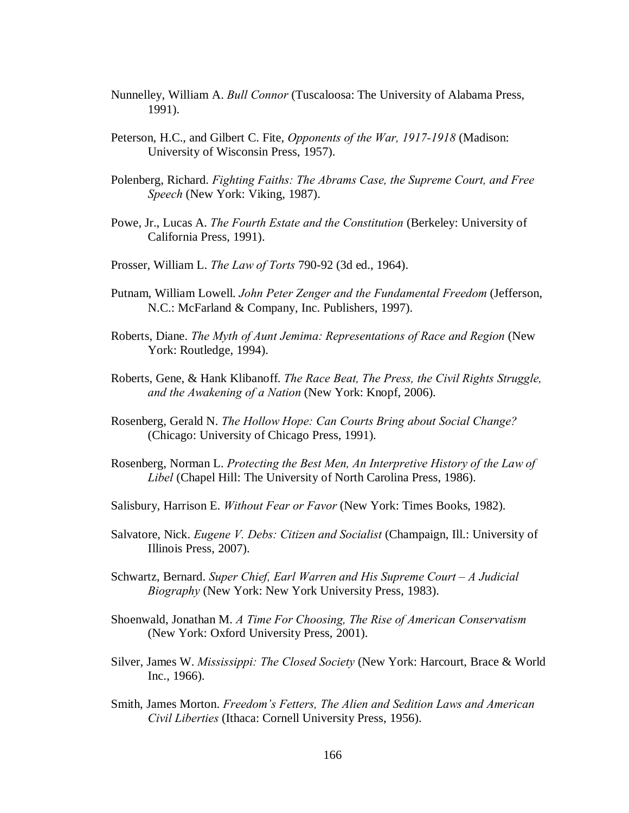- Nunnelley, William A. *Bull Connor* (Tuscaloosa: The University of Alabama Press, 1991).
- Peterson, H.C., and Gilbert C. Fite, *Opponents of the War, 1917-1918* (Madison: University of Wisconsin Press, 1957).
- Polenberg, Richard. *Fighting Faiths: The Abrams Case, the Supreme Court, and Free Speech* (New York: Viking, 1987).
- Powe, Jr., Lucas A. *The Fourth Estate and the Constitution* (Berkeley: University of California Press, 1991).
- Prosser, William L. *The Law of Torts* 790-92 (3d ed., 1964).
- Putnam, William Lowell. *John Peter Zenger and the Fundamental Freedom* (Jefferson, N.C.: McFarland & Company, Inc. Publishers, 1997).
- Roberts, Diane. *The Myth of Aunt Jemima: Representations of Race and Region* (New York: Routledge, 1994).
- Roberts, Gene, & Hank Klibanoff. *The Race Beat, The Press, the Civil Rights Struggle, and the Awakening of a Nation* (New York: Knopf, 2006).
- Rosenberg, Gerald N. *The Hollow Hope: Can Courts Bring about Social Change?* (Chicago: University of Chicago Press, 1991).
- Rosenberg, Norman L. *Protecting the Best Men, An Interpretive History of the Law of Libel* (Chapel Hill: The University of North Carolina Press, 1986).
- Salisbury, Harrison E. *Without Fear or Favor* (New York: Times Books, 1982).
- Salvatore, Nick. *Eugene V. Debs: Citizen and Socialist* (Champaign, Ill.: University of Illinois Press, 2007).
- Schwartz, Bernard. *Super Chief, Earl Warren and His Supreme Court – A Judicial Biography* (New York: New York University Press, 1983).
- Shoenwald, Jonathan M. *A Time For Choosing, The Rise of American Conservatism* (New York: Oxford University Press, 2001).
- Silver, James W. *Mississippi: The Closed Society* (New York: Harcourt, Brace & World Inc., 1966).
- Smith, James Morton. *Freedom's Fetters, The Alien and Sedition Laws and American Civil Liberties* (Ithaca: Cornell University Press, 1956).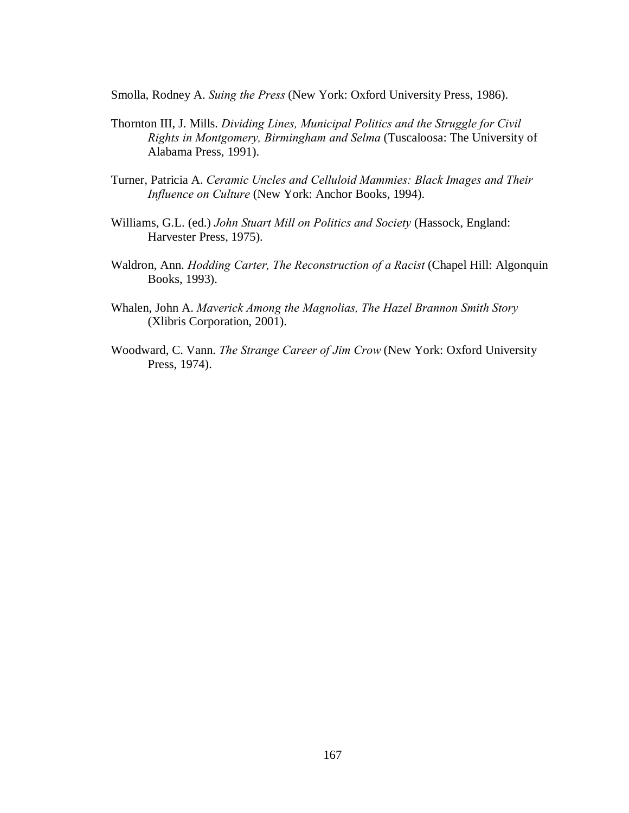Smolla, Rodney A. *Suing the Press* (New York: Oxford University Press, 1986).

- Thornton III, J. Mills. *Dividing Lines, Municipal Politics and the Struggle for Civil Rights in Montgomery, Birmingham and Selma* (Tuscaloosa: The University of Alabama Press, 1991).
- Turner, Patricia A. *Ceramic Uncles and Celluloid Mammies: Black Images and Their Influence on Culture* (New York: Anchor Books, 1994).
- Williams, G.L. (ed.) *John Stuart Mill on Politics and Society* (Hassock, England: Harvester Press, 1975).
- Waldron, Ann. *Hodding Carter, The Reconstruction of a Racist* (Chapel Hill: Algonquin Books, 1993).
- Whalen, John A. *Maverick Among the Magnolias, The Hazel Brannon Smith Story* (Xlibris Corporation, 2001).
- Woodward, C. Vann. *The Strange Career of Jim Crow* (New York: Oxford University Press, 1974).